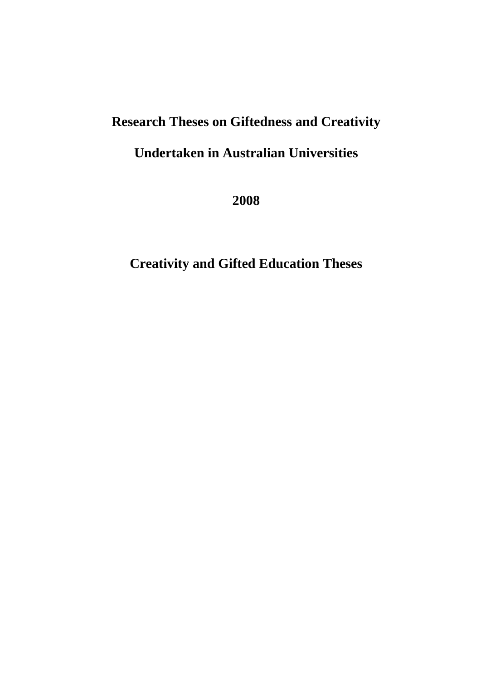## **Research Theses on Giftedness and Creativity**

## **Undertaken in Australian Universities**

**2008** 

**Creativity and Gifted Education Theses**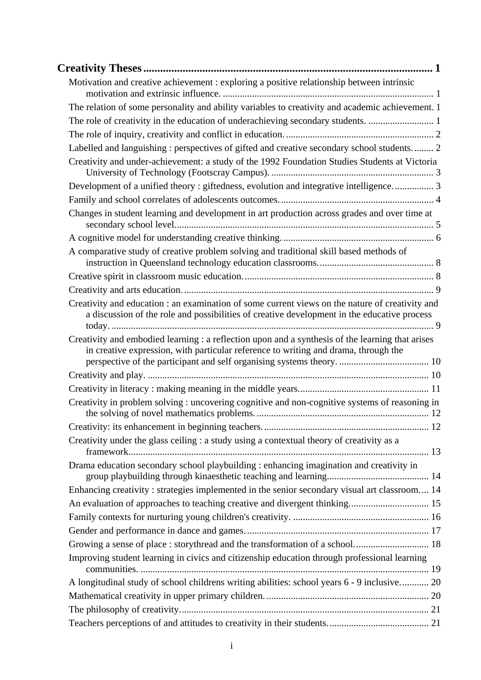| Motivation and creative achievement : exploring a positive relationship between intrinsic                                                                                                      |  |
|------------------------------------------------------------------------------------------------------------------------------------------------------------------------------------------------|--|
| The relation of some personality and ability variables to creativity and academic achievement. 1                                                                                               |  |
| The role of creativity in the education of underachieving secondary students. 1                                                                                                                |  |
|                                                                                                                                                                                                |  |
| Labelled and languishing : perspectives of gifted and creative secondary school students 2                                                                                                     |  |
| Creativity and under-achievement: a study of the 1992 Foundation Studies Students at Victoria                                                                                                  |  |
| Development of a unified theory: giftedness, evolution and integrative intelligence 3                                                                                                          |  |
|                                                                                                                                                                                                |  |
| Changes in student learning and development in art production across grades and over time at                                                                                                   |  |
|                                                                                                                                                                                                |  |
| A comparative study of creative problem solving and traditional skill based methods of                                                                                                         |  |
|                                                                                                                                                                                                |  |
|                                                                                                                                                                                                |  |
| Creativity and education : an examination of some current views on the nature of creativity and<br>a discussion of the role and possibilities of creative development in the educative process |  |
| Creativity and embodied learning : a reflection upon and a synthesis of the learning that arises<br>in creative expression, with particular reference to writing and drama, through the        |  |
|                                                                                                                                                                                                |  |
|                                                                                                                                                                                                |  |
| Creativity in problem solving: uncovering cognitive and non-cognitive systems of reasoning in                                                                                                  |  |
|                                                                                                                                                                                                |  |
| Creativity under the glass ceiling : a study using a contextual theory of creativity as a                                                                                                      |  |
| Drama education secondary school playbuilding : enhancing imagination and creativity in                                                                                                        |  |
| Enhancing creativity: strategies implemented in the senior secondary visual art classroom 14                                                                                                   |  |
|                                                                                                                                                                                                |  |
|                                                                                                                                                                                                |  |
|                                                                                                                                                                                                |  |
| Growing a sense of place : storythread and the transformation of a school 18                                                                                                                   |  |
| Improving student learning in civics and citizenship education through professional learning                                                                                                   |  |
| A longitudinal study of school childrens writing abilities: school years 6 - 9 inclusive 20                                                                                                    |  |
|                                                                                                                                                                                                |  |
|                                                                                                                                                                                                |  |
|                                                                                                                                                                                                |  |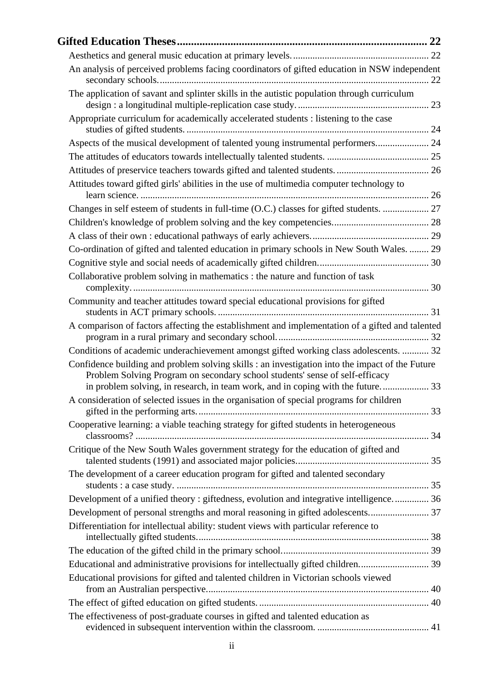| An analysis of perceived problems facing coordinators of gifted education in NSW independent                                                                                    |  |
|---------------------------------------------------------------------------------------------------------------------------------------------------------------------------------|--|
| The application of savant and splinter skills in the autistic population through curriculum                                                                                     |  |
| Appropriate curriculum for academically accelerated students : listening to the case                                                                                            |  |
| Aspects of the musical development of talented young instrumental performers 24                                                                                                 |  |
|                                                                                                                                                                                 |  |
|                                                                                                                                                                                 |  |
| Attitudes toward gifted girls' abilities in the use of multimedia computer technology to                                                                                        |  |
| Changes in self esteem of students in full-time (O.C.) classes for gifted students.  27                                                                                         |  |
|                                                                                                                                                                                 |  |
|                                                                                                                                                                                 |  |
| Co-ordination of gifted and talented education in primary schools in New South Wales.  29                                                                                       |  |
|                                                                                                                                                                                 |  |
| Collaborative problem solving in mathematics : the nature and function of task                                                                                                  |  |
| Community and teacher attitudes toward special educational provisions for gifted                                                                                                |  |
| A comparison of factors affecting the establishment and implementation of a gifted and talented                                                                                 |  |
| Conditions of academic underachievement amongst gifted working class adolescents.  32                                                                                           |  |
| Confidence building and problem solving skills : an investigation into the impact of the Future<br>Problem Solving Program on secondary school students' sense of self-efficacy |  |
| in problem solving, in research, in team work, and in coping with the future                                                                                                    |  |
| A consideration of selected issues in the organisation of special programs for children                                                                                         |  |
| Cooperative learning: a viable teaching strategy for gifted students in heterogeneous                                                                                           |  |
| Critique of the New South Wales government strategy for the education of gifted and                                                                                             |  |
| The development of a career education program for gifted and talented secondary                                                                                                 |  |
| Development of a unified theory : giftedness, evolution and integrative intelligence 36                                                                                         |  |
| Development of personal strengths and moral reasoning in gifted adolescents 37                                                                                                  |  |
| Differentiation for intellectual ability: student views with particular reference to                                                                                            |  |
|                                                                                                                                                                                 |  |
| Educational and administrative provisions for intellectually gifted children 39                                                                                                 |  |
| Educational provisions for gifted and talented children in Victorian schools viewed                                                                                             |  |
|                                                                                                                                                                                 |  |
| The effectiveness of post-graduate courses in gifted and talented education as                                                                                                  |  |
|                                                                                                                                                                                 |  |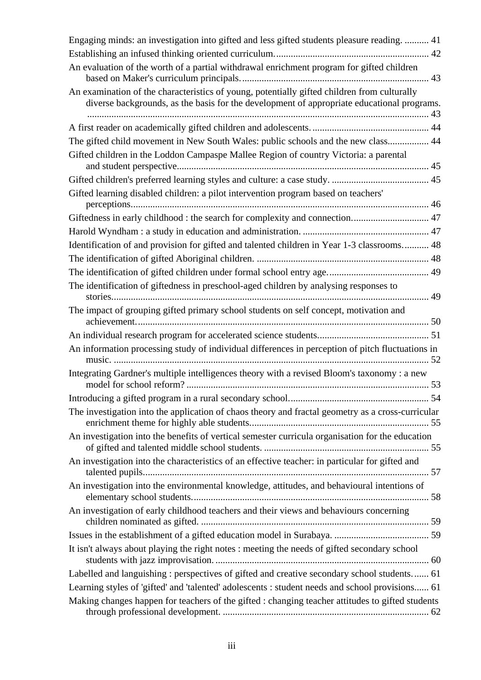| Engaging minds: an investigation into gifted and less gifted students pleasure reading.  41                                                                                               |
|-------------------------------------------------------------------------------------------------------------------------------------------------------------------------------------------|
|                                                                                                                                                                                           |
| An evaluation of the worth of a partial withdrawal enrichment program for gifted children                                                                                                 |
| An examination of the characteristics of young, potentially gifted children from culturally<br>diverse backgrounds, as the basis for the development of appropriate educational programs. |
|                                                                                                                                                                                           |
| The gifted child movement in New South Wales: public schools and the new class 44                                                                                                         |
| Gifted children in the Loddon Campaspe Mallee Region of country Victoria: a parental                                                                                                      |
|                                                                                                                                                                                           |
| Gifted learning disabled children: a pilot intervention program based on teachers'                                                                                                        |
| Giftedness in early childhood : the search for complexity and connection 47                                                                                                               |
|                                                                                                                                                                                           |
| Identification of and provision for gifted and talented children in Year 1-3 classrooms 48                                                                                                |
|                                                                                                                                                                                           |
|                                                                                                                                                                                           |
| The identification of giftedness in preschool-aged children by analysing responses to                                                                                                     |
| The impact of grouping gifted primary school students on self concept, motivation and                                                                                                     |
|                                                                                                                                                                                           |
| An information processing study of individual differences in perception of pitch fluctuations in                                                                                          |
| Integrating Gardner's multiple intelligences theory with a revised Bloom's taxonomy : a new                                                                                               |
|                                                                                                                                                                                           |
| The investigation into the application of chaos theory and fractal geometry as a cross-curricular                                                                                         |
| An investigation into the benefits of vertical semester curricula organisation for the education                                                                                          |
| An investigation into the characteristics of an effective teacher: in particular for gifted and                                                                                           |
| An investigation into the environmental knowledge, attitudes, and behavioural intentions of                                                                                               |
| An investigation of early childhood teachers and their views and behaviours concerning                                                                                                    |
|                                                                                                                                                                                           |
| It isn't always about playing the right notes : meeting the needs of gifted secondary school                                                                                              |
| Labelled and languishing: perspectives of gifted and creative secondary school students 61                                                                                                |
| Learning styles of 'gifted' and 'talented' adolescents : student needs and school provisions 61                                                                                           |
| Making changes happen for teachers of the gifted : changing teacher attitudes to gifted students                                                                                          |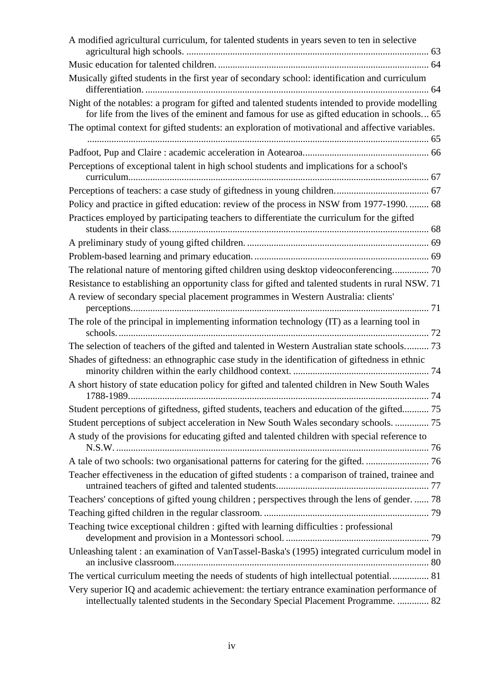| A modified agricultural curriculum, for talented students in years seven to ten in selective                                                                                                   |
|------------------------------------------------------------------------------------------------------------------------------------------------------------------------------------------------|
|                                                                                                                                                                                                |
| Musically gifted students in the first year of secondary school: identification and curriculum                                                                                                 |
| Night of the notables: a program for gifted and talented students intended to provide modelling<br>for life from the lives of the eminent and famous for use as gifted education in schools 65 |
| The optimal context for gifted students: an exploration of motivational and affective variables.                                                                                               |
|                                                                                                                                                                                                |
| Perceptions of exceptional talent in high school students and implications for a school's                                                                                                      |
|                                                                                                                                                                                                |
|                                                                                                                                                                                                |
| Policy and practice in gifted education: review of the process in NSW from 1977-1990.  68                                                                                                      |
| Practices employed by participating teachers to differentiate the curriculum for the gifted                                                                                                    |
|                                                                                                                                                                                                |
|                                                                                                                                                                                                |
| The relational nature of mentoring gifted children using desktop videoconferencing 70                                                                                                          |
| Resistance to establishing an opportunity class for gifted and talented students in rural NSW. 71                                                                                              |
| A review of secondary special placement programmes in Western Australia: clients'                                                                                                              |
| The role of the principal in implementing information technology (IT) as a learning tool in                                                                                                    |
| The selection of teachers of the gifted and talented in Western Australian state schools 73                                                                                                    |
| Shades of giftedness: an ethnographic case study in the identification of giftedness in ethnic                                                                                                 |
| A short history of state education policy for gifted and talented children in New South Wales                                                                                                  |
| Student perceptions of giftedness, gifted students, teachers and education of the gifted 75                                                                                                    |
| Student perceptions of subject acceleration in New South Wales secondary schools.  75                                                                                                          |
| A study of the provisions for educating gifted and talented children with special reference to                                                                                                 |
|                                                                                                                                                                                                |
| Teacher effectiveness in the education of gifted students : a comparison of trained, trainee and                                                                                               |
| Teachers' conceptions of gifted young children ; perspectives through the lens of gender.  78                                                                                                  |
|                                                                                                                                                                                                |
| Teaching twice exceptional children : gifted with learning difficulties : professional                                                                                                         |
| Unleashing talent: an examination of VanTassel-Baska's (1995) integrated curriculum model in                                                                                                   |
| The vertical curriculum meeting the needs of students of high intellectual potential 81                                                                                                        |
| Very superior IQ and academic achievement: the tertiary entrance examination performance of<br>intellectually talented students in the Secondary Special Placement Programme.  82              |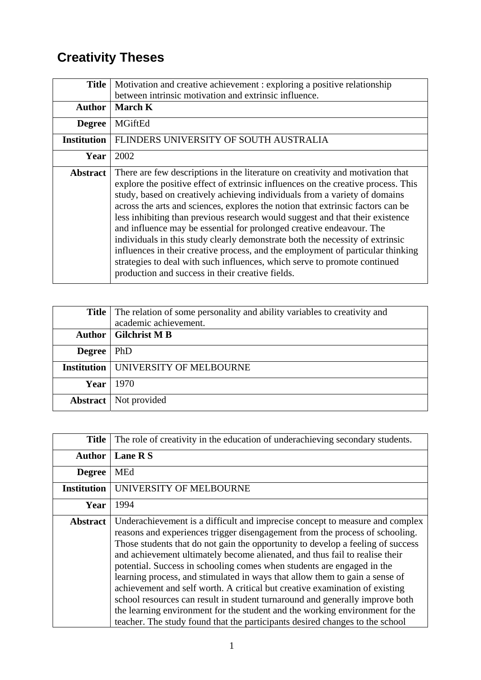## **Creativity Theses**

| <b>Title</b>       | Motivation and creative achievement : exploring a positive relationship<br>between intrinsic motivation and extrinsic influence.                                                                                                                                                                                                                                                                                                                                                                                                                                                                                                                                                                                                                                                                   |
|--------------------|----------------------------------------------------------------------------------------------------------------------------------------------------------------------------------------------------------------------------------------------------------------------------------------------------------------------------------------------------------------------------------------------------------------------------------------------------------------------------------------------------------------------------------------------------------------------------------------------------------------------------------------------------------------------------------------------------------------------------------------------------------------------------------------------------|
|                    |                                                                                                                                                                                                                                                                                                                                                                                                                                                                                                                                                                                                                                                                                                                                                                                                    |
| <b>Author</b>      | <b>March K</b>                                                                                                                                                                                                                                                                                                                                                                                                                                                                                                                                                                                                                                                                                                                                                                                     |
| <b>Degree</b>      | <b>MGiftEd</b>                                                                                                                                                                                                                                                                                                                                                                                                                                                                                                                                                                                                                                                                                                                                                                                     |
| <b>Institution</b> | FLINDERS UNIVERSITY OF SOUTH AUSTRALIA                                                                                                                                                                                                                                                                                                                                                                                                                                                                                                                                                                                                                                                                                                                                                             |
| Year               | 2002                                                                                                                                                                                                                                                                                                                                                                                                                                                                                                                                                                                                                                                                                                                                                                                               |
| <b>Abstract</b>    | There are few descriptions in the literature on creativity and motivation that<br>explore the positive effect of extrinsic influences on the creative process. This<br>study, based on creatively achieving individuals from a variety of domains<br>across the arts and sciences, explores the notion that extrinsic factors can be<br>less inhibiting than previous research would suggest and that their existence<br>and influence may be essential for prolonged creative endeavour. The<br>individuals in this study clearly demonstrate both the necessity of extrinsic<br>influences in their creative process, and the employment of particular thinking<br>strategies to deal with such influences, which serve to promote continued<br>production and success in their creative fields. |

|                    | <b>Title</b> The relation of some personality and ability variables to creativity and<br>academic achievement. |
|--------------------|----------------------------------------------------------------------------------------------------------------|
| Author             | <b>Gilchrist M B</b>                                                                                           |
| <b>Degree</b>      | <b>PhD</b>                                                                                                     |
| <b>Institution</b> | UNIVERSITY OF MELBOURNE                                                                                        |
| Year               | 1970                                                                                                           |
| <b>Abstract</b>    | Not provided                                                                                                   |

| <b>Title</b>       | The role of creativity in the education of underachieving secondary students.                                                                                                                                                                                                                                                                                                                                                                                                                                                                                                                                                                                                                                                                                                                                          |
|--------------------|------------------------------------------------------------------------------------------------------------------------------------------------------------------------------------------------------------------------------------------------------------------------------------------------------------------------------------------------------------------------------------------------------------------------------------------------------------------------------------------------------------------------------------------------------------------------------------------------------------------------------------------------------------------------------------------------------------------------------------------------------------------------------------------------------------------------|
| <b>Author</b>      | Lane R S                                                                                                                                                                                                                                                                                                                                                                                                                                                                                                                                                                                                                                                                                                                                                                                                               |
| <b>Degree</b>      | <b>MEd</b>                                                                                                                                                                                                                                                                                                                                                                                                                                                                                                                                                                                                                                                                                                                                                                                                             |
| <b>Institution</b> | UNIVERSITY OF MELBOURNE                                                                                                                                                                                                                                                                                                                                                                                                                                                                                                                                                                                                                                                                                                                                                                                                |
| Year               | 1994                                                                                                                                                                                                                                                                                                                                                                                                                                                                                                                                                                                                                                                                                                                                                                                                                   |
| <b>Abstract</b>    | Underachievement is a difficult and imprecise concept to measure and complex<br>reasons and experiences trigger disengagement from the process of schooling.<br>Those students that do not gain the opportunity to develop a feeling of success<br>and achievement ultimately become alienated, and thus fail to realise their<br>potential. Success in schooling comes when students are engaged in the<br>learning process, and stimulated in ways that allow them to gain a sense of<br>achievement and self worth. A critical but creative examination of existing<br>school resources can result in student turnaround and generally improve both<br>the learning environment for the student and the working environment for the<br>teacher. The study found that the participants desired changes to the school |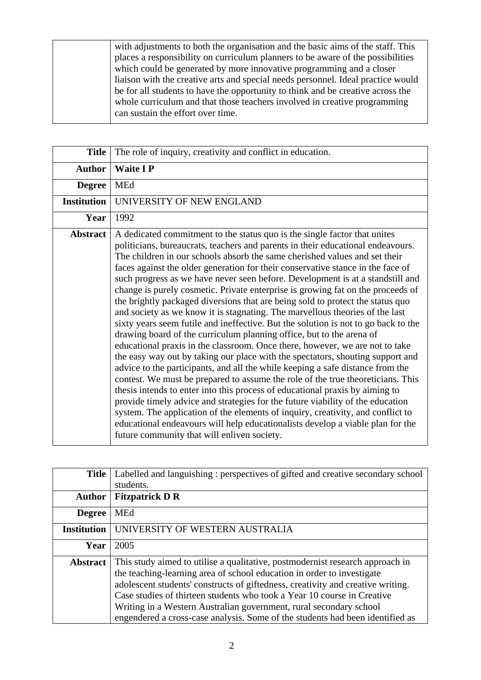with adjustments to both the organisation and the basic aims of the staff. This places a responsibility on curriculum planners to be aware of the possibilities which could be generated by more innovative programming and a closer liaison with the creative arts and special needs personnel. Ideal practice would be for all students to have the opportunity to think and be creative across the whole curriculum and that those teachers involved in creative programming can sustain the effort over time.

| <b>Title</b>       | The role of inquiry, creativity and conflict in education.                                                                                                                                                                                                                                                                                                                                                                                                                                                                                                                                                                                                                                                                                                                                                                                                                                                                                                                                                                                                                                                                                                                                                                                                                                                                                                                                                                                                                                                                                                      |
|--------------------|-----------------------------------------------------------------------------------------------------------------------------------------------------------------------------------------------------------------------------------------------------------------------------------------------------------------------------------------------------------------------------------------------------------------------------------------------------------------------------------------------------------------------------------------------------------------------------------------------------------------------------------------------------------------------------------------------------------------------------------------------------------------------------------------------------------------------------------------------------------------------------------------------------------------------------------------------------------------------------------------------------------------------------------------------------------------------------------------------------------------------------------------------------------------------------------------------------------------------------------------------------------------------------------------------------------------------------------------------------------------------------------------------------------------------------------------------------------------------------------------------------------------------------------------------------------------|
| <b>Author</b>      | <b>Waite IP</b>                                                                                                                                                                                                                                                                                                                                                                                                                                                                                                                                                                                                                                                                                                                                                                                                                                                                                                                                                                                                                                                                                                                                                                                                                                                                                                                                                                                                                                                                                                                                                 |
| <b>Degree</b>      | MEd                                                                                                                                                                                                                                                                                                                                                                                                                                                                                                                                                                                                                                                                                                                                                                                                                                                                                                                                                                                                                                                                                                                                                                                                                                                                                                                                                                                                                                                                                                                                                             |
| <b>Institution</b> | UNIVERSITY OF NEW ENGLAND                                                                                                                                                                                                                                                                                                                                                                                                                                                                                                                                                                                                                                                                                                                                                                                                                                                                                                                                                                                                                                                                                                                                                                                                                                                                                                                                                                                                                                                                                                                                       |
| Year               | 1992                                                                                                                                                                                                                                                                                                                                                                                                                                                                                                                                                                                                                                                                                                                                                                                                                                                                                                                                                                                                                                                                                                                                                                                                                                                                                                                                                                                                                                                                                                                                                            |
| <b>Abstract</b>    | A dedicated commitment to the status quo is the single factor that unites<br>politicians, bureaucrats, teachers and parents in their educational endeavours.<br>The children in our schools absorb the same cherished values and set their<br>faces against the older generation for their conservative stance in the face of<br>such progress as we have never seen before. Development is at a standstill and<br>change is purely cosmetic. Private enterprise is growing fat on the proceeds of<br>the brightly packaged diversions that are being sold to protect the status quo<br>and society as we know it is stagnating. The marvellous theories of the last<br>sixty years seem futile and ineffective. But the solution is not to go back to the<br>drawing board of the curriculum planning office, but to the arena of<br>educational praxis in the classroom. Once there, however, we are not to take<br>the easy way out by taking our place with the spectators, shouting support and<br>advice to the participants, and all the while keeping a safe distance from the<br>contest. We must be prepared to assume the role of the true theoreticians. This<br>thesis intends to enter into this process of educational praxis by aiming to<br>provide timely advice and strategies for the future viability of the education<br>system. The application of the elements of inquiry, creativity, and conflict to<br>educational endeavours will help educationalists develop a viable plan for the<br>future community that will enliven society. |

| <b>Title</b>       | Labelled and languishing : perspectives of gifted and creative secondary school<br>students.                                                                                                                                                                                                                                                                                                                                                                                 |
|--------------------|------------------------------------------------------------------------------------------------------------------------------------------------------------------------------------------------------------------------------------------------------------------------------------------------------------------------------------------------------------------------------------------------------------------------------------------------------------------------------|
| <b>Author</b>      | <b>Fitzpatrick D R</b>                                                                                                                                                                                                                                                                                                                                                                                                                                                       |
| <b>Degree</b>      | <b>MEd</b>                                                                                                                                                                                                                                                                                                                                                                                                                                                                   |
| <b>Institution</b> | UNIVERSITY OF WESTERN AUSTRALIA                                                                                                                                                                                                                                                                                                                                                                                                                                              |
| Year               | 2005                                                                                                                                                                                                                                                                                                                                                                                                                                                                         |
| <b>Abstract</b>    | This study aimed to utilise a qualitative, postmodernist research approach in<br>the teaching-learning area of school education in order to investigate<br>adolescent students' constructs of giftedness, creativity and creative writing.<br>Case studies of thirteen students who took a Year 10 course in Creative<br>Writing in a Western Australian government, rural secondary school<br>engendered a cross-case analysis. Some of the students had been identified as |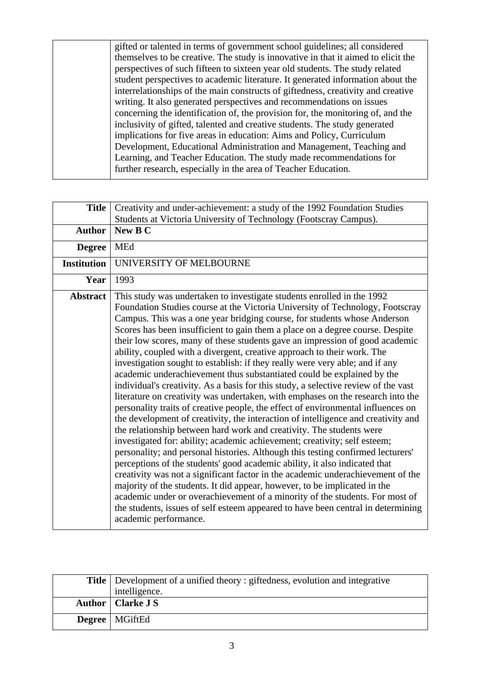gifted or talented in terms of government school guidelines; all considered themselves to be creative. The study is innovative in that it aimed to elicit the perspectives of such fifteen to sixteen year old students. The study related student perspectives to academic literature. It generated information about the interrelationships of the main constructs of giftedness, creativity and creative writing. It also generated perspectives and recommendations on issues concerning the identification of, the provision for, the monitoring of, and the inclusivity of gifted, talented and creative students. The study generated implications for five areas in education: Aims and Policy, Curriculum Development, Educational Administration and Management, Teaching and Learning, and Teacher Education. The study made recommendations for further research, especially in the area of Teacher Education.

| <b>Title</b>       | Creativity and under-achievement: a study of the 1992 Foundation Studies<br>Students at Victoria University of Technology (Footscray Campus).                                                                                                                                                                                                                                                                                                                                                                                                                                                                                                                                                                                                                                                                                                                                                                                                                                                                                                                                                                                                                                                                                                                                                                                                                                                                                                                                                                                                                                                                                                                                  |
|--------------------|--------------------------------------------------------------------------------------------------------------------------------------------------------------------------------------------------------------------------------------------------------------------------------------------------------------------------------------------------------------------------------------------------------------------------------------------------------------------------------------------------------------------------------------------------------------------------------------------------------------------------------------------------------------------------------------------------------------------------------------------------------------------------------------------------------------------------------------------------------------------------------------------------------------------------------------------------------------------------------------------------------------------------------------------------------------------------------------------------------------------------------------------------------------------------------------------------------------------------------------------------------------------------------------------------------------------------------------------------------------------------------------------------------------------------------------------------------------------------------------------------------------------------------------------------------------------------------------------------------------------------------------------------------------------------------|
| <b>Author</b>      | New B C                                                                                                                                                                                                                                                                                                                                                                                                                                                                                                                                                                                                                                                                                                                                                                                                                                                                                                                                                                                                                                                                                                                                                                                                                                                                                                                                                                                                                                                                                                                                                                                                                                                                        |
| <b>Degree</b>      | MEd                                                                                                                                                                                                                                                                                                                                                                                                                                                                                                                                                                                                                                                                                                                                                                                                                                                                                                                                                                                                                                                                                                                                                                                                                                                                                                                                                                                                                                                                                                                                                                                                                                                                            |
| <b>Institution</b> | UNIVERSITY OF MELBOURNE                                                                                                                                                                                                                                                                                                                                                                                                                                                                                                                                                                                                                                                                                                                                                                                                                                                                                                                                                                                                                                                                                                                                                                                                                                                                                                                                                                                                                                                                                                                                                                                                                                                        |
| Year               | 1993                                                                                                                                                                                                                                                                                                                                                                                                                                                                                                                                                                                                                                                                                                                                                                                                                                                                                                                                                                                                                                                                                                                                                                                                                                                                                                                                                                                                                                                                                                                                                                                                                                                                           |
| <b>Abstract</b>    | This study was undertaken to investigate students enrolled in the 1992<br>Foundation Studies course at the Victoria University of Technology, Footscray<br>Campus. This was a one year bridging course, for students whose Anderson<br>Scores has been insufficient to gain them a place on a degree course. Despite<br>their low scores, many of these students gave an impression of good academic<br>ability, coupled with a divergent, creative approach to their work. The<br>investigation sought to establish: if they really were very able; and if any<br>academic underachievement thus substantiated could be explained by the<br>individual's creativity. As a basis for this study, a selective review of the vast<br>literature on creativity was undertaken, with emphases on the research into the<br>personality traits of creative people, the effect of environmental influences on<br>the development of creativity, the interaction of intelligence and creativity and<br>the relationship between hard work and creativity. The students were<br>investigated for: ability; academic achievement; creativity; self esteem;<br>personality; and personal histories. Although this testing confirmed lecturers'<br>perceptions of the students' good academic ability, it also indicated that<br>creativity was not a significant factor in the academic underachievement of the<br>majority of the students. It did appear, however, to be implicated in the<br>academic under or overachievement of a minority of the students. For most of<br>the students, issues of self esteem appeared to have been central in determining<br>academic performance. |

| <b>Title</b>   Development of a unified theory : giftedness, evolution and integrative |
|----------------------------------------------------------------------------------------|
| intelligence.                                                                          |
| Author   Clarke J S                                                                    |
| <b>Degree</b>   MGiftEd                                                                |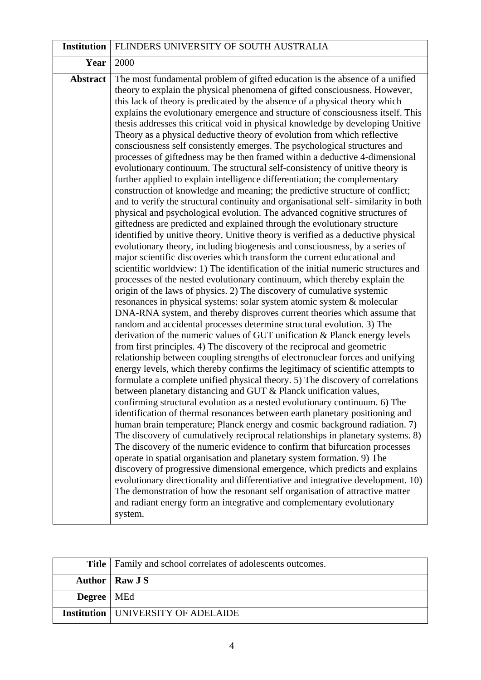| <b>Institution</b> | FLINDERS UNIVERSITY OF SOUTH AUSTRALIA                                                                                                                                                                                                                                                                                                                                                                                                                                                                                                                                                                                                                                                                                                                                                                                                                                                                                                                                                                                                                                                                                                                                                                                                                                                                                                                                                                                                                                                                                                                                                                                                                                                                                                                                                                                                                                                                                                                                                                                                                                                                                                                                                                                                                                                                                                                                                                                                                                                                                                                                                                                                                                                                                                                                                                                                                                                                                                                                                                                                                                                                                                                                                              |
|--------------------|-----------------------------------------------------------------------------------------------------------------------------------------------------------------------------------------------------------------------------------------------------------------------------------------------------------------------------------------------------------------------------------------------------------------------------------------------------------------------------------------------------------------------------------------------------------------------------------------------------------------------------------------------------------------------------------------------------------------------------------------------------------------------------------------------------------------------------------------------------------------------------------------------------------------------------------------------------------------------------------------------------------------------------------------------------------------------------------------------------------------------------------------------------------------------------------------------------------------------------------------------------------------------------------------------------------------------------------------------------------------------------------------------------------------------------------------------------------------------------------------------------------------------------------------------------------------------------------------------------------------------------------------------------------------------------------------------------------------------------------------------------------------------------------------------------------------------------------------------------------------------------------------------------------------------------------------------------------------------------------------------------------------------------------------------------------------------------------------------------------------------------------------------------------------------------------------------------------------------------------------------------------------------------------------------------------------------------------------------------------------------------------------------------------------------------------------------------------------------------------------------------------------------------------------------------------------------------------------------------------------------------------------------------------------------------------------------------------------------------------------------------------------------------------------------------------------------------------------------------------------------------------------------------------------------------------------------------------------------------------------------------------------------------------------------------------------------------------------------------------------------------------------------------------------------------------------------------|
| Year               | 2000                                                                                                                                                                                                                                                                                                                                                                                                                                                                                                                                                                                                                                                                                                                                                                                                                                                                                                                                                                                                                                                                                                                                                                                                                                                                                                                                                                                                                                                                                                                                                                                                                                                                                                                                                                                                                                                                                                                                                                                                                                                                                                                                                                                                                                                                                                                                                                                                                                                                                                                                                                                                                                                                                                                                                                                                                                                                                                                                                                                                                                                                                                                                                                                                |
| <b>Abstract</b>    | The most fundamental problem of gifted education is the absence of a unified<br>theory to explain the physical phenomena of gifted consciousness. However,<br>this lack of theory is predicated by the absence of a physical theory which<br>explains the evolutionary emergence and structure of consciousness itself. This<br>thesis addresses this critical void in physical knowledge by developing Unitive<br>Theory as a physical deductive theory of evolution from which reflective<br>consciousness self consistently emerges. The psychological structures and<br>processes of giftedness may be then framed within a deductive 4-dimensional<br>evolutionary continuum. The structural self-consistency of unitive theory is<br>further applied to explain intelligence differentiation; the complementary<br>construction of knowledge and meaning; the predictive structure of conflict;<br>and to verify the structural continuity and organisational self-similarity in both<br>physical and psychological evolution. The advanced cognitive structures of<br>giftedness are predicted and explained through the evolutionary structure<br>identified by unitive theory. Unitive theory is verified as a deductive physical<br>evolutionary theory, including biogenesis and consciousness, by a series of<br>major scientific discoveries which transform the current educational and<br>scientific worldview: 1) The identification of the initial numeric structures and<br>processes of the nested evolutionary continuum, which thereby explain the<br>origin of the laws of physics. 2) The discovery of cumulative systemic<br>resonances in physical systems: solar system atomic system & molecular<br>DNA-RNA system, and thereby disproves current theories which assume that<br>random and accidental processes determine structural evolution. 3) The<br>derivation of the numeric values of GUT unification & Planck energy levels<br>from first principles. 4) The discovery of the reciprocal and geometric<br>relationship between coupling strengths of electronuclear forces and unifying<br>energy levels, which thereby confirms the legitimacy of scientific attempts to<br>formulate a complete unified physical theory. 5) The discovery of correlations<br>between planetary distancing and GUT & Planck unification values,<br>confirming structural evolution as a nested evolutionary continuum. 6) The<br>identification of thermal resonances between earth planetary positioning and<br>human brain temperature; Planck energy and cosmic background radiation. 7)<br>The discovery of cumulatively reciprocal relationships in planetary systems. 8)<br>The discovery of the numeric evidence to confirm that bifurcation processes<br>operate in spatial organisation and planetary system formation. 9) The<br>discovery of progressive dimensional emergence, which predicts and explains<br>evolutionary directionality and differentiative and integrative development. 10)<br>The demonstration of how the resonant self organisation of attractive matter<br>and radiant energy form an integrative and complementary evolutionary<br>system. |

|                     | <b>Title</b>   Family and school correlates of adolescents outcomes. |
|---------------------|----------------------------------------------------------------------|
|                     | <b>Author</b>   Raw J S                                              |
| <b>Degree</b>   MEd |                                                                      |
|                     | Institution   UNIVERSITY OF ADELAIDE                                 |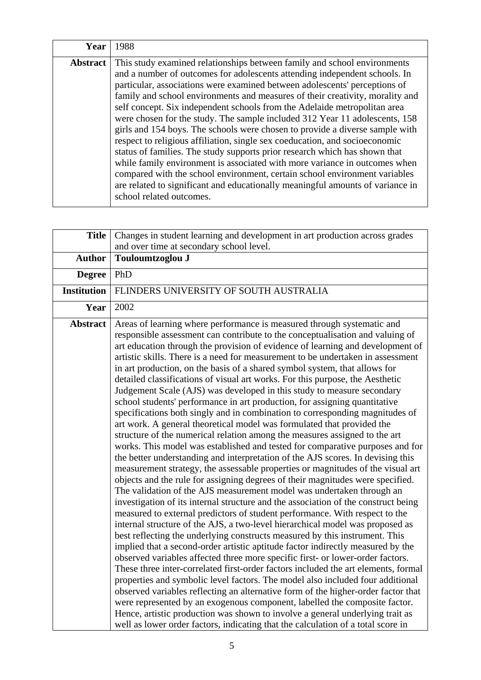| Year            | 1988                                                                                                                                                                                                                                                                                                                                                                                                                                                                                                                                                                                                                                                                                                                                                                                                                                                                                                                                                                                                     |
|-----------------|----------------------------------------------------------------------------------------------------------------------------------------------------------------------------------------------------------------------------------------------------------------------------------------------------------------------------------------------------------------------------------------------------------------------------------------------------------------------------------------------------------------------------------------------------------------------------------------------------------------------------------------------------------------------------------------------------------------------------------------------------------------------------------------------------------------------------------------------------------------------------------------------------------------------------------------------------------------------------------------------------------|
| <b>Abstract</b> | This study examined relationships between family and school environments<br>and a number of outcomes for adolescents attending independent schools. In<br>particular, associations were examined between adolescents' perceptions of<br>family and school environments and measures of their creativity, morality and<br>self concept. Six independent schools from the Adelaide metropolitan area<br>were chosen for the study. The sample included 312 Year 11 adolescents, 158<br>girls and 154 boys. The schools were chosen to provide a diverse sample with<br>respect to religious affiliation, single sex coeducation, and socioeconomic<br>status of families. The study supports prior research which has shown that<br>while family environment is associated with more variance in outcomes when<br>compared with the school environment, certain school environment variables<br>are related to significant and educationally meaningful amounts of variance in<br>school related outcomes. |

| <b>Title</b>       | Changes in student learning and development in art production across grades                                                                                                                                                                                                                                                                                                                                                                                                                                                                                                                                                                                                                                                                                                                                                                                                                                                                                                                                                                                                                                                                                                                                                                                                                                                                                                                                                                                                                                                                                                                                                                                                                                                                                                                                                                                                                                                                                                                                                                                                                                                                                                                                                                                                                                                             |
|--------------------|-----------------------------------------------------------------------------------------------------------------------------------------------------------------------------------------------------------------------------------------------------------------------------------------------------------------------------------------------------------------------------------------------------------------------------------------------------------------------------------------------------------------------------------------------------------------------------------------------------------------------------------------------------------------------------------------------------------------------------------------------------------------------------------------------------------------------------------------------------------------------------------------------------------------------------------------------------------------------------------------------------------------------------------------------------------------------------------------------------------------------------------------------------------------------------------------------------------------------------------------------------------------------------------------------------------------------------------------------------------------------------------------------------------------------------------------------------------------------------------------------------------------------------------------------------------------------------------------------------------------------------------------------------------------------------------------------------------------------------------------------------------------------------------------------------------------------------------------------------------------------------------------------------------------------------------------------------------------------------------------------------------------------------------------------------------------------------------------------------------------------------------------------------------------------------------------------------------------------------------------------------------------------------------------------------------------------------------------|
|                    | and over time at secondary school level.                                                                                                                                                                                                                                                                                                                                                                                                                                                                                                                                                                                                                                                                                                                                                                                                                                                                                                                                                                                                                                                                                                                                                                                                                                                                                                                                                                                                                                                                                                                                                                                                                                                                                                                                                                                                                                                                                                                                                                                                                                                                                                                                                                                                                                                                                                |
| <b>Author</b>      | Touloumtzoglou J                                                                                                                                                                                                                                                                                                                                                                                                                                                                                                                                                                                                                                                                                                                                                                                                                                                                                                                                                                                                                                                                                                                                                                                                                                                                                                                                                                                                                                                                                                                                                                                                                                                                                                                                                                                                                                                                                                                                                                                                                                                                                                                                                                                                                                                                                                                        |
| <b>Degree</b>      | PhD                                                                                                                                                                                                                                                                                                                                                                                                                                                                                                                                                                                                                                                                                                                                                                                                                                                                                                                                                                                                                                                                                                                                                                                                                                                                                                                                                                                                                                                                                                                                                                                                                                                                                                                                                                                                                                                                                                                                                                                                                                                                                                                                                                                                                                                                                                                                     |
| <b>Institution</b> | FLINDERS UNIVERSITY OF SOUTH AUSTRALIA                                                                                                                                                                                                                                                                                                                                                                                                                                                                                                                                                                                                                                                                                                                                                                                                                                                                                                                                                                                                                                                                                                                                                                                                                                                                                                                                                                                                                                                                                                                                                                                                                                                                                                                                                                                                                                                                                                                                                                                                                                                                                                                                                                                                                                                                                                  |
| Year               | 2002                                                                                                                                                                                                                                                                                                                                                                                                                                                                                                                                                                                                                                                                                                                                                                                                                                                                                                                                                                                                                                                                                                                                                                                                                                                                                                                                                                                                                                                                                                                                                                                                                                                                                                                                                                                                                                                                                                                                                                                                                                                                                                                                                                                                                                                                                                                                    |
| <b>Abstract</b>    | Areas of learning where performance is measured through systematic and<br>responsible assessment can contribute to the conceptualisation and valuing of<br>art education through the provision of evidence of learning and development of<br>artistic skills. There is a need for measurement to be undertaken in assessment<br>in art production, on the basis of a shared symbol system, that allows for<br>detailed classifications of visual art works. For this purpose, the Aesthetic<br>Judgement Scale (AJS) was developed in this study to measure secondary<br>school students' performance in art production, for assigning quantitative<br>specifications both singly and in combination to corresponding magnitudes of<br>art work. A general theoretical model was formulated that provided the<br>structure of the numerical relation among the measures assigned to the art<br>works. This model was established and tested for comparative purposes and for<br>the better understanding and interpretation of the AJS scores. In devising this<br>measurement strategy, the assessable properties or magnitudes of the visual art<br>objects and the rule for assigning degrees of their magnitudes were specified.<br>The validation of the AJS measurement model was undertaken through an<br>investigation of its internal structure and the association of the construct being<br>measured to external predictors of student performance. With respect to the<br>internal structure of the AJS, a two-level hierarchical model was proposed as<br>best reflecting the underlying constructs measured by this instrument. This<br>implied that a second-order artistic aptitude factor indirectly measured by the<br>observed variables affected three more specific first- or lower-order factors.<br>These three inter-correlated first-order factors included the art elements, formal<br>properties and symbolic level factors. The model also included four additional<br>observed variables reflecting an alternative form of the higher-order factor that<br>were represented by an exogenous component, labelled the composite factor.<br>Hence, artistic production was shown to involve a general underlying trait as<br>well as lower order factors, indicating that the calculation of a total score in |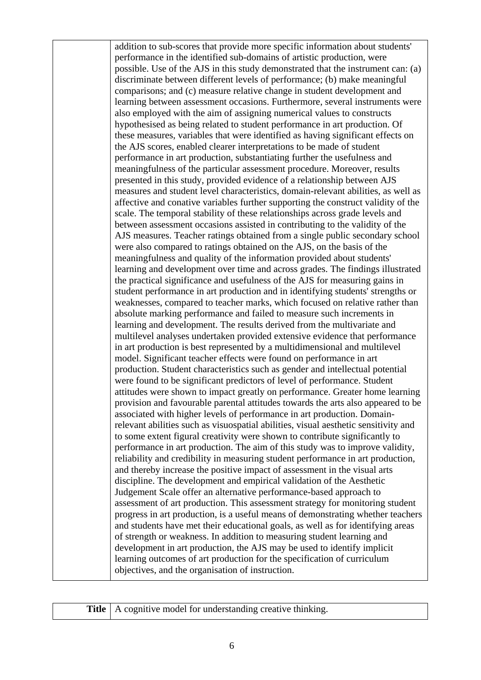addition to sub-scores that provide more specific information about students' performance in the identified sub-domains of artistic production, were possible. Use of the AJS in this study demonstrated that the instrument can: (a) discriminate between different levels of performance; (b) make meaningful comparisons; and (c) measure relative change in student development and learning between assessment occasions. Furthermore, several instruments were also employed with the aim of assigning numerical values to constructs hypothesised as being related to student performance in art production. Of these measures, variables that were identified as having significant effects on the AJS scores, enabled clearer interpretations to be made of student performance in art production, substantiating further the usefulness and meaningfulness of the particular assessment procedure. Moreover, results presented in this study, provided evidence of a relationship between AJS measures and student level characteristics, domain-relevant abilities, as well as affective and conative variables further supporting the construct validity of the scale. The temporal stability of these relationships across grade levels and between assessment occasions assisted in contributing to the validity of the AJS measures. Teacher ratings obtained from a single public secondary school were also compared to ratings obtained on the AJS, on the basis of the meaningfulness and quality of the information provided about students' learning and development over time and across grades. The findings illustrated the practical significance and usefulness of the AJS for measuring gains in student performance in art production and in identifying students' strengths or weaknesses, compared to teacher marks, which focused on relative rather than absolute marking performance and failed to measure such increments in learning and development. The results derived from the multivariate and multilevel analyses undertaken provided extensive evidence that performance in art production is best represented by a multidimensional and multilevel model. Significant teacher effects were found on performance in art production. Student characteristics such as gender and intellectual potential were found to be significant predictors of level of performance. Student attitudes were shown to impact greatly on performance. Greater home learning provision and favourable parental attitudes towards the arts also appeared to be associated with higher levels of performance in art production. Domainrelevant abilities such as visuospatial abilities, visual aesthetic sensitivity and to some extent figural creativity were shown to contribute significantly to performance in art production. The aim of this study was to improve validity, reliability and credibility in measuring student performance in art production, and thereby increase the positive impact of assessment in the visual arts discipline. The development and empirical validation of the Aesthetic Judgement Scale offer an alternative performance-based approach to assessment of art production. This assessment strategy for monitoring student progress in art production, is a useful means of demonstrating whether teachers and students have met their educational goals, as well as for identifying areas of strength or weakness. In addition to measuring student learning and development in art production, the AJS may be used to identify implicit learning outcomes of art production for the specification of curriculum objectives, and the organisation of instruction.

**Title** | A cognitive model for understanding creative thinking.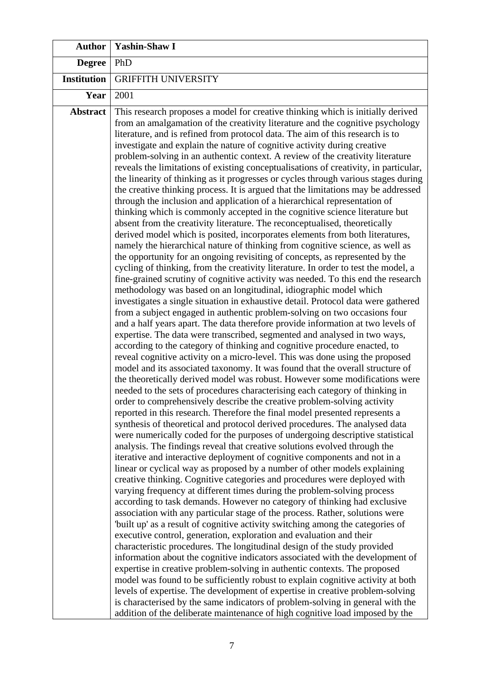| <b>Author</b>      | <b>Yashin-Shaw I</b>                                                                                                                                                                                                                                                                                                                                                                                                                                                                                                                                                                                                                                                                                                                                                                                                                                                                                                                                                                                                                                                                                                                                                                                                                                                                                                                                                                                                                                                                                                                                                                                                                                                                                                                                                                                                                                                                                                                                                                                                                                                                                                                                                                                                                                                                                                                                                                                                                                                                                                                                                                                                                                                                                                                                                                                                                                                                                                                                                                                                                                                                                                                                                                                                                                                                                                                                                                                                                                                                                                                                                                                                                                                                                                                                                                                       |
|--------------------|------------------------------------------------------------------------------------------------------------------------------------------------------------------------------------------------------------------------------------------------------------------------------------------------------------------------------------------------------------------------------------------------------------------------------------------------------------------------------------------------------------------------------------------------------------------------------------------------------------------------------------------------------------------------------------------------------------------------------------------------------------------------------------------------------------------------------------------------------------------------------------------------------------------------------------------------------------------------------------------------------------------------------------------------------------------------------------------------------------------------------------------------------------------------------------------------------------------------------------------------------------------------------------------------------------------------------------------------------------------------------------------------------------------------------------------------------------------------------------------------------------------------------------------------------------------------------------------------------------------------------------------------------------------------------------------------------------------------------------------------------------------------------------------------------------------------------------------------------------------------------------------------------------------------------------------------------------------------------------------------------------------------------------------------------------------------------------------------------------------------------------------------------------------------------------------------------------------------------------------------------------------------------------------------------------------------------------------------------------------------------------------------------------------------------------------------------------------------------------------------------------------------------------------------------------------------------------------------------------------------------------------------------------------------------------------------------------------------------------------------------------------------------------------------------------------------------------------------------------------------------------------------------------------------------------------------------------------------------------------------------------------------------------------------------------------------------------------------------------------------------------------------------------------------------------------------------------------------------------------------------------------------------------------------------------------------------------------------------------------------------------------------------------------------------------------------------------------------------------------------------------------------------------------------------------------------------------------------------------------------------------------------------------------------------------------------------------------------------------------------------------------------------------------------------------|
| <b>Degree</b>      | PhD                                                                                                                                                                                                                                                                                                                                                                                                                                                                                                                                                                                                                                                                                                                                                                                                                                                                                                                                                                                                                                                                                                                                                                                                                                                                                                                                                                                                                                                                                                                                                                                                                                                                                                                                                                                                                                                                                                                                                                                                                                                                                                                                                                                                                                                                                                                                                                                                                                                                                                                                                                                                                                                                                                                                                                                                                                                                                                                                                                                                                                                                                                                                                                                                                                                                                                                                                                                                                                                                                                                                                                                                                                                                                                                                                                                                        |
| <b>Institution</b> | <b>GRIFFITH UNIVERSITY</b>                                                                                                                                                                                                                                                                                                                                                                                                                                                                                                                                                                                                                                                                                                                                                                                                                                                                                                                                                                                                                                                                                                                                                                                                                                                                                                                                                                                                                                                                                                                                                                                                                                                                                                                                                                                                                                                                                                                                                                                                                                                                                                                                                                                                                                                                                                                                                                                                                                                                                                                                                                                                                                                                                                                                                                                                                                                                                                                                                                                                                                                                                                                                                                                                                                                                                                                                                                                                                                                                                                                                                                                                                                                                                                                                                                                 |
| Year               | 2001                                                                                                                                                                                                                                                                                                                                                                                                                                                                                                                                                                                                                                                                                                                                                                                                                                                                                                                                                                                                                                                                                                                                                                                                                                                                                                                                                                                                                                                                                                                                                                                                                                                                                                                                                                                                                                                                                                                                                                                                                                                                                                                                                                                                                                                                                                                                                                                                                                                                                                                                                                                                                                                                                                                                                                                                                                                                                                                                                                                                                                                                                                                                                                                                                                                                                                                                                                                                                                                                                                                                                                                                                                                                                                                                                                                                       |
| <b>Abstract</b>    | This research proposes a model for creative thinking which is initially derived<br>from an amalgamation of the creativity literature and the cognitive psychology<br>literature, and is refined from protocol data. The aim of this research is to<br>investigate and explain the nature of cognitive activity during creative<br>problem-solving in an authentic context. A review of the creativity literature<br>reveals the limitations of existing conceptualisations of creativity, in particular,<br>the linearity of thinking as it progresses or cycles through various stages during<br>the creative thinking process. It is argued that the limitations may be addressed<br>through the inclusion and application of a hierarchical representation of<br>thinking which is commonly accepted in the cognitive science literature but<br>absent from the creativity literature. The reconceptualised, theoretically<br>derived model which is posited, incorporates elements from both literatures,<br>namely the hierarchical nature of thinking from cognitive science, as well as<br>the opportunity for an ongoing revisiting of concepts, as represented by the<br>cycling of thinking, from the creativity literature. In order to test the model, a<br>fine-grained scrutiny of cognitive activity was needed. To this end the research<br>methodology was based on an longitudinal, idiographic model which<br>investigates a single situation in exhaustive detail. Protocol data were gathered<br>from a subject engaged in authentic problem-solving on two occasions four<br>and a half years apart. The data therefore provide information at two levels of<br>expertise. The data were transcribed, segmented and analysed in two ways,<br>according to the category of thinking and cognitive procedure enacted, to<br>reveal cognitive activity on a micro-level. This was done using the proposed<br>model and its associated taxonomy. It was found that the overall structure of<br>the theoretically derived model was robust. However some modifications were<br>needed to the sets of procedures characterising each category of thinking in<br>order to comprehensively describe the creative problem-solving activity<br>reported in this research. Therefore the final model presented represents a<br>synthesis of theoretical and protocol derived procedures. The analysed data<br>were numerically coded for the purposes of undergoing descriptive statistical<br>analysis. The findings reveal that creative solutions evolved through the<br>iterative and interactive deployment of cognitive components and not in a<br>linear or cyclical way as proposed by a number of other models explaining<br>creative thinking. Cognitive categories and procedures were deployed with<br>varying frequency at different times during the problem-solving process<br>according to task demands. However no category of thinking had exclusive<br>association with any particular stage of the process. Rather, solutions were<br>"built up" as a result of cognitive activity switching among the categories of<br>executive control, generation, exploration and evaluation and their<br>characteristic procedures. The longitudinal design of the study provided<br>information about the cognitive indicators associated with the development of<br>expertise in creative problem-solving in authentic contexts. The proposed<br>model was found to be sufficiently robust to explain cognitive activity at both<br>levels of expertise. The development of expertise in creative problem-solving<br>is characterised by the same indicators of problem-solving in general with the<br>addition of the deliberate maintenance of high cognitive load imposed by the |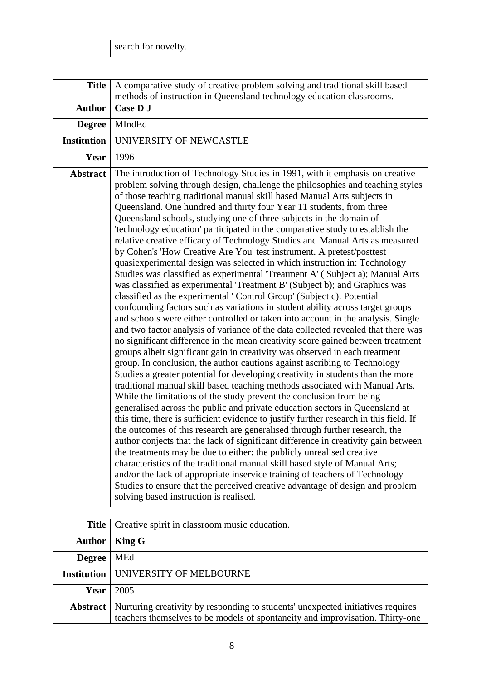| search for novelty. |
|---------------------|
|---------------------|

| <b>Title</b>       | A comparative study of creative problem solving and traditional skill based<br>methods of instruction in Queensland technology education classrooms.                                                                                                                                                                                                                                                                                                                                                                                                                                                                                                                                                                                                                                                                                                                                                                                                                                                                                                                                                                                                                                                                                                                                                                                                                                                                                                                                                                                                                                                                                                                                                                                                                                                                                                                                                                                                                                                                                                                                                                                                                                                                                                                                                                                                                                                                          |
|--------------------|-------------------------------------------------------------------------------------------------------------------------------------------------------------------------------------------------------------------------------------------------------------------------------------------------------------------------------------------------------------------------------------------------------------------------------------------------------------------------------------------------------------------------------------------------------------------------------------------------------------------------------------------------------------------------------------------------------------------------------------------------------------------------------------------------------------------------------------------------------------------------------------------------------------------------------------------------------------------------------------------------------------------------------------------------------------------------------------------------------------------------------------------------------------------------------------------------------------------------------------------------------------------------------------------------------------------------------------------------------------------------------------------------------------------------------------------------------------------------------------------------------------------------------------------------------------------------------------------------------------------------------------------------------------------------------------------------------------------------------------------------------------------------------------------------------------------------------------------------------------------------------------------------------------------------------------------------------------------------------------------------------------------------------------------------------------------------------------------------------------------------------------------------------------------------------------------------------------------------------------------------------------------------------------------------------------------------------------------------------------------------------------------------------------------------------|
| <b>Author</b>      | Case D J                                                                                                                                                                                                                                                                                                                                                                                                                                                                                                                                                                                                                                                                                                                                                                                                                                                                                                                                                                                                                                                                                                                                                                                                                                                                                                                                                                                                                                                                                                                                                                                                                                                                                                                                                                                                                                                                                                                                                                                                                                                                                                                                                                                                                                                                                                                                                                                                                      |
| <b>Degree</b>      | MIndEd                                                                                                                                                                                                                                                                                                                                                                                                                                                                                                                                                                                                                                                                                                                                                                                                                                                                                                                                                                                                                                                                                                                                                                                                                                                                                                                                                                                                                                                                                                                                                                                                                                                                                                                                                                                                                                                                                                                                                                                                                                                                                                                                                                                                                                                                                                                                                                                                                        |
| <b>Institution</b> | UNIVERSITY OF NEWCASTLE                                                                                                                                                                                                                                                                                                                                                                                                                                                                                                                                                                                                                                                                                                                                                                                                                                                                                                                                                                                                                                                                                                                                                                                                                                                                                                                                                                                                                                                                                                                                                                                                                                                                                                                                                                                                                                                                                                                                                                                                                                                                                                                                                                                                                                                                                                                                                                                                       |
| Year               | 1996                                                                                                                                                                                                                                                                                                                                                                                                                                                                                                                                                                                                                                                                                                                                                                                                                                                                                                                                                                                                                                                                                                                                                                                                                                                                                                                                                                                                                                                                                                                                                                                                                                                                                                                                                                                                                                                                                                                                                                                                                                                                                                                                                                                                                                                                                                                                                                                                                          |
| <b>Abstract</b>    | The introduction of Technology Studies in 1991, with it emphasis on creative<br>problem solving through design, challenge the philosophies and teaching styles<br>of those teaching traditional manual skill based Manual Arts subjects in<br>Queensland. One hundred and thirty four Year 11 students, from three<br>Queensland schools, studying one of three subjects in the domain of<br>'technology education' participated in the comparative study to establish the<br>relative creative efficacy of Technology Studies and Manual Arts as measured<br>by Cohen's 'How Creative Are You' test instrument. A pretest/posttest<br>quasiexperimental design was selected in which instruction in: Technology<br>Studies was classified as experimental 'Treatment A' (Subject a); Manual Arts<br>was classified as experimental 'Treatment B' (Subject b); and Graphics was<br>classified as the experimental 'Control Group' (Subject c). Potential<br>confounding factors such as variations in student ability across target groups<br>and schools were either controlled or taken into account in the analysis. Single<br>and two factor analysis of variance of the data collected revealed that there was<br>no significant difference in the mean creativity score gained between treatment<br>groups albeit significant gain in creativity was observed in each treatment<br>group. In conclusion, the author cautions against ascribing to Technology<br>Studies a greater potential for developing creativity in students than the more<br>traditional manual skill based teaching methods associated with Manual Arts.<br>While the limitations of the study prevent the conclusion from being<br>generalised across the public and private education sectors in Queensland at<br>this time, there is sufficient evidence to justify further research in this field. If<br>the outcomes of this research are generalised through further research, the<br>author conjects that the lack of significant difference in creativity gain between<br>the treatments may be due to either: the publicly unrealised creative<br>characteristics of the traditional manual skill based style of Manual Arts;<br>and/or the lack of appropriate inservice training of teachers of Technology<br>Studies to ensure that the perceived creative advantage of design and problem<br>solving based instruction is realised. |

|                 | <b>Title</b>   Creative spirit in classroom music education.                                                                                                     |
|-----------------|------------------------------------------------------------------------------------------------------------------------------------------------------------------|
| <b>Author</b>   | King G                                                                                                                                                           |
| <b>Degree</b>   | MEd                                                                                                                                                              |
|                 | <b>Institution   UNIVERSITY OF MELBOURNE</b>                                                                                                                     |
| Year            | 2005                                                                                                                                                             |
| <b>Abstract</b> | Nurturing creativity by responding to students' unexpected initiatives requires<br>teachers themselves to be models of spontaneity and improvisation. Thirty-one |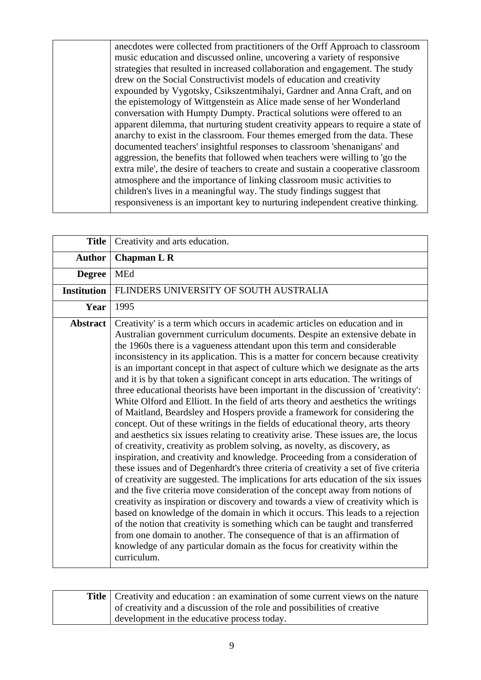anecdotes were collected from practitioners of the Orff Approach to classroom music education and discussed online, uncovering a variety of responsive strategies that resulted in increased collaboration and engagement. The study drew on the Social Constructivist models of education and creativity expounded by Vygotsky, Csikszentmihalyi, Gardner and Anna Craft, and on the epistemology of Wittgenstein as Alice made sense of her Wonderland conversation with Humpty Dumpty. Practical solutions were offered to an apparent dilemma, that nurturing student creativity appears to require a state of anarchy to exist in the classroom. Four themes emerged from the data. These documented teachers' insightful responses to classroom 'shenanigans' and aggression, the benefits that followed when teachers were willing to 'go the extra mile', the desire of teachers to create and sustain a cooperative classroom atmosphere and the importance of linking classroom music activities to children's lives in a meaningful way. The study findings suggest that responsiveness is an important key to nurturing independent creative thinking.

| <b>Title</b>       | Creativity and arts education.                                                                                                                                                                                                                                                                                                                                                                                                                                                                                                                                                                                                                                                                                                                                                                                                                                                                                                                                                                                                                                                                                                                                                                                                                                                                                                                                                                                                                                                                                                                                                                                                                                                                                                                                                                     |
|--------------------|----------------------------------------------------------------------------------------------------------------------------------------------------------------------------------------------------------------------------------------------------------------------------------------------------------------------------------------------------------------------------------------------------------------------------------------------------------------------------------------------------------------------------------------------------------------------------------------------------------------------------------------------------------------------------------------------------------------------------------------------------------------------------------------------------------------------------------------------------------------------------------------------------------------------------------------------------------------------------------------------------------------------------------------------------------------------------------------------------------------------------------------------------------------------------------------------------------------------------------------------------------------------------------------------------------------------------------------------------------------------------------------------------------------------------------------------------------------------------------------------------------------------------------------------------------------------------------------------------------------------------------------------------------------------------------------------------------------------------------------------------------------------------------------------------|
| <b>Author</b>      | <b>Chapman L R</b>                                                                                                                                                                                                                                                                                                                                                                                                                                                                                                                                                                                                                                                                                                                                                                                                                                                                                                                                                                                                                                                                                                                                                                                                                                                                                                                                                                                                                                                                                                                                                                                                                                                                                                                                                                                 |
| <b>Degree</b>      | <b>MEd</b>                                                                                                                                                                                                                                                                                                                                                                                                                                                                                                                                                                                                                                                                                                                                                                                                                                                                                                                                                                                                                                                                                                                                                                                                                                                                                                                                                                                                                                                                                                                                                                                                                                                                                                                                                                                         |
| <b>Institution</b> | FLINDERS UNIVERSITY OF SOUTH AUSTRALIA                                                                                                                                                                                                                                                                                                                                                                                                                                                                                                                                                                                                                                                                                                                                                                                                                                                                                                                                                                                                                                                                                                                                                                                                                                                                                                                                                                                                                                                                                                                                                                                                                                                                                                                                                             |
| Year               | 1995                                                                                                                                                                                                                                                                                                                                                                                                                                                                                                                                                                                                                                                                                                                                                                                                                                                                                                                                                                                                                                                                                                                                                                                                                                                                                                                                                                                                                                                                                                                                                                                                                                                                                                                                                                                               |
| <b>Abstract</b>    | Creativity' is a term which occurs in academic articles on education and in<br>Australian government curriculum documents. Despite an extensive debate in<br>the 1960s there is a vagueness attendant upon this term and considerable<br>inconsistency in its application. This is a matter for concern because creativity<br>is an important concept in that aspect of culture which we designate as the arts<br>and it is by that token a significant concept in arts education. The writings of<br>three educational theorists have been important in the discussion of 'creativity':<br>White Olford and Elliott. In the field of arts theory and aesthetics the writings<br>of Maitland, Beardsley and Hospers provide a framework for considering the<br>concept. Out of these writings in the fields of educational theory, arts theory<br>and aesthetics six issues relating to creativity arise. These issues are, the locus<br>of creativity, creativity as problem solving, as novelty, as discovery, as<br>inspiration, and creativity and knowledge. Proceeding from a consideration of<br>these issues and of Degenhardt's three criteria of creativity a set of five criteria<br>of creativity are suggested. The implications for arts education of the six issues<br>and the five criteria move consideration of the concept away from notions of<br>creativity as inspiration or discovery and towards a view of creativity which is<br>based on knowledge of the domain in which it occurs. This leads to a rejection<br>of the notion that creativity is something which can be taught and transferred<br>from one domain to another. The consequence of that is an affirmation of<br>knowledge of any particular domain as the focus for creativity within the<br>curriculum. |

| <b>Title</b> Creativity and education : an examination of some current views on the nature |
|--------------------------------------------------------------------------------------------|
| of creativity and a discussion of the role and possibilities of creative                   |
| development in the educative process today.                                                |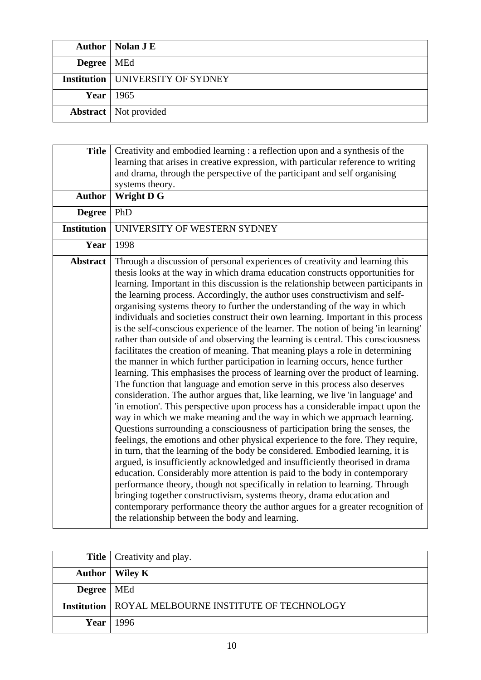|              | Author   Nolan J E                        |
|--------------|-------------------------------------------|
| Degree   MEd |                                           |
|              | <b>Institution   UNIVERSITY OF SYDNEY</b> |
|              | Year $1965$                               |
|              | <b>Abstract</b>   Not provided            |

| <b>Title</b><br><b>Author</b> | Creativity and embodied learning : a reflection upon and a synthesis of the<br>learning that arises in creative expression, with particular reference to writing<br>and drama, through the perspective of the participant and self organising<br>systems theory.<br><b>Wright D G</b>                                                                                                                                                                                                                                                                                                                                                                                                                                                                                                                                                                                                                                                                                                                                                                                                                                                                                                                                                                                                                                                                                                                                                                                                                                                                                                                                                                                                                                                                                                                                                                                                                                                                                             |
|-------------------------------|-----------------------------------------------------------------------------------------------------------------------------------------------------------------------------------------------------------------------------------------------------------------------------------------------------------------------------------------------------------------------------------------------------------------------------------------------------------------------------------------------------------------------------------------------------------------------------------------------------------------------------------------------------------------------------------------------------------------------------------------------------------------------------------------------------------------------------------------------------------------------------------------------------------------------------------------------------------------------------------------------------------------------------------------------------------------------------------------------------------------------------------------------------------------------------------------------------------------------------------------------------------------------------------------------------------------------------------------------------------------------------------------------------------------------------------------------------------------------------------------------------------------------------------------------------------------------------------------------------------------------------------------------------------------------------------------------------------------------------------------------------------------------------------------------------------------------------------------------------------------------------------------------------------------------------------------------------------------------------------|
| <b>Degree</b>                 | PhD                                                                                                                                                                                                                                                                                                                                                                                                                                                                                                                                                                                                                                                                                                                                                                                                                                                                                                                                                                                                                                                                                                                                                                                                                                                                                                                                                                                                                                                                                                                                                                                                                                                                                                                                                                                                                                                                                                                                                                               |
| <b>Institution</b>            | UNIVERSITY OF WESTERN SYDNEY                                                                                                                                                                                                                                                                                                                                                                                                                                                                                                                                                                                                                                                                                                                                                                                                                                                                                                                                                                                                                                                                                                                                                                                                                                                                                                                                                                                                                                                                                                                                                                                                                                                                                                                                                                                                                                                                                                                                                      |
| Year                          | 1998                                                                                                                                                                                                                                                                                                                                                                                                                                                                                                                                                                                                                                                                                                                                                                                                                                                                                                                                                                                                                                                                                                                                                                                                                                                                                                                                                                                                                                                                                                                                                                                                                                                                                                                                                                                                                                                                                                                                                                              |
| <b>Abstract</b>               | Through a discussion of personal experiences of creativity and learning this<br>thesis looks at the way in which drama education constructs opportunities for<br>learning. Important in this discussion is the relationship between participants in<br>the learning process. Accordingly, the author uses constructivism and self-<br>organising systems theory to further the understanding of the way in which<br>individuals and societies construct their own learning. Important in this process<br>is the self-conscious experience of the learner. The notion of being 'in learning'<br>rather than outside of and observing the learning is central. This consciousness<br>facilitates the creation of meaning. That meaning plays a role in determining<br>the manner in which further participation in learning occurs, hence further<br>learning. This emphasises the process of learning over the product of learning.<br>The function that language and emotion serve in this process also deserves<br>consideration. The author argues that, like learning, we live 'in language' and<br>'in emotion'. This perspective upon process has a considerable impact upon the<br>way in which we make meaning and the way in which we approach learning.<br>Questions surrounding a consciousness of participation bring the senses, the<br>feelings, the emotions and other physical experience to the fore. They require,<br>in turn, that the learning of the body be considered. Embodied learning, it is<br>argued, is insufficiently acknowledged and insufficiently theorised in drama<br>education. Considerably more attention is paid to the body in contemporary<br>performance theory, though not specifically in relation to learning. Through<br>bringing together constructivism, systems theory, drama education and<br>contemporary performance theory the author argues for a greater recognition of<br>the relationship between the body and learning. |

|                     | <b>Title</b>   Creativity and play.                          |
|---------------------|--------------------------------------------------------------|
|                     | Author   Wiley K                                             |
| <b>Degree</b>   MEd |                                                              |
|                     | <b>Institution   ROYAL MELBOURNE INSTITUTE OF TECHNOLOGY</b> |
|                     | <b>Year</b> 1996                                             |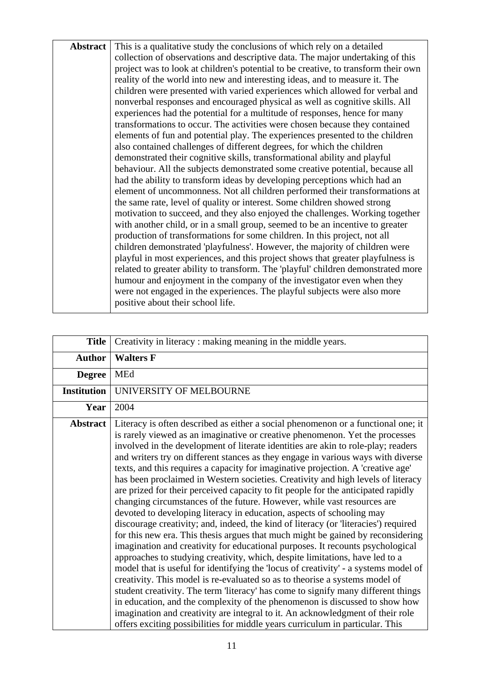**Abstract** This is a qualitative study the conclusions of which rely on a detailed collection of observations and descriptive data. The major undertaking of this project was to look at children's potential to be creative, to transform their own reality of the world into new and interesting ideas, and to measure it. The children were presented with varied experiences which allowed for verbal and nonverbal responses and encouraged physical as well as cognitive skills. All experiences had the potential for a multitude of responses, hence for many transformations to occur. The activities were chosen because they contained elements of fun and potential play. The experiences presented to the children also contained challenges of different degrees, for which the children demonstrated their cognitive skills, transformational ability and playful behaviour. All the subjects demonstrated some creative potential, because all had the ability to transform ideas by developing perceptions which had an element of uncommonness. Not all children performed their transformations at the same rate, level of quality or interest. Some children showed strong motivation to succeed, and they also enjoyed the challenges. Working together with another child, or in a small group, seemed to be an incentive to greater production of transformations for some children. In this project, not all children demonstrated 'playfulness'. However, the majority of children were playful in most experiences, and this project shows that greater playfulness is related to greater ability to transform. The 'playful' children demonstrated more humour and enjoyment in the company of the investigator even when they were not engaged in the experiences. The playful subjects were also more positive about their school life.

| <b>Title</b>       | Creativity in literacy : making meaning in the middle years.                                                                                                                                                                                                                                                                                                                                                                                                                                                                                                                                                                                                                                                                                                                                                                                                                                                                                                                                                                                                                                                                                                                                                                                                                                                                                                                                                                                                                                                                                                                                                         |
|--------------------|----------------------------------------------------------------------------------------------------------------------------------------------------------------------------------------------------------------------------------------------------------------------------------------------------------------------------------------------------------------------------------------------------------------------------------------------------------------------------------------------------------------------------------------------------------------------------------------------------------------------------------------------------------------------------------------------------------------------------------------------------------------------------------------------------------------------------------------------------------------------------------------------------------------------------------------------------------------------------------------------------------------------------------------------------------------------------------------------------------------------------------------------------------------------------------------------------------------------------------------------------------------------------------------------------------------------------------------------------------------------------------------------------------------------------------------------------------------------------------------------------------------------------------------------------------------------------------------------------------------------|
| <b>Author</b>      | <b>Walters F</b>                                                                                                                                                                                                                                                                                                                                                                                                                                                                                                                                                                                                                                                                                                                                                                                                                                                                                                                                                                                                                                                                                                                                                                                                                                                                                                                                                                                                                                                                                                                                                                                                     |
| <b>Degree</b>      | MEd                                                                                                                                                                                                                                                                                                                                                                                                                                                                                                                                                                                                                                                                                                                                                                                                                                                                                                                                                                                                                                                                                                                                                                                                                                                                                                                                                                                                                                                                                                                                                                                                                  |
| <b>Institution</b> | UNIVERSITY OF MELBOURNE                                                                                                                                                                                                                                                                                                                                                                                                                                                                                                                                                                                                                                                                                                                                                                                                                                                                                                                                                                                                                                                                                                                                                                                                                                                                                                                                                                                                                                                                                                                                                                                              |
| Year               | 2004                                                                                                                                                                                                                                                                                                                                                                                                                                                                                                                                                                                                                                                                                                                                                                                                                                                                                                                                                                                                                                                                                                                                                                                                                                                                                                                                                                                                                                                                                                                                                                                                                 |
| Abstract           | Literacy is often described as either a social phenomenon or a functional one; it<br>is rarely viewed as an imaginative or creative phenomenon. Yet the processes<br>involved in the development of literate identities are akin to role-play; readers<br>and writers try on different stances as they engage in various ways with diverse<br>texts, and this requires a capacity for imaginative projection. A 'creative age'<br>has been proclaimed in Western societies. Creativity and high levels of literacy<br>are prized for their perceived capacity to fit people for the anticipated rapidly<br>changing circumstances of the future. However, while vast resources are<br>devoted to developing literacy in education, aspects of schooling may<br>discourage creativity; and, indeed, the kind of literacy (or 'literacies') required<br>for this new era. This thesis argues that much might be gained by reconsidering<br>imagination and creativity for educational purposes. It recounts psychological<br>approaches to studying creativity, which, despite limitations, have led to a<br>model that is useful for identifying the 'locus of creativity' - a systems model of<br>creativity. This model is re-evaluated so as to theorise a systems model of<br>student creativity. The term 'literacy' has come to signify many different things<br>in education, and the complexity of the phenomenon is discussed to show how<br>imagination and creativity are integral to it. An acknowledgment of their role<br>offers exciting possibilities for middle years curriculum in particular. This |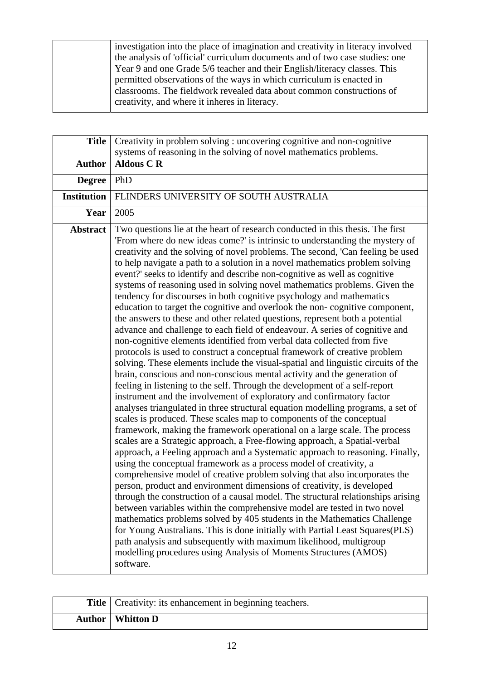investigation into the place of imagination and creativity in literacy involved the analysis of 'official' curriculum documents and of two case studies: one Year 9 and one Grade 5/6 teacher and their English/literacy classes. This permitted observations of the ways in which curriculum is enacted in classrooms. The fieldwork revealed data about common constructions of creativity, and where it inheres in literacy.

| <b>Title</b>       | Creativity in problem solving : uncovering cognitive and non-cognitive                                                                                                                                                                                                                                                                                                                                                                                                                                                                                                                                                                                                                                                                                                                                                                                                                                                                                                                                                                                                                                                                                                                                                                                                                                                                                                                                                                                                                                                                                                                                                                                                                                                                                                                                                                                                                                                                                                                                                                                                                                                                                                                                                                                                                                                                                                                                                     |
|--------------------|----------------------------------------------------------------------------------------------------------------------------------------------------------------------------------------------------------------------------------------------------------------------------------------------------------------------------------------------------------------------------------------------------------------------------------------------------------------------------------------------------------------------------------------------------------------------------------------------------------------------------------------------------------------------------------------------------------------------------------------------------------------------------------------------------------------------------------------------------------------------------------------------------------------------------------------------------------------------------------------------------------------------------------------------------------------------------------------------------------------------------------------------------------------------------------------------------------------------------------------------------------------------------------------------------------------------------------------------------------------------------------------------------------------------------------------------------------------------------------------------------------------------------------------------------------------------------------------------------------------------------------------------------------------------------------------------------------------------------------------------------------------------------------------------------------------------------------------------------------------------------------------------------------------------------------------------------------------------------------------------------------------------------------------------------------------------------------------------------------------------------------------------------------------------------------------------------------------------------------------------------------------------------------------------------------------------------------------------------------------------------------------------------------------------------|
|                    | systems of reasoning in the solving of novel mathematics problems.                                                                                                                                                                                                                                                                                                                                                                                                                                                                                                                                                                                                                                                                                                                                                                                                                                                                                                                                                                                                                                                                                                                                                                                                                                                                                                                                                                                                                                                                                                                                                                                                                                                                                                                                                                                                                                                                                                                                                                                                                                                                                                                                                                                                                                                                                                                                                         |
| <b>Author</b>      | <b>Aldous C R</b>                                                                                                                                                                                                                                                                                                                                                                                                                                                                                                                                                                                                                                                                                                                                                                                                                                                                                                                                                                                                                                                                                                                                                                                                                                                                                                                                                                                                                                                                                                                                                                                                                                                                                                                                                                                                                                                                                                                                                                                                                                                                                                                                                                                                                                                                                                                                                                                                          |
| <b>Degree</b>      | PhD                                                                                                                                                                                                                                                                                                                                                                                                                                                                                                                                                                                                                                                                                                                                                                                                                                                                                                                                                                                                                                                                                                                                                                                                                                                                                                                                                                                                                                                                                                                                                                                                                                                                                                                                                                                                                                                                                                                                                                                                                                                                                                                                                                                                                                                                                                                                                                                                                        |
| <b>Institution</b> | FLINDERS UNIVERSITY OF SOUTH AUSTRALIA                                                                                                                                                                                                                                                                                                                                                                                                                                                                                                                                                                                                                                                                                                                                                                                                                                                                                                                                                                                                                                                                                                                                                                                                                                                                                                                                                                                                                                                                                                                                                                                                                                                                                                                                                                                                                                                                                                                                                                                                                                                                                                                                                                                                                                                                                                                                                                                     |
| Year               | 2005                                                                                                                                                                                                                                                                                                                                                                                                                                                                                                                                                                                                                                                                                                                                                                                                                                                                                                                                                                                                                                                                                                                                                                                                                                                                                                                                                                                                                                                                                                                                                                                                                                                                                                                                                                                                                                                                                                                                                                                                                                                                                                                                                                                                                                                                                                                                                                                                                       |
| <b>Abstract</b>    | Two questions lie at the heart of research conducted in this thesis. The first<br>'From where do new ideas come?' is intrinsic to understanding the mystery of<br>creativity and the solving of novel problems. The second, 'Can feeling be used<br>to help navigate a path to a solution in a novel mathematics problem solving<br>event?' seeks to identify and describe non-cognitive as well as cognitive<br>systems of reasoning used in solving novel mathematics problems. Given the<br>tendency for discourses in both cognitive psychology and mathematics<br>education to target the cognitive and overlook the non-cognitive component,<br>the answers to these and other related questions, represent both a potential<br>advance and challenge to each field of endeavour. A series of cognitive and<br>non-cognitive elements identified from verbal data collected from five<br>protocols is used to construct a conceptual framework of creative problem<br>solving. These elements include the visual-spatial and linguistic circuits of the<br>brain, conscious and non-conscious mental activity and the generation of<br>feeling in listening to the self. Through the development of a self-report<br>instrument and the involvement of exploratory and confirmatory factor<br>analyses triangulated in three structural equation modelling programs, a set of<br>scales is produced. These scales map to components of the conceptual<br>framework, making the framework operational on a large scale. The process<br>scales are a Strategic approach, a Free-flowing approach, a Spatial-verbal<br>approach, a Feeling approach and a Systematic approach to reasoning. Finally,<br>using the conceptual framework as a process model of creativity, a<br>comprehensive model of creative problem solving that also incorporates the<br>person, product and environment dimensions of creativity, is developed<br>through the construction of a causal model. The structural relationships arising<br>between variables within the comprehensive model are tested in two novel<br>mathematics problems solved by 405 students in the Mathematics Challenge<br>for Young Australians. This is done initially with Partial Least Squares (PLS)<br>path analysis and subsequently with maximum likelihood, multigroup<br>modelling procedures using Analysis of Moments Structures (AMOS)<br>software. |

| <b>Title</b>   Creativity: its enhancement in beginning teachers. |
|-------------------------------------------------------------------|
| Author   Whitton D                                                |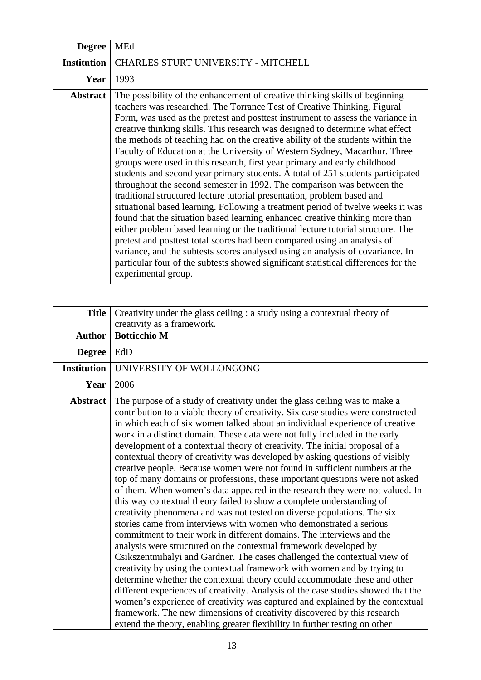| <b>Degree</b>      | <b>MEd</b>                                                                                                                                                                                                                                                                                                                                                                                                                                                                                                                                                                                                                                                                                                                                                                                                                                                                                                                                                                                                                                                                                                                                                                                                                                                                                                                                         |
|--------------------|----------------------------------------------------------------------------------------------------------------------------------------------------------------------------------------------------------------------------------------------------------------------------------------------------------------------------------------------------------------------------------------------------------------------------------------------------------------------------------------------------------------------------------------------------------------------------------------------------------------------------------------------------------------------------------------------------------------------------------------------------------------------------------------------------------------------------------------------------------------------------------------------------------------------------------------------------------------------------------------------------------------------------------------------------------------------------------------------------------------------------------------------------------------------------------------------------------------------------------------------------------------------------------------------------------------------------------------------------|
| <b>Institution</b> | CHARLES STURT UNIVERSITY - MITCHELL                                                                                                                                                                                                                                                                                                                                                                                                                                                                                                                                                                                                                                                                                                                                                                                                                                                                                                                                                                                                                                                                                                                                                                                                                                                                                                                |
| Year               | 1993                                                                                                                                                                                                                                                                                                                                                                                                                                                                                                                                                                                                                                                                                                                                                                                                                                                                                                                                                                                                                                                                                                                                                                                                                                                                                                                                               |
| <b>Abstract</b>    | The possibility of the enhancement of creative thinking skills of beginning<br>teachers was researched. The Torrance Test of Creative Thinking, Figural<br>Form, was used as the pretest and posttest instrument to assess the variance in<br>creative thinking skills. This research was designed to determine what effect<br>the methods of teaching had on the creative ability of the students within the<br>Faculty of Education at the University of Western Sydney, Macarthur. Three<br>groups were used in this research, first year primary and early childhood<br>students and second year primary students. A total of 251 students participated<br>throughout the second semester in 1992. The comparison was between the<br>traditional structured lecture tutorial presentation, problem based and<br>situational based learning. Following a treatment period of twelve weeks it was<br>found that the situation based learning enhanced creative thinking more than<br>either problem based learning or the traditional lecture tutorial structure. The<br>pretest and posttest total scores had been compared using an analysis of<br>variance, and the subtests scores analysed using an analysis of covariance. In<br>particular four of the subtests showed significant statistical differences for the<br>experimental group. |

| <b>Title</b>       | Creativity under the glass ceiling : a study using a contextual theory of<br>creativity as a framework.                                                                                                                                                                                                                                                                                                                                                                                                                                                                                                                                                                                                                                                                                                                                                                                                                                                                                                                                                                                                                                                                                                                                                                                                                                                                                                                                                                                                                                                                                                                                                                                 |
|--------------------|-----------------------------------------------------------------------------------------------------------------------------------------------------------------------------------------------------------------------------------------------------------------------------------------------------------------------------------------------------------------------------------------------------------------------------------------------------------------------------------------------------------------------------------------------------------------------------------------------------------------------------------------------------------------------------------------------------------------------------------------------------------------------------------------------------------------------------------------------------------------------------------------------------------------------------------------------------------------------------------------------------------------------------------------------------------------------------------------------------------------------------------------------------------------------------------------------------------------------------------------------------------------------------------------------------------------------------------------------------------------------------------------------------------------------------------------------------------------------------------------------------------------------------------------------------------------------------------------------------------------------------------------------------------------------------------------|
| <b>Author</b>      | <b>Botticchio M</b>                                                                                                                                                                                                                                                                                                                                                                                                                                                                                                                                                                                                                                                                                                                                                                                                                                                                                                                                                                                                                                                                                                                                                                                                                                                                                                                                                                                                                                                                                                                                                                                                                                                                     |
| <b>Degree</b>      | EdD                                                                                                                                                                                                                                                                                                                                                                                                                                                                                                                                                                                                                                                                                                                                                                                                                                                                                                                                                                                                                                                                                                                                                                                                                                                                                                                                                                                                                                                                                                                                                                                                                                                                                     |
| <b>Institution</b> | UNIVERSITY OF WOLLONGONG                                                                                                                                                                                                                                                                                                                                                                                                                                                                                                                                                                                                                                                                                                                                                                                                                                                                                                                                                                                                                                                                                                                                                                                                                                                                                                                                                                                                                                                                                                                                                                                                                                                                |
| Year               | 2006                                                                                                                                                                                                                                                                                                                                                                                                                                                                                                                                                                                                                                                                                                                                                                                                                                                                                                                                                                                                                                                                                                                                                                                                                                                                                                                                                                                                                                                                                                                                                                                                                                                                                    |
| <b>Abstract</b>    | The purpose of a study of creativity under the glass ceiling was to make a<br>contribution to a viable theory of creativity. Six case studies were constructed<br>in which each of six women talked about an individual experience of creative<br>work in a distinct domain. These data were not fully included in the early<br>development of a contextual theory of creativity. The initial proposal of a<br>contextual theory of creativity was developed by asking questions of visibly<br>creative people. Because women were not found in sufficient numbers at the<br>top of many domains or professions, these important questions were not asked<br>of them. When women's data appeared in the research they were not valued. In<br>this way contextual theory failed to show a complete understanding of<br>creativity phenomena and was not tested on diverse populations. The six<br>stories came from interviews with women who demonstrated a serious<br>commitment to their work in different domains. The interviews and the<br>analysis were structured on the contextual framework developed by<br>Csikszentmihalyi and Gardner. The cases challenged the contextual view of<br>creativity by using the contextual framework with women and by trying to<br>determine whether the contextual theory could accommodate these and other<br>different experiences of creativity. Analysis of the case studies showed that the<br>women's experience of creativity was captured and explained by the contextual<br>framework. The new dimensions of creativity discovered by this research<br>extend the theory, enabling greater flexibility in further testing on other |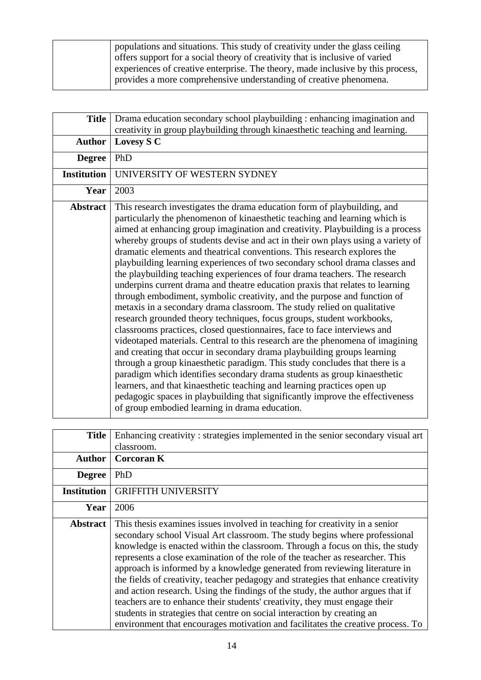| populations and situations. This study of creativity under the glass ceiling    |
|---------------------------------------------------------------------------------|
| offers support for a social theory of creativity that is inclusive of varied    |
| experiences of creative enterprise. The theory, made inclusive by this process, |
| provides a more comprehensive understanding of creative phenomena.              |

| <b>Title</b>       | Drama education secondary school playbuilding : enhancing imagination and<br>creativity in group playbuilding through kinaesthetic teaching and learning.                                                                                                                                                                                                                                                                                                                                                                                                                                                                                                                                                                                                                                                                                                                                                                                                                                                                                                                                                                                                                                                                                                                                                                                                                                                                                                                                              |
|--------------------|--------------------------------------------------------------------------------------------------------------------------------------------------------------------------------------------------------------------------------------------------------------------------------------------------------------------------------------------------------------------------------------------------------------------------------------------------------------------------------------------------------------------------------------------------------------------------------------------------------------------------------------------------------------------------------------------------------------------------------------------------------------------------------------------------------------------------------------------------------------------------------------------------------------------------------------------------------------------------------------------------------------------------------------------------------------------------------------------------------------------------------------------------------------------------------------------------------------------------------------------------------------------------------------------------------------------------------------------------------------------------------------------------------------------------------------------------------------------------------------------------------|
| <b>Author</b>      | Lovesy S C                                                                                                                                                                                                                                                                                                                                                                                                                                                                                                                                                                                                                                                                                                                                                                                                                                                                                                                                                                                                                                                                                                                                                                                                                                                                                                                                                                                                                                                                                             |
| <b>Degree</b>      | PhD                                                                                                                                                                                                                                                                                                                                                                                                                                                                                                                                                                                                                                                                                                                                                                                                                                                                                                                                                                                                                                                                                                                                                                                                                                                                                                                                                                                                                                                                                                    |
| <b>Institution</b> | UNIVERSITY OF WESTERN SYDNEY                                                                                                                                                                                                                                                                                                                                                                                                                                                                                                                                                                                                                                                                                                                                                                                                                                                                                                                                                                                                                                                                                                                                                                                                                                                                                                                                                                                                                                                                           |
| Year               | 2003                                                                                                                                                                                                                                                                                                                                                                                                                                                                                                                                                                                                                                                                                                                                                                                                                                                                                                                                                                                                                                                                                                                                                                                                                                                                                                                                                                                                                                                                                                   |
| <b>Abstract</b>    | This research investigates the drama education form of playbuilding, and<br>particularly the phenomenon of kinaesthetic teaching and learning which is<br>aimed at enhancing group imagination and creativity. Playbuilding is a process<br>whereby groups of students devise and act in their own plays using a variety of<br>dramatic elements and theatrical conventions. This research explores the<br>playbuilding learning experiences of two secondary school drama classes and<br>the playbuilding teaching experiences of four drama teachers. The research<br>underpins current drama and theatre education praxis that relates to learning<br>through embodiment, symbolic creativity, and the purpose and function of<br>metaxis in a secondary drama classroom. The study relied on qualitative<br>research grounded theory techniques, focus groups, student workbooks,<br>classrooms practices, closed questionnaires, face to face interviews and<br>videotaped materials. Central to this research are the phenomena of imagining<br>and creating that occur in secondary drama playbuilding groups learning<br>through a group kinaesthetic paradigm. This study concludes that there is a<br>paradigm which identifies secondary drama students as group kinaesthetic<br>learners, and that kinaesthetic teaching and learning practices open up<br>pedagogic spaces in playbuilding that significantly improve the effectiveness<br>of group embodied learning in drama education. |

| <b>Title</b>       | Enhancing creativity: strategies implemented in the senior secondary visual art                                                                                                                                                                                                                                                                                                                                                                                                                                                                                                                                                                                                                                                                                                                                               |
|--------------------|-------------------------------------------------------------------------------------------------------------------------------------------------------------------------------------------------------------------------------------------------------------------------------------------------------------------------------------------------------------------------------------------------------------------------------------------------------------------------------------------------------------------------------------------------------------------------------------------------------------------------------------------------------------------------------------------------------------------------------------------------------------------------------------------------------------------------------|
|                    | classroom.                                                                                                                                                                                                                                                                                                                                                                                                                                                                                                                                                                                                                                                                                                                                                                                                                    |
| <b>Author</b>      | <b>Corcoran K</b>                                                                                                                                                                                                                                                                                                                                                                                                                                                                                                                                                                                                                                                                                                                                                                                                             |
| <b>Degree</b>      | PhD                                                                                                                                                                                                                                                                                                                                                                                                                                                                                                                                                                                                                                                                                                                                                                                                                           |
| <b>Institution</b> | <b>GRIFFITH UNIVERSITY</b>                                                                                                                                                                                                                                                                                                                                                                                                                                                                                                                                                                                                                                                                                                                                                                                                    |
| Year               | 2006                                                                                                                                                                                                                                                                                                                                                                                                                                                                                                                                                                                                                                                                                                                                                                                                                          |
| <b>Abstract</b>    | This thesis examines issues involved in teaching for creativity in a senior<br>secondary school Visual Art classroom. The study begins where professional<br>knowledge is enacted within the classroom. Through a focus on this, the study<br>represents a close examination of the role of the teacher as researcher. This<br>approach is informed by a knowledge generated from reviewing literature in<br>the fields of creativity, teacher pedagogy and strategies that enhance creativity<br>and action research. Using the findings of the study, the author argues that if<br>teachers are to enhance their students' creativity, they must engage their<br>students in strategies that centre on social interaction by creating an<br>environment that encourages motivation and facilitates the creative process. To |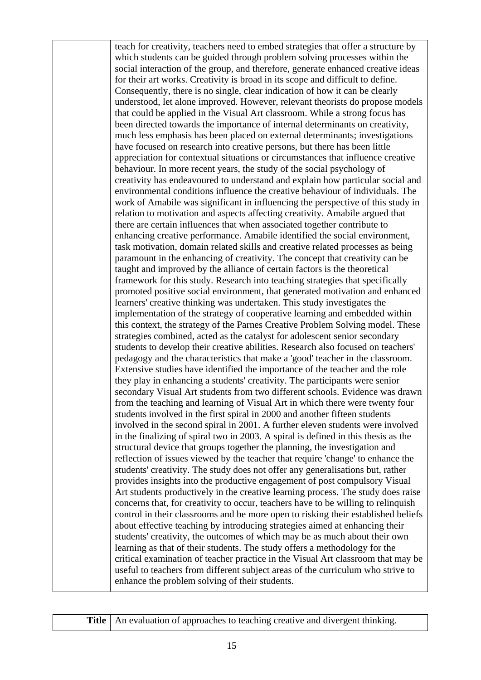teach for creativity, teachers need to embed strategies that offer a structure by which students can be guided through problem solving processes within the social interaction of the group, and therefore, generate enhanced creative ideas for their art works. Creativity is broad in its scope and difficult to define. Consequently, there is no single, clear indication of how it can be clearly understood, let alone improved. However, relevant theorists do propose models that could be applied in the Visual Art classroom. While a strong focus has been directed towards the importance of internal determinants on creativity, much less emphasis has been placed on external determinants; investigations have focused on research into creative persons, but there has been little appreciation for contextual situations or circumstances that influence creative behaviour. In more recent years, the study of the social psychology of creativity has endeavoured to understand and explain how particular social and environmental conditions influence the creative behaviour of individuals. The work of Amabile was significant in influencing the perspective of this study in relation to motivation and aspects affecting creativity. Amabile argued that there are certain influences that when associated together contribute to enhancing creative performance. Amabile identified the social environment, task motivation, domain related skills and creative related processes as being paramount in the enhancing of creativity. The concept that creativity can be taught and improved by the alliance of certain factors is the theoretical framework for this study. Research into teaching strategies that specifically promoted positive social environment, that generated motivation and enhanced learners' creative thinking was undertaken. This study investigates the implementation of the strategy of cooperative learning and embedded within this context, the strategy of the Parnes Creative Problem Solving model. These strategies combined, acted as the catalyst for adolescent senior secondary students to develop their creative abilities. Research also focused on teachers' pedagogy and the characteristics that make a 'good' teacher in the classroom. Extensive studies have identified the importance of the teacher and the role they play in enhancing a students' creativity. The participants were senior secondary Visual Art students from two different schools. Evidence was drawn from the teaching and learning of Visual Art in which there were twenty four students involved in the first spiral in 2000 and another fifteen students involved in the second spiral in 2001. A further eleven students were involved in the finalizing of spiral two in 2003. A spiral is defined in this thesis as the structural device that groups together the planning, the investigation and reflection of issues viewed by the teacher that require 'change' to enhance the students' creativity. The study does not offer any generalisations but, rather provides insights into the productive engagement of post compulsory Visual Art students productively in the creative learning process. The study does raise concerns that, for creativity to occur, teachers have to be willing to relinquish control in their classrooms and be more open to risking their established beliefs about effective teaching by introducing strategies aimed at enhancing their students' creativity, the outcomes of which may be as much about their own learning as that of their students. The study offers a methodology for the critical examination of teacher practice in the Visual Art classroom that may be useful to teachers from different subject areas of the curriculum who strive to enhance the problem solving of their students.

|  | l'itle   An evaluation | $\overline{\phantom{a}}$ |
|--|------------------------|--------------------------|
|--|------------------------|--------------------------|

of approaches to teaching creative and divergent thinking.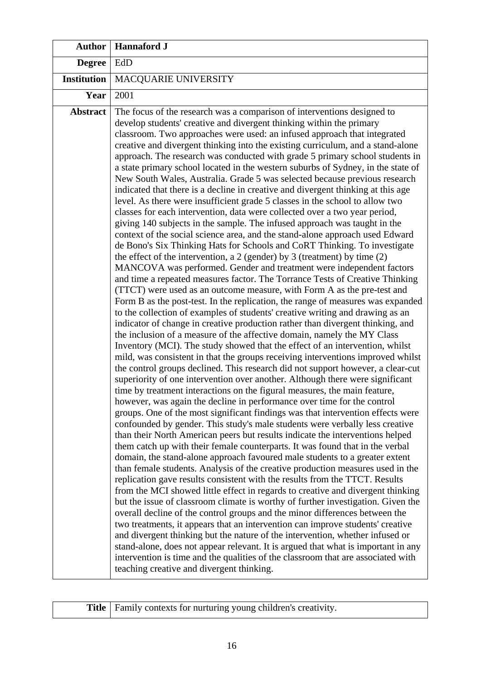| <b>Author</b>      | <b>Hannaford J</b>                                                                                                                                                                                                                                                                                                                                                                                                                                                                                                                                                                                                                                                                                                                                                                                                                                                                                                                                                                                                                                                                                                                                                                                                                                                                                                                                                                                                                                                                                                                                                                                                                                                                                                                                                                                                                                                                                                                                                                                                                                                                                                                                                                                                                                                                                                                                                                                                                                                                                                                                                                                                                                                                                                                                                                                                                                                                                                                                                                                                                                                                                                                                                                                                                                                                                                                                                                                                                                 |  |
|--------------------|----------------------------------------------------------------------------------------------------------------------------------------------------------------------------------------------------------------------------------------------------------------------------------------------------------------------------------------------------------------------------------------------------------------------------------------------------------------------------------------------------------------------------------------------------------------------------------------------------------------------------------------------------------------------------------------------------------------------------------------------------------------------------------------------------------------------------------------------------------------------------------------------------------------------------------------------------------------------------------------------------------------------------------------------------------------------------------------------------------------------------------------------------------------------------------------------------------------------------------------------------------------------------------------------------------------------------------------------------------------------------------------------------------------------------------------------------------------------------------------------------------------------------------------------------------------------------------------------------------------------------------------------------------------------------------------------------------------------------------------------------------------------------------------------------------------------------------------------------------------------------------------------------------------------------------------------------------------------------------------------------------------------------------------------------------------------------------------------------------------------------------------------------------------------------------------------------------------------------------------------------------------------------------------------------------------------------------------------------------------------------------------------------------------------------------------------------------------------------------------------------------------------------------------------------------------------------------------------------------------------------------------------------------------------------------------------------------------------------------------------------------------------------------------------------------------------------------------------------------------------------------------------------------------------------------------------------------------------------------------------------------------------------------------------------------------------------------------------------------------------------------------------------------------------------------------------------------------------------------------------------------------------------------------------------------------------------------------------------------------------------------------------------------------------------------------------------|--|
| <b>Degree</b>      | EdD                                                                                                                                                                                                                                                                                                                                                                                                                                                                                                                                                                                                                                                                                                                                                                                                                                                                                                                                                                                                                                                                                                                                                                                                                                                                                                                                                                                                                                                                                                                                                                                                                                                                                                                                                                                                                                                                                                                                                                                                                                                                                                                                                                                                                                                                                                                                                                                                                                                                                                                                                                                                                                                                                                                                                                                                                                                                                                                                                                                                                                                                                                                                                                                                                                                                                                                                                                                                                                                |  |
| <b>Institution</b> | MACQUARIE UNIVERSITY                                                                                                                                                                                                                                                                                                                                                                                                                                                                                                                                                                                                                                                                                                                                                                                                                                                                                                                                                                                                                                                                                                                                                                                                                                                                                                                                                                                                                                                                                                                                                                                                                                                                                                                                                                                                                                                                                                                                                                                                                                                                                                                                                                                                                                                                                                                                                                                                                                                                                                                                                                                                                                                                                                                                                                                                                                                                                                                                                                                                                                                                                                                                                                                                                                                                                                                                                                                                                               |  |
| Year               | 2001                                                                                                                                                                                                                                                                                                                                                                                                                                                                                                                                                                                                                                                                                                                                                                                                                                                                                                                                                                                                                                                                                                                                                                                                                                                                                                                                                                                                                                                                                                                                                                                                                                                                                                                                                                                                                                                                                                                                                                                                                                                                                                                                                                                                                                                                                                                                                                                                                                                                                                                                                                                                                                                                                                                                                                                                                                                                                                                                                                                                                                                                                                                                                                                                                                                                                                                                                                                                                                               |  |
| <b>Abstract</b>    | The focus of the research was a comparison of interventions designed to<br>develop students' creative and divergent thinking within the primary<br>classroom. Two approaches were used: an infused approach that integrated<br>creative and divergent thinking into the existing curriculum, and a stand-alone<br>approach. The research was conducted with grade 5 primary school students in<br>a state primary school located in the western suburbs of Sydney, in the state of<br>New South Wales, Australia. Grade 5 was selected because previous research<br>indicated that there is a decline in creative and divergent thinking at this age<br>level. As there were insufficient grade 5 classes in the school to allow two<br>classes for each intervention, data were collected over a two year period,<br>giving 140 subjects in the sample. The infused approach was taught in the<br>context of the social science area, and the stand-alone approach used Edward<br>de Bono's Six Thinking Hats for Schools and CoRT Thinking. To investigate<br>the effect of the intervention, a 2 (gender) by 3 (treatment) by time $(2)$<br>MANCOVA was performed. Gender and treatment were independent factors<br>and time a repeated measures factor. The Torrance Tests of Creative Thinking<br>(TTCT) were used as an outcome measure, with Form A as the pre-test and<br>Form B as the post-test. In the replication, the range of measures was expanded<br>to the collection of examples of students' creative writing and drawing as an<br>indicator of change in creative production rather than divergent thinking, and<br>the inclusion of a measure of the affective domain, namely the MY Class<br>Inventory (MCI). The study showed that the effect of an intervention, whilst<br>mild, was consistent in that the groups receiving interventions improved whilst<br>the control groups declined. This research did not support however, a clear-cut<br>superiority of one intervention over another. Although there were significant<br>time by treatment interactions on the figural measures, the main feature,<br>however, was again the decline in performance over time for the control<br>groups. One of the most significant findings was that intervention effects were<br>confounded by gender. This study's male students were verbally less creative<br>than their North American peers but results indicate the interventions helped<br>them catch up with their female counterparts. It was found that in the verbal<br>domain, the stand-alone approach favoured male students to a greater extent<br>than female students. Analysis of the creative production measures used in the<br>replication gave results consistent with the results from the TTCT. Results<br>from the MCI showed little effect in regards to creative and divergent thinking<br>but the issue of classroom climate is worthy of further investigation. Given the<br>overall decline of the control groups and the minor differences between the<br>two treatments, it appears that an intervention can improve students' creative<br>and divergent thinking but the nature of the intervention, whether infused or<br>stand-alone, does not appear relevant. It is argued that what is important in any<br>intervention is time and the qualities of the classroom that are associated with<br>teaching creative and divergent thinking. |  |

|  |  |  | <b>Title</b>   Family contexts for nurturing young children's creativity. |
|--|--|--|---------------------------------------------------------------------------|
|--|--|--|---------------------------------------------------------------------------|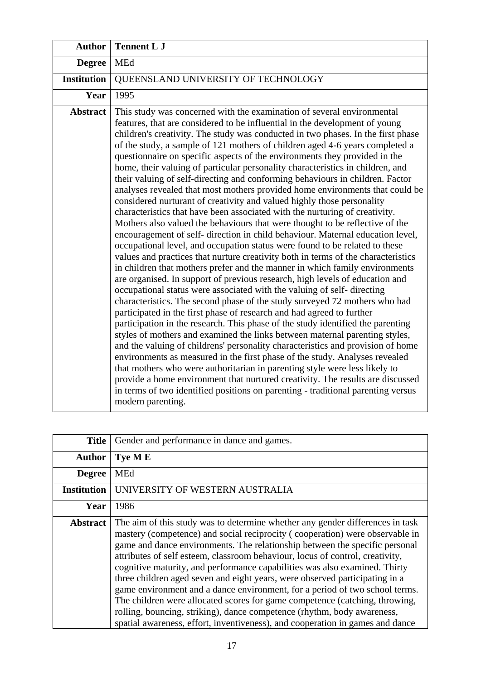| <b>Author</b>      | <b>Tennent L J</b>                                                                                                                                                                                                                                                                                                                                                                                                                                                                                                                                                                                                                                                                                                                                                                                                                                                                                                                                                                                                                                                                                                                                                                                                                                                                                                                                                                                                                                                                                                                                                                                                                                                                                                                                                                                                                                                                                                                                                                                                                                                                                                                                                     |
|--------------------|------------------------------------------------------------------------------------------------------------------------------------------------------------------------------------------------------------------------------------------------------------------------------------------------------------------------------------------------------------------------------------------------------------------------------------------------------------------------------------------------------------------------------------------------------------------------------------------------------------------------------------------------------------------------------------------------------------------------------------------------------------------------------------------------------------------------------------------------------------------------------------------------------------------------------------------------------------------------------------------------------------------------------------------------------------------------------------------------------------------------------------------------------------------------------------------------------------------------------------------------------------------------------------------------------------------------------------------------------------------------------------------------------------------------------------------------------------------------------------------------------------------------------------------------------------------------------------------------------------------------------------------------------------------------------------------------------------------------------------------------------------------------------------------------------------------------------------------------------------------------------------------------------------------------------------------------------------------------------------------------------------------------------------------------------------------------------------------------------------------------------------------------------------------------|
| <b>Degree</b>      | <b>MEd</b>                                                                                                                                                                                                                                                                                                                                                                                                                                                                                                                                                                                                                                                                                                                                                                                                                                                                                                                                                                                                                                                                                                                                                                                                                                                                                                                                                                                                                                                                                                                                                                                                                                                                                                                                                                                                                                                                                                                                                                                                                                                                                                                                                             |
| <b>Institution</b> | QUEENSLAND UNIVERSITY OF TECHNOLOGY                                                                                                                                                                                                                                                                                                                                                                                                                                                                                                                                                                                                                                                                                                                                                                                                                                                                                                                                                                                                                                                                                                                                                                                                                                                                                                                                                                                                                                                                                                                                                                                                                                                                                                                                                                                                                                                                                                                                                                                                                                                                                                                                    |
| Year               | 1995                                                                                                                                                                                                                                                                                                                                                                                                                                                                                                                                                                                                                                                                                                                                                                                                                                                                                                                                                                                                                                                                                                                                                                                                                                                                                                                                                                                                                                                                                                                                                                                                                                                                                                                                                                                                                                                                                                                                                                                                                                                                                                                                                                   |
| <b>Abstract</b>    | This study was concerned with the examination of several environmental<br>features, that are considered to be influential in the development of young<br>children's creativity. The study was conducted in two phases. In the first phase<br>of the study, a sample of 121 mothers of children aged 4-6 years completed a<br>questionnaire on specific aspects of the environments they provided in the<br>home, their valuing of particular personality characteristics in children, and<br>their valuing of self-directing and conforming behaviours in children. Factor<br>analyses revealed that most mothers provided home environments that could be<br>considered nurturant of creativity and valued highly those personality<br>characteristics that have been associated with the nurturing of creativity.<br>Mothers also valued the behaviours that were thought to be reflective of the<br>encouragement of self- direction in child behaviour. Maternal education level,<br>occupational level, and occupation status were found to be related to these<br>values and practices that nurture creativity both in terms of the characteristics<br>in children that mothers prefer and the manner in which family environments<br>are organised. In support of previous research, high levels of education and<br>occupational status were associated with the valuing of self-directing<br>characteristics. The second phase of the study surveyed 72 mothers who had<br>participated in the first phase of research and had agreed to further<br>participation in the research. This phase of the study identified the parenting<br>styles of mothers and examined the links between maternal parenting styles,<br>and the valuing of childrens' personality characteristics and provision of home<br>environments as measured in the first phase of the study. Analyses revealed<br>that mothers who were authoritarian in parenting style were less likely to<br>provide a home environment that nurtured creativity. The results are discussed<br>in terms of two identified positions on parenting - traditional parenting versus<br>modern parenting. |

| <b>Title</b>       | Gender and performance in dance and games.                                                                                                                                                                                                                                                                                                                                                                                                                                                                                                                                                                                                                                                                                                                                                                           |
|--------------------|----------------------------------------------------------------------------------------------------------------------------------------------------------------------------------------------------------------------------------------------------------------------------------------------------------------------------------------------------------------------------------------------------------------------------------------------------------------------------------------------------------------------------------------------------------------------------------------------------------------------------------------------------------------------------------------------------------------------------------------------------------------------------------------------------------------------|
| <b>Author</b>      | Tye ME                                                                                                                                                                                                                                                                                                                                                                                                                                                                                                                                                                                                                                                                                                                                                                                                               |
| <b>Degree</b>      | <b>MEd</b>                                                                                                                                                                                                                                                                                                                                                                                                                                                                                                                                                                                                                                                                                                                                                                                                           |
| <b>Institution</b> | UNIVERSITY OF WESTERN AUSTRALIA                                                                                                                                                                                                                                                                                                                                                                                                                                                                                                                                                                                                                                                                                                                                                                                      |
| Year               | 1986                                                                                                                                                                                                                                                                                                                                                                                                                                                                                                                                                                                                                                                                                                                                                                                                                 |
| <b>Abstract</b>    | The aim of this study was to determine whether any gender differences in task<br>mastery (competence) and social reciprocity (cooperation) were observable in<br>game and dance environments. The relationship between the specific personal<br>attributes of self esteem, classroom behaviour, locus of control, creativity,<br>cognitive maturity, and performance capabilities was also examined. Thirty<br>three children aged seven and eight years, were observed participating in a<br>game environment and a dance environment, for a period of two school terms.<br>The children were allocated scores for game competence (catching, throwing,<br>rolling, bouncing, striking), dance competence (rhythm, body awareness,<br>spatial awareness, effort, inventiveness), and cooperation in games and dance |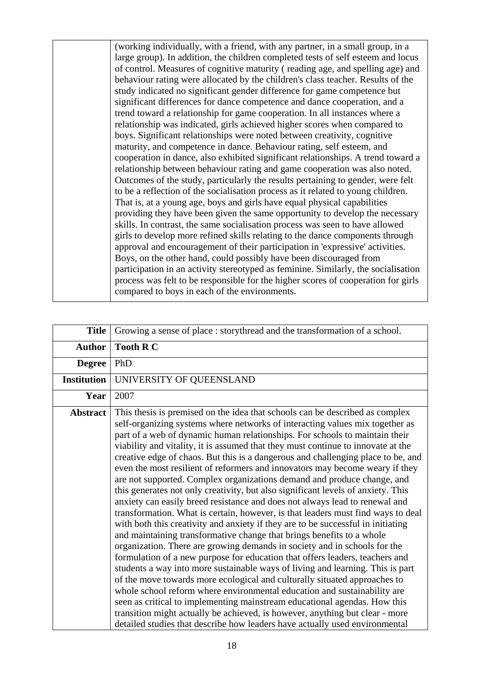(working individually, with a friend, with any partner, in a small group, in a large group). In addition, the children completed tests of self esteem and locus of control. Measures of cognitive maturity ( reading age, and spelling age) and behaviour rating were allocated by the children's class teacher. Results of the study indicated no significant gender difference for game competence but significant differences for dance competence and dance cooperation, and a trend toward a relationship for game cooperation. In all instances where a relationship was indicated, girls achieved higher scores when compared to boys. Significant relationships were noted between creativity, cognitive maturity, and competence in dance. Behaviour rating, self esteem, and cooperation in dance, also exhibited significant relationships. A trend toward a relationship between behaviour rating and game cooperation was also noted. Outcomes of the study, particularly the results pertaining to gender, were felt to be a reflection of the socialisation process as it related to young children. That is, at a young age, boys and girls have equal physical capabilities providing they have been given the same opportunity to develop the necessary skills. In contrast, the same socialisation process was seen to have allowed girls to develop more refined skills relating to the dance components through approval and encouragement of their participation in 'expressive' activities. Boys, on the other hand, could possibly have been discouraged from participation in an activity stereotyped as feminine. Similarly, the socialisation process was felt to be responsible for the higher scores of cooperation for girls compared to boys in each of the environments.

| <b>Title</b>       | Growing a sense of place : storythread and the transformation of a school.                                                                                                                                                                                                                                                                                                                                                                                                                                                                                                                                                                                                                                                                                                                                                                                                                                                                                                                                                                                                                                                                                                                                                                                                                                                                                                                                                                                                                                                                                                                                                                             |
|--------------------|--------------------------------------------------------------------------------------------------------------------------------------------------------------------------------------------------------------------------------------------------------------------------------------------------------------------------------------------------------------------------------------------------------------------------------------------------------------------------------------------------------------------------------------------------------------------------------------------------------------------------------------------------------------------------------------------------------------------------------------------------------------------------------------------------------------------------------------------------------------------------------------------------------------------------------------------------------------------------------------------------------------------------------------------------------------------------------------------------------------------------------------------------------------------------------------------------------------------------------------------------------------------------------------------------------------------------------------------------------------------------------------------------------------------------------------------------------------------------------------------------------------------------------------------------------------------------------------------------------------------------------------------------------|
| <b>Author</b>      | <b>Tooth R C</b>                                                                                                                                                                                                                                                                                                                                                                                                                                                                                                                                                                                                                                                                                                                                                                                                                                                                                                                                                                                                                                                                                                                                                                                                                                                                                                                                                                                                                                                                                                                                                                                                                                       |
| <b>Degree</b>      | PhD                                                                                                                                                                                                                                                                                                                                                                                                                                                                                                                                                                                                                                                                                                                                                                                                                                                                                                                                                                                                                                                                                                                                                                                                                                                                                                                                                                                                                                                                                                                                                                                                                                                    |
| <b>Institution</b> | UNIVERSITY OF QUEENSLAND                                                                                                                                                                                                                                                                                                                                                                                                                                                                                                                                                                                                                                                                                                                                                                                                                                                                                                                                                                                                                                                                                                                                                                                                                                                                                                                                                                                                                                                                                                                                                                                                                               |
| Year               | 2007                                                                                                                                                                                                                                                                                                                                                                                                                                                                                                                                                                                                                                                                                                                                                                                                                                                                                                                                                                                                                                                                                                                                                                                                                                                                                                                                                                                                                                                                                                                                                                                                                                                   |
| <b>Abstract</b>    | This thesis is premised on the idea that schools can be described as complex<br>self-organizing systems where networks of interacting values mix together as<br>part of a web of dynamic human relationships. For schools to maintain their<br>viability and vitality, it is assumed that they must continue to innovate at the<br>creative edge of chaos. But this is a dangerous and challenging place to be, and<br>even the most resilient of reformers and innovators may become weary if they<br>are not supported. Complex organizations demand and produce change, and<br>this generates not only creativity, but also significant levels of anxiety. This<br>anxiety can easily breed resistance and does not always lead to renewal and<br>transformation. What is certain, however, is that leaders must find ways to deal<br>with both this creativity and anxiety if they are to be successful in initiating<br>and maintaining transformative change that brings benefits to a whole<br>organization. There are growing demands in society and in schools for the<br>formulation of a new purpose for education that offers leaders, teachers and<br>students a way into more sustainable ways of living and learning. This is part<br>of the move towards more ecological and culturally situated approaches to<br>whole school reform where environmental education and sustainability are<br>seen as critical to implementing mainstream educational agendas. How this<br>transition might actually be achieved, is however, anything but clear - more<br>detailed studies that describe how leaders have actually used environmental |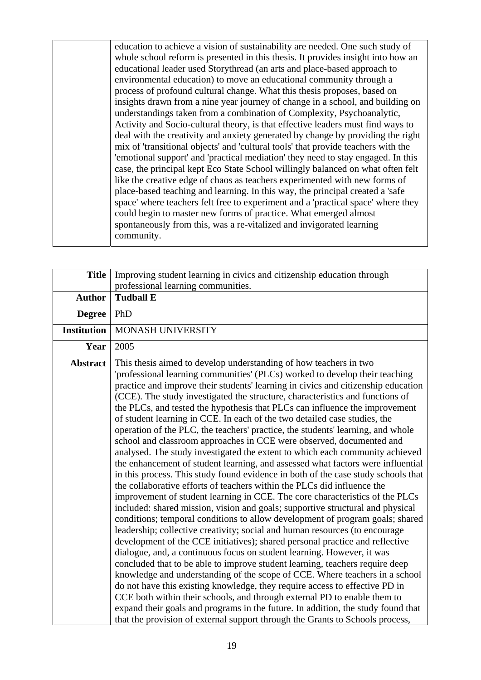education to achieve a vision of sustainability are needed. One such study of whole school reform is presented in this thesis. It provides insight into how an educational leader used Storythread (an arts and place-based approach to environmental education) to move an educational community through a process of profound cultural change. What this thesis proposes, based on insights drawn from a nine year journey of change in a school, and building on understandings taken from a combination of Complexity, Psychoanalytic, Activity and Socio-cultural theory, is that effective leaders must find ways to deal with the creativity and anxiety generated by change by providing the right mix of 'transitional objects' and 'cultural tools' that provide teachers with the 'emotional support' and 'practical mediation' they need to stay engaged. In this case, the principal kept Eco State School willingly balanced on what often felt like the creative edge of chaos as teachers experimented with new forms of place-based teaching and learning. In this way, the principal created a 'safe space' where teachers felt free to experiment and a 'practical space' where they could begin to master new forms of practice. What emerged almost spontaneously from this, was a re-vitalized and invigorated learning community.

| <b>Title</b>       | Improving student learning in civics and citizenship education through<br>professional learning communities.                                                                                                                                                                                                                                                                                                                                                                                                                                                                                                                                                                                                                                                                                                                                                                                                                                                                                                                                                                                                                                                                                                                                                                                                                                                                                                                                                                                                                                                                                                                                                                                                                                                                                                                                                                                                                                                                |
|--------------------|-----------------------------------------------------------------------------------------------------------------------------------------------------------------------------------------------------------------------------------------------------------------------------------------------------------------------------------------------------------------------------------------------------------------------------------------------------------------------------------------------------------------------------------------------------------------------------------------------------------------------------------------------------------------------------------------------------------------------------------------------------------------------------------------------------------------------------------------------------------------------------------------------------------------------------------------------------------------------------------------------------------------------------------------------------------------------------------------------------------------------------------------------------------------------------------------------------------------------------------------------------------------------------------------------------------------------------------------------------------------------------------------------------------------------------------------------------------------------------------------------------------------------------------------------------------------------------------------------------------------------------------------------------------------------------------------------------------------------------------------------------------------------------------------------------------------------------------------------------------------------------------------------------------------------------------------------------------------------------|
| <b>Author</b>      | <b>Tudball E</b>                                                                                                                                                                                                                                                                                                                                                                                                                                                                                                                                                                                                                                                                                                                                                                                                                                                                                                                                                                                                                                                                                                                                                                                                                                                                                                                                                                                                                                                                                                                                                                                                                                                                                                                                                                                                                                                                                                                                                            |
| <b>Degree</b>      | PhD                                                                                                                                                                                                                                                                                                                                                                                                                                                                                                                                                                                                                                                                                                                                                                                                                                                                                                                                                                                                                                                                                                                                                                                                                                                                                                                                                                                                                                                                                                                                                                                                                                                                                                                                                                                                                                                                                                                                                                         |
| <b>Institution</b> | MONASH UNIVERSITY                                                                                                                                                                                                                                                                                                                                                                                                                                                                                                                                                                                                                                                                                                                                                                                                                                                                                                                                                                                                                                                                                                                                                                                                                                                                                                                                                                                                                                                                                                                                                                                                                                                                                                                                                                                                                                                                                                                                                           |
| Year               | 2005                                                                                                                                                                                                                                                                                                                                                                                                                                                                                                                                                                                                                                                                                                                                                                                                                                                                                                                                                                                                                                                                                                                                                                                                                                                                                                                                                                                                                                                                                                                                                                                                                                                                                                                                                                                                                                                                                                                                                                        |
| <b>Abstract</b>    | This thesis aimed to develop understanding of how teachers in two<br>'professional learning communities' (PLCs) worked to develop their teaching<br>practice and improve their students' learning in civics and citizenship education<br>(CCE). The study investigated the structure, characteristics and functions of<br>the PLCs, and tested the hypothesis that PLCs can influence the improvement<br>of student learning in CCE. In each of the two detailed case studies, the<br>operation of the PLC, the teachers' practice, the students' learning, and whole<br>school and classroom approaches in CCE were observed, documented and<br>analysed. The study investigated the extent to which each community achieved<br>the enhancement of student learning, and assessed what factors were influential<br>in this process. This study found evidence in both of the case study schools that<br>the collaborative efforts of teachers within the PLCs did influence the<br>improvement of student learning in CCE. The core characteristics of the PLCs<br>included: shared mission, vision and goals; supportive structural and physical<br>conditions; temporal conditions to allow development of program goals; shared<br>leadership; collective creativity; social and human resources (to encourage<br>development of the CCE initiatives); shared personal practice and reflective<br>dialogue, and, a continuous focus on student learning. However, it was<br>concluded that to be able to improve student learning, teachers require deep<br>knowledge and understanding of the scope of CCE. Where teachers in a school<br>do not have this existing knowledge, they require access to effective PD in<br>CCE both within their schools, and through external PD to enable them to<br>expand their goals and programs in the future. In addition, the study found that<br>that the provision of external support through the Grants to Schools process, |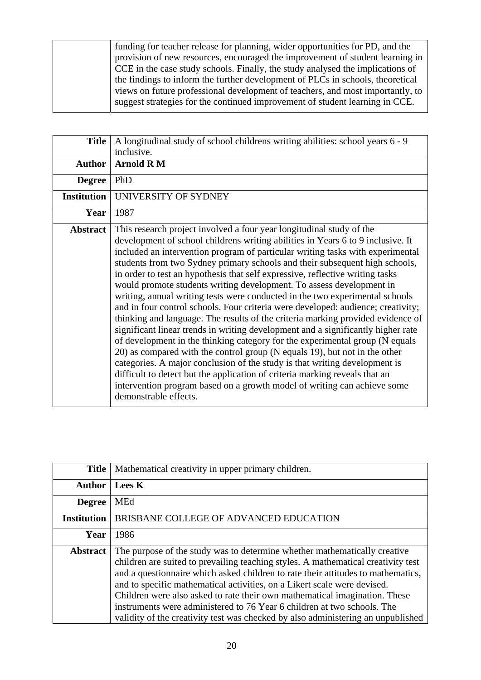funding for teacher release for planning, wider opportunities for PD, and the provision of new resources, encouraged the improvement of student learning in CCE in the case study schools. Finally, the study analysed the implications of the findings to inform the further development of PLCs in schools, theoretical views on future professional development of teachers, and most importantly, to suggest strategies for the continued improvement of student learning in CCE.

| <b>Title</b>       | A longitudinal study of school childrens writing abilities: school years 6 - 9<br>inclusive.                                                                                                                                                                                                                                                                                                                                                                                                                                                                                                                                                                                                                                                                                                                                                                                                                                                                                                                                                                                                                                                                                                                                                                 |
|--------------------|--------------------------------------------------------------------------------------------------------------------------------------------------------------------------------------------------------------------------------------------------------------------------------------------------------------------------------------------------------------------------------------------------------------------------------------------------------------------------------------------------------------------------------------------------------------------------------------------------------------------------------------------------------------------------------------------------------------------------------------------------------------------------------------------------------------------------------------------------------------------------------------------------------------------------------------------------------------------------------------------------------------------------------------------------------------------------------------------------------------------------------------------------------------------------------------------------------------------------------------------------------------|
| <b>Author</b>      | <b>Arnold RM</b>                                                                                                                                                                                                                                                                                                                                                                                                                                                                                                                                                                                                                                                                                                                                                                                                                                                                                                                                                                                                                                                                                                                                                                                                                                             |
| <b>Degree</b>      | PhD                                                                                                                                                                                                                                                                                                                                                                                                                                                                                                                                                                                                                                                                                                                                                                                                                                                                                                                                                                                                                                                                                                                                                                                                                                                          |
| <b>Institution</b> | UNIVERSITY OF SYDNEY                                                                                                                                                                                                                                                                                                                                                                                                                                                                                                                                                                                                                                                                                                                                                                                                                                                                                                                                                                                                                                                                                                                                                                                                                                         |
| Year               | 1987                                                                                                                                                                                                                                                                                                                                                                                                                                                                                                                                                                                                                                                                                                                                                                                                                                                                                                                                                                                                                                                                                                                                                                                                                                                         |
| <b>Abstract</b>    | This research project involved a four year longitudinal study of the<br>development of school childrens writing abilities in Years 6 to 9 inclusive. It<br>included an intervention program of particular writing tasks with experimental<br>students from two Sydney primary schools and their subsequent high schools,<br>in order to test an hypothesis that self expressive, reflective writing tasks<br>would promote students writing development. To assess development in<br>writing, annual writing tests were conducted in the two experimental schools<br>and in four control schools. Four criteria were developed: audience; creativity;<br>thinking and language. The results of the criteria marking provided evidence of<br>significant linear trends in writing development and a significantly higher rate<br>of development in the thinking category for the experimental group (N equals<br>20) as compared with the control group (N equals 19), but not in the other<br>categories. A major conclusion of the study is that writing development is<br>difficult to detect but the application of criteria marking reveals that an<br>intervention program based on a growth model of writing can achieve some<br>demonstrable effects. |

| <b>Title</b>       | Mathematical creativity in upper primary children.                                                                                                                                                                                                                                                                                                                                                                                                                                                                                                                          |
|--------------------|-----------------------------------------------------------------------------------------------------------------------------------------------------------------------------------------------------------------------------------------------------------------------------------------------------------------------------------------------------------------------------------------------------------------------------------------------------------------------------------------------------------------------------------------------------------------------------|
| <b>Author</b>      | <b>Lees K</b>                                                                                                                                                                                                                                                                                                                                                                                                                                                                                                                                                               |
| <b>Degree</b>      | <b>MEd</b>                                                                                                                                                                                                                                                                                                                                                                                                                                                                                                                                                                  |
| <b>Institution</b> | BRISBANE COLLEGE OF ADVANCED EDUCATION                                                                                                                                                                                                                                                                                                                                                                                                                                                                                                                                      |
| Year               | 1986                                                                                                                                                                                                                                                                                                                                                                                                                                                                                                                                                                        |
| <b>Abstract</b>    | The purpose of the study was to determine whether mathematically creative<br>children are suited to prevailing teaching styles. A mathematical creativity test<br>and a questionnaire which asked children to rate their attitudes to mathematics,<br>and to specific mathematical activities, on a Likert scale were devised.<br>Children were also asked to rate their own mathematical imagination. These<br>instruments were administered to 76 Year 6 children at two schools. The<br>validity of the creativity test was checked by also administering an unpublished |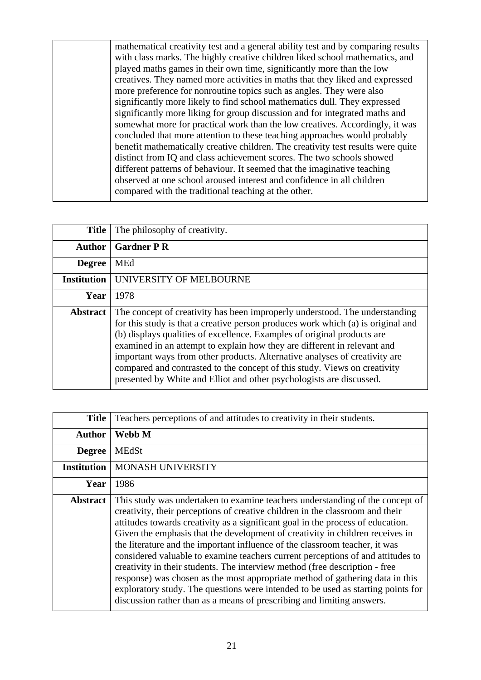mathematical creativity test and a general ability test and by comparing results with class marks. The highly creative children liked school mathematics, and played maths games in their own time, significantly more than the low creatives. They named more activities in maths that they liked and expressed more preference for nonroutine topics such as angles. They were also significantly more likely to find school mathematics dull. They expressed significantly more liking for group discussion and for integrated maths and somewhat more for practical work than the low creatives. Accordingly, it was concluded that more attention to these teaching approaches would probably benefit mathematically creative children. The creativity test results were quite distinct from IQ and class achievement scores. The two schools showed different patterns of behaviour. It seemed that the imaginative teaching observed at one school aroused interest and confidence in all children compared with the traditional teaching at the other.

| <b>Title</b>       | The philosophy of creativity.                                                                                                                                                                                                                                                                                                                                                                                                                                                                                                                             |
|--------------------|-----------------------------------------------------------------------------------------------------------------------------------------------------------------------------------------------------------------------------------------------------------------------------------------------------------------------------------------------------------------------------------------------------------------------------------------------------------------------------------------------------------------------------------------------------------|
| <b>Author</b>      | <b>Gardner P R</b>                                                                                                                                                                                                                                                                                                                                                                                                                                                                                                                                        |
| <b>Degree</b>      | <b>MEd</b>                                                                                                                                                                                                                                                                                                                                                                                                                                                                                                                                                |
| <b>Institution</b> | UNIVERSITY OF MELBOURNE                                                                                                                                                                                                                                                                                                                                                                                                                                                                                                                                   |
| Year               | 1978                                                                                                                                                                                                                                                                                                                                                                                                                                                                                                                                                      |
| <b>Abstract</b>    | The concept of creativity has been improperly understood. The understanding<br>for this study is that a creative person produces work which (a) is original and<br>(b) displays qualities of excellence. Examples of original products are<br>examined in an attempt to explain how they are different in relevant and<br>important ways from other products. Alternative analyses of creativity are<br>compared and contrasted to the concept of this study. Views on creativity<br>presented by White and Elliot and other psychologists are discussed. |

| Title              | Teachers perceptions of and attitudes to creativity in their students.                                                                                                                                                                                                                                                                                                                                                                                                                                                                                                                                                                                                                                                                                                                                                             |
|--------------------|------------------------------------------------------------------------------------------------------------------------------------------------------------------------------------------------------------------------------------------------------------------------------------------------------------------------------------------------------------------------------------------------------------------------------------------------------------------------------------------------------------------------------------------------------------------------------------------------------------------------------------------------------------------------------------------------------------------------------------------------------------------------------------------------------------------------------------|
| <b>Author</b>      | Webb M                                                                                                                                                                                                                                                                                                                                                                                                                                                                                                                                                                                                                                                                                                                                                                                                                             |
| <b>Degree</b>      | <b>MEdSt</b>                                                                                                                                                                                                                                                                                                                                                                                                                                                                                                                                                                                                                                                                                                                                                                                                                       |
| <b>Institution</b> | MONASH UNIVERSITY                                                                                                                                                                                                                                                                                                                                                                                                                                                                                                                                                                                                                                                                                                                                                                                                                  |
| Year               | 1986                                                                                                                                                                                                                                                                                                                                                                                                                                                                                                                                                                                                                                                                                                                                                                                                                               |
| <b>Abstract</b>    | This study was undertaken to examine teachers understanding of the concept of<br>creativity, their perceptions of creative children in the classroom and their<br>attitudes towards creativity as a significant goal in the process of education.<br>Given the emphasis that the development of creativity in children receives in<br>the literature and the important influence of the classroom teacher, it was<br>considered valuable to examine teachers current perceptions of and attitudes to<br>creativity in their students. The interview method (free description - free<br>response) was chosen as the most appropriate method of gathering data in this<br>exploratory study. The questions were intended to be used as starting points for<br>discussion rather than as a means of prescribing and limiting answers. |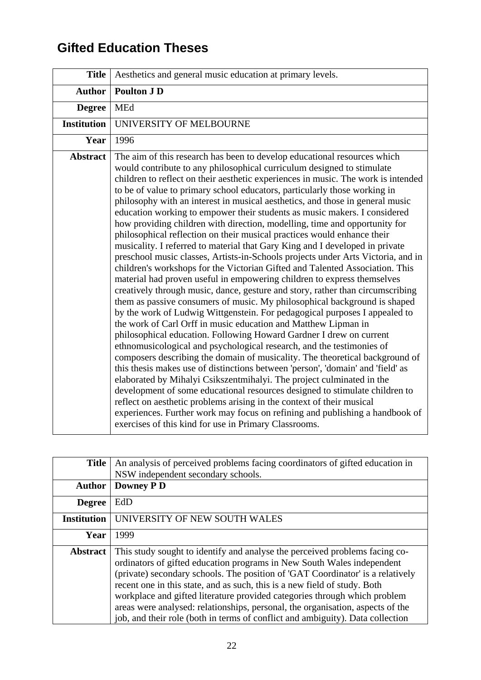## **Gifted Education Theses**

| <b>Title</b>       | Aesthetics and general music education at primary levels.                                                                                                                                                                                                                                                                                                                                                                                                                                                                                                                                                                                                                                                                                                                                                                                                                                                                                                                                                                                                                                                                                                                                                                                                                                                                                                                                                                                                                                                                                                                                                                                                                                                                                                                                                                                                                                                                                                                              |
|--------------------|----------------------------------------------------------------------------------------------------------------------------------------------------------------------------------------------------------------------------------------------------------------------------------------------------------------------------------------------------------------------------------------------------------------------------------------------------------------------------------------------------------------------------------------------------------------------------------------------------------------------------------------------------------------------------------------------------------------------------------------------------------------------------------------------------------------------------------------------------------------------------------------------------------------------------------------------------------------------------------------------------------------------------------------------------------------------------------------------------------------------------------------------------------------------------------------------------------------------------------------------------------------------------------------------------------------------------------------------------------------------------------------------------------------------------------------------------------------------------------------------------------------------------------------------------------------------------------------------------------------------------------------------------------------------------------------------------------------------------------------------------------------------------------------------------------------------------------------------------------------------------------------------------------------------------------------------------------------------------------------|
| <b>Author</b>      | <b>Poulton J D</b>                                                                                                                                                                                                                                                                                                                                                                                                                                                                                                                                                                                                                                                                                                                                                                                                                                                                                                                                                                                                                                                                                                                                                                                                                                                                                                                                                                                                                                                                                                                                                                                                                                                                                                                                                                                                                                                                                                                                                                     |
| <b>Degree</b>      | MEd                                                                                                                                                                                                                                                                                                                                                                                                                                                                                                                                                                                                                                                                                                                                                                                                                                                                                                                                                                                                                                                                                                                                                                                                                                                                                                                                                                                                                                                                                                                                                                                                                                                                                                                                                                                                                                                                                                                                                                                    |
| <b>Institution</b> | UNIVERSITY OF MELBOURNE                                                                                                                                                                                                                                                                                                                                                                                                                                                                                                                                                                                                                                                                                                                                                                                                                                                                                                                                                                                                                                                                                                                                                                                                                                                                                                                                                                                                                                                                                                                                                                                                                                                                                                                                                                                                                                                                                                                                                                |
| Year               | 1996                                                                                                                                                                                                                                                                                                                                                                                                                                                                                                                                                                                                                                                                                                                                                                                                                                                                                                                                                                                                                                                                                                                                                                                                                                                                                                                                                                                                                                                                                                                                                                                                                                                                                                                                                                                                                                                                                                                                                                                   |
| <b>Abstract</b>    | The aim of this research has been to develop educational resources which<br>would contribute to any philosophical curriculum designed to stimulate<br>children to reflect on their aesthetic experiences in music. The work is intended<br>to be of value to primary school educators, particularly those working in<br>philosophy with an interest in musical aesthetics, and those in general music<br>education working to empower their students as music makers. I considered<br>how providing children with direction, modelling, time and opportunity for<br>philosophical reflection on their musical practices would enhance their<br>musicality. I referred to material that Gary King and I developed in private<br>preschool music classes, Artists-in-Schools projects under Arts Victoria, and in<br>children's workshops for the Victorian Gifted and Talented Association. This<br>material had proven useful in empowering children to express themselves<br>creatively through music, dance, gesture and story, rather than circumscribing<br>them as passive consumers of music. My philosophical background is shaped<br>by the work of Ludwig Wittgenstein. For pedagogical purposes I appealed to<br>the work of Carl Orff in music education and Matthew Lipman in<br>philosophical education. Following Howard Gardner I drew on current<br>ethnomusicological and psychological research, and the testimonies of<br>composers describing the domain of musicality. The theoretical background of<br>this thesis makes use of distinctions between 'person', 'domain' and 'field' as<br>elaborated by Mihalyi Csikszentmihalyi. The project culminated in the<br>development of some educational resources designed to stimulate children to<br>reflect on aesthetic problems arising in the context of their musical<br>experiences. Further work may focus on refining and publishing a handbook of<br>exercises of this kind for use in Primary Classrooms. |

| <b>Title</b>       | An analysis of perceived problems facing coordinators of gifted education in                                                                                                                                                                                                                                                                                                                                                                                                                                                                                          |
|--------------------|-----------------------------------------------------------------------------------------------------------------------------------------------------------------------------------------------------------------------------------------------------------------------------------------------------------------------------------------------------------------------------------------------------------------------------------------------------------------------------------------------------------------------------------------------------------------------|
|                    | NSW independent secondary schools.                                                                                                                                                                                                                                                                                                                                                                                                                                                                                                                                    |
| <b>Author</b>      | <b>Downey PD</b>                                                                                                                                                                                                                                                                                                                                                                                                                                                                                                                                                      |
| <b>Degree</b>      | EdD                                                                                                                                                                                                                                                                                                                                                                                                                                                                                                                                                                   |
| <b>Institution</b> | UNIVERSITY OF NEW SOUTH WALES                                                                                                                                                                                                                                                                                                                                                                                                                                                                                                                                         |
| Year               | 1999                                                                                                                                                                                                                                                                                                                                                                                                                                                                                                                                                                  |
| <b>Abstract</b>    | This study sought to identify and analyse the perceived problems facing co-<br>ordinators of gifted education programs in New South Wales independent<br>(private) secondary schools. The position of 'GAT Coordinator' is a relatively<br>recent one in this state, and as such, this is a new field of study. Both<br>workplace and gifted literature provided categories through which problem<br>areas were analysed: relationships, personal, the organisation, aspects of the<br>job, and their role (both in terms of conflict and ambiguity). Data collection |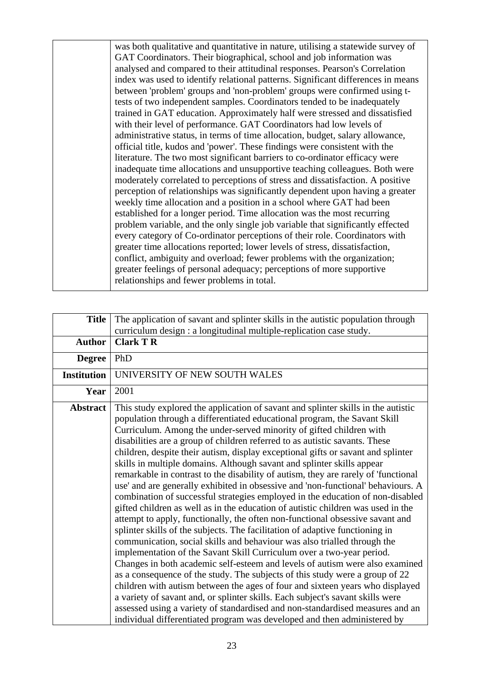was both qualitative and quantitative in nature, utilising a statewide survey of GAT Coordinators. Their biographical, school and job information was analysed and compared to their attitudinal responses. Pearson's Correlation index was used to identify relational patterns. Significant differences in means between 'problem' groups and 'non-problem' groups were confirmed using ttests of two independent samples. Coordinators tended to be inadequately trained in GAT education. Approximately half were stressed and dissatisfied with their level of performance. GAT Coordinators had low levels of administrative status, in terms of time allocation, budget, salary allowance, official title, kudos and 'power'. These findings were consistent with the literature. The two most significant barriers to co-ordinator efficacy were inadequate time allocations and unsupportive teaching colleagues. Both were moderately correlated to perceptions of stress and dissatisfaction. A positive perception of relationships was significantly dependent upon having a greater weekly time allocation and a position in a school where GAT had been established for a longer period. Time allocation was the most recurring problem variable, and the only single job variable that significantly effected every category of Co-ordinator perceptions of their role. Coordinators with greater time allocations reported; lower levels of stress, dissatisfaction, conflict, ambiguity and overload; fewer problems with the organization; greater feelings of personal adequacy; perceptions of more supportive relationships and fewer problems in total.

| <b>Title</b>       | The application of savant and splinter skills in the autistic population through                                                                                                                                                                                                                                                                                                                                                                                                                                                                                                                                                                                                                                                                                                                                                                                                                                                                                                                                                                                                                                                                                                                                                                                                                                                                                                                                                                                                                                                                                                                                                                         |
|--------------------|----------------------------------------------------------------------------------------------------------------------------------------------------------------------------------------------------------------------------------------------------------------------------------------------------------------------------------------------------------------------------------------------------------------------------------------------------------------------------------------------------------------------------------------------------------------------------------------------------------------------------------------------------------------------------------------------------------------------------------------------------------------------------------------------------------------------------------------------------------------------------------------------------------------------------------------------------------------------------------------------------------------------------------------------------------------------------------------------------------------------------------------------------------------------------------------------------------------------------------------------------------------------------------------------------------------------------------------------------------------------------------------------------------------------------------------------------------------------------------------------------------------------------------------------------------------------------------------------------------------------------------------------------------|
|                    | curriculum design : a longitudinal multiple-replication case study.                                                                                                                                                                                                                                                                                                                                                                                                                                                                                                                                                                                                                                                                                                                                                                                                                                                                                                                                                                                                                                                                                                                                                                                                                                                                                                                                                                                                                                                                                                                                                                                      |
| <b>Author</b>      | <b>Clark T R</b>                                                                                                                                                                                                                                                                                                                                                                                                                                                                                                                                                                                                                                                                                                                                                                                                                                                                                                                                                                                                                                                                                                                                                                                                                                                                                                                                                                                                                                                                                                                                                                                                                                         |
| <b>Degree</b>      | PhD                                                                                                                                                                                                                                                                                                                                                                                                                                                                                                                                                                                                                                                                                                                                                                                                                                                                                                                                                                                                                                                                                                                                                                                                                                                                                                                                                                                                                                                                                                                                                                                                                                                      |
| <b>Institution</b> | UNIVERSITY OF NEW SOUTH WALES                                                                                                                                                                                                                                                                                                                                                                                                                                                                                                                                                                                                                                                                                                                                                                                                                                                                                                                                                                                                                                                                                                                                                                                                                                                                                                                                                                                                                                                                                                                                                                                                                            |
| Year               | 2001                                                                                                                                                                                                                                                                                                                                                                                                                                                                                                                                                                                                                                                                                                                                                                                                                                                                                                                                                                                                                                                                                                                                                                                                                                                                                                                                                                                                                                                                                                                                                                                                                                                     |
| <b>Abstract</b>    | This study explored the application of savant and splinter skills in the autistic<br>population through a differentiated educational program, the Savant Skill<br>Curriculum. Among the under-served minority of gifted children with<br>disabilities are a group of children referred to as autistic savants. These<br>children, despite their autism, display exceptional gifts or savant and splinter<br>skills in multiple domains. Although savant and splinter skills appear<br>remarkable in contrast to the disability of autism, they are rarely of 'functional<br>use' and are generally exhibited in obsessive and 'non-functional' behaviours. A<br>combination of successful strategies employed in the education of non-disabled<br>gifted children as well as in the education of autistic children was used in the<br>attempt to apply, functionally, the often non-functional obsessive savant and<br>splinter skills of the subjects. The facilitation of adaptive functioning in<br>communication, social skills and behaviour was also trialled through the<br>implementation of the Savant Skill Curriculum over a two-year period.<br>Changes in both academic self-esteem and levels of autism were also examined<br>as a consequence of the study. The subjects of this study were a group of 22<br>children with autism between the ages of four and sixteen years who displayed<br>a variety of savant and, or splinter skills. Each subject's savant skills were<br>assessed using a variety of standardised and non-standardised measures and an<br>individual differentiated program was developed and then administered by |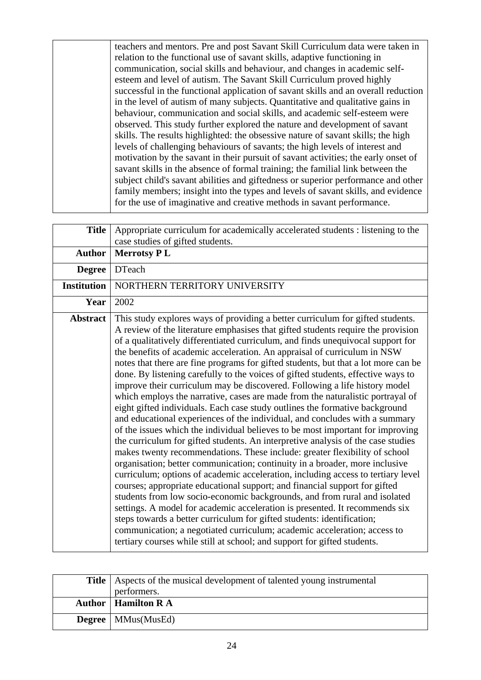teachers and mentors. Pre and post Savant Skill Curriculum data were taken in relation to the functional use of savant skills, adaptive functioning in communication, social skills and behaviour, and changes in academic selfesteem and level of autism. The Savant Skill Curriculum proved highly successful in the functional application of savant skills and an overall reduction in the level of autism of many subjects. Quantitative and qualitative gains in behaviour, communication and social skills, and academic self-esteem were observed. This study further explored the nature and development of savant skills. The results highlighted: the obsessive nature of savant skills; the high levels of challenging behaviours of savants; the high levels of interest and motivation by the savant in their pursuit of savant activities; the early onset of savant skills in the absence of formal training; the familial link between the subject child's savant abilities and giftedness or superior performance and other family members; insight into the types and levels of savant skills, and evidence for the use of imaginative and creative methods in savant performance.

| <b>Title</b>       | Appropriate curriculum for academically accelerated students : listening to the<br>case studies of gifted students.                                                                                                                                                                                                                                                                                                                                                                                                                                                                                                                                                                                                                                                                                                                                                                                                                                                                                                                                                                                                                                                                                                                                                                                                                                                                                                                                                                                                                                                                                                                                                                                                                          |
|--------------------|----------------------------------------------------------------------------------------------------------------------------------------------------------------------------------------------------------------------------------------------------------------------------------------------------------------------------------------------------------------------------------------------------------------------------------------------------------------------------------------------------------------------------------------------------------------------------------------------------------------------------------------------------------------------------------------------------------------------------------------------------------------------------------------------------------------------------------------------------------------------------------------------------------------------------------------------------------------------------------------------------------------------------------------------------------------------------------------------------------------------------------------------------------------------------------------------------------------------------------------------------------------------------------------------------------------------------------------------------------------------------------------------------------------------------------------------------------------------------------------------------------------------------------------------------------------------------------------------------------------------------------------------------------------------------------------------------------------------------------------------|
| <b>Author</b>      | <b>Merrotsy PL</b>                                                                                                                                                                                                                                                                                                                                                                                                                                                                                                                                                                                                                                                                                                                                                                                                                                                                                                                                                                                                                                                                                                                                                                                                                                                                                                                                                                                                                                                                                                                                                                                                                                                                                                                           |
| <b>Degree</b>      | <b>DTeach</b>                                                                                                                                                                                                                                                                                                                                                                                                                                                                                                                                                                                                                                                                                                                                                                                                                                                                                                                                                                                                                                                                                                                                                                                                                                                                                                                                                                                                                                                                                                                                                                                                                                                                                                                                |
| <b>Institution</b> | NORTHERN TERRITORY UNIVERSITY                                                                                                                                                                                                                                                                                                                                                                                                                                                                                                                                                                                                                                                                                                                                                                                                                                                                                                                                                                                                                                                                                                                                                                                                                                                                                                                                                                                                                                                                                                                                                                                                                                                                                                                |
| Year               | 2002                                                                                                                                                                                                                                                                                                                                                                                                                                                                                                                                                                                                                                                                                                                                                                                                                                                                                                                                                                                                                                                                                                                                                                                                                                                                                                                                                                                                                                                                                                                                                                                                                                                                                                                                         |
| <b>Abstract</b>    | This study explores ways of providing a better curriculum for gifted students.<br>A review of the literature emphasises that gifted students require the provision<br>of a qualitatively differentiated curriculum, and finds unequivocal support for<br>the benefits of academic acceleration. An appraisal of curriculum in NSW<br>notes that there are fine programs for gifted students, but that a lot more can be<br>done. By listening carefully to the voices of gifted students, effective ways to<br>improve their curriculum may be discovered. Following a life history model<br>which employs the narrative, cases are made from the naturalistic portrayal of<br>eight gifted individuals. Each case study outlines the formative background<br>and educational experiences of the individual, and concludes with a summary<br>of the issues which the individual believes to be most important for improving<br>the curriculum for gifted students. An interpretive analysis of the case studies<br>makes twenty recommendations. These include: greater flexibility of school<br>organisation; better communication; continuity in a broader, more inclusive<br>curriculum; options of academic acceleration, including access to tertiary level<br>courses; appropriate educational support; and financial support for gifted<br>students from low socio-economic backgrounds, and from rural and isolated<br>settings. A model for academic acceleration is presented. It recommends six<br>steps towards a better curriculum for gifted students: identification;<br>communication; a negotiated curriculum; academic acceleration; access to<br>tertiary courses while still at school; and support for gifted students. |

| <b>Title</b>   Aspects of the musical development of talented young instrumental<br>performers. |
|-------------------------------------------------------------------------------------------------|
| <b>Author</b>   Hamilton R A                                                                    |
| Degree   MMus(MusEd)                                                                            |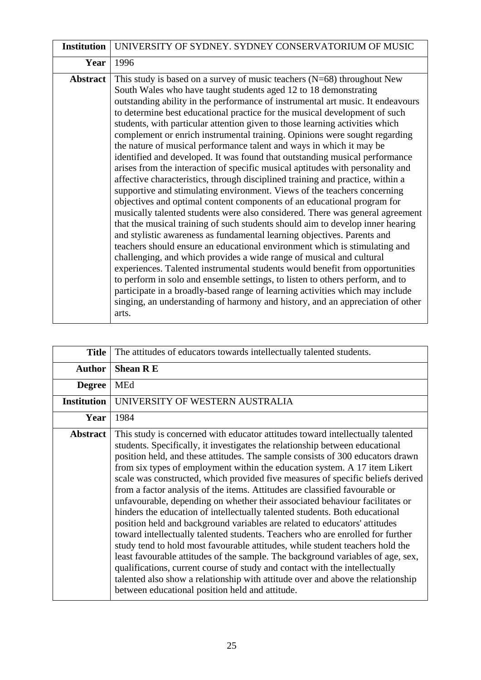| <b>Institution</b> | UNIVERSITY OF SYDNEY. SYDNEY CONSERVATORIUM OF MUSIC                                                                                                                                                                                                                                                                                                                                                                                                                                                                                                                                                                                                                                                                                                                                                                                                                                                                                                                                                                                                                                                                                                                                                                                                                                                                                                                                                                                                                                                                                                                                                                                                                                                            |
|--------------------|-----------------------------------------------------------------------------------------------------------------------------------------------------------------------------------------------------------------------------------------------------------------------------------------------------------------------------------------------------------------------------------------------------------------------------------------------------------------------------------------------------------------------------------------------------------------------------------------------------------------------------------------------------------------------------------------------------------------------------------------------------------------------------------------------------------------------------------------------------------------------------------------------------------------------------------------------------------------------------------------------------------------------------------------------------------------------------------------------------------------------------------------------------------------------------------------------------------------------------------------------------------------------------------------------------------------------------------------------------------------------------------------------------------------------------------------------------------------------------------------------------------------------------------------------------------------------------------------------------------------------------------------------------------------------------------------------------------------|
| Year               | 1996                                                                                                                                                                                                                                                                                                                                                                                                                                                                                                                                                                                                                                                                                                                                                                                                                                                                                                                                                                                                                                                                                                                                                                                                                                                                                                                                                                                                                                                                                                                                                                                                                                                                                                            |
| <b>Abstract</b>    | This study is based on a survey of music teachers $(N=68)$ throughout New<br>South Wales who have taught students aged 12 to 18 demonstrating<br>outstanding ability in the performance of instrumental art music. It endeavours<br>to determine best educational practice for the musical development of such<br>students, with particular attention given to those learning activities which<br>complement or enrich instrumental training. Opinions were sought regarding<br>the nature of musical performance talent and ways in which it may be<br>identified and developed. It was found that outstanding musical performance<br>arises from the interaction of specific musical aptitudes with personality and<br>affective characteristics, through disciplined training and practice, within a<br>supportive and stimulating environment. Views of the teachers concerning<br>objectives and optimal content components of an educational program for<br>musically talented students were also considered. There was general agreement<br>that the musical training of such students should aim to develop inner hearing<br>and stylistic awareness as fundamental learning objectives. Parents and<br>teachers should ensure an educational environment which is stimulating and<br>challenging, and which provides a wide range of musical and cultural<br>experiences. Talented instrumental students would benefit from opportunities<br>to perform in solo and ensemble settings, to listen to others perform, and to<br>participate in a broadly-based range of learning activities which may include<br>singing, an understanding of harmony and history, and an appreciation of other<br>arts. |

| <b>Title</b>       | The attitudes of educators towards intellectually talented students.                                                                                                                                                                                                                                                                                                                                                                                                                                                                                                                                                                                                                                                                                                                                                                                                                                                                                                                                                                                                                                                                                                                                                     |
|--------------------|--------------------------------------------------------------------------------------------------------------------------------------------------------------------------------------------------------------------------------------------------------------------------------------------------------------------------------------------------------------------------------------------------------------------------------------------------------------------------------------------------------------------------------------------------------------------------------------------------------------------------------------------------------------------------------------------------------------------------------------------------------------------------------------------------------------------------------------------------------------------------------------------------------------------------------------------------------------------------------------------------------------------------------------------------------------------------------------------------------------------------------------------------------------------------------------------------------------------------|
| <b>Author</b>      | <b>Shean R E</b>                                                                                                                                                                                                                                                                                                                                                                                                                                                                                                                                                                                                                                                                                                                                                                                                                                                                                                                                                                                                                                                                                                                                                                                                         |
| <b>Degree</b>      | <b>MEd</b>                                                                                                                                                                                                                                                                                                                                                                                                                                                                                                                                                                                                                                                                                                                                                                                                                                                                                                                                                                                                                                                                                                                                                                                                               |
| <b>Institution</b> | UNIVERSITY OF WESTERN AUSTRALIA                                                                                                                                                                                                                                                                                                                                                                                                                                                                                                                                                                                                                                                                                                                                                                                                                                                                                                                                                                                                                                                                                                                                                                                          |
| Year               | 1984                                                                                                                                                                                                                                                                                                                                                                                                                                                                                                                                                                                                                                                                                                                                                                                                                                                                                                                                                                                                                                                                                                                                                                                                                     |
| <b>Abstract</b>    | This study is concerned with educator attitudes toward intellectually talented<br>students. Specifically, it investigates the relationship between educational<br>position held, and these attitudes. The sample consists of 300 educators drawn<br>from six types of employment within the education system. A 17 item Likert<br>scale was constructed, which provided five measures of specific beliefs derived<br>from a factor analysis of the items. Attitudes are classified favourable or<br>unfavourable, depending on whether their associated behaviour facilitates or<br>hinders the education of intellectually talented students. Both educational<br>position held and background variables are related to educators' attitudes<br>toward intellectually talented students. Teachers who are enrolled for further<br>study tend to hold most favourable attitudes, while student teachers hold the<br>least favourable attitudes of the sample. The background variables of age, sex,<br>qualifications, current course of study and contact with the intellectually<br>talented also show a relationship with attitude over and above the relationship<br>between educational position held and attitude. |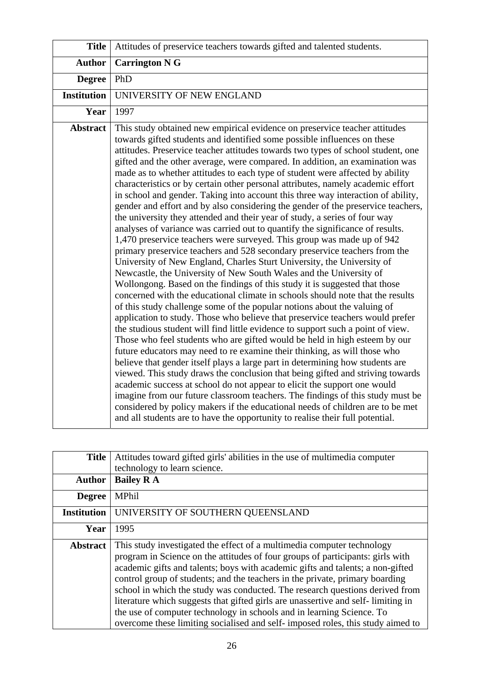| <b>Title</b>       | Attitudes of preservice teachers towards gifted and talented students.                                                                                                                                                                                                                                                                                                                                                                                                                                                                                                                                                                                                                                                                                                                                                                                                                                                                                                                                                                                                                                                                                                                                                                                                                                                                                                                                                                                                                                                                                                                                                                                                                                                                                                                                                                                                                                                                                                                                                                                                                                                                                                                                                       |
|--------------------|------------------------------------------------------------------------------------------------------------------------------------------------------------------------------------------------------------------------------------------------------------------------------------------------------------------------------------------------------------------------------------------------------------------------------------------------------------------------------------------------------------------------------------------------------------------------------------------------------------------------------------------------------------------------------------------------------------------------------------------------------------------------------------------------------------------------------------------------------------------------------------------------------------------------------------------------------------------------------------------------------------------------------------------------------------------------------------------------------------------------------------------------------------------------------------------------------------------------------------------------------------------------------------------------------------------------------------------------------------------------------------------------------------------------------------------------------------------------------------------------------------------------------------------------------------------------------------------------------------------------------------------------------------------------------------------------------------------------------------------------------------------------------------------------------------------------------------------------------------------------------------------------------------------------------------------------------------------------------------------------------------------------------------------------------------------------------------------------------------------------------------------------------------------------------------------------------------------------------|
| <b>Author</b>      | <b>Carrington N G</b>                                                                                                                                                                                                                                                                                                                                                                                                                                                                                                                                                                                                                                                                                                                                                                                                                                                                                                                                                                                                                                                                                                                                                                                                                                                                                                                                                                                                                                                                                                                                                                                                                                                                                                                                                                                                                                                                                                                                                                                                                                                                                                                                                                                                        |
| <b>Degree</b>      | PhD                                                                                                                                                                                                                                                                                                                                                                                                                                                                                                                                                                                                                                                                                                                                                                                                                                                                                                                                                                                                                                                                                                                                                                                                                                                                                                                                                                                                                                                                                                                                                                                                                                                                                                                                                                                                                                                                                                                                                                                                                                                                                                                                                                                                                          |
| <b>Institution</b> | UNIVERSITY OF NEW ENGLAND                                                                                                                                                                                                                                                                                                                                                                                                                                                                                                                                                                                                                                                                                                                                                                                                                                                                                                                                                                                                                                                                                                                                                                                                                                                                                                                                                                                                                                                                                                                                                                                                                                                                                                                                                                                                                                                                                                                                                                                                                                                                                                                                                                                                    |
| Year               | 1997                                                                                                                                                                                                                                                                                                                                                                                                                                                                                                                                                                                                                                                                                                                                                                                                                                                                                                                                                                                                                                                                                                                                                                                                                                                                                                                                                                                                                                                                                                                                                                                                                                                                                                                                                                                                                                                                                                                                                                                                                                                                                                                                                                                                                         |
| <b>Abstract</b>    | This study obtained new empirical evidence on preservice teacher attitudes<br>towards gifted students and identified some possible influences on these<br>attitudes. Preservice teacher attitudes towards two types of school student, one<br>gifted and the other average, were compared. In addition, an examination was<br>made as to whether attitudes to each type of student were affected by ability<br>characteristics or by certain other personal attributes, namely academic effort<br>in school and gender. Taking into account this three way interaction of ability,<br>gender and effort and by also considering the gender of the preservice teachers,<br>the university they attended and their year of study, a series of four way<br>analyses of variance was carried out to quantify the significance of results.<br>1,470 preservice teachers were surveyed. This group was made up of 942<br>primary preservice teachers and 528 secondary preservice teachers from the<br>University of New England, Charles Sturt University, the University of<br>Newcastle, the University of New South Wales and the University of<br>Wollongong. Based on the findings of this study it is suggested that those<br>concerned with the educational climate in schools should note that the results<br>of this study challenge some of the popular notions about the valuing of<br>application to study. Those who believe that preservice teachers would prefer<br>the studious student will find little evidence to support such a point of view.<br>Those who feel students who are gifted would be held in high esteem by our<br>future educators may need to re examine their thinking, as will those who<br>believe that gender itself plays a large part in determining how students are<br>viewed. This study draws the conclusion that being gifted and striving towards<br>academic success at school do not appear to elicit the support one would<br>imagine from our future classroom teachers. The findings of this study must be<br>considered by policy makers if the educational needs of children are to be met<br>and all students are to have the opportunity to realise their full potential. |

| <b>Title</b>       | Attitudes toward gifted girls' abilities in the use of multimedia computer<br>technology to learn science.                                                                                                                                                                                                                                                                                                                                                                                                                                                                                                                                                 |
|--------------------|------------------------------------------------------------------------------------------------------------------------------------------------------------------------------------------------------------------------------------------------------------------------------------------------------------------------------------------------------------------------------------------------------------------------------------------------------------------------------------------------------------------------------------------------------------------------------------------------------------------------------------------------------------|
| <b>Author</b>      | <b>Bailey R A</b>                                                                                                                                                                                                                                                                                                                                                                                                                                                                                                                                                                                                                                          |
| <b>Degree</b>      | MPhil                                                                                                                                                                                                                                                                                                                                                                                                                                                                                                                                                                                                                                                      |
| <b>Institution</b> | UNIVERSITY OF SOUTHERN QUEENSLAND                                                                                                                                                                                                                                                                                                                                                                                                                                                                                                                                                                                                                          |
| Year               | 1995                                                                                                                                                                                                                                                                                                                                                                                                                                                                                                                                                                                                                                                       |
| <b>Abstract</b>    | This study investigated the effect of a multimedia computer technology<br>program in Science on the attitudes of four groups of participants: girls with<br>academic gifts and talents; boys with academic gifts and talents; a non-gifted<br>control group of students; and the teachers in the private, primary boarding<br>school in which the study was conducted. The research questions derived from<br>literature which suggests that gifted girls are unassertive and self-limiting in<br>the use of computer technology in schools and in learning Science. To<br>overcome these limiting socialised and self- imposed roles, this study aimed to |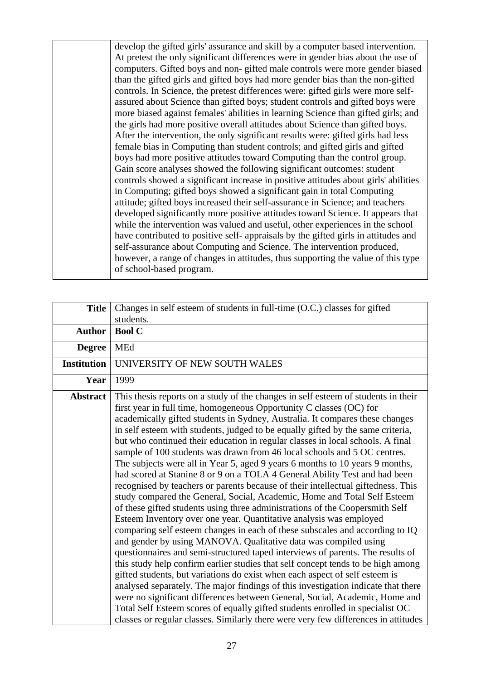develop the gifted girls' assurance and skill by a computer based intervention. At pretest the only significant differences were in gender bias about the use of computers. Gifted boys and non- gifted male controls were more gender biased than the gifted girls and gifted boys had more gender bias than the non-gifted controls. In Science, the pretest differences were: gifted girls were more selfassured about Science than gifted boys; student controls and gifted boys were more biased against females' abilities in learning Science than gifted girls; and the girls had more positive overall attitudes about Science than gifted boys. After the intervention, the only significant results were: gifted girls had less female bias in Computing than student controls; and gifted girls and gifted boys had more positive attitudes toward Computing than the control group. Gain score analyses showed the following significant outcomes: student controls showed a significant increase in positive attitudes about girls' abilities in Computing; gifted boys showed a significant gain in total Computing attitude; gifted boys increased their self-assurance in Science; and teachers developed significantly more positive attitudes toward Science. It appears that while the intervention was valued and useful, other experiences in the school have contributed to positive self- appraisals by the gifted girls in attitudes and self-assurance about Computing and Science. The intervention produced, however, a range of changes in attitudes, thus supporting the value of this type of school-based program.

| <b>Title</b>       | Changes in self esteem of students in full-time (O.C.) classes for gifted                                                                                                                                                                                                                                                                                                                                                                                                                                                                                                                                                                                                                                                                                                                                                                                                                                                                                                                                                                                                                                                                                                                                                                                                                                                                                                                                                                                                                                                                                                                                                                                                                                                        |
|--------------------|----------------------------------------------------------------------------------------------------------------------------------------------------------------------------------------------------------------------------------------------------------------------------------------------------------------------------------------------------------------------------------------------------------------------------------------------------------------------------------------------------------------------------------------------------------------------------------------------------------------------------------------------------------------------------------------------------------------------------------------------------------------------------------------------------------------------------------------------------------------------------------------------------------------------------------------------------------------------------------------------------------------------------------------------------------------------------------------------------------------------------------------------------------------------------------------------------------------------------------------------------------------------------------------------------------------------------------------------------------------------------------------------------------------------------------------------------------------------------------------------------------------------------------------------------------------------------------------------------------------------------------------------------------------------------------------------------------------------------------|
|                    | students.                                                                                                                                                                                                                                                                                                                                                                                                                                                                                                                                                                                                                                                                                                                                                                                                                                                                                                                                                                                                                                                                                                                                                                                                                                                                                                                                                                                                                                                                                                                                                                                                                                                                                                                        |
| <b>Author</b>      | <b>Bool C</b>                                                                                                                                                                                                                                                                                                                                                                                                                                                                                                                                                                                                                                                                                                                                                                                                                                                                                                                                                                                                                                                                                                                                                                                                                                                                                                                                                                                                                                                                                                                                                                                                                                                                                                                    |
| <b>Degree</b>      | MEd                                                                                                                                                                                                                                                                                                                                                                                                                                                                                                                                                                                                                                                                                                                                                                                                                                                                                                                                                                                                                                                                                                                                                                                                                                                                                                                                                                                                                                                                                                                                                                                                                                                                                                                              |
| <b>Institution</b> | UNIVERSITY OF NEW SOUTH WALES                                                                                                                                                                                                                                                                                                                                                                                                                                                                                                                                                                                                                                                                                                                                                                                                                                                                                                                                                                                                                                                                                                                                                                                                                                                                                                                                                                                                                                                                                                                                                                                                                                                                                                    |
| Year               | 1999                                                                                                                                                                                                                                                                                                                                                                                                                                                                                                                                                                                                                                                                                                                                                                                                                                                                                                                                                                                                                                                                                                                                                                                                                                                                                                                                                                                                                                                                                                                                                                                                                                                                                                                             |
| <b>Abstract</b>    | This thesis reports on a study of the changes in self esteem of students in their<br>first year in full time, homogeneous Opportunity C classes (OC) for<br>academically gifted students in Sydney, Australia. It compares these changes<br>in self esteem with students, judged to be equally gifted by the same criteria,<br>but who continued their education in regular classes in local schools. A final<br>sample of 100 students was drawn from 46 local schools and 5 OC centres.<br>The subjects were all in Year 5, aged 9 years 6 months to 10 years 9 months,<br>had scored at Stanine 8 or 9 on a TOLA 4 General Ability Test and had been<br>recognised by teachers or parents because of their intellectual giftedness. This<br>study compared the General, Social, Academic, Home and Total Self Esteem<br>of these gifted students using three administrations of the Coopersmith Self<br>Esteem Inventory over one year. Quantitative analysis was employed<br>comparing self esteem changes in each of these subscales and according to IQ<br>and gender by using MANOVA. Qualitative data was compiled using<br>questionnaires and semi-structured taped interviews of parents. The results of<br>this study help confirm earlier studies that self concept tends to be high among<br>gifted students, but variations do exist when each aspect of self esteem is<br>analysed separately. The major findings of this investigation indicate that there<br>were no significant differences between General, Social, Academic, Home and<br>Total Self Esteem scores of equally gifted students enrolled in specialist OC<br>classes or regular classes. Similarly there were very few differences in attitudes |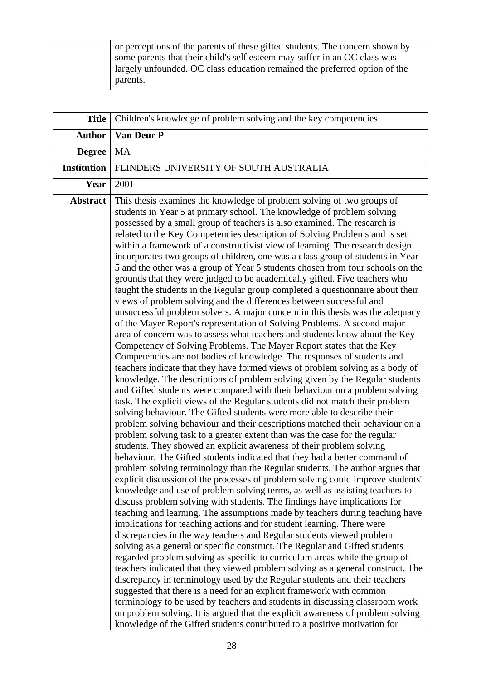| or perceptions of the parents of these gifted students. The concern shown by |
|------------------------------------------------------------------------------|
| some parents that their child's self esteem may suffer in an OC class was    |
| largely unfounded. OC class education remained the preferred option of the   |
| parents.                                                                     |

| <b>Title</b>       | Children's knowledge of problem solving and the key competencies.                                                                                                                                                                                                                                                                                                                                                                                                                                                                                                                                                                                                                                                                                                                                                                                                                                                                                                                                                                                                                                                                                                                                                                                                                                                                                                                                                                                                                                                                                                                                                                                                                                                                                                                                                                                                                                                                                                                                                                                                                                                                                                                                                                                                                                                                                                                                                                                                                                                                                                                                                                                                                                                                                                                                                                                                                                                                                                                                                                                                                                                                                               |
|--------------------|-----------------------------------------------------------------------------------------------------------------------------------------------------------------------------------------------------------------------------------------------------------------------------------------------------------------------------------------------------------------------------------------------------------------------------------------------------------------------------------------------------------------------------------------------------------------------------------------------------------------------------------------------------------------------------------------------------------------------------------------------------------------------------------------------------------------------------------------------------------------------------------------------------------------------------------------------------------------------------------------------------------------------------------------------------------------------------------------------------------------------------------------------------------------------------------------------------------------------------------------------------------------------------------------------------------------------------------------------------------------------------------------------------------------------------------------------------------------------------------------------------------------------------------------------------------------------------------------------------------------------------------------------------------------------------------------------------------------------------------------------------------------------------------------------------------------------------------------------------------------------------------------------------------------------------------------------------------------------------------------------------------------------------------------------------------------------------------------------------------------------------------------------------------------------------------------------------------------------------------------------------------------------------------------------------------------------------------------------------------------------------------------------------------------------------------------------------------------------------------------------------------------------------------------------------------------------------------------------------------------------------------------------------------------------------------------------------------------------------------------------------------------------------------------------------------------------------------------------------------------------------------------------------------------------------------------------------------------------------------------------------------------------------------------------------------------------------------------------------------------------------------------------------------------|
| <b>Author</b>      | Van Deur P                                                                                                                                                                                                                                                                                                                                                                                                                                                                                                                                                                                                                                                                                                                                                                                                                                                                                                                                                                                                                                                                                                                                                                                                                                                                                                                                                                                                                                                                                                                                                                                                                                                                                                                                                                                                                                                                                                                                                                                                                                                                                                                                                                                                                                                                                                                                                                                                                                                                                                                                                                                                                                                                                                                                                                                                                                                                                                                                                                                                                                                                                                                                                      |
| <b>Degree</b>      | <b>MA</b>                                                                                                                                                                                                                                                                                                                                                                                                                                                                                                                                                                                                                                                                                                                                                                                                                                                                                                                                                                                                                                                                                                                                                                                                                                                                                                                                                                                                                                                                                                                                                                                                                                                                                                                                                                                                                                                                                                                                                                                                                                                                                                                                                                                                                                                                                                                                                                                                                                                                                                                                                                                                                                                                                                                                                                                                                                                                                                                                                                                                                                                                                                                                                       |
| <b>Institution</b> | FLINDERS UNIVERSITY OF SOUTH AUSTRALIA                                                                                                                                                                                                                                                                                                                                                                                                                                                                                                                                                                                                                                                                                                                                                                                                                                                                                                                                                                                                                                                                                                                                                                                                                                                                                                                                                                                                                                                                                                                                                                                                                                                                                                                                                                                                                                                                                                                                                                                                                                                                                                                                                                                                                                                                                                                                                                                                                                                                                                                                                                                                                                                                                                                                                                                                                                                                                                                                                                                                                                                                                                                          |
| Year               | 2001                                                                                                                                                                                                                                                                                                                                                                                                                                                                                                                                                                                                                                                                                                                                                                                                                                                                                                                                                                                                                                                                                                                                                                                                                                                                                                                                                                                                                                                                                                                                                                                                                                                                                                                                                                                                                                                                                                                                                                                                                                                                                                                                                                                                                                                                                                                                                                                                                                                                                                                                                                                                                                                                                                                                                                                                                                                                                                                                                                                                                                                                                                                                                            |
| <b>Abstract</b>    | This thesis examines the knowledge of problem solving of two groups of<br>students in Year 5 at primary school. The knowledge of problem solving<br>possessed by a small group of teachers is also examined. The research is<br>related to the Key Competencies description of Solving Problems and is set<br>within a framework of a constructivist view of learning. The research design<br>incorporates two groups of children, one was a class group of students in Year<br>5 and the other was a group of Year 5 students chosen from four schools on the<br>grounds that they were judged to be academically gifted. Five teachers who<br>taught the students in the Regular group completed a questionnaire about their<br>views of problem solving and the differences between successful and<br>unsuccessful problem solvers. A major concern in this thesis was the adequacy<br>of the Mayer Report's representation of Solving Problems. A second major<br>area of concern was to assess what teachers and students know about the Key<br>Competency of Solving Problems. The Mayer Report states that the Key<br>Competencies are not bodies of knowledge. The responses of students and<br>teachers indicate that they have formed views of problem solving as a body of<br>knowledge. The descriptions of problem solving given by the Regular students<br>and Gifted students were compared with their behaviour on a problem solving<br>task. The explicit views of the Regular students did not match their problem<br>solving behaviour. The Gifted students were more able to describe their<br>problem solving behaviour and their descriptions matched their behaviour on a<br>problem solving task to a greater extent than was the case for the regular<br>students. They showed an explicit awareness of their problem solving<br>behaviour. The Gifted students indicated that they had a better command of<br>problem solving terminology than the Regular students. The author argues that<br>explicit discussion of the processes of problem solving could improve students'<br>knowledge and use of problem solving terms, as well as assisting teachers to<br>discuss problem solving with students. The findings have implications for<br>teaching and learning. The assumptions made by teachers during teaching have<br>implications for teaching actions and for student learning. There were<br>discrepancies in the way teachers and Regular students viewed problem<br>solving as a general or specific construct. The Regular and Gifted students<br>regarded problem solving as specific to curriculum areas while the group of<br>teachers indicated that they viewed problem solving as a general construct. The<br>discrepancy in terminology used by the Regular students and their teachers<br>suggested that there is a need for an explicit framework with common<br>terminology to be used by teachers and students in discussing classroom work<br>on problem solving. It is argued that the explicit awareness of problem solving<br>knowledge of the Gifted students contributed to a positive motivation for |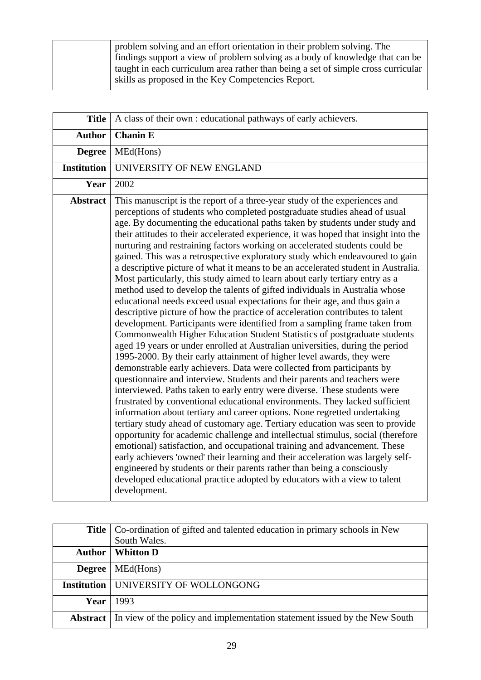| problem solving and an effort orientation in their problem solving. The           |
|-----------------------------------------------------------------------------------|
| findings support a view of problem solving as a body of knowledge that can be     |
| taught in each curriculum area rather than being a set of simple cross curricular |
| skills as proposed in the Key Competencies Report.                                |

| <b>Title</b>       | A class of their own : educational pathways of early achievers.                                                                                                                                                                                                                                                                                                                                                                                                                                                                                                                                                                                                                                                                                                                                                                                                                                                                                                                                                                                                                                                                                                                                                                                                                                                                                                                                                                                                                                                                                                                                                                                                                                                                                                                                                                                                                                                                                                                                                                                                                                                                                  |
|--------------------|--------------------------------------------------------------------------------------------------------------------------------------------------------------------------------------------------------------------------------------------------------------------------------------------------------------------------------------------------------------------------------------------------------------------------------------------------------------------------------------------------------------------------------------------------------------------------------------------------------------------------------------------------------------------------------------------------------------------------------------------------------------------------------------------------------------------------------------------------------------------------------------------------------------------------------------------------------------------------------------------------------------------------------------------------------------------------------------------------------------------------------------------------------------------------------------------------------------------------------------------------------------------------------------------------------------------------------------------------------------------------------------------------------------------------------------------------------------------------------------------------------------------------------------------------------------------------------------------------------------------------------------------------------------------------------------------------------------------------------------------------------------------------------------------------------------------------------------------------------------------------------------------------------------------------------------------------------------------------------------------------------------------------------------------------------------------------------------------------------------------------------------------------|
| <b>Author</b>      | <b>Chanin E</b>                                                                                                                                                                                                                                                                                                                                                                                                                                                                                                                                                                                                                                                                                                                                                                                                                                                                                                                                                                                                                                                                                                                                                                                                                                                                                                                                                                                                                                                                                                                                                                                                                                                                                                                                                                                                                                                                                                                                                                                                                                                                                                                                  |
| <b>Degree</b>      | MEd(Hons)                                                                                                                                                                                                                                                                                                                                                                                                                                                                                                                                                                                                                                                                                                                                                                                                                                                                                                                                                                                                                                                                                                                                                                                                                                                                                                                                                                                                                                                                                                                                                                                                                                                                                                                                                                                                                                                                                                                                                                                                                                                                                                                                        |
| <b>Institution</b> | UNIVERSITY OF NEW ENGLAND                                                                                                                                                                                                                                                                                                                                                                                                                                                                                                                                                                                                                                                                                                                                                                                                                                                                                                                                                                                                                                                                                                                                                                                                                                                                                                                                                                                                                                                                                                                                                                                                                                                                                                                                                                                                                                                                                                                                                                                                                                                                                                                        |
| Year               | 2002                                                                                                                                                                                                                                                                                                                                                                                                                                                                                                                                                                                                                                                                                                                                                                                                                                                                                                                                                                                                                                                                                                                                                                                                                                                                                                                                                                                                                                                                                                                                                                                                                                                                                                                                                                                                                                                                                                                                                                                                                                                                                                                                             |
| <b>Abstract</b>    | This manuscript is the report of a three-year study of the experiences and<br>perceptions of students who completed postgraduate studies ahead of usual<br>age. By documenting the educational paths taken by students under study and<br>their attitudes to their accelerated experience, it was hoped that insight into the<br>nurturing and restraining factors working on accelerated students could be<br>gained. This was a retrospective exploratory study which endeavoured to gain<br>a descriptive picture of what it means to be an accelerated student in Australia.<br>Most particularly, this study aimed to learn about early tertiary entry as a<br>method used to develop the talents of gifted individuals in Australia whose<br>educational needs exceed usual expectations for their age, and thus gain a<br>descriptive picture of how the practice of acceleration contributes to talent<br>development. Participants were identified from a sampling frame taken from<br>Commonwealth Higher Education Student Statistics of postgraduate students<br>aged 19 years or under enrolled at Australian universities, during the period<br>1995-2000. By their early attainment of higher level awards, they were<br>demonstrable early achievers. Data were collected from participants by<br>questionnaire and interview. Students and their parents and teachers were<br>interviewed. Paths taken to early entry were diverse. These students were<br>frustrated by conventional educational environments. They lacked sufficient<br>information about tertiary and career options. None regretted undertaking<br>tertiary study ahead of customary age. Tertiary education was seen to provide<br>opportunity for academic challenge and intellectual stimulus, social (therefore<br>emotional) satisfaction, and occupational training and advancement. These<br>early achievers 'owned' their learning and their acceleration was largely self-<br>engineered by students or their parents rather than being a consciously<br>developed educational practice adopted by educators with a view to talent<br>development. |

| Title           | Co-ordination of gifted and talented education in primary schools in New   |
|-----------------|----------------------------------------------------------------------------|
|                 | South Wales.                                                               |
| <b>Author</b>   | <b>Whitton D</b>                                                           |
| <b>Degree</b>   | MEd(Hons)                                                                  |
|                 | Institution   UNIVERSITY OF WOLLONGONG                                     |
| Year            | 1993                                                                       |
| <b>Abstract</b> | In view of the policy and implementation statement issued by the New South |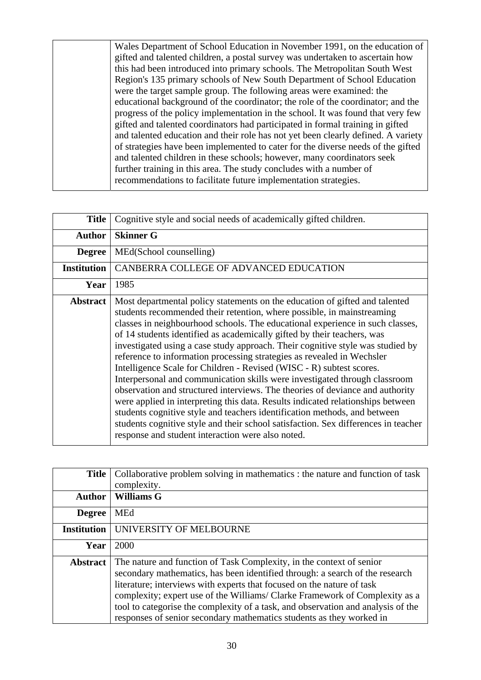Wales Department of School Education in November 1991, on the education of gifted and talented children, a postal survey was undertaken to ascertain how this had been introduced into primary schools. The Metropolitan South West Region's 135 primary schools of New South Department of School Education were the target sample group. The following areas were examined: the educational background of the coordinator; the role of the coordinator; and the progress of the policy implementation in the school. It was found that very few gifted and talented coordinators had participated in formal training in gifted and talented education and their role has not yet been clearly defined. A variety of strategies have been implemented to cater for the diverse needs of the gifted and talented children in these schools; however, many coordinators seek further training in this area. The study concludes with a number of recommendations to facilitate future implementation strategies.

| <b>Title</b>    | Cognitive style and social needs of academically gifted children.                                                                                                                                                                                                                                                                                                                                                                                                                                                                                                                                                                                                                                                                                                                                                                                                                                                                                                                                                               |
|-----------------|---------------------------------------------------------------------------------------------------------------------------------------------------------------------------------------------------------------------------------------------------------------------------------------------------------------------------------------------------------------------------------------------------------------------------------------------------------------------------------------------------------------------------------------------------------------------------------------------------------------------------------------------------------------------------------------------------------------------------------------------------------------------------------------------------------------------------------------------------------------------------------------------------------------------------------------------------------------------------------------------------------------------------------|
| <b>Author</b>   | <b>Skinner G</b>                                                                                                                                                                                                                                                                                                                                                                                                                                                                                                                                                                                                                                                                                                                                                                                                                                                                                                                                                                                                                |
| <b>Degree</b>   | MEd(School counselling)                                                                                                                                                                                                                                                                                                                                                                                                                                                                                                                                                                                                                                                                                                                                                                                                                                                                                                                                                                                                         |
| Institution     | CANBERRA COLLEGE OF ADVANCED EDUCATION                                                                                                                                                                                                                                                                                                                                                                                                                                                                                                                                                                                                                                                                                                                                                                                                                                                                                                                                                                                          |
| Year            | 1985                                                                                                                                                                                                                                                                                                                                                                                                                                                                                                                                                                                                                                                                                                                                                                                                                                                                                                                                                                                                                            |
| <b>Abstract</b> | Most departmental policy statements on the education of gifted and talented<br>students recommended their retention, where possible, in mainstreaming<br>classes in neighbourhood schools. The educational experience in such classes,<br>of 14 students identified as academically gifted by their teachers, was<br>investigated using a case study approach. Their cognitive style was studied by<br>reference to information processing strategies as revealed in Wechsler<br>Intelligence Scale for Children - Revised (WISC - R) subtest scores.<br>Interpersonal and communication skills were investigated through classroom<br>observation and structured interviews. The theories of deviance and authority<br>were applied in interpreting this data. Results indicated relationships between<br>students cognitive style and teachers identification methods, and between<br>students cognitive style and their school satisfaction. Sex differences in teacher<br>response and student interaction were also noted. |

| <b>Title</b>       | Collaborative problem solving in mathematics : the nature and function of task<br>complexity.                                                                                                                                                                                                                                                                                                                                                                            |
|--------------------|--------------------------------------------------------------------------------------------------------------------------------------------------------------------------------------------------------------------------------------------------------------------------------------------------------------------------------------------------------------------------------------------------------------------------------------------------------------------------|
| <b>Author</b>      | <b>Williams G</b>                                                                                                                                                                                                                                                                                                                                                                                                                                                        |
| <b>Degree</b>      | <b>MEd</b>                                                                                                                                                                                                                                                                                                                                                                                                                                                               |
| <b>Institution</b> | UNIVERSITY OF MELBOURNE                                                                                                                                                                                                                                                                                                                                                                                                                                                  |
| Year               | 2000                                                                                                                                                                                                                                                                                                                                                                                                                                                                     |
| <b>Abstract</b>    | The nature and function of Task Complexity, in the context of senior<br>secondary mathematics, has been identified through: a search of the research<br>literature; interviews with experts that focused on the nature of task<br>complexity; expert use of the Williams/Clarke Framework of Complexity as a<br>tool to categorise the complexity of a task, and observation and analysis of the<br>responses of senior secondary mathematics students as they worked in |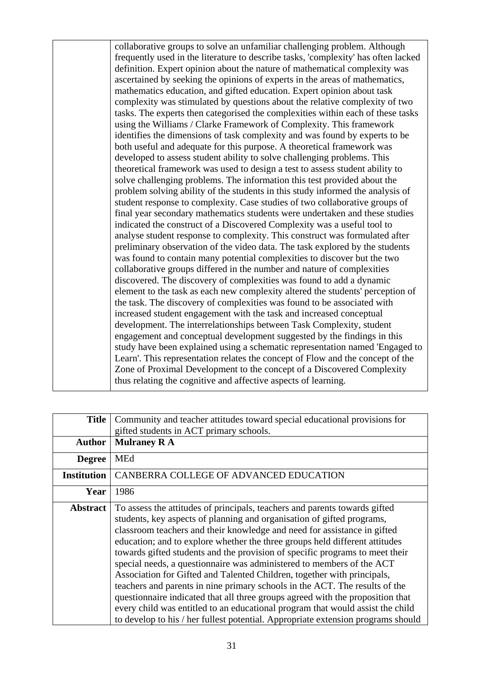collaborative groups to solve an unfamiliar challenging problem. Although frequently used in the literature to describe tasks, 'complexity' has often lacked definition. Expert opinion about the nature of mathematical complexity was ascertained by seeking the opinions of experts in the areas of mathematics, mathematics education, and gifted education. Expert opinion about task complexity was stimulated by questions about the relative complexity of two tasks. The experts then categorised the complexities within each of these tasks using the Williams / Clarke Framework of Complexity. This framework identifies the dimensions of task complexity and was found by experts to be both useful and adequate for this purpose. A theoretical framework was developed to assess student ability to solve challenging problems. This theoretical framework was used to design a test to assess student ability to solve challenging problems. The information this test provided about the problem solving ability of the students in this study informed the analysis of student response to complexity. Case studies of two collaborative groups of final year secondary mathematics students were undertaken and these studies indicated the construct of a Discovered Complexity was a useful tool to analyse student response to complexity. This construct was formulated after preliminary observation of the video data. The task explored by the students was found to contain many potential complexities to discover but the two collaborative groups differed in the number and nature of complexities discovered. The discovery of complexities was found to add a dynamic element to the task as each new complexity altered the students' perception of the task. The discovery of complexities was found to be associated with increased student engagement with the task and increased conceptual development. The interrelationships between Task Complexity, student engagement and conceptual development suggested by the findings in this study have been explained using a schematic representation named 'Engaged to Learn'. This representation relates the concept of Flow and the concept of the Zone of Proximal Development to the concept of a Discovered Complexity thus relating the cognitive and affective aspects of learning.

| <b>Title</b>       | Community and teacher attitudes toward special educational provisions for                                                                                                                                                                                                                                                                                                                                                                                                                                                                                                                                                                                                                                                                                                                                                                                                                  |
|--------------------|--------------------------------------------------------------------------------------------------------------------------------------------------------------------------------------------------------------------------------------------------------------------------------------------------------------------------------------------------------------------------------------------------------------------------------------------------------------------------------------------------------------------------------------------------------------------------------------------------------------------------------------------------------------------------------------------------------------------------------------------------------------------------------------------------------------------------------------------------------------------------------------------|
|                    | gifted students in ACT primary schools.                                                                                                                                                                                                                                                                                                                                                                                                                                                                                                                                                                                                                                                                                                                                                                                                                                                    |
| <b>Author</b>      | <b>Mulraney RA</b>                                                                                                                                                                                                                                                                                                                                                                                                                                                                                                                                                                                                                                                                                                                                                                                                                                                                         |
| <b>Degree</b>      | <b>MEd</b>                                                                                                                                                                                                                                                                                                                                                                                                                                                                                                                                                                                                                                                                                                                                                                                                                                                                                 |
| <b>Institution</b> | CANBERRA COLLEGE OF ADVANCED EDUCATION                                                                                                                                                                                                                                                                                                                                                                                                                                                                                                                                                                                                                                                                                                                                                                                                                                                     |
| Year               | 1986                                                                                                                                                                                                                                                                                                                                                                                                                                                                                                                                                                                                                                                                                                                                                                                                                                                                                       |
| <b>Abstract</b>    | To assess the attitudes of principals, teachers and parents towards gifted<br>students, key aspects of planning and organisation of gifted programs,<br>classroom teachers and their knowledge and need for assistance in gifted<br>education; and to explore whether the three groups held different attitudes<br>towards gifted students and the provision of specific programs to meet their<br>special needs, a questionnaire was administered to members of the ACT<br>Association for Gifted and Talented Children, together with principals,<br>teachers and parents in nine primary schools in the ACT. The results of the<br>questionnaire indicated that all three groups agreed with the proposition that<br>every child was entitled to an educational program that would assist the child<br>to develop to his / her fullest potential. Appropriate extension programs should |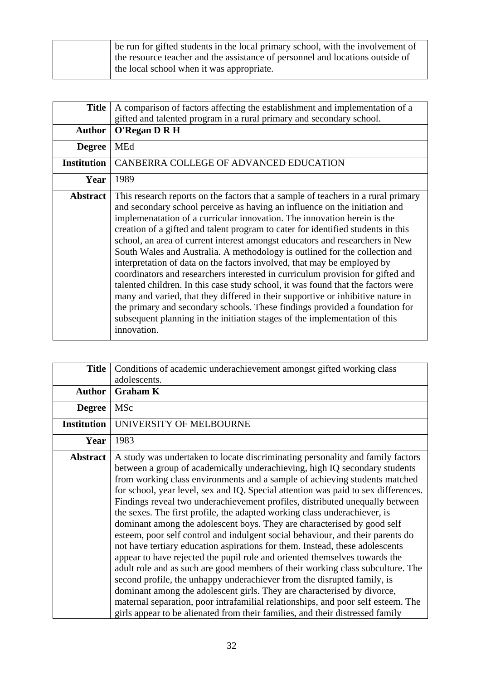| be run for gifted students in the local primary school, with the involvement of |
|---------------------------------------------------------------------------------|
| the resource teacher and the assistance of personnel and locations outside of   |
| the local school when it was appropriate.                                       |

| <b>Title</b>       | A comparison of factors affecting the establishment and implementation of a                                                                                                                                                                                                                                                                                                                                                                                                                                                                                                                                                                                                                                                                                                                                                                                                                                                                                                                                    |
|--------------------|----------------------------------------------------------------------------------------------------------------------------------------------------------------------------------------------------------------------------------------------------------------------------------------------------------------------------------------------------------------------------------------------------------------------------------------------------------------------------------------------------------------------------------------------------------------------------------------------------------------------------------------------------------------------------------------------------------------------------------------------------------------------------------------------------------------------------------------------------------------------------------------------------------------------------------------------------------------------------------------------------------------|
|                    | gifted and talented program in a rural primary and secondary school.                                                                                                                                                                                                                                                                                                                                                                                                                                                                                                                                                                                                                                                                                                                                                                                                                                                                                                                                           |
| <b>Author</b>      | O'Regan D R H                                                                                                                                                                                                                                                                                                                                                                                                                                                                                                                                                                                                                                                                                                                                                                                                                                                                                                                                                                                                  |
| <b>Degree</b>      | <b>MEd</b>                                                                                                                                                                                                                                                                                                                                                                                                                                                                                                                                                                                                                                                                                                                                                                                                                                                                                                                                                                                                     |
| <b>Institution</b> | CANBERRA COLLEGE OF ADVANCED EDUCATION                                                                                                                                                                                                                                                                                                                                                                                                                                                                                                                                                                                                                                                                                                                                                                                                                                                                                                                                                                         |
| Year               | 1989                                                                                                                                                                                                                                                                                                                                                                                                                                                                                                                                                                                                                                                                                                                                                                                                                                                                                                                                                                                                           |
| <b>Abstract</b>    | This research reports on the factors that a sample of teachers in a rural primary<br>and secondary school perceive as having an influence on the initiation and<br>implemenatation of a curricular innovation. The innovation herein is the<br>creation of a gifted and talent program to cater for identified students in this<br>school, an area of current interest amongst educators and researchers in New<br>South Wales and Australia. A methodology is outlined for the collection and<br>interpretation of data on the factors involved, that may be employed by<br>coordinators and researchers interested in curriculum provision for gifted and<br>talented children. In this case study school, it was found that the factors were<br>many and varied, that they differed in their supportive or inhibitive nature in<br>the primary and secondary schools. These findings provided a foundation for<br>subsequent planning in the initiation stages of the implementation of this<br>innovation. |

| <b>Title</b>       | Conditions of academic underachievement amongst gifted working class                                                                                                                                                                                                                                                                                                                                                                                                                                                                                                                                                                                                                                                                                                                                                                                                                                                                                                                                                                                                                                                                                                                                                                  |
|--------------------|---------------------------------------------------------------------------------------------------------------------------------------------------------------------------------------------------------------------------------------------------------------------------------------------------------------------------------------------------------------------------------------------------------------------------------------------------------------------------------------------------------------------------------------------------------------------------------------------------------------------------------------------------------------------------------------------------------------------------------------------------------------------------------------------------------------------------------------------------------------------------------------------------------------------------------------------------------------------------------------------------------------------------------------------------------------------------------------------------------------------------------------------------------------------------------------------------------------------------------------|
|                    | adolescents.                                                                                                                                                                                                                                                                                                                                                                                                                                                                                                                                                                                                                                                                                                                                                                                                                                                                                                                                                                                                                                                                                                                                                                                                                          |
| <b>Author</b>      | <b>Graham K</b>                                                                                                                                                                                                                                                                                                                                                                                                                                                                                                                                                                                                                                                                                                                                                                                                                                                                                                                                                                                                                                                                                                                                                                                                                       |
| <b>Degree</b>      | MSc                                                                                                                                                                                                                                                                                                                                                                                                                                                                                                                                                                                                                                                                                                                                                                                                                                                                                                                                                                                                                                                                                                                                                                                                                                   |
| <b>Institution</b> | UNIVERSITY OF MELBOURNE                                                                                                                                                                                                                                                                                                                                                                                                                                                                                                                                                                                                                                                                                                                                                                                                                                                                                                                                                                                                                                                                                                                                                                                                               |
| Year               | 1983                                                                                                                                                                                                                                                                                                                                                                                                                                                                                                                                                                                                                                                                                                                                                                                                                                                                                                                                                                                                                                                                                                                                                                                                                                  |
| <b>Abstract</b>    | A study was undertaken to locate discriminating personality and family factors<br>between a group of academically underachieving, high IQ secondary students<br>from working class environments and a sample of achieving students matched<br>for school, year level, sex and IQ. Special attention was paid to sex differences.<br>Findings reveal two underachievement profiles, distributed unequally between<br>the sexes. The first profile, the adapted working class underachiever, is<br>dominant among the adolescent boys. They are characterised by good self<br>esteem, poor self control and indulgent social behaviour, and their parents do<br>not have tertiary education aspirations for them. Instead, these adolescents<br>appear to have rejected the pupil role and oriented themselves towards the<br>adult role and as such are good members of their working class subculture. The<br>second profile, the unhappy underachiever from the disrupted family, is<br>dominant among the adolescent girls. They are characterised by divorce,<br>maternal separation, poor intrafamilial relationships, and poor self esteem. The<br>girls appear to be alienated from their families, and their distressed family |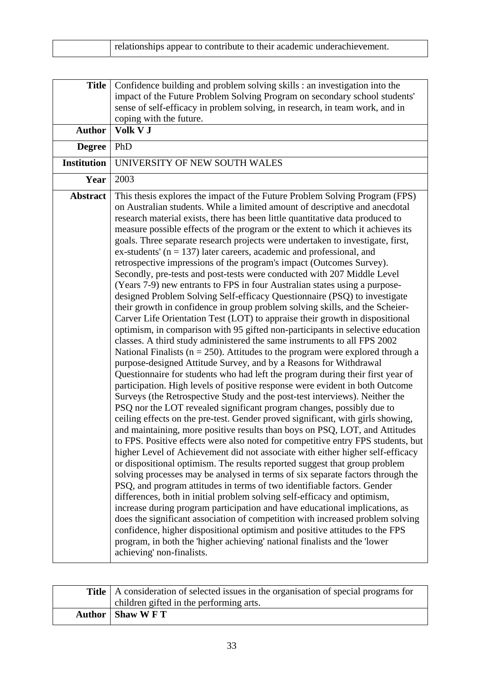|  | relationships appear to contribute to their academic underachievement. |
|--|------------------------------------------------------------------------|
|--|------------------------------------------------------------------------|

| <b>Title</b>       | Confidence building and problem solving skills : an investigation into the<br>impact of the Future Problem Solving Program on secondary school students'<br>sense of self-efficacy in problem solving, in research, in team work, and in<br>coping with the future.                                                                                                                                                                                                                                                                                                                                                                                                                                                                                                                                                                                                                                                                                                                                                                                                                                                                                                                                                                                                                                                                                                                                                                                                                                                                                                                                                                                                                                                                                                                                                                                                                                                                                                                                                                                                                                                                                                                                                                                                                                                                                                                                                                                                                                                                                                                                                                                   |
|--------------------|-------------------------------------------------------------------------------------------------------------------------------------------------------------------------------------------------------------------------------------------------------------------------------------------------------------------------------------------------------------------------------------------------------------------------------------------------------------------------------------------------------------------------------------------------------------------------------------------------------------------------------------------------------------------------------------------------------------------------------------------------------------------------------------------------------------------------------------------------------------------------------------------------------------------------------------------------------------------------------------------------------------------------------------------------------------------------------------------------------------------------------------------------------------------------------------------------------------------------------------------------------------------------------------------------------------------------------------------------------------------------------------------------------------------------------------------------------------------------------------------------------------------------------------------------------------------------------------------------------------------------------------------------------------------------------------------------------------------------------------------------------------------------------------------------------------------------------------------------------------------------------------------------------------------------------------------------------------------------------------------------------------------------------------------------------------------------------------------------------------------------------------------------------------------------------------------------------------------------------------------------------------------------------------------------------------------------------------------------------------------------------------------------------------------------------------------------------------------------------------------------------------------------------------------------------------------------------------------------------------------------------------------------------|
| <b>Author</b>      | Volk V J                                                                                                                                                                                                                                                                                                                                                                                                                                                                                                                                                                                                                                                                                                                                                                                                                                                                                                                                                                                                                                                                                                                                                                                                                                                                                                                                                                                                                                                                                                                                                                                                                                                                                                                                                                                                                                                                                                                                                                                                                                                                                                                                                                                                                                                                                                                                                                                                                                                                                                                                                                                                                                              |
| <b>Degree</b>      | PhD                                                                                                                                                                                                                                                                                                                                                                                                                                                                                                                                                                                                                                                                                                                                                                                                                                                                                                                                                                                                                                                                                                                                                                                                                                                                                                                                                                                                                                                                                                                                                                                                                                                                                                                                                                                                                                                                                                                                                                                                                                                                                                                                                                                                                                                                                                                                                                                                                                                                                                                                                                                                                                                   |
| <b>Institution</b> | UNIVERSITY OF NEW SOUTH WALES                                                                                                                                                                                                                                                                                                                                                                                                                                                                                                                                                                                                                                                                                                                                                                                                                                                                                                                                                                                                                                                                                                                                                                                                                                                                                                                                                                                                                                                                                                                                                                                                                                                                                                                                                                                                                                                                                                                                                                                                                                                                                                                                                                                                                                                                                                                                                                                                                                                                                                                                                                                                                         |
| Year               | 2003                                                                                                                                                                                                                                                                                                                                                                                                                                                                                                                                                                                                                                                                                                                                                                                                                                                                                                                                                                                                                                                                                                                                                                                                                                                                                                                                                                                                                                                                                                                                                                                                                                                                                                                                                                                                                                                                                                                                                                                                                                                                                                                                                                                                                                                                                                                                                                                                                                                                                                                                                                                                                                                  |
| <b>Abstract</b>    | This thesis explores the impact of the Future Problem Solving Program (FPS)<br>on Australian students. While a limited amount of descriptive and anecdotal<br>research material exists, there has been little quantitative data produced to<br>measure possible effects of the program or the extent to which it achieves its<br>goals. Three separate research projects were undertaken to investigate, first,<br>ex-students' ( $n = 137$ ) later careers, academic and professional, and<br>retrospective impressions of the program's impact (Outcomes Survey).<br>Secondly, pre-tests and post-tests were conducted with 207 Middle Level<br>(Years 7-9) new entrants to FPS in four Australian states using a purpose-<br>designed Problem Solving Self-efficacy Questionnaire (PSQ) to investigate<br>their growth in confidence in group problem solving skills, and the Scheier-<br>Carver Life Orientation Test (LOT) to appraise their growth in dispositional<br>optimism, in comparison with 95 gifted non-participants in selective education<br>classes. A third study administered the same instruments to all FPS 2002<br>National Finalists ( $n = 250$ ). Attitudes to the program were explored through a<br>purpose-designed Attitude Survey, and by a Reasons for Withdrawal<br>Questionnaire for students who had left the program during their first year of<br>participation. High levels of positive response were evident in both Outcome<br>Surveys (the Retrospective Study and the post-test interviews). Neither the<br>PSQ nor the LOT revealed significant program changes, possibly due to<br>ceiling effects on the pre-test. Gender proved significant, with girls showing,<br>and maintaining, more positive results than boys on PSQ, LOT, and Attitudes<br>to FPS. Positive effects were also noted for competitive entry FPS students, but<br>higher Level of Achievement did not associate with either higher self-efficacy<br>or dispositional optimism. The results reported suggest that group problem<br>solving processes may be analysed in terms of six separate factors through the<br>PSQ, and program attitudes in terms of two identifiable factors. Gender<br>differences, both in initial problem solving self-efficacy and optimism,<br>increase during program participation and have educational implications, as<br>does the significant association of competition with increased problem solving<br>confidence, higher dispositional optimism and positive attitudes to the FPS<br>program, in both the 'higher achieving' national finalists and the 'lower<br>achieving' non-finalists. |

| <b>Title</b>   A consideration of selected issues in the organisation of special programs for |
|-----------------------------------------------------------------------------------------------|
| children gifted in the performing arts.                                                       |
| Author   Shaw W F T                                                                           |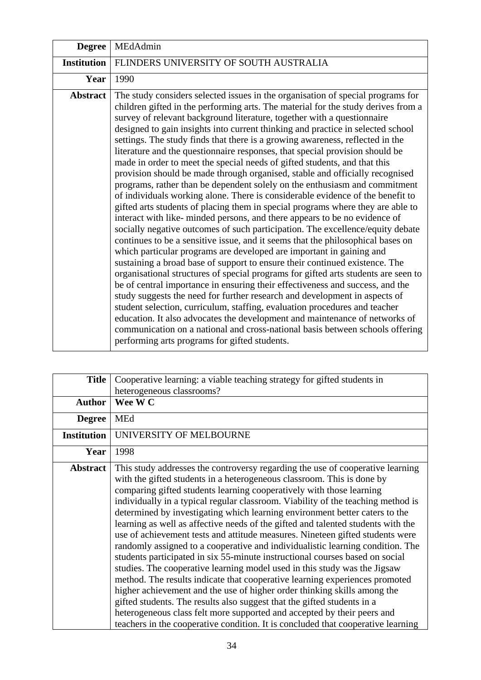| <b>Degree</b>      | MEdAdmin                                                                                                                                                                                                                                                                                                                                                                                                                                                                                                                                                                                                                                                                                                                                                                                                                                                                                                                                                                                                                                                                                                                                                                                                                                                                                                                                                                                                                                                                                                                                                                                                                                                                                                                                                                                                                                                                         |
|--------------------|----------------------------------------------------------------------------------------------------------------------------------------------------------------------------------------------------------------------------------------------------------------------------------------------------------------------------------------------------------------------------------------------------------------------------------------------------------------------------------------------------------------------------------------------------------------------------------------------------------------------------------------------------------------------------------------------------------------------------------------------------------------------------------------------------------------------------------------------------------------------------------------------------------------------------------------------------------------------------------------------------------------------------------------------------------------------------------------------------------------------------------------------------------------------------------------------------------------------------------------------------------------------------------------------------------------------------------------------------------------------------------------------------------------------------------------------------------------------------------------------------------------------------------------------------------------------------------------------------------------------------------------------------------------------------------------------------------------------------------------------------------------------------------------------------------------------------------------------------------------------------------|
| <b>Institution</b> | FLINDERS UNIVERSITY OF SOUTH AUSTRALIA                                                                                                                                                                                                                                                                                                                                                                                                                                                                                                                                                                                                                                                                                                                                                                                                                                                                                                                                                                                                                                                                                                                                                                                                                                                                                                                                                                                                                                                                                                                                                                                                                                                                                                                                                                                                                                           |
| Year               | 1990                                                                                                                                                                                                                                                                                                                                                                                                                                                                                                                                                                                                                                                                                                                                                                                                                                                                                                                                                                                                                                                                                                                                                                                                                                                                                                                                                                                                                                                                                                                                                                                                                                                                                                                                                                                                                                                                             |
| Abstract           | The study considers selected issues in the organisation of special programs for<br>children gifted in the performing arts. The material for the study derives from a<br>survey of relevant background literature, together with a questionnaire<br>designed to gain insights into current thinking and practice in selected school<br>settings. The study finds that there is a growing awareness, reflected in the<br>literature and the questionnaire responses, that special provision should be<br>made in order to meet the special needs of gifted students, and that this<br>provision should be made through organised, stable and officially recognised<br>programs, rather than be dependent solely on the enthusiasm and commitment<br>of individuals working alone. There is considerable evidence of the benefit to<br>gifted arts students of placing them in special programs where they are able to<br>interact with like-minded persons, and there appears to be no evidence of<br>socially negative outcomes of such participation. The excellence/equity debate<br>continues to be a sensitive issue, and it seems that the philosophical bases on<br>which particular programs are developed are important in gaining and<br>sustaining a broad base of support to ensure their continued existence. The<br>organisational structures of special programs for gifted arts students are seen to<br>be of central importance in ensuring their effectiveness and success, and the<br>study suggests the need for further research and development in aspects of<br>student selection, curriculum, staffing, evaluation procedures and teacher<br>education. It also advocates the development and maintenance of networks of<br>communication on a national and cross-national basis between schools offering<br>performing arts programs for gifted students. |

| <b>Title</b>       | Cooperative learning: a viable teaching strategy for gifted students in                                                                                                                                                                                                                                                                                                                                                                                                                                                                                                                                                                                                                                                                                                                                                                                                                                                                                                                                                                                                                                                                                                                                                      |
|--------------------|------------------------------------------------------------------------------------------------------------------------------------------------------------------------------------------------------------------------------------------------------------------------------------------------------------------------------------------------------------------------------------------------------------------------------------------------------------------------------------------------------------------------------------------------------------------------------------------------------------------------------------------------------------------------------------------------------------------------------------------------------------------------------------------------------------------------------------------------------------------------------------------------------------------------------------------------------------------------------------------------------------------------------------------------------------------------------------------------------------------------------------------------------------------------------------------------------------------------------|
|                    | heterogeneous classrooms?                                                                                                                                                                                                                                                                                                                                                                                                                                                                                                                                                                                                                                                                                                                                                                                                                                                                                                                                                                                                                                                                                                                                                                                                    |
| <b>Author</b>      | Wee W C                                                                                                                                                                                                                                                                                                                                                                                                                                                                                                                                                                                                                                                                                                                                                                                                                                                                                                                                                                                                                                                                                                                                                                                                                      |
| <b>Degree</b>      | <b>MEd</b>                                                                                                                                                                                                                                                                                                                                                                                                                                                                                                                                                                                                                                                                                                                                                                                                                                                                                                                                                                                                                                                                                                                                                                                                                   |
| <b>Institution</b> | UNIVERSITY OF MELBOURNE                                                                                                                                                                                                                                                                                                                                                                                                                                                                                                                                                                                                                                                                                                                                                                                                                                                                                                                                                                                                                                                                                                                                                                                                      |
| Year               | 1998                                                                                                                                                                                                                                                                                                                                                                                                                                                                                                                                                                                                                                                                                                                                                                                                                                                                                                                                                                                                                                                                                                                                                                                                                         |
| <b>Abstract</b>    | This study addresses the controversy regarding the use of cooperative learning<br>with the gifted students in a heterogeneous classroom. This is done by<br>comparing gifted students learning cooperatively with those learning<br>individually in a typical regular classroom. Viability of the teaching method is<br>determined by investigating which learning environment better caters to the<br>learning as well as affective needs of the gifted and talented students with the<br>use of achievement tests and attitude measures. Nineteen gifted students were<br>randomly assigned to a cooperative and individualistic learning condition. The<br>students participated in six 55-minute instructional courses based on social<br>studies. The cooperative learning model used in this study was the Jigsaw<br>method. The results indicate that cooperative learning experiences promoted<br>higher achievement and the use of higher order thinking skills among the<br>gifted students. The results also suggest that the gifted students in a<br>heterogeneous class felt more supported and accepted by their peers and<br>teachers in the cooperative condition. It is concluded that cooperative learning |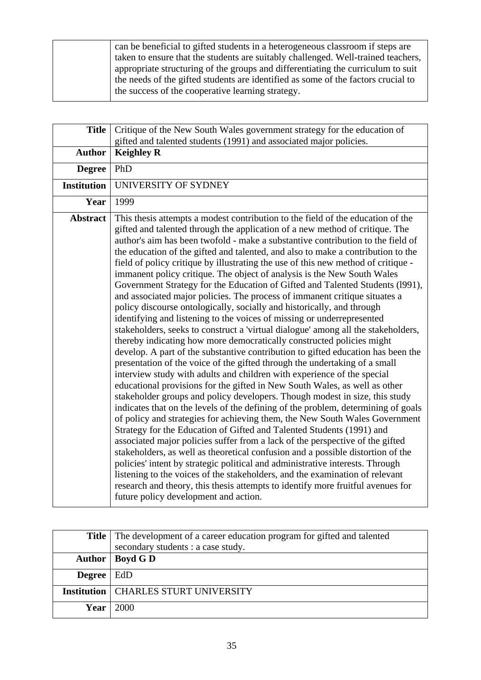can be beneficial to gifted students in a heterogeneous classroom if steps are taken to ensure that the students are suitably challenged. Well-trained teachers, appropriate structuring of the groups and differentiating the curriculum to suit the needs of the gifted students are identified as some of the factors crucial to the success of the cooperative learning strategy.

| <b>Title</b>       | Critique of the New South Wales government strategy for the education of                                                                                                                                                                                                                                                                                                                                                                                                                                                                                                                                                                                                                                                                                                                                                                                                                                                                                                                                                                                                                                                                                                                                                                                                                                                                                                                                                                                                                                                                                                                                                                                                                                                                                                                                                                                                                                                                                                                                                                                                                                        |
|--------------------|-----------------------------------------------------------------------------------------------------------------------------------------------------------------------------------------------------------------------------------------------------------------------------------------------------------------------------------------------------------------------------------------------------------------------------------------------------------------------------------------------------------------------------------------------------------------------------------------------------------------------------------------------------------------------------------------------------------------------------------------------------------------------------------------------------------------------------------------------------------------------------------------------------------------------------------------------------------------------------------------------------------------------------------------------------------------------------------------------------------------------------------------------------------------------------------------------------------------------------------------------------------------------------------------------------------------------------------------------------------------------------------------------------------------------------------------------------------------------------------------------------------------------------------------------------------------------------------------------------------------------------------------------------------------------------------------------------------------------------------------------------------------------------------------------------------------------------------------------------------------------------------------------------------------------------------------------------------------------------------------------------------------------------------------------------------------------------------------------------------------|
|                    | gifted and talented students (1991) and associated major policies.                                                                                                                                                                                                                                                                                                                                                                                                                                                                                                                                                                                                                                                                                                                                                                                                                                                                                                                                                                                                                                                                                                                                                                                                                                                                                                                                                                                                                                                                                                                                                                                                                                                                                                                                                                                                                                                                                                                                                                                                                                              |
| <b>Author</b>      | <b>Keighley R</b>                                                                                                                                                                                                                                                                                                                                                                                                                                                                                                                                                                                                                                                                                                                                                                                                                                                                                                                                                                                                                                                                                                                                                                                                                                                                                                                                                                                                                                                                                                                                                                                                                                                                                                                                                                                                                                                                                                                                                                                                                                                                                               |
| <b>Degree</b>      | PhD                                                                                                                                                                                                                                                                                                                                                                                                                                                                                                                                                                                                                                                                                                                                                                                                                                                                                                                                                                                                                                                                                                                                                                                                                                                                                                                                                                                                                                                                                                                                                                                                                                                                                                                                                                                                                                                                                                                                                                                                                                                                                                             |
| <b>Institution</b> | UNIVERSITY OF SYDNEY                                                                                                                                                                                                                                                                                                                                                                                                                                                                                                                                                                                                                                                                                                                                                                                                                                                                                                                                                                                                                                                                                                                                                                                                                                                                                                                                                                                                                                                                                                                                                                                                                                                                                                                                                                                                                                                                                                                                                                                                                                                                                            |
| Year               | 1999                                                                                                                                                                                                                                                                                                                                                                                                                                                                                                                                                                                                                                                                                                                                                                                                                                                                                                                                                                                                                                                                                                                                                                                                                                                                                                                                                                                                                                                                                                                                                                                                                                                                                                                                                                                                                                                                                                                                                                                                                                                                                                            |
| <b>Abstract</b>    | This thesis attempts a modest contribution to the field of the education of the<br>gifted and talented through the application of a new method of critique. The<br>author's aim has been twofold - make a substantive contribution to the field of<br>the education of the gifted and talented, and also to make a contribution to the<br>field of policy critique by illustrating the use of this new method of critique -<br>immanent policy critique. The object of analysis is the New South Wales<br>Government Strategy for the Education of Gifted and Talented Students (1991),<br>and associated major policies. The process of immanent critique situates a<br>policy discourse ontologically, socially and historically, and through<br>identifying and listening to the voices of missing or underrepresented<br>stakeholders, seeks to construct a 'virtual dialogue' among all the stakeholders,<br>thereby indicating how more democratically constructed policies might<br>develop. A part of the substantive contribution to gifted education has been the<br>presentation of the voice of the gifted through the undertaking of a small<br>interview study with adults and children with experience of the special<br>educational provisions for the gifted in New South Wales, as well as other<br>stakeholder groups and policy developers. Though modest in size, this study<br>indicates that on the levels of the defining of the problem, determining of goals<br>of policy and strategies for achieving them, the New South Wales Government<br>Strategy for the Education of Gifted and Talented Students (1991) and<br>associated major policies suffer from a lack of the perspective of the gifted<br>stakeholders, as well as theoretical confusion and a possible distortion of the<br>policies' intent by strategic political and administrative interests. Through<br>listening to the voices of the stakeholders, and the examination of relevant<br>research and theory, this thesis attempts to identify more fruitful avenues for<br>future policy development and action. |

|                    | <b>Title</b> The development of a career education program for gifted and talented |
|--------------------|------------------------------------------------------------------------------------|
|                    | secondary students : a case study.                                                 |
|                    | Author   Boyd G D                                                                  |
| Degree $\vert$ EdD |                                                                                    |
|                    | <b>Institution   CHARLES STURT UNIVERSITY</b>                                      |
| <b>Year</b>        | 2000                                                                               |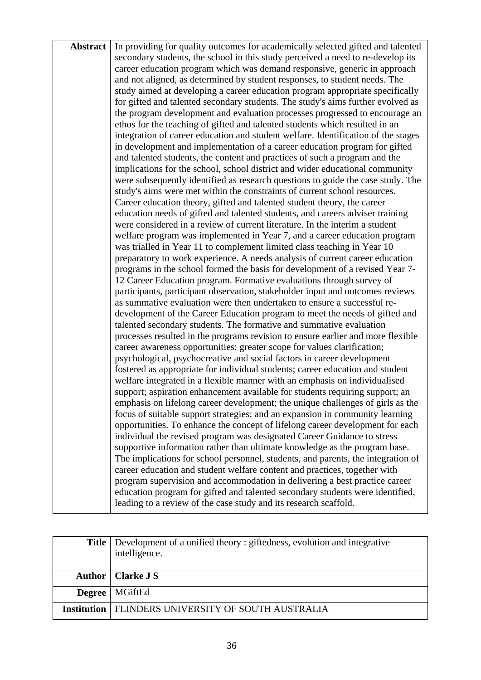| <b>Abstract</b> | In providing for quality outcomes for academically selected gifted and talented                                                                          |
|-----------------|----------------------------------------------------------------------------------------------------------------------------------------------------------|
|                 | secondary students, the school in this study perceived a need to re-develop its                                                                          |
|                 | career education program which was demand responsive, generic in approach                                                                                |
|                 | and not aligned, as determined by student responses, to student needs. The                                                                               |
|                 | study aimed at developing a career education program appropriate specifically                                                                            |
|                 | for gifted and talented secondary students. The study's aims further evolved as                                                                          |
|                 | the program development and evaluation processes progressed to encourage an                                                                              |
|                 | ethos for the teaching of gifted and talented students which resulted in an                                                                              |
|                 | integration of career education and student welfare. Identification of the stages                                                                        |
|                 | in development and implementation of a career education program for gifted                                                                               |
|                 | and talented students, the content and practices of such a program and the                                                                               |
|                 | implications for the school, school district and wider educational community                                                                             |
|                 | were subsequently identified as research questions to guide the case study. The                                                                          |
|                 | study's aims were met within the constraints of current school resources.                                                                                |
|                 | Career education theory, gifted and talented student theory, the career                                                                                  |
|                 | education needs of gifted and talented students, and careers adviser training                                                                            |
|                 | were considered in a review of current literature. In the interim a student                                                                              |
|                 | welfare program was implemented in Year 7, and a career education program                                                                                |
|                 | was trialled in Year 11 to complement limited class teaching in Year 10                                                                                  |
|                 | preparatory to work experience. A needs analysis of current career education                                                                             |
|                 | programs in the school formed the basis for development of a revised Year 7-                                                                             |
|                 | 12 Career Education program. Formative evaluations through survey of                                                                                     |
|                 | participants, participant observation, stakeholder input and outcomes reviews                                                                            |
|                 | as summative evaluation were then undertaken to ensure a successful re-                                                                                  |
|                 | development of the Career Education program to meet the needs of gifted and                                                                              |
|                 | talented secondary students. The formative and summative evaluation                                                                                      |
|                 | processes resulted in the programs revision to ensure earlier and more flexible                                                                          |
|                 | career awareness opportunities; greater scope for values clarification;                                                                                  |
|                 | psychological, psychocreative and social factors in career development                                                                                   |
|                 | fostered as appropriate for individual students; career education and student                                                                            |
|                 | welfare integrated in a flexible manner with an emphasis on individualised                                                                               |
|                 | support; aspiration enhancement available for students requiring support; an                                                                             |
|                 | emphasis on lifelong career development; the unique challenges of girls as the                                                                           |
|                 | focus of suitable support strategies; and an expansion in community learning                                                                             |
|                 | opportunities. To enhance the concept of lifelong career development for each<br>individual the revised program was designated Career Guidance to stress |
|                 | supportive information rather than ultimate knowledge as the program base.                                                                               |
|                 | The implications for school personnel, students, and parents, the integration of                                                                         |
|                 | career education and student welfare content and practices, together with                                                                                |
|                 | program supervision and accommodation in delivering a best practice career                                                                               |
|                 | education program for gifted and talented secondary students were identified,                                                                            |
|                 | leading to a review of the case study and its research scaffold.                                                                                         |
|                 |                                                                                                                                                          |

| <b>Title</b> Development of a unified theory : giftedness, evolution and integrative<br>intelligence. |
|-------------------------------------------------------------------------------------------------------|
| Author   Clarke J S                                                                                   |
| <b>Degree</b>   MGiftEd                                                                               |
| <b>Institution   FLINDERS UNIVERSITY OF SOUTH AUSTRALIA</b>                                           |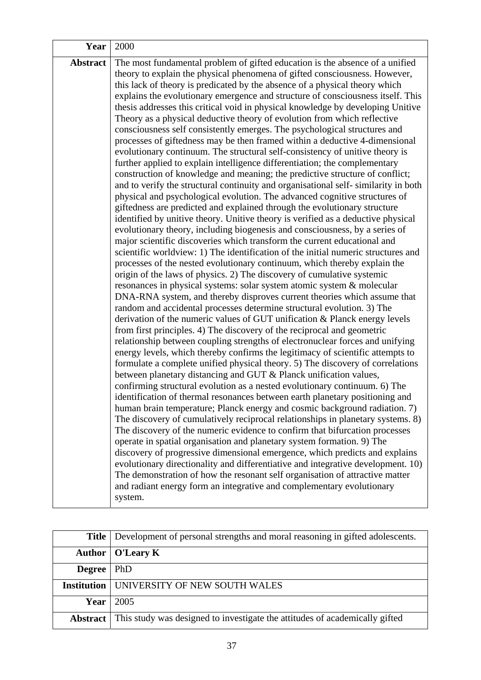| Year            | 2000                                                                                                                                                                                                                                                                                                                                                                                                                                                                                                                                                                                                                                                                                                                                                                                                                                                                                                                                                                                                                                                                                                                                                                                                                                                                                                                                                                                                                                                                                                                                                                                                                                                                                                                                                                                                                                                                                                                                                                                                                                                                                                                                                                                                                                                                                                                                                                                                                                                                                                                                                                                                                                                                                                                                                                                                                                                                                                                                                                                                                                                                                                                                                                                                |
|-----------------|-----------------------------------------------------------------------------------------------------------------------------------------------------------------------------------------------------------------------------------------------------------------------------------------------------------------------------------------------------------------------------------------------------------------------------------------------------------------------------------------------------------------------------------------------------------------------------------------------------------------------------------------------------------------------------------------------------------------------------------------------------------------------------------------------------------------------------------------------------------------------------------------------------------------------------------------------------------------------------------------------------------------------------------------------------------------------------------------------------------------------------------------------------------------------------------------------------------------------------------------------------------------------------------------------------------------------------------------------------------------------------------------------------------------------------------------------------------------------------------------------------------------------------------------------------------------------------------------------------------------------------------------------------------------------------------------------------------------------------------------------------------------------------------------------------------------------------------------------------------------------------------------------------------------------------------------------------------------------------------------------------------------------------------------------------------------------------------------------------------------------------------------------------------------------------------------------------------------------------------------------------------------------------------------------------------------------------------------------------------------------------------------------------------------------------------------------------------------------------------------------------------------------------------------------------------------------------------------------------------------------------------------------------------------------------------------------------------------------------------------------------------------------------------------------------------------------------------------------------------------------------------------------------------------------------------------------------------------------------------------------------------------------------------------------------------------------------------------------------------------------------------------------------------------------------------------------------|
| <b>Abstract</b> | The most fundamental problem of gifted education is the absence of a unified<br>theory to explain the physical phenomena of gifted consciousness. However,<br>this lack of theory is predicated by the absence of a physical theory which<br>explains the evolutionary emergence and structure of consciousness itself. This<br>thesis addresses this critical void in physical knowledge by developing Unitive<br>Theory as a physical deductive theory of evolution from which reflective<br>consciousness self consistently emerges. The psychological structures and<br>processes of giftedness may be then framed within a deductive 4-dimensional<br>evolutionary continuum. The structural self-consistency of unitive theory is<br>further applied to explain intelligence differentiation; the complementary<br>construction of knowledge and meaning; the predictive structure of conflict;<br>and to verify the structural continuity and organisational self-similarity in both<br>physical and psychological evolution. The advanced cognitive structures of<br>giftedness are predicted and explained through the evolutionary structure<br>identified by unitive theory. Unitive theory is verified as a deductive physical<br>evolutionary theory, including biogenesis and consciousness, by a series of<br>major scientific discoveries which transform the current educational and<br>scientific worldview: 1) The identification of the initial numeric structures and<br>processes of the nested evolutionary continuum, which thereby explain the<br>origin of the laws of physics. 2) The discovery of cumulative systemic<br>resonances in physical systems: solar system atomic system & molecular<br>DNA-RNA system, and thereby disproves current theories which assume that<br>random and accidental processes determine structural evolution. 3) The<br>derivation of the numeric values of GUT unification & Planck energy levels<br>from first principles. 4) The discovery of the reciprocal and geometric<br>relationship between coupling strengths of electronuclear forces and unifying<br>energy levels, which thereby confirms the legitimacy of scientific attempts to<br>formulate a complete unified physical theory. 5) The discovery of correlations<br>between planetary distancing and GUT & Planck unification values,<br>confirming structural evolution as a nested evolutionary continuum. 6) The<br>identification of thermal resonances between earth planetary positioning and<br>human brain temperature; Planck energy and cosmic background radiation. 7)<br>The discovery of cumulatively reciprocal relationships in planetary systems. 8)<br>The discovery of the numeric evidence to confirm that bifurcation processes<br>operate in spatial organisation and planetary system formation. 9) The<br>discovery of progressive dimensional emergence, which predicts and explains<br>evolutionary directionality and differentiative and integrative development. 10)<br>The demonstration of how the resonant self organisation of attractive matter<br>and radiant energy form an integrative and complementary evolutionary<br>system. |

|                    | Title   Development of personal strengths and moral reasoning in gifted adolescents. |
|--------------------|--------------------------------------------------------------------------------------|
|                    | Author   O'Leary K                                                                   |
| <b>Degree</b>      | PhD                                                                                  |
| <b>Institution</b> | UNIVERSITY OF NEW SOUTH WALES                                                        |
|                    | Year $\vert$ 2005                                                                    |
| Abstract           | This study was designed to investigate the attitudes of academically gifted          |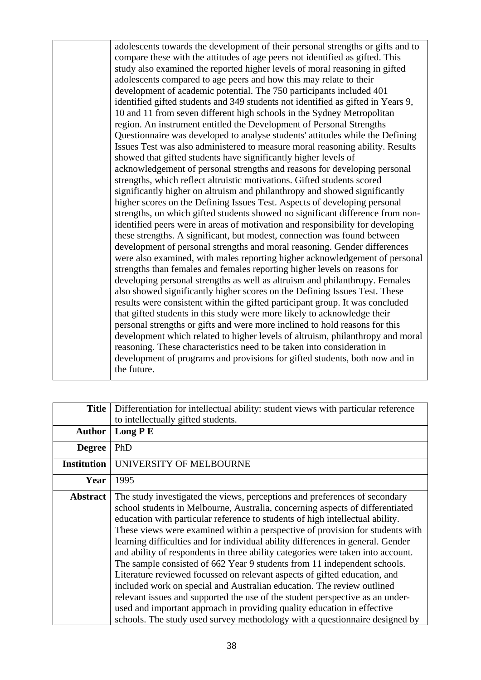adolescents towards the development of their personal strengths or gifts and to compare these with the attitudes of age peers not identified as gifted. This study also examined the reported higher levels of moral reasoning in gifted adolescents compared to age peers and how this may relate to their development of academic potential. The 750 participants included 401 identified gifted students and 349 students not identified as gifted in Years 9, 10 and 11 from seven different high schools in the Sydney Metropolitan region. An instrument entitled the Development of Personal Strengths Questionnaire was developed to analyse students' attitudes while the Defining Issues Test was also administered to measure moral reasoning ability. Results showed that gifted students have significantly higher levels of acknowledgement of personal strengths and reasons for developing personal strengths, which reflect altruistic motivations. Gifted students scored significantly higher on altruism and philanthropy and showed significantly higher scores on the Defining Issues Test. Aspects of developing personal strengths, on which gifted students showed no significant difference from nonidentified peers were in areas of motivation and responsibility for developing these strengths. A significant, but modest, connection was found between development of personal strengths and moral reasoning. Gender differences were also examined, with males reporting higher acknowledgement of personal strengths than females and females reporting higher levels on reasons for developing personal strengths as well as altruism and philanthropy. Females also showed significantly higher scores on the Defining Issues Test. These results were consistent within the gifted participant group. It was concluded that gifted students in this study were more likely to acknowledge their personal strengths or gifts and were more inclined to hold reasons for this development which related to higher levels of altruism, philanthropy and moral reasoning. These characteristics need to be taken into consideration in development of programs and provisions for gifted students, both now and in the future.

| <b>Title</b>       | Differentiation for intellectual ability: student views with particular reference                                                                                                                                                                                                                                                                                                                                                                                                                                                                                                                                                                                                                                                                                                                                                                                                                                                                                                 |
|--------------------|-----------------------------------------------------------------------------------------------------------------------------------------------------------------------------------------------------------------------------------------------------------------------------------------------------------------------------------------------------------------------------------------------------------------------------------------------------------------------------------------------------------------------------------------------------------------------------------------------------------------------------------------------------------------------------------------------------------------------------------------------------------------------------------------------------------------------------------------------------------------------------------------------------------------------------------------------------------------------------------|
|                    | to intellectually gifted students.                                                                                                                                                                                                                                                                                                                                                                                                                                                                                                                                                                                                                                                                                                                                                                                                                                                                                                                                                |
| <b>Author</b>      | Long PE                                                                                                                                                                                                                                                                                                                                                                                                                                                                                                                                                                                                                                                                                                                                                                                                                                                                                                                                                                           |
| <b>Degree</b>      | PhD                                                                                                                                                                                                                                                                                                                                                                                                                                                                                                                                                                                                                                                                                                                                                                                                                                                                                                                                                                               |
| <b>Institution</b> | UNIVERSITY OF MELBOURNE                                                                                                                                                                                                                                                                                                                                                                                                                                                                                                                                                                                                                                                                                                                                                                                                                                                                                                                                                           |
| Year               | 1995                                                                                                                                                                                                                                                                                                                                                                                                                                                                                                                                                                                                                                                                                                                                                                                                                                                                                                                                                                              |
| <b>Abstract</b>    | The study investigated the views, perceptions and preferences of secondary<br>school students in Melbourne, Australia, concerning aspects of differentiated<br>education with particular reference to students of high intellectual ability.<br>These views were examined within a perspective of provision for students with<br>learning difficulties and for individual ability differences in general. Gender<br>and ability of respondents in three ability categories were taken into account.<br>The sample consisted of 662 Year 9 students from 11 independent schools.<br>Literature reviewed focussed on relevant aspects of gifted education, and<br>included work on special and Australian education. The review outlined<br>relevant issues and supported the use of the student perspective as an under-<br>used and important approach in providing quality education in effective<br>schools. The study used survey methodology with a questionnaire designed by |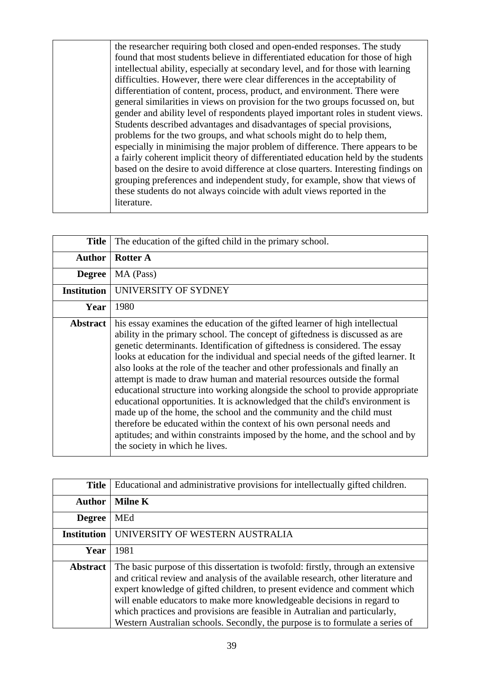the researcher requiring both closed and open-ended responses. The study found that most students believe in differentiated education for those of high intellectual ability, especially at secondary level, and for those with learning difficulties. However, there were clear differences in the acceptability of differentiation of content, process, product, and environment. There were general similarities in views on provision for the two groups focussed on, but gender and ability level of respondents played important roles in student views. Students described advantages and disadvantages of special provisions, problems for the two groups, and what schools might do to help them, especially in minimising the major problem of difference. There appears to be a fairly coherent implicit theory of differentiated education held by the students based on the desire to avoid difference at close quarters. Interesting findings on grouping preferences and independent study, for example, show that views of these students do not always coincide with adult views reported in the literature.

| <b>Title</b>       | The education of the gifted child in the primary school.                                                                                                                                                                                                                                                                                                                                                                                                                                                                                                                                                                                                                                                                                                                                                                                                                                                                          |
|--------------------|-----------------------------------------------------------------------------------------------------------------------------------------------------------------------------------------------------------------------------------------------------------------------------------------------------------------------------------------------------------------------------------------------------------------------------------------------------------------------------------------------------------------------------------------------------------------------------------------------------------------------------------------------------------------------------------------------------------------------------------------------------------------------------------------------------------------------------------------------------------------------------------------------------------------------------------|
| <b>Author</b>      | <b>Rotter A</b>                                                                                                                                                                                                                                                                                                                                                                                                                                                                                                                                                                                                                                                                                                                                                                                                                                                                                                                   |
| <b>Degree</b>      | MA (Pass)                                                                                                                                                                                                                                                                                                                                                                                                                                                                                                                                                                                                                                                                                                                                                                                                                                                                                                                         |
| <b>Institution</b> | UNIVERSITY OF SYDNEY                                                                                                                                                                                                                                                                                                                                                                                                                                                                                                                                                                                                                                                                                                                                                                                                                                                                                                              |
| Year               | 1980                                                                                                                                                                                                                                                                                                                                                                                                                                                                                                                                                                                                                                                                                                                                                                                                                                                                                                                              |
| <b>Abstract</b>    | his essay examines the education of the gifted learner of high intellectual<br>ability in the primary school. The concept of giftedness is discussed as are<br>genetic determinants. Identification of giftedness is considered. The essay<br>looks at education for the individual and special needs of the gifted learner. It<br>also looks at the role of the teacher and other professionals and finally an<br>attempt is made to draw human and material resources outside the formal<br>educational structure into working alongside the school to provide appropriate<br>educational opportunities. It is acknowledged that the child's environment is<br>made up of the home, the school and the community and the child must<br>therefore be educated within the context of his own personal needs and<br>aptitudes; and within constraints imposed by the home, and the school and by<br>the society in which he lives. |

| <b>Title</b>       | Educational and administrative provisions for intellectually gifted children.                                                                                                                                                                                                                                                                                                                                                                                                                |
|--------------------|----------------------------------------------------------------------------------------------------------------------------------------------------------------------------------------------------------------------------------------------------------------------------------------------------------------------------------------------------------------------------------------------------------------------------------------------------------------------------------------------|
| <b>Author</b>      | <b>Milne K</b>                                                                                                                                                                                                                                                                                                                                                                                                                                                                               |
| <b>Degree</b>      | <b>MEd</b>                                                                                                                                                                                                                                                                                                                                                                                                                                                                                   |
| <b>Institution</b> | UNIVERSITY OF WESTERN AUSTRALIA                                                                                                                                                                                                                                                                                                                                                                                                                                                              |
| Year               | 1981                                                                                                                                                                                                                                                                                                                                                                                                                                                                                         |
| <b>Abstract</b>    | The basic purpose of this dissertation is twofold: firstly, through an extensive<br>and critical review and analysis of the available research, other literature and<br>expert knowledge of gifted children, to present evidence and comment which<br>will enable educators to make more knowledgeable decisions in regard to<br>which practices and provisions are feasible in Autralian and particularly,<br>Western Australian schools. Secondly, the purpose is to formulate a series of |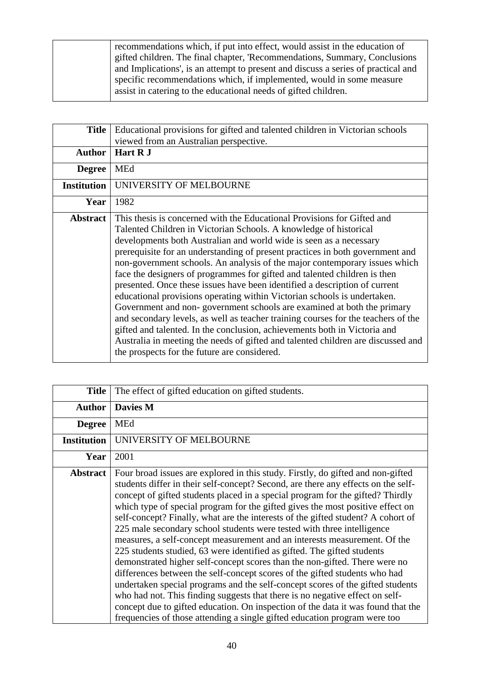recommendations which, if put into effect, would assist in the education of gifted children. The final chapter, 'Recommendations, Summary, Conclusions and Implications', is an attempt to present and discuss a series of practical and specific recommendations which, if implemented, would in some measure assist in catering to the educational needs of gifted children.

| <b>Title</b>       | Educational provisions for gifted and talented children in Victorian schools<br>viewed from an Australian perspective.                                                                                                                                                                                                                                                                                                                                                                                                                                                                                                                                                                                                                                                                                                                                                                                                                                                                                   |
|--------------------|----------------------------------------------------------------------------------------------------------------------------------------------------------------------------------------------------------------------------------------------------------------------------------------------------------------------------------------------------------------------------------------------------------------------------------------------------------------------------------------------------------------------------------------------------------------------------------------------------------------------------------------------------------------------------------------------------------------------------------------------------------------------------------------------------------------------------------------------------------------------------------------------------------------------------------------------------------------------------------------------------------|
| <b>Author</b>      | Hart R J                                                                                                                                                                                                                                                                                                                                                                                                                                                                                                                                                                                                                                                                                                                                                                                                                                                                                                                                                                                                 |
| <b>Degree</b>      | <b>MEd</b>                                                                                                                                                                                                                                                                                                                                                                                                                                                                                                                                                                                                                                                                                                                                                                                                                                                                                                                                                                                               |
| <b>Institution</b> | UNIVERSITY OF MELBOURNE                                                                                                                                                                                                                                                                                                                                                                                                                                                                                                                                                                                                                                                                                                                                                                                                                                                                                                                                                                                  |
| Year               | 1982                                                                                                                                                                                                                                                                                                                                                                                                                                                                                                                                                                                                                                                                                                                                                                                                                                                                                                                                                                                                     |
| <b>Abstract</b>    | This thesis is concerned with the Educational Provisions for Gifted and<br>Talented Children in Victorian Schools. A knowledge of historical<br>developments both Australian and world wide is seen as a necessary<br>prerequisite for an understanding of present practices in both government and<br>non-government schools. An analysis of the major contemporary issues which<br>face the designers of programmes for gifted and talented children is then<br>presented. Once these issues have been identified a description of current<br>educational provisions operating within Victorian schools is undertaken.<br>Government and non-government schools are examined at both the primary<br>and secondary levels, as well as teacher training courses for the teachers of the<br>gifted and talented. In the conclusion, achievements both in Victoria and<br>Australia in meeting the needs of gifted and talented children are discussed and<br>the prospects for the future are considered. |

| <b>Title</b>       | The effect of gifted education on gifted students.                                                                                                                                                                                                                                                                                                                                                                                                                                                                                                                                                                                                                                                                                                                                                                                                                                                                                                                                                                                                                                                                                                            |
|--------------------|---------------------------------------------------------------------------------------------------------------------------------------------------------------------------------------------------------------------------------------------------------------------------------------------------------------------------------------------------------------------------------------------------------------------------------------------------------------------------------------------------------------------------------------------------------------------------------------------------------------------------------------------------------------------------------------------------------------------------------------------------------------------------------------------------------------------------------------------------------------------------------------------------------------------------------------------------------------------------------------------------------------------------------------------------------------------------------------------------------------------------------------------------------------|
| <b>Author</b>      | <b>Davies M</b>                                                                                                                                                                                                                                                                                                                                                                                                                                                                                                                                                                                                                                                                                                                                                                                                                                                                                                                                                                                                                                                                                                                                               |
| <b>Degree</b>      | MEd                                                                                                                                                                                                                                                                                                                                                                                                                                                                                                                                                                                                                                                                                                                                                                                                                                                                                                                                                                                                                                                                                                                                                           |
| <b>Institution</b> | UNIVERSITY OF MELBOURNE                                                                                                                                                                                                                                                                                                                                                                                                                                                                                                                                                                                                                                                                                                                                                                                                                                                                                                                                                                                                                                                                                                                                       |
| Year               | 2001                                                                                                                                                                                                                                                                                                                                                                                                                                                                                                                                                                                                                                                                                                                                                                                                                                                                                                                                                                                                                                                                                                                                                          |
| <b>Abstract</b>    | Four broad issues are explored in this study. Firstly, do gifted and non-gifted<br>students differ in their self-concept? Second, are there any effects on the self-<br>concept of gifted students placed in a special program for the gifted? Thirdly<br>which type of special program for the gifted gives the most positive effect on<br>self-concept? Finally, what are the interests of the gifted student? A cohort of<br>225 male secondary school students were tested with three intelligence<br>measures, a self-concept measurement and an interests measurement. Of the<br>225 students studied, 63 were identified as gifted. The gifted students<br>demonstrated higher self-concept scores than the non-gifted. There were no<br>differences between the self-concept scores of the gifted students who had<br>undertaken special programs and the self-concept scores of the gifted students<br>who had not. This finding suggests that there is no negative effect on self-<br>concept due to gifted education. On inspection of the data it was found that the<br>frequencies of those attending a single gifted education program were too |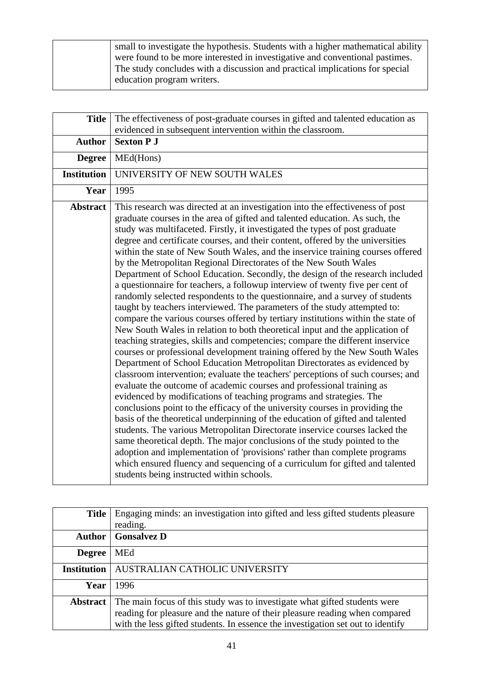| small to investigate the hypothesis. Students with a higher mathematical ability |
|----------------------------------------------------------------------------------|
| were found to be more interested in investigative and conventional pastimes.     |
| The study concludes with a discussion and practical implications for special     |
| education program writers.                                                       |

| <b>Title</b>       | The effectiveness of post-graduate courses in gifted and talented education as<br>evidenced in subsequent intervention within the classroom.                                                                                                                                                                                                                                                                                                                                                                                                                                                                                                                                                                                                                                                                                                                                                                                                                                                                                                                                                                                                                                                                                                                                                                                                                                                                                                                                                                                                                                                                                                                                                                                                                                                                                                                                                                                                                                                                  |
|--------------------|---------------------------------------------------------------------------------------------------------------------------------------------------------------------------------------------------------------------------------------------------------------------------------------------------------------------------------------------------------------------------------------------------------------------------------------------------------------------------------------------------------------------------------------------------------------------------------------------------------------------------------------------------------------------------------------------------------------------------------------------------------------------------------------------------------------------------------------------------------------------------------------------------------------------------------------------------------------------------------------------------------------------------------------------------------------------------------------------------------------------------------------------------------------------------------------------------------------------------------------------------------------------------------------------------------------------------------------------------------------------------------------------------------------------------------------------------------------------------------------------------------------------------------------------------------------------------------------------------------------------------------------------------------------------------------------------------------------------------------------------------------------------------------------------------------------------------------------------------------------------------------------------------------------------------------------------------------------------------------------------------------------|
| <b>Author</b>      | <b>Sexton P J</b>                                                                                                                                                                                                                                                                                                                                                                                                                                                                                                                                                                                                                                                                                                                                                                                                                                                                                                                                                                                                                                                                                                                                                                                                                                                                                                                                                                                                                                                                                                                                                                                                                                                                                                                                                                                                                                                                                                                                                                                             |
| <b>Degree</b>      | MEd(Hons)                                                                                                                                                                                                                                                                                                                                                                                                                                                                                                                                                                                                                                                                                                                                                                                                                                                                                                                                                                                                                                                                                                                                                                                                                                                                                                                                                                                                                                                                                                                                                                                                                                                                                                                                                                                                                                                                                                                                                                                                     |
| <b>Institution</b> | UNIVERSITY OF NEW SOUTH WALES                                                                                                                                                                                                                                                                                                                                                                                                                                                                                                                                                                                                                                                                                                                                                                                                                                                                                                                                                                                                                                                                                                                                                                                                                                                                                                                                                                                                                                                                                                                                                                                                                                                                                                                                                                                                                                                                                                                                                                                 |
| Year               | 1995                                                                                                                                                                                                                                                                                                                                                                                                                                                                                                                                                                                                                                                                                                                                                                                                                                                                                                                                                                                                                                                                                                                                                                                                                                                                                                                                                                                                                                                                                                                                                                                                                                                                                                                                                                                                                                                                                                                                                                                                          |
| <b>Abstract</b>    | This research was directed at an investigation into the effectiveness of post<br>graduate courses in the area of gifted and talented education. As such, the<br>study was multifaceted. Firstly, it investigated the types of post graduate<br>degree and certificate courses, and their content, offered by the universities<br>within the state of New South Wales, and the inservice training courses offered<br>by the Metropolitan Regional Directorates of the New South Wales<br>Department of School Education. Secondly, the design of the research included<br>a questionnaire for teachers, a followup interview of twenty five per cent of<br>randomly selected respondents to the questionnaire, and a survey of students<br>taught by teachers interviewed. The parameters of the study attempted to:<br>compare the various courses offered by tertiary institutions within the state of<br>New South Wales in relation to both theoretical input and the application of<br>teaching strategies, skills and competencies; compare the different inservice<br>courses or professional development training offered by the New South Wales<br>Department of School Education Metropolitan Directorates as evidenced by<br>classroom intervention; evaluate the teachers' perceptions of such courses; and<br>evaluate the outcome of academic courses and professional training as<br>evidenced by modifications of teaching programs and strategies. The<br>conclusions point to the efficacy of the university courses in providing the<br>basis of the theoretical underpinning of the education of gifted and talented<br>students. The various Metropolitan Directorate inservice courses lacked the<br>same theoretical depth. The major conclusions of the study pointed to the<br>adoption and implementation of 'provisions' rather than complete programs<br>which ensured fluency and sequencing of a curriculum for gifted and talented<br>students being instructed within schools. |

| <b>Title</b>       | Engaging minds: an investigation into gifted and less gifted students pleasure  |
|--------------------|---------------------------------------------------------------------------------|
|                    | reading.                                                                        |
| <b>Author</b>      | <b>Gonsalvez D</b>                                                              |
| <b>Degree</b>      | <b>MEd</b>                                                                      |
| <b>Institution</b> | AUSTRALIAN CATHOLIC UNIVERSITY                                                  |
| Year               | 1996                                                                            |
| <b>Abstract</b>    | The main focus of this study was to investigate what gifted students were       |
|                    | reading for pleasure and the nature of their pleasure reading when compared     |
|                    | with the less gifted students. In essence the investigation set out to identify |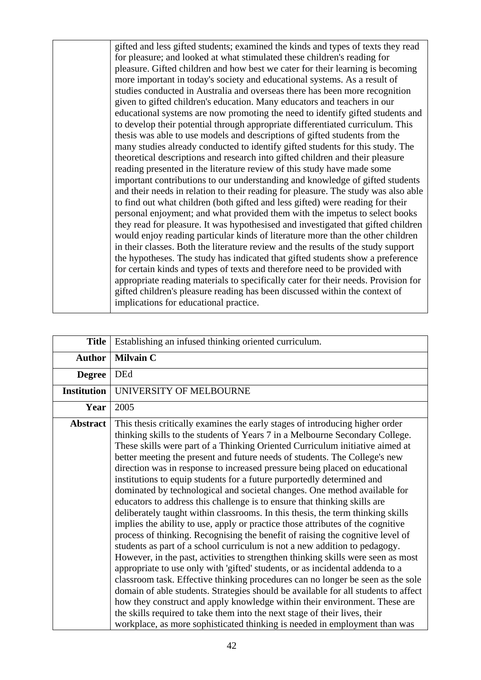gifted and less gifted students; examined the kinds and types of texts they read for pleasure; and looked at what stimulated these children's reading for pleasure. Gifted children and how best we cater for their learning is becoming more important in today's society and educational systems. As a result of studies conducted in Australia and overseas there has been more recognition given to gifted children's education. Many educators and teachers in our educational systems are now promoting the need to identify gifted students and to develop their potential through appropriate differentiated curriculum. This thesis was able to use models and descriptions of gifted students from the many studies already conducted to identify gifted students for this study. The theoretical descriptions and research into gifted children and their pleasure reading presented in the literature review of this study have made some important contributions to our understanding and knowledge of gifted students and their needs in relation to their reading for pleasure. The study was also able to find out what children (both gifted and less gifted) were reading for their personal enjoyment; and what provided them with the impetus to select books they read for pleasure. It was hypothesised and investigated that gifted children would enjoy reading particular kinds of literature more than the other children in their classes. Both the literature review and the results of the study support the hypotheses. The study has indicated that gifted students show a preference for certain kinds and types of texts and therefore need to be provided with appropriate reading materials to specifically cater for their needs. Provision for gifted children's pleasure reading has been discussed within the context of implications for educational practice.

| <b>Title</b>       | Establishing an infused thinking oriented curriculum.                                                                                                                                                                                                                                                                                                                                                                                                                                                                                                                                                                                                                                                                                                                                                                                                                                                                                                                                                                                                                                                                                                                                                                                                                                                                                                                                                                                                                                                                                                                       |
|--------------------|-----------------------------------------------------------------------------------------------------------------------------------------------------------------------------------------------------------------------------------------------------------------------------------------------------------------------------------------------------------------------------------------------------------------------------------------------------------------------------------------------------------------------------------------------------------------------------------------------------------------------------------------------------------------------------------------------------------------------------------------------------------------------------------------------------------------------------------------------------------------------------------------------------------------------------------------------------------------------------------------------------------------------------------------------------------------------------------------------------------------------------------------------------------------------------------------------------------------------------------------------------------------------------------------------------------------------------------------------------------------------------------------------------------------------------------------------------------------------------------------------------------------------------------------------------------------------------|
|                    |                                                                                                                                                                                                                                                                                                                                                                                                                                                                                                                                                                                                                                                                                                                                                                                                                                                                                                                                                                                                                                                                                                                                                                                                                                                                                                                                                                                                                                                                                                                                                                             |
| <b>Author</b>      | <b>Milvain C</b>                                                                                                                                                                                                                                                                                                                                                                                                                                                                                                                                                                                                                                                                                                                                                                                                                                                                                                                                                                                                                                                                                                                                                                                                                                                                                                                                                                                                                                                                                                                                                            |
| <b>Degree</b>      | <b>DEd</b>                                                                                                                                                                                                                                                                                                                                                                                                                                                                                                                                                                                                                                                                                                                                                                                                                                                                                                                                                                                                                                                                                                                                                                                                                                                                                                                                                                                                                                                                                                                                                                  |
| <b>Institution</b> | UNIVERSITY OF MELBOURNE                                                                                                                                                                                                                                                                                                                                                                                                                                                                                                                                                                                                                                                                                                                                                                                                                                                                                                                                                                                                                                                                                                                                                                                                                                                                                                                                                                                                                                                                                                                                                     |
| Year               | 2005                                                                                                                                                                                                                                                                                                                                                                                                                                                                                                                                                                                                                                                                                                                                                                                                                                                                                                                                                                                                                                                                                                                                                                                                                                                                                                                                                                                                                                                                                                                                                                        |
| <b>Abstract</b>    | This thesis critically examines the early stages of introducing higher order<br>thinking skills to the students of Years 7 in a Melbourne Secondary College.<br>These skills were part of a Thinking Oriented Curriculum initiative aimed at<br>better meeting the present and future needs of students. The College's new<br>direction was in response to increased pressure being placed on educational<br>institutions to equip students for a future purportedly determined and<br>dominated by technological and societal changes. One method available for<br>educators to address this challenge is to ensure that thinking skills are<br>deliberately taught within classrooms. In this thesis, the term thinking skills<br>implies the ability to use, apply or practice those attributes of the cognitive<br>process of thinking. Recognising the benefit of raising the cognitive level of<br>students as part of a school curriculum is not a new addition to pedagogy.<br>However, in the past, activities to strengthen thinking skills were seen as most<br>appropriate to use only with 'gifted' students, or as incidental addenda to a<br>classroom task. Effective thinking procedures can no longer be seen as the sole<br>domain of able students. Strategies should be available for all students to affect<br>how they construct and apply knowledge within their environment. These are<br>the skills required to take them into the next stage of their lives, their<br>workplace, as more sophisticated thinking is needed in employment than was |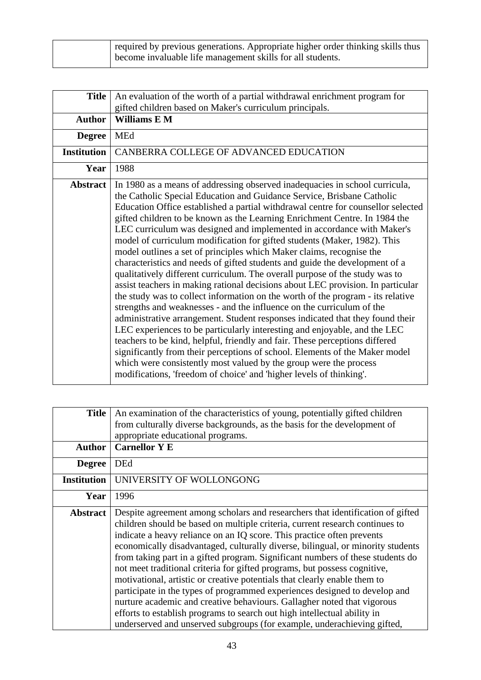| required by previous generations. Appropriate higher order thinking skills thus |
|---------------------------------------------------------------------------------|
| become invaluable life management skills for all students.                      |

| <b>Title</b>       | An evaluation of the worth of a partial withdrawal enrichment program for                                                                                                                                                                                                                                                                                                                                                                                                                                                                                                                                                                                                                                                                                                                                                                                                                                                                                                                                                                                                                                                                                                                                                                                                                                                                                                                                                                  |
|--------------------|--------------------------------------------------------------------------------------------------------------------------------------------------------------------------------------------------------------------------------------------------------------------------------------------------------------------------------------------------------------------------------------------------------------------------------------------------------------------------------------------------------------------------------------------------------------------------------------------------------------------------------------------------------------------------------------------------------------------------------------------------------------------------------------------------------------------------------------------------------------------------------------------------------------------------------------------------------------------------------------------------------------------------------------------------------------------------------------------------------------------------------------------------------------------------------------------------------------------------------------------------------------------------------------------------------------------------------------------------------------------------------------------------------------------------------------------|
|                    | gifted children based on Maker's curriculum principals.                                                                                                                                                                                                                                                                                                                                                                                                                                                                                                                                                                                                                                                                                                                                                                                                                                                                                                                                                                                                                                                                                                                                                                                                                                                                                                                                                                                    |
| <b>Author</b>      | Williams E M                                                                                                                                                                                                                                                                                                                                                                                                                                                                                                                                                                                                                                                                                                                                                                                                                                                                                                                                                                                                                                                                                                                                                                                                                                                                                                                                                                                                                               |
| <b>Degree</b>      | <b>MEd</b>                                                                                                                                                                                                                                                                                                                                                                                                                                                                                                                                                                                                                                                                                                                                                                                                                                                                                                                                                                                                                                                                                                                                                                                                                                                                                                                                                                                                                                 |
| <b>Institution</b> | CANBERRA COLLEGE OF ADVANCED EDUCATION                                                                                                                                                                                                                                                                                                                                                                                                                                                                                                                                                                                                                                                                                                                                                                                                                                                                                                                                                                                                                                                                                                                                                                                                                                                                                                                                                                                                     |
| Year               | 1988                                                                                                                                                                                                                                                                                                                                                                                                                                                                                                                                                                                                                                                                                                                                                                                                                                                                                                                                                                                                                                                                                                                                                                                                                                                                                                                                                                                                                                       |
| <b>Abstract</b>    | In 1980 as a means of addressing observed inadequacies in school curricula,<br>the Catholic Special Education and Guidance Service, Brisbane Catholic<br>Education Office established a partial withdrawal centre for counsellor selected<br>gifted children to be known as the Learning Enrichment Centre. In 1984 the<br>LEC curriculum was designed and implemented in accordance with Maker's<br>model of curriculum modification for gifted students (Maker, 1982). This<br>model outlines a set of principles which Maker claims, recognise the<br>characteristics and needs of gifted students and guide the development of a<br>qualitatively different curriculum. The overall purpose of the study was to<br>assist teachers in making rational decisions about LEC provision. In particular<br>the study was to collect information on the worth of the program - its relative<br>strengths and weaknesses - and the influence on the curriculum of the<br>administrative arrangement. Student responses indicated that they found their<br>LEC experiences to be particularly interesting and enjoyable, and the LEC<br>teachers to be kind, helpful, friendly and fair. These perceptions differed<br>significantly from their perceptions of school. Elements of the Maker model<br>which were consistently most valued by the group were the process<br>modifications, 'freedom of choice' and 'higher levels of thinking'. |

| <b>Title</b>       | An examination of the characteristics of young, potentially gifted children<br>from culturally diverse backgrounds, as the basis for the development of<br>appropriate educational programs.                                                                                                                                                                                                                                                                                                                                                                                                                                                                                                                                                                                                                                                                                            |
|--------------------|-----------------------------------------------------------------------------------------------------------------------------------------------------------------------------------------------------------------------------------------------------------------------------------------------------------------------------------------------------------------------------------------------------------------------------------------------------------------------------------------------------------------------------------------------------------------------------------------------------------------------------------------------------------------------------------------------------------------------------------------------------------------------------------------------------------------------------------------------------------------------------------------|
| <b>Author</b>      | <b>Carnellor Y E</b>                                                                                                                                                                                                                                                                                                                                                                                                                                                                                                                                                                                                                                                                                                                                                                                                                                                                    |
| <b>Degree</b>      | <b>DEd</b>                                                                                                                                                                                                                                                                                                                                                                                                                                                                                                                                                                                                                                                                                                                                                                                                                                                                              |
| <b>Institution</b> | UNIVERSITY OF WOLLONGONG                                                                                                                                                                                                                                                                                                                                                                                                                                                                                                                                                                                                                                                                                                                                                                                                                                                                |
| Year               | 1996                                                                                                                                                                                                                                                                                                                                                                                                                                                                                                                                                                                                                                                                                                                                                                                                                                                                                    |
| <b>Abstract</b>    | Despite agreement among scholars and researchers that identification of gifted<br>children should be based on multiple criteria, current research continues to<br>indicate a heavy reliance on an IQ score. This practice often prevents<br>economically disadvantaged, culturally diverse, bilingual, or minority students<br>from taking part in a gifted program. Significant numbers of these students do<br>not meet traditional criteria for gifted programs, but possess cognitive,<br>motivational, artistic or creative potentials that clearly enable them to<br>participate in the types of programmed experiences designed to develop and<br>nurture academic and creative behaviours. Gallagher noted that vigorous<br>efforts to establish programs to search out high intellectual ability in<br>underserved and unserved subgroups (for example, underachieving gifted, |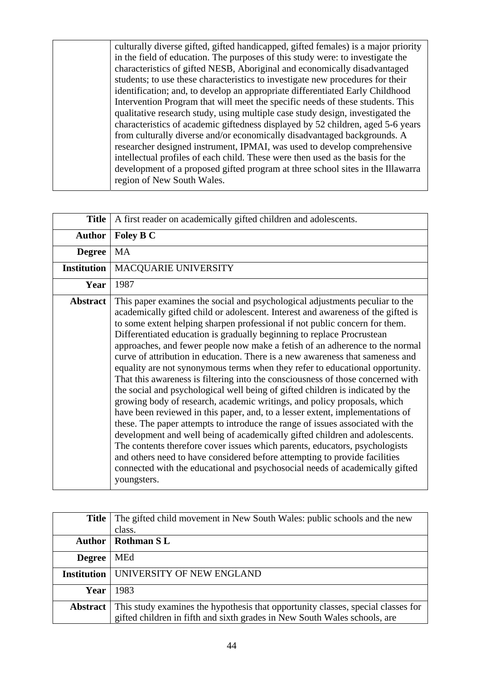culturally diverse gifted, gifted handicapped, gifted females) is a major priority in the field of education. The purposes of this study were: to investigate the characteristics of gifted NESB, Aboriginal and economically disadvantaged students; to use these characteristics to investigate new procedures for their identification; and, to develop an appropriate differentiated Early Childhood Intervention Program that will meet the specific needs of these students. This qualitative research study, using multiple case study design, investigated the characteristics of academic giftedness displayed by 52 children, aged 5-6 years from culturally diverse and/or economically disadvantaged backgrounds. A researcher designed instrument, IPMAI, was used to develop comprehensive intellectual profiles of each child. These were then used as the basis for the development of a proposed gifted program at three school sites in the Illawarra region of New South Wales.

| <b>Title</b>       | A first reader on academically gifted children and adolescents.                                                                                                                                                                                                                                                                                                                                                                                                                                                                                                                                                                                                                                                                                                                                                                                                                                                                                                                                                                                                                                                                                                                                                                                                                                                                            |
|--------------------|--------------------------------------------------------------------------------------------------------------------------------------------------------------------------------------------------------------------------------------------------------------------------------------------------------------------------------------------------------------------------------------------------------------------------------------------------------------------------------------------------------------------------------------------------------------------------------------------------------------------------------------------------------------------------------------------------------------------------------------------------------------------------------------------------------------------------------------------------------------------------------------------------------------------------------------------------------------------------------------------------------------------------------------------------------------------------------------------------------------------------------------------------------------------------------------------------------------------------------------------------------------------------------------------------------------------------------------------|
| <b>Author</b>      | Foley B C                                                                                                                                                                                                                                                                                                                                                                                                                                                                                                                                                                                                                                                                                                                                                                                                                                                                                                                                                                                                                                                                                                                                                                                                                                                                                                                                  |
| <b>Degree</b>      | <b>MA</b>                                                                                                                                                                                                                                                                                                                                                                                                                                                                                                                                                                                                                                                                                                                                                                                                                                                                                                                                                                                                                                                                                                                                                                                                                                                                                                                                  |
| <b>Institution</b> | MACQUARIE UNIVERSITY                                                                                                                                                                                                                                                                                                                                                                                                                                                                                                                                                                                                                                                                                                                                                                                                                                                                                                                                                                                                                                                                                                                                                                                                                                                                                                                       |
| Year               | 1987                                                                                                                                                                                                                                                                                                                                                                                                                                                                                                                                                                                                                                                                                                                                                                                                                                                                                                                                                                                                                                                                                                                                                                                                                                                                                                                                       |
| <b>Abstract</b>    | This paper examines the social and psychological adjustments peculiar to the<br>academically gifted child or adolescent. Interest and awareness of the gifted is<br>to some extent helping sharpen professional if not public concern for them.<br>Differentiated education is gradually beginning to replace Procrustean<br>approaches, and fewer people now make a fetish of an adherence to the normal<br>curve of attribution in education. There is a new awareness that sameness and<br>equality are not synonymous terms when they refer to educational opportunity.<br>That this awareness is filtering into the consciousness of those concerned with<br>the social and psychological well being of gifted children is indicated by the<br>growing body of research, academic writings, and policy proposals, which<br>have been reviewed in this paper, and, to a lesser extent, implementations of<br>these. The paper attempts to introduce the range of issues associated with the<br>development and well being of academically gifted children and adolescents.<br>The contents therefore cover issues which parents, educators, psychologists<br>and others need to have considered before attempting to provide facilities<br>connected with the educational and psychosocial needs of academically gifted<br>youngsters. |

|                 | <b>Title</b> The gifted child movement in New South Wales: public schools and the new |
|-----------------|---------------------------------------------------------------------------------------|
|                 | class.                                                                                |
|                 | Author   Rothman S L                                                                  |
| <b>Degree</b>   | MEd                                                                                   |
|                 | <b>Institution   UNIVERSITY OF NEW ENGLAND</b>                                        |
| Year            | 1983                                                                                  |
| <b>Abstract</b> | This study examines the hypothesis that opportunity classes, special classes for      |
|                 | gifted children in fifth and sixth grades in New South Wales schools, are             |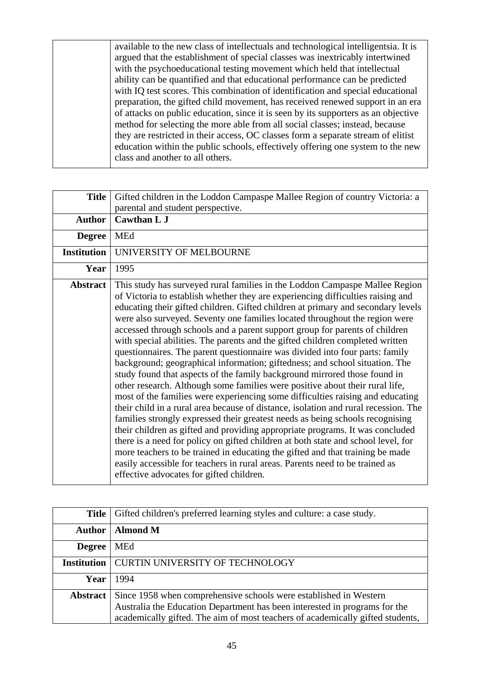available to the new class of intellectuals and technological intelligentsia. It is argued that the establishment of special classes was inextricably intertwined with the psychoeducational testing movement which held that intellectual ability can be quantified and that educational performance can be predicted with IQ test scores. This combination of identification and special educational preparation, the gifted child movement, has received renewed support in an era of attacks on public education, since it is seen by its supporters as an objective method for selecting the more able from all social classes; instead, because they are restricted in their access, OC classes form a separate stream of elitist education within the public schools, effectively offering one system to the new class and another to all others.

| <b>Title</b>       | Gifted children in the Loddon Campaspe Mallee Region of country Victoria: a<br>parental and student perspective.                                                                                                                                                                                                                                                                                                                                                                                                                                                                                                                                                                                                                                                                                                                                                                                                                                                                                                                                                                                                                                                                                                                                                                                                                                                                                                                                                           |
|--------------------|----------------------------------------------------------------------------------------------------------------------------------------------------------------------------------------------------------------------------------------------------------------------------------------------------------------------------------------------------------------------------------------------------------------------------------------------------------------------------------------------------------------------------------------------------------------------------------------------------------------------------------------------------------------------------------------------------------------------------------------------------------------------------------------------------------------------------------------------------------------------------------------------------------------------------------------------------------------------------------------------------------------------------------------------------------------------------------------------------------------------------------------------------------------------------------------------------------------------------------------------------------------------------------------------------------------------------------------------------------------------------------------------------------------------------------------------------------------------------|
| <b>Author</b>      | <b>Cawthan L J</b>                                                                                                                                                                                                                                                                                                                                                                                                                                                                                                                                                                                                                                                                                                                                                                                                                                                                                                                                                                                                                                                                                                                                                                                                                                                                                                                                                                                                                                                         |
| <b>Degree</b>      | MEd                                                                                                                                                                                                                                                                                                                                                                                                                                                                                                                                                                                                                                                                                                                                                                                                                                                                                                                                                                                                                                                                                                                                                                                                                                                                                                                                                                                                                                                                        |
| <b>Institution</b> | UNIVERSITY OF MELBOURNE                                                                                                                                                                                                                                                                                                                                                                                                                                                                                                                                                                                                                                                                                                                                                                                                                                                                                                                                                                                                                                                                                                                                                                                                                                                                                                                                                                                                                                                    |
| Year               | 1995                                                                                                                                                                                                                                                                                                                                                                                                                                                                                                                                                                                                                                                                                                                                                                                                                                                                                                                                                                                                                                                                                                                                                                                                                                                                                                                                                                                                                                                                       |
| <b>Abstract</b>    | This study has surveyed rural families in the Loddon Campaspe Mallee Region<br>of Victoria to establish whether they are experiencing difficulties raising and<br>educating their gifted children. Gifted children at primary and secondary levels<br>were also surveyed. Seventy one families located throughout the region were<br>accessed through schools and a parent support group for parents of children<br>with special abilities. The parents and the gifted children completed written<br>questionnaires. The parent questionnaire was divided into four parts: family<br>background; geographical information; giftedness; and school situation. The<br>study found that aspects of the family background mirrored those found in<br>other research. Although some families were positive about their rural life,<br>most of the families were experiencing some difficulties raising and educating<br>their child in a rural area because of distance, isolation and rural recession. The<br>families strongly expressed their greatest needs as being schools recognising<br>their children as gifted and providing appropriate programs. It was concluded<br>there is a need for policy on gifted children at both state and school level, for<br>more teachers to be trained in educating the gifted and that training be made<br>easily accessible for teachers in rural areas. Parents need to be trained as<br>effective advocates for gifted children. |

| <b>Title</b>       | Gifted children's preferred learning styles and culture: a case study.                                                                                                                                                            |
|--------------------|-----------------------------------------------------------------------------------------------------------------------------------------------------------------------------------------------------------------------------------|
| <b>Author</b>      | <b>Almond M</b>                                                                                                                                                                                                                   |
| <b>Degree</b>      | <b>MEd</b>                                                                                                                                                                                                                        |
| <b>Institution</b> | <b>CURTIN UNIVERSITY OF TECHNOLOGY</b>                                                                                                                                                                                            |
| Year               | 1994                                                                                                                                                                                                                              |
| <b>Abstract</b>    | Since 1958 when comprehensive schools were established in Western<br>Australia the Education Department has been interested in programs for the<br>academically gifted. The aim of most teachers of academically gifted students, |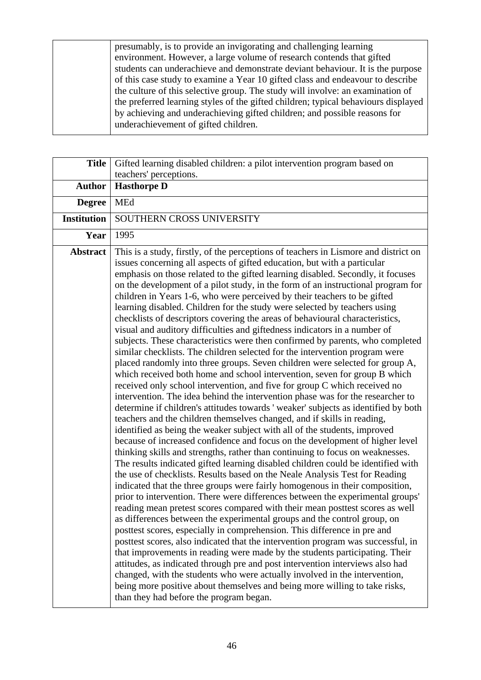presumably, is to provide an invigorating and challenging learning environment. However, a large volume of research contends that gifted students can underachieve and demonstrate deviant behaviour. It is the purpose of this case study to examine a Year 10 gifted class and endeavour to describe the culture of this selective group. The study will involve: an examination of the preferred learning styles of the gifted children; typical behaviours displayed by achieving and underachieving gifted children; and possible reasons for underachievement of gifted children.

| <b>Title</b>       | Gifted learning disabled children: a pilot intervention program based on                                                                                                                                                                                                                                                                                                                                                                                                                                                                                                                                                                                                                                                                                                                                                                                                                                                                                                                                                                                                                                                                                                                                                                                                                                                                                                                                                                                                                                                                                                                                                                                                                                                                                                                                                                                                                                                                                                                                                                                                                                                                                                                                                                                                                                                                                                                                                                                                                                                                                                                                        |
|--------------------|-----------------------------------------------------------------------------------------------------------------------------------------------------------------------------------------------------------------------------------------------------------------------------------------------------------------------------------------------------------------------------------------------------------------------------------------------------------------------------------------------------------------------------------------------------------------------------------------------------------------------------------------------------------------------------------------------------------------------------------------------------------------------------------------------------------------------------------------------------------------------------------------------------------------------------------------------------------------------------------------------------------------------------------------------------------------------------------------------------------------------------------------------------------------------------------------------------------------------------------------------------------------------------------------------------------------------------------------------------------------------------------------------------------------------------------------------------------------------------------------------------------------------------------------------------------------------------------------------------------------------------------------------------------------------------------------------------------------------------------------------------------------------------------------------------------------------------------------------------------------------------------------------------------------------------------------------------------------------------------------------------------------------------------------------------------------------------------------------------------------------------------------------------------------------------------------------------------------------------------------------------------------------------------------------------------------------------------------------------------------------------------------------------------------------------------------------------------------------------------------------------------------------------------------------------------------------------------------------------------------|
|                    | teachers' perceptions.                                                                                                                                                                                                                                                                                                                                                                                                                                                                                                                                                                                                                                                                                                                                                                                                                                                                                                                                                                                                                                                                                                                                                                                                                                                                                                                                                                                                                                                                                                                                                                                                                                                                                                                                                                                                                                                                                                                                                                                                                                                                                                                                                                                                                                                                                                                                                                                                                                                                                                                                                                                          |
| <b>Author</b>      | <b>Hasthorpe D</b>                                                                                                                                                                                                                                                                                                                                                                                                                                                                                                                                                                                                                                                                                                                                                                                                                                                                                                                                                                                                                                                                                                                                                                                                                                                                                                                                                                                                                                                                                                                                                                                                                                                                                                                                                                                                                                                                                                                                                                                                                                                                                                                                                                                                                                                                                                                                                                                                                                                                                                                                                                                              |
| <b>Degree</b>      | MEd                                                                                                                                                                                                                                                                                                                                                                                                                                                                                                                                                                                                                                                                                                                                                                                                                                                                                                                                                                                                                                                                                                                                                                                                                                                                                                                                                                                                                                                                                                                                                                                                                                                                                                                                                                                                                                                                                                                                                                                                                                                                                                                                                                                                                                                                                                                                                                                                                                                                                                                                                                                                             |
| <b>Institution</b> | SOUTHERN CROSS UNIVERSITY                                                                                                                                                                                                                                                                                                                                                                                                                                                                                                                                                                                                                                                                                                                                                                                                                                                                                                                                                                                                                                                                                                                                                                                                                                                                                                                                                                                                                                                                                                                                                                                                                                                                                                                                                                                                                                                                                                                                                                                                                                                                                                                                                                                                                                                                                                                                                                                                                                                                                                                                                                                       |
| Year               | 1995                                                                                                                                                                                                                                                                                                                                                                                                                                                                                                                                                                                                                                                                                                                                                                                                                                                                                                                                                                                                                                                                                                                                                                                                                                                                                                                                                                                                                                                                                                                                                                                                                                                                                                                                                                                                                                                                                                                                                                                                                                                                                                                                                                                                                                                                                                                                                                                                                                                                                                                                                                                                            |
| <b>Abstract</b>    | This is a study, firstly, of the perceptions of teachers in Lismore and district on<br>issues concerning all aspects of gifted education, but with a particular<br>emphasis on those related to the gifted learning disabled. Secondly, it focuses<br>on the development of a pilot study, in the form of an instructional program for<br>children in Years 1-6, who were perceived by their teachers to be gifted<br>learning disabled. Children for the study were selected by teachers using<br>checklists of descriptors covering the areas of behavioural characteristics,<br>visual and auditory difficulties and giftedness indicators in a number of<br>subjects. These characteristics were then confirmed by parents, who completed<br>similar checklists. The children selected for the intervention program were<br>placed randomly into three groups. Seven children were selected for group A,<br>which received both home and school intervention, seven for group B which<br>received only school intervention, and five for group C which received no<br>intervention. The idea behind the intervention phase was for the researcher to<br>determine if children's attitudes towards ' weaker' subjects as identified by both<br>teachers and the children themselves changed, and if skills in reading,<br>identified as being the weaker subject with all of the students, improved<br>because of increased confidence and focus on the development of higher level<br>thinking skills and strengths, rather than continuing to focus on weaknesses.<br>The results indicated gifted learning disabled children could be identified with<br>the use of checklists. Results based on the Neale Analysis Test for Reading<br>indicated that the three groups were fairly homogenous in their composition,<br>prior to intervention. There were differences between the experimental groups'<br>reading mean pretest scores compared with their mean posttest scores as well<br>as differences between the experimental groups and the control group, on<br>posttest scores, especially in comprehension. This difference in pre and<br>posttest scores, also indicated that the intervention program was successful, in<br>that improvements in reading were made by the students participating. Their<br>attitudes, as indicated through pre and post intervention interviews also had<br>changed, with the students who were actually involved in the intervention,<br>being more positive about themselves and being more willing to take risks,<br>than they had before the program began. |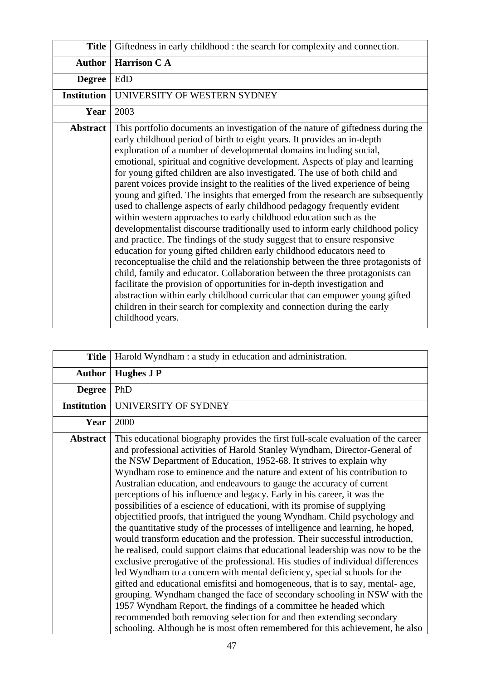| <b>Title</b>       | Giftedness in early childhood : the search for complexity and connection.                                                                                                                                                                                                                                                                                                                                                                                                                                                                                                                                                                                                                                                                                                                                                                                                                                                                                                                                                                                                                                                                                                                                                                                                                                                                                                                    |
|--------------------|----------------------------------------------------------------------------------------------------------------------------------------------------------------------------------------------------------------------------------------------------------------------------------------------------------------------------------------------------------------------------------------------------------------------------------------------------------------------------------------------------------------------------------------------------------------------------------------------------------------------------------------------------------------------------------------------------------------------------------------------------------------------------------------------------------------------------------------------------------------------------------------------------------------------------------------------------------------------------------------------------------------------------------------------------------------------------------------------------------------------------------------------------------------------------------------------------------------------------------------------------------------------------------------------------------------------------------------------------------------------------------------------|
| <b>Author</b>      | <b>Harrison CA</b>                                                                                                                                                                                                                                                                                                                                                                                                                                                                                                                                                                                                                                                                                                                                                                                                                                                                                                                                                                                                                                                                                                                                                                                                                                                                                                                                                                           |
| <b>Degree</b>      | EdD                                                                                                                                                                                                                                                                                                                                                                                                                                                                                                                                                                                                                                                                                                                                                                                                                                                                                                                                                                                                                                                                                                                                                                                                                                                                                                                                                                                          |
| <b>Institution</b> | UNIVERSITY OF WESTERN SYDNEY                                                                                                                                                                                                                                                                                                                                                                                                                                                                                                                                                                                                                                                                                                                                                                                                                                                                                                                                                                                                                                                                                                                                                                                                                                                                                                                                                                 |
| Year               | 2003                                                                                                                                                                                                                                                                                                                                                                                                                                                                                                                                                                                                                                                                                                                                                                                                                                                                                                                                                                                                                                                                                                                                                                                                                                                                                                                                                                                         |
| <b>Abstract</b>    | This portfolio documents an investigation of the nature of giftedness during the<br>early childhood period of birth to eight years. It provides an in-depth<br>exploration of a number of developmental domains including social,<br>emotional, spiritual and cognitive development. Aspects of play and learning<br>for young gifted children are also investigated. The use of both child and<br>parent voices provide insight to the realities of the lived experience of being<br>young and gifted. The insights that emerged from the research are subsequently<br>used to challenge aspects of early childhood pedagogy frequently evident<br>within western approaches to early childhood education such as the<br>developmentalist discourse traditionally used to inform early childhood policy<br>and practice. The findings of the study suggest that to ensure responsive<br>education for young gifted children early childhood educators need to<br>reconceptualise the child and the relationship between the three protagonists of<br>child, family and educator. Collaboration between the three protagonists can<br>facilitate the provision of opportunities for in-depth investigation and<br>abstraction within early childhood curricular that can empower young gifted<br>children in their search for complexity and connection during the early<br>childhood years. |

| <b>Title</b>       | Harold Wyndham : a study in education and administration.                                                                                                                                                                                                                                                                                                                                                                                                                                                                                                                                                                                                                                                                                                                                                                                                                                                                                                                                                                                                                                                                                                                                                                                                                                                                                                                                                                                           |
|--------------------|-----------------------------------------------------------------------------------------------------------------------------------------------------------------------------------------------------------------------------------------------------------------------------------------------------------------------------------------------------------------------------------------------------------------------------------------------------------------------------------------------------------------------------------------------------------------------------------------------------------------------------------------------------------------------------------------------------------------------------------------------------------------------------------------------------------------------------------------------------------------------------------------------------------------------------------------------------------------------------------------------------------------------------------------------------------------------------------------------------------------------------------------------------------------------------------------------------------------------------------------------------------------------------------------------------------------------------------------------------------------------------------------------------------------------------------------------------|
| <b>Author</b>      | <b>Hughes J P</b>                                                                                                                                                                                                                                                                                                                                                                                                                                                                                                                                                                                                                                                                                                                                                                                                                                                                                                                                                                                                                                                                                                                                                                                                                                                                                                                                                                                                                                   |
| <b>Degree</b>      | PhD                                                                                                                                                                                                                                                                                                                                                                                                                                                                                                                                                                                                                                                                                                                                                                                                                                                                                                                                                                                                                                                                                                                                                                                                                                                                                                                                                                                                                                                 |
| <b>Institution</b> | UNIVERSITY OF SYDNEY                                                                                                                                                                                                                                                                                                                                                                                                                                                                                                                                                                                                                                                                                                                                                                                                                                                                                                                                                                                                                                                                                                                                                                                                                                                                                                                                                                                                                                |
| Year               | 2000                                                                                                                                                                                                                                                                                                                                                                                                                                                                                                                                                                                                                                                                                                                                                                                                                                                                                                                                                                                                                                                                                                                                                                                                                                                                                                                                                                                                                                                |
| <b>Abstract</b>    | This educational biography provides the first full-scale evaluation of the career<br>and professional activities of Harold Stanley Wyndham, Director-General of<br>the NSW Department of Education, 1952-68. It strives to explain why<br>Wyndham rose to eminence and the nature and extent of his contribution to<br>Australian education, and endeavours to gauge the accuracy of current<br>perceptions of his influence and legacy. Early in his career, it was the<br>possibilities of a escience of educationi, with its promise of supplying<br>objectified proofs, that intrigued the young Wyndham. Child psychology and<br>the quantitative study of the processes of intelligence and learning, he hoped,<br>would transform education and the profession. Their successful introduction,<br>he realised, could support claims that educational leadership was now to be the<br>exclusive prerogative of the professional. His studies of individual differences<br>led Wyndham to a concern with mental deficiency, special schools for the<br>gifted and educational emisfitsi and homogeneous, that is to say, mental-age,<br>grouping. Wyndham changed the face of secondary schooling in NSW with the<br>1957 Wyndham Report, the findings of a committee he headed which<br>recommended both removing selection for and then extending secondary<br>schooling. Although he is most often remembered for this achievement, he also |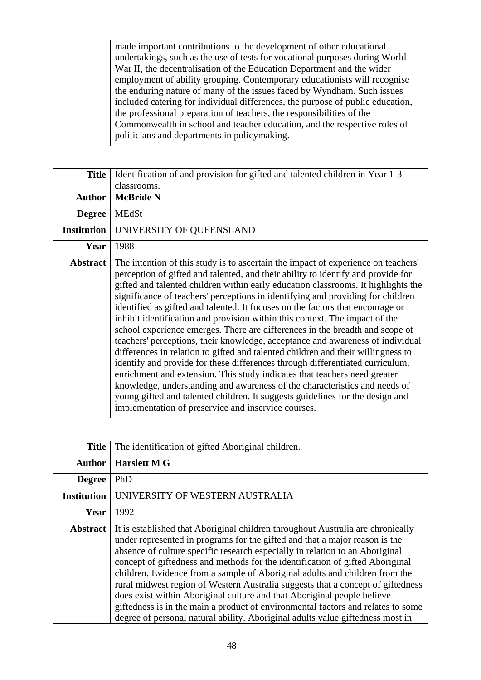made important contributions to the development of other educational undertakings, such as the use of tests for vocational purposes during World War II, the decentralisation of the Education Department and the wider employment of ability grouping. Contemporary educationists will recognise the enduring nature of many of the issues faced by Wyndham. Such issues included catering for individual differences, the purpose of public education, the professional preparation of teachers, the responsibilities of the Commonwealth in school and teacher education, and the respective roles of politicians and departments in policymaking.

| <b>Title</b>       | Identification of and provision for gifted and talented children in Year 1-3                                                                                                                                                                                                                                                                                                                                                                                                                                                                                                                                                                                                                                                                                                                                                                                                                                                                                                                                                                                                                                                                             |
|--------------------|----------------------------------------------------------------------------------------------------------------------------------------------------------------------------------------------------------------------------------------------------------------------------------------------------------------------------------------------------------------------------------------------------------------------------------------------------------------------------------------------------------------------------------------------------------------------------------------------------------------------------------------------------------------------------------------------------------------------------------------------------------------------------------------------------------------------------------------------------------------------------------------------------------------------------------------------------------------------------------------------------------------------------------------------------------------------------------------------------------------------------------------------------------|
|                    | classrooms.                                                                                                                                                                                                                                                                                                                                                                                                                                                                                                                                                                                                                                                                                                                                                                                                                                                                                                                                                                                                                                                                                                                                              |
| <b>Author</b>      | <b>McBride N</b>                                                                                                                                                                                                                                                                                                                                                                                                                                                                                                                                                                                                                                                                                                                                                                                                                                                                                                                                                                                                                                                                                                                                         |
| <b>Degree</b>      | <b>MEdSt</b>                                                                                                                                                                                                                                                                                                                                                                                                                                                                                                                                                                                                                                                                                                                                                                                                                                                                                                                                                                                                                                                                                                                                             |
| <b>Institution</b> | UNIVERSITY OF QUEENSLAND                                                                                                                                                                                                                                                                                                                                                                                                                                                                                                                                                                                                                                                                                                                                                                                                                                                                                                                                                                                                                                                                                                                                 |
| Year               | 1988                                                                                                                                                                                                                                                                                                                                                                                                                                                                                                                                                                                                                                                                                                                                                                                                                                                                                                                                                                                                                                                                                                                                                     |
| <b>Abstract</b>    | The intention of this study is to ascertain the impact of experience on teachers'<br>perception of gifted and talented, and their ability to identify and provide for<br>gifted and talented children within early education classrooms. It highlights the<br>significance of teachers' perceptions in identifying and providing for children<br>identified as gifted and talented. It focuses on the factors that encourage or<br>inhibit identification and provision within this context. The impact of the<br>school experience emerges. There are differences in the breadth and scope of<br>teachers' perceptions, their knowledge, acceptance and awareness of individual<br>differences in relation to gifted and talented children and their willingness to<br>identify and provide for these differences through differentiated curriculum,<br>enrichment and extension. This study indicates that teachers need greater<br>knowledge, understanding and awareness of the characteristics and needs of<br>young gifted and talented children. It suggests guidelines for the design and<br>implementation of preservice and inservice courses. |

| <b>Title</b>       | The identification of gifted Aboriginal children.                                                                                                                                                                                                                                                                                                                                                                                                                                                                                                                                                                                                                                                                                                  |
|--------------------|----------------------------------------------------------------------------------------------------------------------------------------------------------------------------------------------------------------------------------------------------------------------------------------------------------------------------------------------------------------------------------------------------------------------------------------------------------------------------------------------------------------------------------------------------------------------------------------------------------------------------------------------------------------------------------------------------------------------------------------------------|
| <b>Author</b>      | <b>Harslett M G</b>                                                                                                                                                                                                                                                                                                                                                                                                                                                                                                                                                                                                                                                                                                                                |
| <b>Degree</b>      | PhD                                                                                                                                                                                                                                                                                                                                                                                                                                                                                                                                                                                                                                                                                                                                                |
| <b>Institution</b> | UNIVERSITY OF WESTERN AUSTRALIA                                                                                                                                                                                                                                                                                                                                                                                                                                                                                                                                                                                                                                                                                                                    |
| Year               | 1992                                                                                                                                                                                                                                                                                                                                                                                                                                                                                                                                                                                                                                                                                                                                               |
| <b>Abstract</b>    | It is established that Aboriginal children throughout Australia are chronically<br>under represented in programs for the gifted and that a major reason is the<br>absence of culture specific research especially in relation to an Aboriginal<br>concept of giftedness and methods for the identification of gifted Aboriginal<br>children. Evidence from a sample of Aboriginal adults and children from the<br>rural midwest region of Western Australia suggests that a concept of giftedness<br>does exist within Aboriginal culture and that Aboriginal people believe<br>giftedness is in the main a product of environmental factors and relates to some<br>degree of personal natural ability. Aboriginal adults value giftedness most in |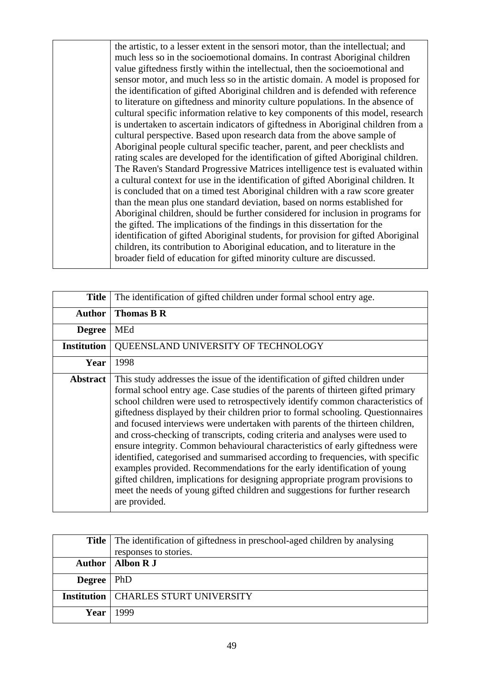the artistic, to a lesser extent in the sensori motor, than the intellectual; and much less so in the socioemotional domains. In contrast Aboriginal children value giftedness firstly within the intellectual, then the socioemotional and sensor motor, and much less so in the artistic domain. A model is proposed for the identification of gifted Aboriginal children and is defended with reference to literature on giftedness and minority culture populations. In the absence of cultural specific information relative to key components of this model, research is undertaken to ascertain indicators of giftedness in Aboriginal children from a cultural perspective. Based upon research data from the above sample of Aboriginal people cultural specific teacher, parent, and peer checklists and rating scales are developed for the identification of gifted Aboriginal children. The Raven's Standard Progressive Matrices intelligence test is evaluated within a cultural context for use in the identification of gifted Aboriginal children. It is concluded that on a timed test Aboriginal children with a raw score greater than the mean plus one standard deviation, based on norms established for Aboriginal children, should be further considered for inclusion in programs for the gifted. The implications of the findings in this dissertation for the identification of gifted Aboriginal students, for provision for gifted Aboriginal children, its contribution to Aboriginal education, and to literature in the broader field of education for gifted minority culture are discussed.

| Title              | The identification of gifted children under formal school entry age.                                                                                                                                                                                                                                                                                                                                                                                                                                                                                                                                                                                                                                                                                                                                                                                                                                                                      |
|--------------------|-------------------------------------------------------------------------------------------------------------------------------------------------------------------------------------------------------------------------------------------------------------------------------------------------------------------------------------------------------------------------------------------------------------------------------------------------------------------------------------------------------------------------------------------------------------------------------------------------------------------------------------------------------------------------------------------------------------------------------------------------------------------------------------------------------------------------------------------------------------------------------------------------------------------------------------------|
| <b>Author</b>      | <b>Thomas B R</b>                                                                                                                                                                                                                                                                                                                                                                                                                                                                                                                                                                                                                                                                                                                                                                                                                                                                                                                         |
| <b>Degree</b>      | MEd                                                                                                                                                                                                                                                                                                                                                                                                                                                                                                                                                                                                                                                                                                                                                                                                                                                                                                                                       |
| <b>Institution</b> | QUEENSLAND UNIVERSITY OF TECHNOLOGY                                                                                                                                                                                                                                                                                                                                                                                                                                                                                                                                                                                                                                                                                                                                                                                                                                                                                                       |
| Year               | 1998                                                                                                                                                                                                                                                                                                                                                                                                                                                                                                                                                                                                                                                                                                                                                                                                                                                                                                                                      |
| <b>Abstract</b>    | This study addresses the issue of the identification of gifted children under<br>formal school entry age. Case studies of the parents of thirteen gifted primary<br>school children were used to retrospectively identify common characteristics of<br>giftedness displayed by their children prior to formal schooling. Questionnaires<br>and focused interviews were undertaken with parents of the thirteen children,<br>and cross-checking of transcripts, coding criteria and analyses were used to<br>ensure integrity. Common behavioural characteristics of early giftedness were<br>identified, categorised and summarised according to frequencies, with specific<br>examples provided. Recommendations for the early identification of young<br>gifted children, implications for designing appropriate program provisions to<br>meet the needs of young gifted children and suggestions for further research<br>are provided. |

|                     | <b>Title</b> The identification of giftedness in preschool-aged children by analysing<br>responses to stories. |
|---------------------|----------------------------------------------------------------------------------------------------------------|
|                     | Author   Albon R J                                                                                             |
| <b>Degree</b>   PhD |                                                                                                                |
|                     | <b>Institution   CHARLES STURT UNIVERSITY</b>                                                                  |
|                     | Year   $1999$                                                                                                  |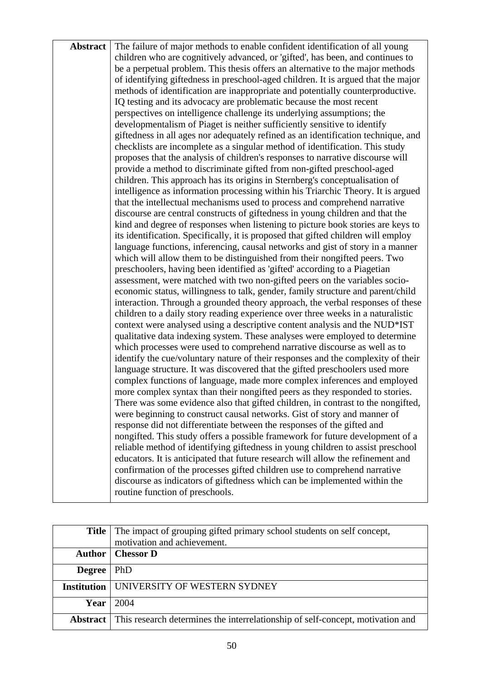| <b>Abstract</b> | The failure of major methods to enable confident identification of all young      |
|-----------------|-----------------------------------------------------------------------------------|
|                 | children who are cognitively advanced, or 'gifted', has been, and continues to    |
|                 | be a perpetual problem. This thesis offers an alternative to the major methods    |
|                 | of identifying giftedness in preschool-aged children. It is argued that the major |
|                 | methods of identification are inappropriate and potentially counterproductive.    |
|                 | IQ testing and its advocacy are problematic because the most recent               |
|                 | perspectives on intelligence challenge its underlying assumptions; the            |
|                 | developmentalism of Piaget is neither sufficiently sensitive to identify          |
|                 | giftedness in all ages nor adequately refined as an identification technique, and |
|                 | checklists are incomplete as a singular method of identification. This study      |
|                 | proposes that the analysis of children's responses to narrative discourse will    |
|                 | provide a method to discriminate gifted from non-gifted preschool-aged            |
|                 | children. This approach has its origins in Sternberg's conceptualisation of       |
|                 | intelligence as information processing within his Triarchic Theory. It is argued  |
|                 | that the intellectual mechanisms used to process and comprehend narrative         |
|                 | discourse are central constructs of giftedness in young children and that the     |
|                 | kind and degree of responses when listening to picture book stories are keys to   |
|                 | its identification. Specifically, it is proposed that gifted children will employ |
|                 | language functions, inferencing, causal networks and gist of story in a manner    |
|                 | which will allow them to be distinguished from their nongifted peers. Two         |
|                 | preschoolers, having been identified as 'gifted' according to a Piagetian         |
|                 | assessment, were matched with two non-gifted peers on the variables socio-        |
|                 | economic status, willingness to talk, gender, family structure and parent/child   |
|                 | interaction. Through a grounded theory approach, the verbal responses of these    |
|                 | children to a daily story reading experience over three weeks in a naturalistic   |
|                 | context were analysed using a descriptive content analysis and the NUD*IST        |
|                 | qualitative data indexing system. These analyses were employed to determine       |
|                 | which processes were used to comprehend narrative discourse as well as to         |
|                 | identify the cue/voluntary nature of their responses and the complexity of their  |
|                 | language structure. It was discovered that the gifted preschoolers used more      |
|                 | complex functions of language, made more complex inferences and employed          |
|                 | more complex syntax than their nongifted peers as they responded to stories.      |
|                 | There was some evidence also that gifted children, in contrast to the nongifted,  |
|                 | were beginning to construct causal networks. Gist of story and manner of          |
|                 | response did not differentiate between the responses of the gifted and            |
|                 | nongifted. This study offers a possible framework for future development of a     |
|                 | reliable method of identifying giftedness in young children to assist preschool   |
|                 | educators. It is anticipated that future research will allow the refinement and   |
|                 | confirmation of the processes gifted children use to comprehend narrative         |
|                 | discourse as indicators of giftedness which can be implemented within the         |
|                 | routine function of preschools.                                                   |

|                    | <b>Title</b> The impact of grouping gifted primary school students on self concept,            |
|--------------------|------------------------------------------------------------------------------------------------|
|                    | motivation and achievement.                                                                    |
|                    | <b>Author</b>   Chessor D                                                                      |
| <b>Degree</b>      | PhD                                                                                            |
| <b>Institution</b> | UNIVERSITY OF WESTERN SYDNEY                                                                   |
|                    | Year $\vert 2004 \vert$                                                                        |
|                    | <b>Abstract</b> This research determines the interrelationship of self-concept, motivation and |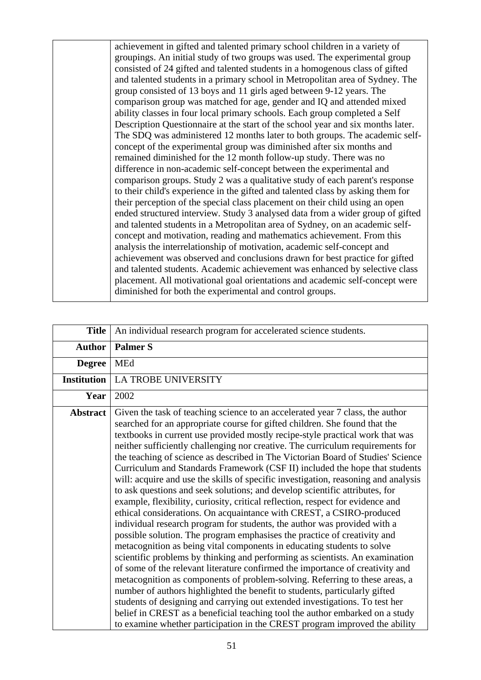achievement in gifted and talented primary school children in a variety of groupings. An initial study of two groups was used. The experimental group consisted of 24 gifted and talented students in a homogenous class of gifted and talented students in a primary school in Metropolitan area of Sydney. The group consisted of 13 boys and 11 girls aged between 9-12 years. The comparison group was matched for age, gender and IQ and attended mixed ability classes in four local primary schools. Each group completed a Self Description Questionnaire at the start of the school year and six months later. The SDQ was administered 12 months later to both groups. The academic selfconcept of the experimental group was diminished after six months and remained diminished for the 12 month follow-up study. There was no difference in non-academic self-concept between the experimental and comparison groups. Study 2 was a qualitative study of each parent's response to their child's experience in the gifted and talented class by asking them for their perception of the special class placement on their child using an open ended structured interview. Study 3 analysed data from a wider group of gifted and talented students in a Metropolitan area of Sydney, on an academic selfconcept and motivation, reading and mathematics achievement. From this analysis the interrelationship of motivation, academic self-concept and achievement was observed and conclusions drawn for best practice for gifted and talented students. Academic achievement was enhanced by selective class placement. All motivational goal orientations and academic self-concept were diminished for both the experimental and control groups.

| <b>Title</b>       | An individual research program for accelerated science students.                                                                                                                                                                                                                                                                                                                                                                                                                                                                                                                                                                                                                                                                                                                                                                                                                                                                                                                                                                                                                                                                                                                                                                                                                                                                                                                                                                                                                                                                                                                                                                             |
|--------------------|----------------------------------------------------------------------------------------------------------------------------------------------------------------------------------------------------------------------------------------------------------------------------------------------------------------------------------------------------------------------------------------------------------------------------------------------------------------------------------------------------------------------------------------------------------------------------------------------------------------------------------------------------------------------------------------------------------------------------------------------------------------------------------------------------------------------------------------------------------------------------------------------------------------------------------------------------------------------------------------------------------------------------------------------------------------------------------------------------------------------------------------------------------------------------------------------------------------------------------------------------------------------------------------------------------------------------------------------------------------------------------------------------------------------------------------------------------------------------------------------------------------------------------------------------------------------------------------------------------------------------------------------|
| <b>Author</b>      | <b>Palmer S</b>                                                                                                                                                                                                                                                                                                                                                                                                                                                                                                                                                                                                                                                                                                                                                                                                                                                                                                                                                                                                                                                                                                                                                                                                                                                                                                                                                                                                                                                                                                                                                                                                                              |
| <b>Degree</b>      | MEd                                                                                                                                                                                                                                                                                                                                                                                                                                                                                                                                                                                                                                                                                                                                                                                                                                                                                                                                                                                                                                                                                                                                                                                                                                                                                                                                                                                                                                                                                                                                                                                                                                          |
| <b>Institution</b> | <b>LA TROBE UNIVERSITY</b>                                                                                                                                                                                                                                                                                                                                                                                                                                                                                                                                                                                                                                                                                                                                                                                                                                                                                                                                                                                                                                                                                                                                                                                                                                                                                                                                                                                                                                                                                                                                                                                                                   |
| Year               | 2002                                                                                                                                                                                                                                                                                                                                                                                                                                                                                                                                                                                                                                                                                                                                                                                                                                                                                                                                                                                                                                                                                                                                                                                                                                                                                                                                                                                                                                                                                                                                                                                                                                         |
| <b>Abstract</b>    | Given the task of teaching science to an accelerated year 7 class, the author<br>searched for an appropriate course for gifted children. She found that the<br>textbooks in current use provided mostly recipe-style practical work that was<br>neither sufficiently challenging nor creative. The curriculum requirements for<br>the teaching of science as described in The Victorian Board of Studies' Science<br>Curriculum and Standards Framework (CSF II) included the hope that students<br>will: acquire and use the skills of specific investigation, reasoning and analysis<br>to ask questions and seek solutions; and develop scientific attributes, for<br>example, flexibility, curiosity, critical reflection, respect for evidence and<br>ethical considerations. On acquaintance with CREST, a CSIRO-produced<br>individual research program for students, the author was provided with a<br>possible solution. The program emphasises the practice of creativity and<br>metacognition as being vital components in educating students to solve<br>scientific problems by thinking and performing as scientists. An examination<br>of some of the relevant literature confirmed the importance of creativity and<br>metacognition as components of problem-solving. Referring to these areas, a<br>number of authors highlighted the benefit to students, particularly gifted<br>students of designing and carrying out extended investigations. To test her<br>belief in CREST as a beneficial teaching tool the author embarked on a study<br>to examine whether participation in the CREST program improved the ability |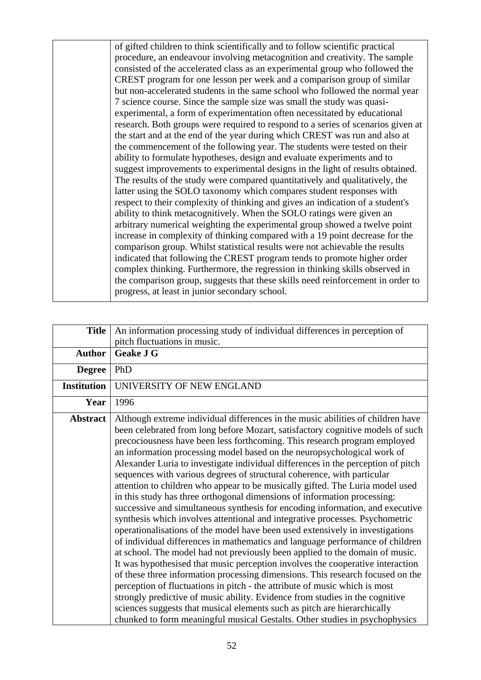of gifted children to think scientifically and to follow scientific practical procedure, an endeavour involving metacognition and creativity. The sample consisted of the accelerated class as an experimental group who followed the CREST program for one lesson per week and a comparison group of similar but non-accelerated students in the same school who followed the normal year 7 science course. Since the sample size was small the study was quasiexperimental, a form of experimentation often necessitated by educational research. Both groups were required to respond to a series of scenarios given at the start and at the end of the year during which CREST was run and also at the commencement of the following year. The students were tested on their ability to formulate hypotheses, design and evaluate experiments and to suggest improvements to experimental designs in the light of results obtained. The results of the study were compared quantitatively and qualitatively, the latter using the SOLO taxonomy which compares student responses with respect to their complexity of thinking and gives an indication of a student's ability to think metacognitively. When the SOLO ratings were given an arbitrary numerical weighting the experimental group showed a twelve point increase in complexity of thinking compared with a 19 point decrease for the comparison group. Whilst statistical results were not achievable the results indicated that following the CREST program tends to promote higher order complex thinking. Furthermore, the regression in thinking skills observed in the comparison group, suggests that these skills need reinforcement in order to progress, at least in junior secondary school.

| <b>Title</b>       | An information processing study of individual differences in perception of                                                                                                                                                                                                                                                                                                                                                                                                                                                                                                                                                                                                                                                                                                                                                                                                                                                                                                                                                                                                                                                                                                                                                                                                                                                                                                                                                                                                                                                                                            |
|--------------------|-----------------------------------------------------------------------------------------------------------------------------------------------------------------------------------------------------------------------------------------------------------------------------------------------------------------------------------------------------------------------------------------------------------------------------------------------------------------------------------------------------------------------------------------------------------------------------------------------------------------------------------------------------------------------------------------------------------------------------------------------------------------------------------------------------------------------------------------------------------------------------------------------------------------------------------------------------------------------------------------------------------------------------------------------------------------------------------------------------------------------------------------------------------------------------------------------------------------------------------------------------------------------------------------------------------------------------------------------------------------------------------------------------------------------------------------------------------------------------------------------------------------------------------------------------------------------|
|                    | pitch fluctuations in music.                                                                                                                                                                                                                                                                                                                                                                                                                                                                                                                                                                                                                                                                                                                                                                                                                                                                                                                                                                                                                                                                                                                                                                                                                                                                                                                                                                                                                                                                                                                                          |
| <b>Author</b>      | <b>Geake J G</b>                                                                                                                                                                                                                                                                                                                                                                                                                                                                                                                                                                                                                                                                                                                                                                                                                                                                                                                                                                                                                                                                                                                                                                                                                                                                                                                                                                                                                                                                                                                                                      |
| <b>Degree</b>      | PhD                                                                                                                                                                                                                                                                                                                                                                                                                                                                                                                                                                                                                                                                                                                                                                                                                                                                                                                                                                                                                                                                                                                                                                                                                                                                                                                                                                                                                                                                                                                                                                   |
| <b>Institution</b> | UNIVERSITY OF NEW ENGLAND                                                                                                                                                                                                                                                                                                                                                                                                                                                                                                                                                                                                                                                                                                                                                                                                                                                                                                                                                                                                                                                                                                                                                                                                                                                                                                                                                                                                                                                                                                                                             |
| Year               | 1996                                                                                                                                                                                                                                                                                                                                                                                                                                                                                                                                                                                                                                                                                                                                                                                                                                                                                                                                                                                                                                                                                                                                                                                                                                                                                                                                                                                                                                                                                                                                                                  |
| Abstract           | Although extreme individual differences in the music abilities of children have<br>been celebrated from long before Mozart, satisfactory cognitive models of such<br>precociousness have been less forthcoming. This research program employed<br>an information processing model based on the neuropsychological work of<br>Alexander Luria to investigate individual differences in the perception of pitch<br>sequences with various degrees of structural coherence, with particular<br>attention to children who appear to be musically gifted. The Luria model used<br>in this study has three orthogonal dimensions of information processing:<br>successive and simultaneous synthesis for encoding information, and executive<br>synthesis which involves attentional and integrative processes. Psychometric<br>operationalisations of the model have been used extensively in investigations<br>of individual differences in mathematics and language performance of children<br>at school. The model had not previously been applied to the domain of music.<br>It was hypothesised that music perception involves the cooperative interaction<br>of these three information processing dimensions. This research focused on the<br>perception of fluctuations in pitch - the attribute of music which is most<br>strongly predictive of music ability. Evidence from studies in the cognitive<br>sciences suggests that musical elements such as pitch are hierarchically<br>chunked to form meaningful musical Gestalts. Other studies in psychophysics |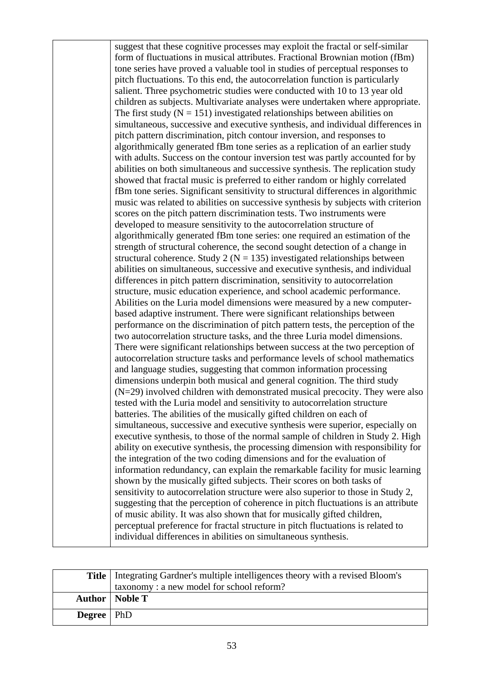suggest that these cognitive processes may exploit the fractal or self-similar form of fluctuations in musical attributes. Fractional Brownian motion (fBm) tone series have proved a valuable tool in studies of perceptual responses to pitch fluctuations. To this end, the autocorrelation function is particularly salient. Three psychometric studies were conducted with 10 to 13 year old children as subjects. Multivariate analyses were undertaken where appropriate. The first study  $(N = 151)$  investigated relationships between abilities on simultaneous, successive and executive synthesis, and individual differences in pitch pattern discrimination, pitch contour inversion, and responses to algorithmically generated fBm tone series as a replication of an earlier study with adults. Success on the contour inversion test was partly accounted for by abilities on both simultaneous and successive synthesis. The replication study showed that fractal music is preferred to either random or highly correlated fBm tone series. Significant sensitivity to structural differences in algorithmic music was related to abilities on successive synthesis by subjects with criterion scores on the pitch pattern discrimination tests. Two instruments were developed to measure sensitivity to the autocorrelation structure of algorithmically generated fBm tone series: one required an estimation of the strength of structural coherence, the second sought detection of a change in structural coherence. Study 2 ( $N = 135$ ) investigated relationships between abilities on simultaneous, successive and executive synthesis, and individual differences in pitch pattern discrimination, sensitivity to autocorrelation structure, music education experience, and school academic performance. Abilities on the Luria model dimensions were measured by a new computerbased adaptive instrument. There were significant relationships between performance on the discrimination of pitch pattern tests, the perception of the two autocorrelation structure tasks, and the three Luria model dimensions. There were significant relationships between success at the two perception of autocorrelation structure tasks and performance levels of school mathematics and language studies, suggesting that common information processing dimensions underpin both musical and general cognition. The third study (N=29) involved children with demonstrated musical precocity. They were also tested with the Luria model and sensitivity to autocorrelation structure batteries. The abilities of the musically gifted children on each of simultaneous, successive and executive synthesis were superior, especially on executive synthesis, to those of the normal sample of children in Study 2. High ability on executive synthesis, the processing dimension with responsibility for the integration of the two coding dimensions and for the evaluation of information redundancy, can explain the remarkable facility for music learning shown by the musically gifted subjects. Their scores on both tasks of sensitivity to autocorrelation structure were also superior to those in Study 2, suggesting that the perception of coherence in pitch fluctuations is an attribute of music ability. It was also shown that for musically gifted children, perceptual preference for fractal structure in pitch fluctuations is related to individual differences in abilities on simultaneous synthesis.

|                       | Title   Integrating Gardner's multiple intelligences theory with a revised Bloom's |
|-----------------------|------------------------------------------------------------------------------------|
|                       | taxonomy: a new model for school reform?                                           |
|                       | <b>Author</b>   <b>Noble T</b>                                                     |
| <b>Degree</b>   $PhD$ |                                                                                    |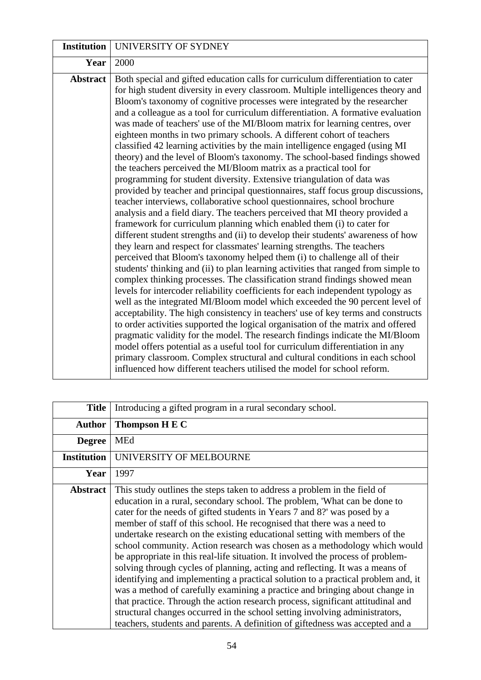| <b>Institution</b> | UNIVERSITY OF SYDNEY                                                                                                                                                                                                                                                                                                                                                                                                                                                                                                                                                                                                                                                                                                                                                                                                                                                                                                                                                                                                                                                                                                                                                                                                                                                                                                                                                                                                                                                                                                                                                                                                                                                                                                                                                                                                                                                                                                                                                                                                                                                                                                                                                                                                          |
|--------------------|-------------------------------------------------------------------------------------------------------------------------------------------------------------------------------------------------------------------------------------------------------------------------------------------------------------------------------------------------------------------------------------------------------------------------------------------------------------------------------------------------------------------------------------------------------------------------------------------------------------------------------------------------------------------------------------------------------------------------------------------------------------------------------------------------------------------------------------------------------------------------------------------------------------------------------------------------------------------------------------------------------------------------------------------------------------------------------------------------------------------------------------------------------------------------------------------------------------------------------------------------------------------------------------------------------------------------------------------------------------------------------------------------------------------------------------------------------------------------------------------------------------------------------------------------------------------------------------------------------------------------------------------------------------------------------------------------------------------------------------------------------------------------------------------------------------------------------------------------------------------------------------------------------------------------------------------------------------------------------------------------------------------------------------------------------------------------------------------------------------------------------------------------------------------------------------------------------------------------------|
| Year               | 2000                                                                                                                                                                                                                                                                                                                                                                                                                                                                                                                                                                                                                                                                                                                                                                                                                                                                                                                                                                                                                                                                                                                                                                                                                                                                                                                                                                                                                                                                                                                                                                                                                                                                                                                                                                                                                                                                                                                                                                                                                                                                                                                                                                                                                          |
| <b>Abstract</b>    | Both special and gifted education calls for curriculum differentiation to cater<br>for high student diversity in every classroom. Multiple intelligences theory and<br>Bloom's taxonomy of cognitive processes were integrated by the researcher<br>and a colleague as a tool for curriculum differentiation. A formative evaluation<br>was made of teachers' use of the MI/Bloom matrix for learning centres, over<br>eighteen months in two primary schools. A different cohort of teachers<br>classified 42 learning activities by the main intelligence engaged (using MI<br>theory) and the level of Bloom's taxonomy. The school-based findings showed<br>the teachers perceived the MI/Bloom matrix as a practical tool for<br>programming for student diversity. Extensive triangulation of data was<br>provided by teacher and principal questionnaires, staff focus group discussions,<br>teacher interviews, collaborative school questionnaires, school brochure<br>analysis and a field diary. The teachers perceived that MI theory provided a<br>framework for curriculum planning which enabled them (i) to cater for<br>different student strengths and (ii) to develop their students' awareness of how<br>they learn and respect for classmates' learning strengths. The teachers<br>perceived that Bloom's taxonomy helped them (i) to challenge all of their<br>students' thinking and (ii) to plan learning activities that ranged from simple to<br>complex thinking processes. The classification strand findings showed mean<br>levels for intercoder reliability coefficients for each independent typology as<br>well as the integrated MI/Bloom model which exceeded the 90 percent level of<br>acceptability. The high consistency in teachers' use of key terms and constructs<br>to order activities supported the logical organisation of the matrix and offered<br>pragmatic validity for the model. The research findings indicate the MI/Bloom<br>model offers potential as a useful tool for curriculum differentiation in any<br>primary classroom. Complex structural and cultural conditions in each school<br>influenced how different teachers utilised the model for school reform. |

| <b>Title</b>       | Introducing a gifted program in a rural secondary school.                                                                                                                                                                                                                                                                                                                                                                                                                                                                                                                                                                                                                                                                                                                                                                                                                                                                                                                                                                                                       |
|--------------------|-----------------------------------------------------------------------------------------------------------------------------------------------------------------------------------------------------------------------------------------------------------------------------------------------------------------------------------------------------------------------------------------------------------------------------------------------------------------------------------------------------------------------------------------------------------------------------------------------------------------------------------------------------------------------------------------------------------------------------------------------------------------------------------------------------------------------------------------------------------------------------------------------------------------------------------------------------------------------------------------------------------------------------------------------------------------|
| <b>Author</b>      | Thompson H E C                                                                                                                                                                                                                                                                                                                                                                                                                                                                                                                                                                                                                                                                                                                                                                                                                                                                                                                                                                                                                                                  |
| <b>Degree</b>      | <b>MEd</b>                                                                                                                                                                                                                                                                                                                                                                                                                                                                                                                                                                                                                                                                                                                                                                                                                                                                                                                                                                                                                                                      |
| <b>Institution</b> | UNIVERSITY OF MELBOURNE                                                                                                                                                                                                                                                                                                                                                                                                                                                                                                                                                                                                                                                                                                                                                                                                                                                                                                                                                                                                                                         |
| Year               | 1997                                                                                                                                                                                                                                                                                                                                                                                                                                                                                                                                                                                                                                                                                                                                                                                                                                                                                                                                                                                                                                                            |
| <b>Abstract</b>    | This study outlines the steps taken to address a problem in the field of<br>education in a rural, secondary school. The problem, 'What can be done to<br>cater for the needs of gifted students in Years 7 and 8?' was posed by a<br>member of staff of this school. He recognised that there was a need to<br>undertake research on the existing educational setting with members of the<br>school community. Action research was chosen as a methodology which would<br>be appropriate in this real-life situation. It involved the process of problem-<br>solving through cycles of planning, acting and reflecting. It was a means of<br>identifying and implementing a practical solution to a practical problem and, it<br>was a method of carefully examining a practice and bringing about change in<br>that practice. Through the action research process, significant attitudinal and<br>structural changes occurred in the school setting involving administrators,<br>teachers, students and parents. A definition of giftedness was accepted and a |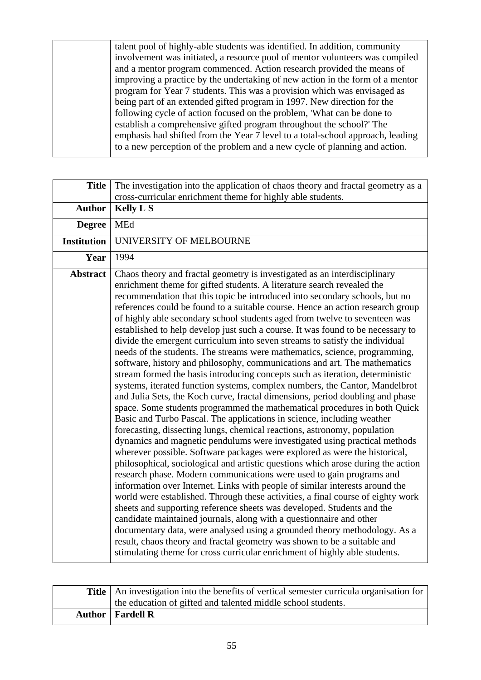| talent pool of highly-able students was identified. In addition, community     |
|--------------------------------------------------------------------------------|
| involvement was initiated, a resource pool of mentor volunteers was compiled   |
| and a mentor program commenced. Action research provided the means of          |
| improving a practice by the undertaking of new action in the form of a mentor  |
| program for Year 7 students. This was a provision which was envisaged as       |
| being part of an extended gifted program in 1997. New direction for the        |
| following cycle of action focused on the problem, 'What can be done to         |
| establish a comprehensive gifted program throughout the school? The            |
| emphasis had shifted from the Year 7 level to a total-school approach, leading |
| to a new perception of the problem and a new cycle of planning and action.     |
|                                                                                |

| <b>Title</b>       | The investigation into the application of chaos theory and fractal geometry as a<br>cross-curricular enrichment theme for highly able students.                                                                                                                                                                                                                                                                                                                                                                                                                                                                                                                                                                                                                                                                                                                                                                                                                                                                                                                                                                                                                                                                                                                                                                                                                                                                                                                                                                                                                                                                                                                                                                                                                                                                                                                                                                                                                                                                                                                                                       |
|--------------------|-------------------------------------------------------------------------------------------------------------------------------------------------------------------------------------------------------------------------------------------------------------------------------------------------------------------------------------------------------------------------------------------------------------------------------------------------------------------------------------------------------------------------------------------------------------------------------------------------------------------------------------------------------------------------------------------------------------------------------------------------------------------------------------------------------------------------------------------------------------------------------------------------------------------------------------------------------------------------------------------------------------------------------------------------------------------------------------------------------------------------------------------------------------------------------------------------------------------------------------------------------------------------------------------------------------------------------------------------------------------------------------------------------------------------------------------------------------------------------------------------------------------------------------------------------------------------------------------------------------------------------------------------------------------------------------------------------------------------------------------------------------------------------------------------------------------------------------------------------------------------------------------------------------------------------------------------------------------------------------------------------------------------------------------------------------------------------------------------------|
| <b>Author</b>      | <b>Kelly L S</b>                                                                                                                                                                                                                                                                                                                                                                                                                                                                                                                                                                                                                                                                                                                                                                                                                                                                                                                                                                                                                                                                                                                                                                                                                                                                                                                                                                                                                                                                                                                                                                                                                                                                                                                                                                                                                                                                                                                                                                                                                                                                                      |
| <b>Degree</b>      | <b>MEd</b>                                                                                                                                                                                                                                                                                                                                                                                                                                                                                                                                                                                                                                                                                                                                                                                                                                                                                                                                                                                                                                                                                                                                                                                                                                                                                                                                                                                                                                                                                                                                                                                                                                                                                                                                                                                                                                                                                                                                                                                                                                                                                            |
| <b>Institution</b> | UNIVERSITY OF MELBOURNE                                                                                                                                                                                                                                                                                                                                                                                                                                                                                                                                                                                                                                                                                                                                                                                                                                                                                                                                                                                                                                                                                                                                                                                                                                                                                                                                                                                                                                                                                                                                                                                                                                                                                                                                                                                                                                                                                                                                                                                                                                                                               |
| Year               | 1994                                                                                                                                                                                                                                                                                                                                                                                                                                                                                                                                                                                                                                                                                                                                                                                                                                                                                                                                                                                                                                                                                                                                                                                                                                                                                                                                                                                                                                                                                                                                                                                                                                                                                                                                                                                                                                                                                                                                                                                                                                                                                                  |
| <b>Abstract</b>    | Chaos theory and fractal geometry is investigated as an interdisciplinary<br>enrichment theme for gifted students. A literature search revealed the<br>recommendation that this topic be introduced into secondary schools, but no<br>references could be found to a suitable course. Hence an action research group<br>of highly able secondary school students aged from twelve to seventeen was<br>established to help develop just such a course. It was found to be necessary to<br>divide the emergent curriculum into seven streams to satisfy the individual<br>needs of the students. The streams were mathematics, science, programming,<br>software, history and philosophy, communications and art. The mathematics<br>stream formed the basis introducing concepts such as iteration, deterministic<br>systems, iterated function systems, complex numbers, the Cantor, Mandelbrot<br>and Julia Sets, the Koch curve, fractal dimensions, period doubling and phase<br>space. Some students programmed the mathematical procedures in both Quick<br>Basic and Turbo Pascal. The applications in science, including weather<br>forecasting, dissecting lungs, chemical reactions, astronomy, population<br>dynamics and magnetic pendulums were investigated using practical methods<br>wherever possible. Software packages were explored as were the historical,<br>philosophical, sociological and artistic questions which arose during the action<br>research phase. Modern communications were used to gain programs and<br>information over Internet. Links with people of similar interests around the<br>world were established. Through these activities, a final course of eighty work<br>sheets and supporting reference sheets was developed. Students and the<br>candidate maintained journals, along with a questionnaire and other<br>documentary data, were analysed using a grounded theory methodology. As a<br>result, chaos theory and fractal geometry was shown to be a suitable and<br>stimulating theme for cross curricular enrichment of highly able students. |

| <b>Title</b>   An investigation into the benefits of vertical semester curricula organisation for |
|---------------------------------------------------------------------------------------------------|
| the education of gifted and talented middle school students.                                      |
| <b>Author</b>   Fardell R                                                                         |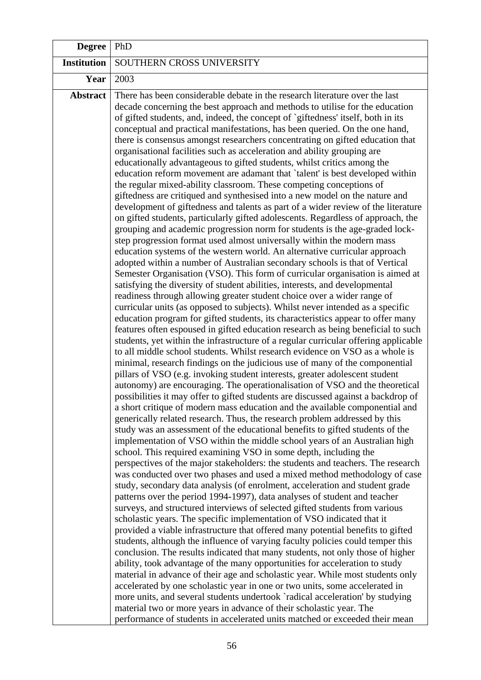| <b>Degree</b>      | PhD                                                                                                                                                                                                                                                                                                                                                                                                                                                                                                                                                                                                                                                                                                                                                                                                                                                                                                                                                                                                                                                                                                                                                                                                                                                                                                                                                                                                                                                                                                                                                                                                                                                                                                                                                                                                                                                                                                                                                                                                                                                                                                                                                                                                                                                                                                                                                                                                                                                                                                                                                                                                                                                                                                                                                                                                                                                                                                                                                                                                                                                                                                                                                                                                                                                                                                                                                                                                                                                                                                                                                                                                                                                                                                                                                                                                                                                                            |
|--------------------|--------------------------------------------------------------------------------------------------------------------------------------------------------------------------------------------------------------------------------------------------------------------------------------------------------------------------------------------------------------------------------------------------------------------------------------------------------------------------------------------------------------------------------------------------------------------------------------------------------------------------------------------------------------------------------------------------------------------------------------------------------------------------------------------------------------------------------------------------------------------------------------------------------------------------------------------------------------------------------------------------------------------------------------------------------------------------------------------------------------------------------------------------------------------------------------------------------------------------------------------------------------------------------------------------------------------------------------------------------------------------------------------------------------------------------------------------------------------------------------------------------------------------------------------------------------------------------------------------------------------------------------------------------------------------------------------------------------------------------------------------------------------------------------------------------------------------------------------------------------------------------------------------------------------------------------------------------------------------------------------------------------------------------------------------------------------------------------------------------------------------------------------------------------------------------------------------------------------------------------------------------------------------------------------------------------------------------------------------------------------------------------------------------------------------------------------------------------------------------------------------------------------------------------------------------------------------------------------------------------------------------------------------------------------------------------------------------------------------------------------------------------------------------------------------------------------------------------------------------------------------------------------------------------------------------------------------------------------------------------------------------------------------------------------------------------------------------------------------------------------------------------------------------------------------------------------------------------------------------------------------------------------------------------------------------------------------------------------------------------------------------------------------------------------------------------------------------------------------------------------------------------------------------------------------------------------------------------------------------------------------------------------------------------------------------------------------------------------------------------------------------------------------------------------------------------------------------------------------------------------------------|
| <b>Institution</b> | SOUTHERN CROSS UNIVERSITY                                                                                                                                                                                                                                                                                                                                                                                                                                                                                                                                                                                                                                                                                                                                                                                                                                                                                                                                                                                                                                                                                                                                                                                                                                                                                                                                                                                                                                                                                                                                                                                                                                                                                                                                                                                                                                                                                                                                                                                                                                                                                                                                                                                                                                                                                                                                                                                                                                                                                                                                                                                                                                                                                                                                                                                                                                                                                                                                                                                                                                                                                                                                                                                                                                                                                                                                                                                                                                                                                                                                                                                                                                                                                                                                                                                                                                                      |
| Year               | 2003                                                                                                                                                                                                                                                                                                                                                                                                                                                                                                                                                                                                                                                                                                                                                                                                                                                                                                                                                                                                                                                                                                                                                                                                                                                                                                                                                                                                                                                                                                                                                                                                                                                                                                                                                                                                                                                                                                                                                                                                                                                                                                                                                                                                                                                                                                                                                                                                                                                                                                                                                                                                                                                                                                                                                                                                                                                                                                                                                                                                                                                                                                                                                                                                                                                                                                                                                                                                                                                                                                                                                                                                                                                                                                                                                                                                                                                                           |
| <b>Abstract</b>    | There has been considerable debate in the research literature over the last<br>decade concerning the best approach and methods to utilise for the education<br>of gifted students, and, indeed, the concept of `giftedness' itself, both in its<br>conceptual and practical manifestations, has been queried. On the one hand,<br>there is consensus amongst researchers concentrating on gifted education that<br>organisational facilities such as acceleration and ability grouping are<br>educationally advantageous to gifted students, whilst critics among the<br>education reform movement are adamant that 'talent' is best developed within<br>the regular mixed-ability classroom. These competing conceptions of<br>giftedness are critiqued and synthesised into a new model on the nature and<br>development of giftedness and talents as part of a wider review of the literature<br>on gifted students, particularly gifted adolescents. Regardless of approach, the<br>grouping and academic progression norm for students is the age-graded lock-<br>step progression format used almost universally within the modern mass<br>education systems of the western world. An alternative curricular approach<br>adopted within a number of Australian secondary schools is that of Vertical<br>Semester Organisation (VSO). This form of curricular organisation is aimed at<br>satisfying the diversity of student abilities, interests, and developmental<br>readiness through allowing greater student choice over a wider range of<br>curricular units (as opposed to subjects). Whilst never intended as a specific<br>education program for gifted students, its characteristics appear to offer many<br>features often espoused in gifted education research as being beneficial to such<br>students, yet within the infrastructure of a regular curricular offering applicable<br>to all middle school students. Whilst research evidence on VSO as a whole is<br>minimal, research findings on the judicious use of many of the componential<br>pillars of VSO (e.g. invoking student interests, greater adolescent student<br>autonomy) are encouraging. The operationalisation of VSO and the theoretical<br>possibilities it may offer to gifted students are discussed against a backdrop of<br>a short critique of modern mass education and the available componential and<br>generically related research. Thus, the research problem addressed by this<br>study was an assessment of the educational benefits to gifted students of the<br>implementation of VSO within the middle school years of an Australian high<br>school. This required examining VSO in some depth, including the<br>perspectives of the major stakeholders: the students and teachers. The research<br>was conducted over two phases and used a mixed method methodology of case<br>study, secondary data analysis (of enrolment, acceleration and student grade<br>patterns over the period 1994-1997), data analyses of student and teacher<br>surveys, and structured interviews of selected gifted students from various<br>scholastic years. The specific implementation of VSO indicated that it<br>provided a viable infrastructure that offered many potential benefits to gifted<br>students, although the influence of varying faculty policies could temper this<br>conclusion. The results indicated that many students, not only those of higher<br>ability, took advantage of the many opportunities for acceleration to study<br>material in advance of their age and scholastic year. While most students only<br>accelerated by one scholastic year in one or two units, some accelerated in<br>more units, and several students undertook `radical acceleration' by studying<br>material two or more years in advance of their scholastic year. The |
|                    | performance of students in accelerated units matched or exceeded their mean                                                                                                                                                                                                                                                                                                                                                                                                                                                                                                                                                                                                                                                                                                                                                                                                                                                                                                                                                                                                                                                                                                                                                                                                                                                                                                                                                                                                                                                                                                                                                                                                                                                                                                                                                                                                                                                                                                                                                                                                                                                                                                                                                                                                                                                                                                                                                                                                                                                                                                                                                                                                                                                                                                                                                                                                                                                                                                                                                                                                                                                                                                                                                                                                                                                                                                                                                                                                                                                                                                                                                                                                                                                                                                                                                                                                    |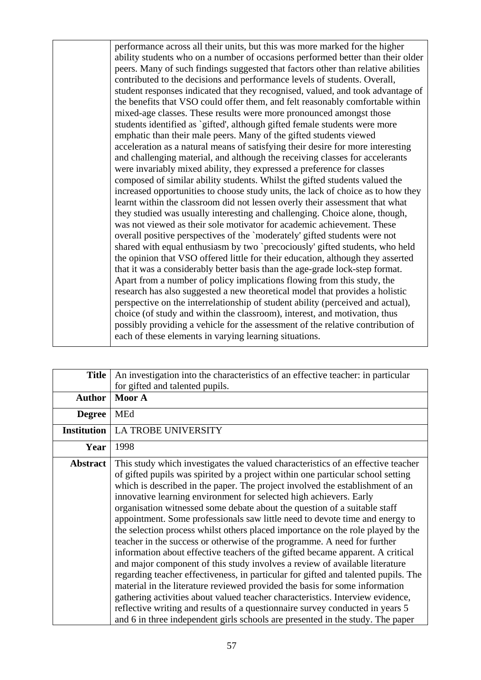performance across all their units, but this was more marked for the higher ability students who on a number of occasions performed better than their older peers. Many of such findings suggested that factors other than relative abilities contributed to the decisions and performance levels of students. Overall, student responses indicated that they recognised, valued, and took advantage of the benefits that VSO could offer them, and felt reasonably comfortable within mixed-age classes. These results were more pronounced amongst those students identified as `gifted', although gifted female students were more emphatic than their male peers. Many of the gifted students viewed acceleration as a natural means of satisfying their desire for more interesting and challenging material, and although the receiving classes for accelerants were invariably mixed ability, they expressed a preference for classes composed of similar ability students. Whilst the gifted students valued the increased opportunities to choose study units, the lack of choice as to how they learnt within the classroom did not lessen overly their assessment that what they studied was usually interesting and challenging. Choice alone, though, was not viewed as their sole motivator for academic achievement. These overall positive perspectives of the `moderately' gifted students were not shared with equal enthusiasm by two `precociously' gifted students, who held the opinion that VSO offered little for their education, although they asserted that it was a considerably better basis than the age-grade lock-step format. Apart from a number of policy implications flowing from this study, the research has also suggested a new theoretical model that provides a holistic perspective on the interrelationship of student ability (perceived and actual), choice (of study and within the classroom), interest, and motivation, thus possibly providing a vehicle for the assessment of the relative contribution of each of these elements in varying learning situations.

| <b>Title</b>       | An investigation into the characteristics of an effective teacher: in particular                                                                                                                                                                                                                                                                                                                                                                                                                                                                                                                                                                                                                                                                                                                                                                                                                                                                                                                                                                                                                                                                                                                                                                  |
|--------------------|---------------------------------------------------------------------------------------------------------------------------------------------------------------------------------------------------------------------------------------------------------------------------------------------------------------------------------------------------------------------------------------------------------------------------------------------------------------------------------------------------------------------------------------------------------------------------------------------------------------------------------------------------------------------------------------------------------------------------------------------------------------------------------------------------------------------------------------------------------------------------------------------------------------------------------------------------------------------------------------------------------------------------------------------------------------------------------------------------------------------------------------------------------------------------------------------------------------------------------------------------|
|                    | for gifted and talented pupils.                                                                                                                                                                                                                                                                                                                                                                                                                                                                                                                                                                                                                                                                                                                                                                                                                                                                                                                                                                                                                                                                                                                                                                                                                   |
| <b>Author</b>      | Moor A                                                                                                                                                                                                                                                                                                                                                                                                                                                                                                                                                                                                                                                                                                                                                                                                                                                                                                                                                                                                                                                                                                                                                                                                                                            |
| <b>Degree</b>      | MEd                                                                                                                                                                                                                                                                                                                                                                                                                                                                                                                                                                                                                                                                                                                                                                                                                                                                                                                                                                                                                                                                                                                                                                                                                                               |
| <b>Institution</b> | LA TROBE UNIVERSITY                                                                                                                                                                                                                                                                                                                                                                                                                                                                                                                                                                                                                                                                                                                                                                                                                                                                                                                                                                                                                                                                                                                                                                                                                               |
| Year               | 1998                                                                                                                                                                                                                                                                                                                                                                                                                                                                                                                                                                                                                                                                                                                                                                                                                                                                                                                                                                                                                                                                                                                                                                                                                                              |
| <b>Abstract</b>    | This study which investigates the valued characteristics of an effective teacher<br>of gifted pupils was spirited by a project within one particular school setting<br>which is described in the paper. The project involved the establishment of an<br>innovative learning environment for selected high achievers. Early<br>organisation witnessed some debate about the question of a suitable staff<br>appointment. Some professionals saw little need to devote time and energy to<br>the selection process whilst others placed importance on the role played by the<br>teacher in the success or otherwise of the programme. A need for further<br>information about effective teachers of the gifted became apparent. A critical<br>and major component of this study involves a review of available literature<br>regarding teacher effectiveness, in particular for gifted and talented pupils. The<br>material in the literature reviewed provided the basis for some information<br>gathering activities about valued teacher characteristics. Interview evidence,<br>reflective writing and results of a questionnaire survey conducted in years 5<br>and 6 in three independent girls schools are presented in the study. The paper |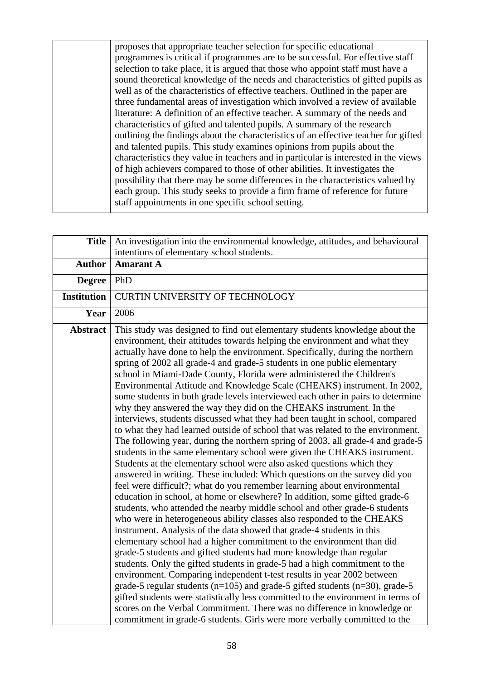proposes that appropriate teacher selection for specific educational programmes is critical if programmes are to be successful. For effective staff selection to take place, it is argued that those who appoint staff must have a sound theoretical knowledge of the needs and characteristics of gifted pupils as well as of the characteristics of effective teachers. Outlined in the paper are three fundamental areas of investigation which involved a review of available literature: A definition of an effective teacher. A summary of the needs and characteristics of gifted and talented pupils. A summary of the research outlining the findings about the characteristics of an effective teacher for gifted and talented pupils. This study examines opinions from pupils about the characteristics they value in teachers and in particular is interested in the views of high achievers compared to those of other abilities. It investigates the possibility that there may be some differences in the characteristics valued by each group. This study seeks to provide a firm frame of reference for future staff appointments in one specific school setting.

| <b>Title</b>       | An investigation into the environmental knowledge, attitudes, and behavioural<br>intentions of elementary school students.                                                                                                                                                                                                                                                                                                                                                                                                                                                                                                                                                                                                                                                                                                                                                                                                                                                                                                                                                                                                                                                                                                                                                                                                                                                                                                                                                                                                                                                                                                                                                                                                                                                                                                                                                                                                                                                                                                                                                                                                                                               |
|--------------------|--------------------------------------------------------------------------------------------------------------------------------------------------------------------------------------------------------------------------------------------------------------------------------------------------------------------------------------------------------------------------------------------------------------------------------------------------------------------------------------------------------------------------------------------------------------------------------------------------------------------------------------------------------------------------------------------------------------------------------------------------------------------------------------------------------------------------------------------------------------------------------------------------------------------------------------------------------------------------------------------------------------------------------------------------------------------------------------------------------------------------------------------------------------------------------------------------------------------------------------------------------------------------------------------------------------------------------------------------------------------------------------------------------------------------------------------------------------------------------------------------------------------------------------------------------------------------------------------------------------------------------------------------------------------------------------------------------------------------------------------------------------------------------------------------------------------------------------------------------------------------------------------------------------------------------------------------------------------------------------------------------------------------------------------------------------------------------------------------------------------------------------------------------------------------|
| <b>Author</b>      | <b>Amarant A</b>                                                                                                                                                                                                                                                                                                                                                                                                                                                                                                                                                                                                                                                                                                                                                                                                                                                                                                                                                                                                                                                                                                                                                                                                                                                                                                                                                                                                                                                                                                                                                                                                                                                                                                                                                                                                                                                                                                                                                                                                                                                                                                                                                         |
| <b>Degree</b>      | PhD                                                                                                                                                                                                                                                                                                                                                                                                                                                                                                                                                                                                                                                                                                                                                                                                                                                                                                                                                                                                                                                                                                                                                                                                                                                                                                                                                                                                                                                                                                                                                                                                                                                                                                                                                                                                                                                                                                                                                                                                                                                                                                                                                                      |
| <b>Institution</b> | <b>CURTIN UNIVERSITY OF TECHNOLOGY</b>                                                                                                                                                                                                                                                                                                                                                                                                                                                                                                                                                                                                                                                                                                                                                                                                                                                                                                                                                                                                                                                                                                                                                                                                                                                                                                                                                                                                                                                                                                                                                                                                                                                                                                                                                                                                                                                                                                                                                                                                                                                                                                                                   |
| Year               | 2006                                                                                                                                                                                                                                                                                                                                                                                                                                                                                                                                                                                                                                                                                                                                                                                                                                                                                                                                                                                                                                                                                                                                                                                                                                                                                                                                                                                                                                                                                                                                                                                                                                                                                                                                                                                                                                                                                                                                                                                                                                                                                                                                                                     |
| <b>Abstract</b>    | This study was designed to find out elementary students knowledge about the<br>environment, their attitudes towards helping the environment and what they<br>actually have done to help the environment. Specifically, during the northern<br>spring of 2002 all grade-4 and grade-5 students in one public elementary<br>school in Miami-Dade County, Florida were administered the Children's<br>Environmental Attitude and Knowledge Scale (CHEAKS) instrument. In 2002,<br>some students in both grade levels interviewed each other in pairs to determine<br>why they answered the way they did on the CHEAKS instrument. In the<br>interviews, students discussed what they had been taught in school, compared<br>to what they had learned outside of school that was related to the environment.<br>The following year, during the northern spring of 2003, all grade-4 and grade-5<br>students in the same elementary school were given the CHEAKS instrument.<br>Students at the elementary school were also asked questions which they<br>answered in writing. These included: Which questions on the survey did you<br>feel were difficult?; what do you remember learning about environmental<br>education in school, at home or elsewhere? In addition, some gifted grade-6<br>students, who attended the nearby middle school and other grade-6 students<br>who were in heterogeneous ability classes also responded to the CHEAKS<br>instrument. Analysis of the data showed that grade-4 students in this<br>elementary school had a higher commitment to the environment than did<br>grade-5 students and gifted students had more knowledge than regular<br>students. Only the gifted students in grade-5 had a high commitment to the<br>environment. Comparing independent t-test results in year 2002 between<br>grade-5 regular students ( $n=105$ ) and grade-5 gifted students ( $n=30$ ), grade-5<br>gifted students were statistically less committed to the environment in terms of<br>scores on the Verbal Commitment. There was no difference in knowledge or<br>commitment in grade-6 students. Girls were more verbally committed to the |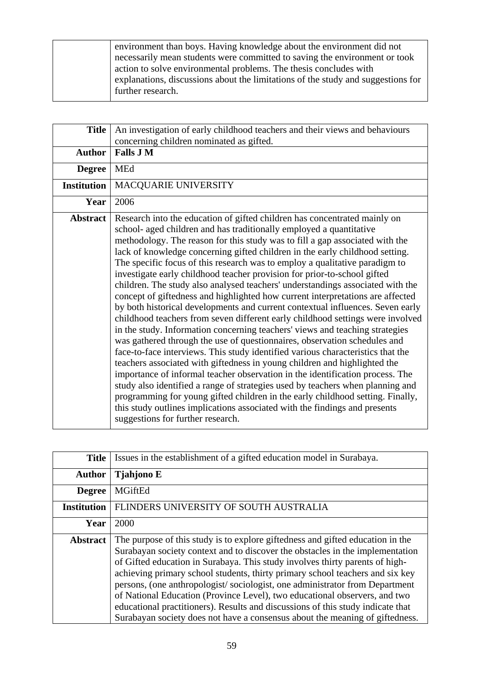environment than boys. Having knowledge about the environment did not necessarily mean students were committed to saving the environment or took action to solve environmental problems. The thesis concludes with explanations, discussions about the limitations of the study and suggestions for further research.

| <b>Title</b>       | An investigation of early childhood teachers and their views and behaviours                                                                                                                                                                                                                                                                                                                                                                                                                                                                                                                                                                                                                                                                                                                                                                                                                                                                                                                                                                                                                                                                                                                                                                                                                                                                                                                                                                                                                                              |
|--------------------|--------------------------------------------------------------------------------------------------------------------------------------------------------------------------------------------------------------------------------------------------------------------------------------------------------------------------------------------------------------------------------------------------------------------------------------------------------------------------------------------------------------------------------------------------------------------------------------------------------------------------------------------------------------------------------------------------------------------------------------------------------------------------------------------------------------------------------------------------------------------------------------------------------------------------------------------------------------------------------------------------------------------------------------------------------------------------------------------------------------------------------------------------------------------------------------------------------------------------------------------------------------------------------------------------------------------------------------------------------------------------------------------------------------------------------------------------------------------------------------------------------------------------|
|                    | concerning children nominated as gifted.                                                                                                                                                                                                                                                                                                                                                                                                                                                                                                                                                                                                                                                                                                                                                                                                                                                                                                                                                                                                                                                                                                                                                                                                                                                                                                                                                                                                                                                                                 |
| <b>Author</b>      | <b>Falls J M</b>                                                                                                                                                                                                                                                                                                                                                                                                                                                                                                                                                                                                                                                                                                                                                                                                                                                                                                                                                                                                                                                                                                                                                                                                                                                                                                                                                                                                                                                                                                         |
| <b>Degree</b>      | MEd                                                                                                                                                                                                                                                                                                                                                                                                                                                                                                                                                                                                                                                                                                                                                                                                                                                                                                                                                                                                                                                                                                                                                                                                                                                                                                                                                                                                                                                                                                                      |
| <b>Institution</b> | MACQUARIE UNIVERSITY                                                                                                                                                                                                                                                                                                                                                                                                                                                                                                                                                                                                                                                                                                                                                                                                                                                                                                                                                                                                                                                                                                                                                                                                                                                                                                                                                                                                                                                                                                     |
| Year               | 2006                                                                                                                                                                                                                                                                                                                                                                                                                                                                                                                                                                                                                                                                                                                                                                                                                                                                                                                                                                                                                                                                                                                                                                                                                                                                                                                                                                                                                                                                                                                     |
| <b>Abstract</b>    | Research into the education of gifted children has concentrated mainly on<br>school- aged children and has traditionally employed a quantitative<br>methodology. The reason for this study was to fill a gap associated with the<br>lack of knowledge concerning gifted children in the early childhood setting.<br>The specific focus of this research was to employ a qualitative paradigm to<br>investigate early childhood teacher provision for prior-to-school gifted<br>children. The study also analysed teachers' understandings associated with the<br>concept of giftedness and highlighted how current interpretations are affected<br>by both historical developments and current contextual influences. Seven early<br>childhood teachers from seven different early childhood settings were involved<br>in the study. Information concerning teachers' views and teaching strategies<br>was gathered through the use of questionnaires, observation schedules and<br>face-to-face interviews. This study identified various characteristics that the<br>teachers associated with giftedness in young children and highlighted the<br>importance of informal teacher observation in the identification process. The<br>study also identified a range of strategies used by teachers when planning and<br>programming for young gifted children in the early childhood setting. Finally,<br>this study outlines implications associated with the findings and presents<br>suggestions for further research. |

| <b>Title</b>       | Issues in the establishment of a gifted education model in Surabaya.                                                                                                                                                                                                                                                                                                                                                                                                                                                                                                                                                                                             |
|--------------------|------------------------------------------------------------------------------------------------------------------------------------------------------------------------------------------------------------------------------------------------------------------------------------------------------------------------------------------------------------------------------------------------------------------------------------------------------------------------------------------------------------------------------------------------------------------------------------------------------------------------------------------------------------------|
| <b>Author</b>      | <b>Tjahjono E</b>                                                                                                                                                                                                                                                                                                                                                                                                                                                                                                                                                                                                                                                |
| <b>Degree</b>      | <b>MGiftEd</b>                                                                                                                                                                                                                                                                                                                                                                                                                                                                                                                                                                                                                                                   |
| <b>Institution</b> | FLINDERS UNIVERSITY OF SOUTH AUSTRALIA                                                                                                                                                                                                                                                                                                                                                                                                                                                                                                                                                                                                                           |
| Year               | 2000                                                                                                                                                                                                                                                                                                                                                                                                                                                                                                                                                                                                                                                             |
| <b>Abstract</b>    | The purpose of this study is to explore giftedness and gifted education in the<br>Surabayan society context and to discover the obstacles in the implementation<br>of Gifted education in Surabaya. This study involves thirty parents of high-<br>achieving primary school students, thirty primary school teachers and six key<br>persons, (one anthropologist/sociologist, one administrator from Department<br>of National Education (Province Level), two educational observers, and two<br>educational practitioners). Results and discussions of this study indicate that<br>Surabayan society does not have a consensus about the meaning of giftedness. |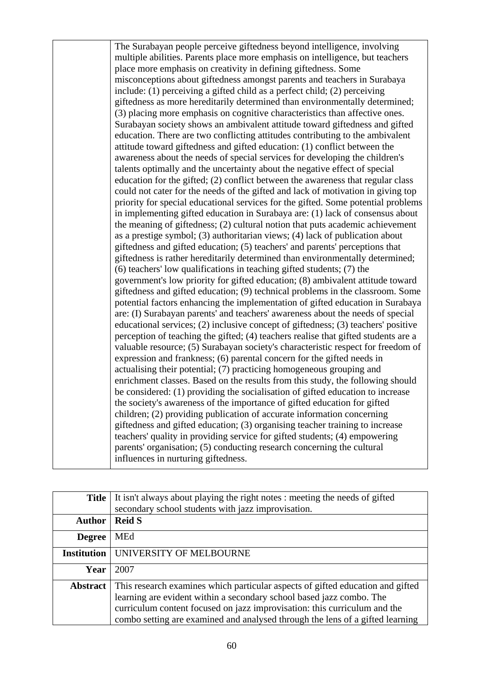The Surabayan people perceive giftedness beyond intelligence, involving multiple abilities. Parents place more emphasis on intelligence, but teachers place more emphasis on creativity in defining giftedness. Some misconceptions about giftedness amongst parents and teachers in Surabaya include: (1) perceiving a gifted child as a perfect child; (2) perceiving giftedness as more hereditarily determined than environmentally determined; (3) placing more emphasis on cognitive characteristics than affective ones. Surabayan society shows an ambivalent attitude toward giftedness and gifted education. There are two conflicting attitudes contributing to the ambivalent attitude toward giftedness and gifted education: (1) conflict between the awareness about the needs of special services for developing the children's talents optimally and the uncertainty about the negative effect of special education for the gifted; (2) conflict between the awareness that regular class could not cater for the needs of the gifted and lack of motivation in giving top priority for special educational services for the gifted. Some potential problems in implementing gifted education in Surabaya are: (1) lack of consensus about the meaning of giftedness; (2) cultural notion that puts academic achievement as a prestige symbol; (3) authoritarian views; (4) lack of publication about giftedness and gifted education; (5) teachers' and parents' perceptions that giftedness is rather hereditarily determined than environmentally determined; (6) teachers' low qualifications in teaching gifted students; (7) the government's low priority for gifted education; (8) ambivalent attitude toward giftedness and gifted education; (9) technical problems in the classroom. Some potential factors enhancing the implementation of gifted education in Surabaya are: (I) Surabayan parents' and teachers' awareness about the needs of special educational services; (2) inclusive concept of giftedness; (3) teachers' positive perception of teaching the gifted; (4) teachers realise that gifted students are a valuable resource; (5) Surabayan society's characteristic respect for freedom of expression and frankness; (6) parental concern for the gifted needs in actualising their potential; (7) practicing homogeneous grouping and enrichment classes. Based on the results from this study, the following should be considered: (1) providing the socialisation of gifted education to increase the society's awareness of the importance of gifted education for gifted children; (2) providing publication of accurate information concerning giftedness and gifted education; (3) organising teacher training to increase teachers' quality in providing service for gifted students; (4) empowering parents' organisation; (5) conducting research concerning the cultural influences in nurturing giftedness.

| <b>Title</b>       | It isn't always about playing the right notes : meeting the needs of gifted<br>secondary school students with jazz improvisation.                                                                                                                                                                                    |
|--------------------|----------------------------------------------------------------------------------------------------------------------------------------------------------------------------------------------------------------------------------------------------------------------------------------------------------------------|
| <b>Author</b>      | <b>Reid S</b>                                                                                                                                                                                                                                                                                                        |
| <b>Degree</b>      | <b>MEd</b>                                                                                                                                                                                                                                                                                                           |
| <b>Institution</b> | UNIVERSITY OF MELBOURNE                                                                                                                                                                                                                                                                                              |
| Year               | 2007                                                                                                                                                                                                                                                                                                                 |
| <b>Abstract</b>    | This research examines which particular aspects of gifted education and gifted<br>learning are evident within a secondary school based jazz combo. The<br>curriculum content focused on jazz improvisation: this curriculum and the<br>combo setting are examined and analysed through the lens of a gifted learning |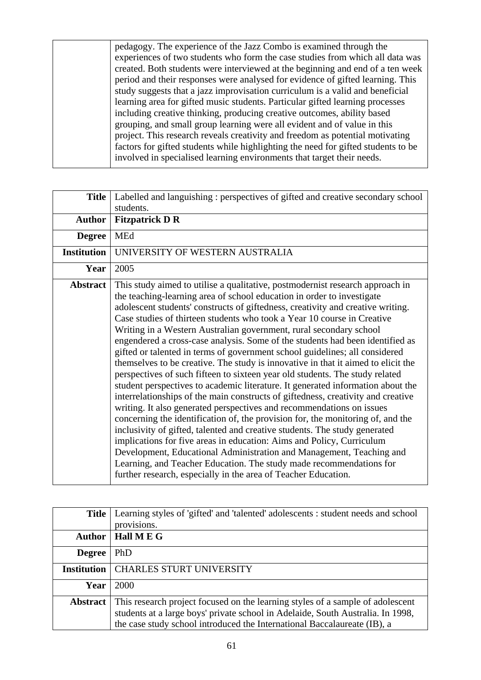pedagogy. The experience of the Jazz Combo is examined through the experiences of two students who form the case studies from which all data was created. Both students were interviewed at the beginning and end of a ten week period and their responses were analysed for evidence of gifted learning. This study suggests that a jazz improvisation curriculum is a valid and beneficial learning area for gifted music students. Particular gifted learning processes including creative thinking, producing creative outcomes, ability based grouping, and small group learning were all evident and of value in this project. This research reveals creativity and freedom as potential motivating factors for gifted students while highlighting the need for gifted students to be involved in specialised learning environments that target their needs.

| <b>Title</b>       | Labelled and languishing : perspectives of gifted and creative secondary school                                                                                                                                                                                                                                                                                                                                                                                                                                                                                                                                                                                                                                                                                                                                                                                                                                                                                                                                                                                                                                                                                                                                                                                                                                                                                                                                                             |
|--------------------|---------------------------------------------------------------------------------------------------------------------------------------------------------------------------------------------------------------------------------------------------------------------------------------------------------------------------------------------------------------------------------------------------------------------------------------------------------------------------------------------------------------------------------------------------------------------------------------------------------------------------------------------------------------------------------------------------------------------------------------------------------------------------------------------------------------------------------------------------------------------------------------------------------------------------------------------------------------------------------------------------------------------------------------------------------------------------------------------------------------------------------------------------------------------------------------------------------------------------------------------------------------------------------------------------------------------------------------------------------------------------------------------------------------------------------------------|
|                    | students.                                                                                                                                                                                                                                                                                                                                                                                                                                                                                                                                                                                                                                                                                                                                                                                                                                                                                                                                                                                                                                                                                                                                                                                                                                                                                                                                                                                                                                   |
| <b>Author</b>      | <b>Fitzpatrick D R</b>                                                                                                                                                                                                                                                                                                                                                                                                                                                                                                                                                                                                                                                                                                                                                                                                                                                                                                                                                                                                                                                                                                                                                                                                                                                                                                                                                                                                                      |
| <b>Degree</b>      | <b>MEd</b>                                                                                                                                                                                                                                                                                                                                                                                                                                                                                                                                                                                                                                                                                                                                                                                                                                                                                                                                                                                                                                                                                                                                                                                                                                                                                                                                                                                                                                  |
| <b>Institution</b> | UNIVERSITY OF WESTERN AUSTRALIA                                                                                                                                                                                                                                                                                                                                                                                                                                                                                                                                                                                                                                                                                                                                                                                                                                                                                                                                                                                                                                                                                                                                                                                                                                                                                                                                                                                                             |
| Year               | 2005                                                                                                                                                                                                                                                                                                                                                                                                                                                                                                                                                                                                                                                                                                                                                                                                                                                                                                                                                                                                                                                                                                                                                                                                                                                                                                                                                                                                                                        |
| <b>Abstract</b>    | This study aimed to utilise a qualitative, postmodernist research approach in<br>the teaching-learning area of school education in order to investigate<br>adolescent students' constructs of giftedness, creativity and creative writing.<br>Case studies of thirteen students who took a Year 10 course in Creative<br>Writing in a Western Australian government, rural secondary school<br>engendered a cross-case analysis. Some of the students had been identified as<br>gifted or talented in terms of government school guidelines; all considered<br>themselves to be creative. The study is innovative in that it aimed to elicit the<br>perspectives of such fifteen to sixteen year old students. The study related<br>student perspectives to academic literature. It generated information about the<br>interrelationships of the main constructs of giftedness, creativity and creative<br>writing. It also generated perspectives and recommendations on issues<br>concerning the identification of, the provision for, the monitoring of, and the<br>inclusivity of gifted, talented and creative students. The study generated<br>implications for five areas in education: Aims and Policy, Curriculum<br>Development, Educational Administration and Management, Teaching and<br>Learning, and Teacher Education. The study made recommendations for<br>further research, especially in the area of Teacher Education. |

| <b>Title</b>       | Learning styles of 'gifted' and 'talented' adolescents : student needs and school |
|--------------------|-----------------------------------------------------------------------------------|
|                    | provisions.                                                                       |
| <b>Author</b>      | Hall M E G                                                                        |
| <b>Degree</b>      | PhD                                                                               |
| <b>Institution</b> | CHARLES STURT UNIVERSITY                                                          |
| Year               | 2000                                                                              |
| <b>Abstract</b>    | This research project focused on the learning styles of a sample of adolescent    |
|                    | students at a large boys' private school in Adelaide, South Australia. In 1998,   |
|                    | the case study school introduced the International Baccalaureate (IB), a          |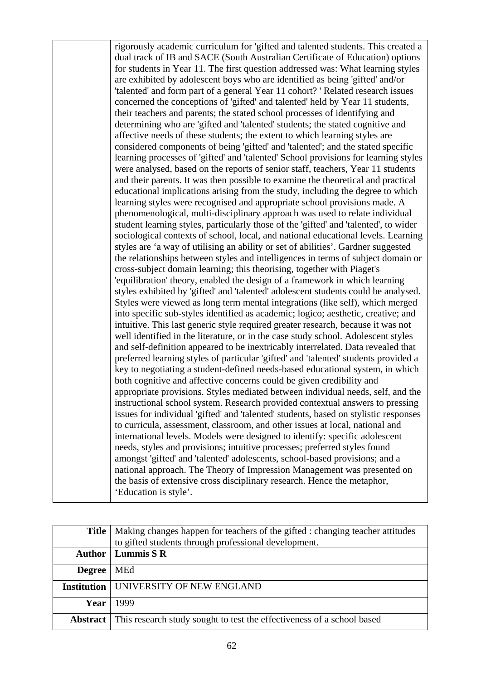rigorously academic curriculum for 'gifted and talented students. This created a dual track of IB and SACE (South Australian Certificate of Education) options for students in Year 11. The first question addressed was: What learning styles are exhibited by adolescent boys who are identified as being 'gifted' and/or 'talented' and form part of a general Year 11 cohort? ' Related research issues concerned the conceptions of 'gifted' and talented' held by Year 11 students, their teachers and parents; the stated school processes of identifying and determining who are 'gifted and 'talented' students; the stated cognitive and affective needs of these students; the extent to which learning styles are considered components of being 'gifted' and 'talented'; and the stated specific learning processes of 'gifted' and 'talented' School provisions for learning styles were analysed, based on the reports of senior staff, teachers, Year 11 students and their parents. It was then possible to examine the theoretical and practical educational implications arising from the study, including the degree to which learning styles were recognised and appropriate school provisions made. A phenomenological, multi-disciplinary approach was used to relate individual student learning styles, particularly those of the 'gifted' and 'talented', to wider sociological contexts of school, local, and national educational levels. Learning styles are 'a way of utilising an ability or set of abilities'. Gardner suggested the relationships between styles and intelligences in terms of subject domain or cross-subject domain learning; this theorising, together with Piaget's 'equilibration' theory, enabled the design of a framework in which learning styles exhibited by 'gifted' and 'talented' adolescent students could be analysed. Styles were viewed as long term mental integrations (like self), which merged into specific sub-styles identified as academic; logico; aesthetic, creative; and intuitive. This last generic style required greater research, because it was not well identified in the literature, or in the case study school. Adolescent styles and self-definition appeared to be inextricably interrelated. Data revealed that preferred learning styles of particular 'gifted' and 'talented' students provided a key to negotiating a student-defined needs-based educational system, in which both cognitive and affective concerns could be given credibility and appropriate provisions. Styles mediated between individual needs, self, and the instructional school system. Research provided contextual answers to pressing issues for individual 'gifted' and 'talented' students, based on stylistic responses to curricula, assessment, classroom, and other issues at local, national and international levels. Models were designed to identify: specific adolescent needs, styles and provisions; intuitive processes; preferred styles found amongst 'gifted' and 'talented' adolescents, school-based provisions; and a national approach. The Theory of Impression Management was presented on the basis of extensive cross disciplinary research. Hence the metaphor, 'Education is style'.

|               | <b>Title</b>   Making changes happen for teachers of the gifted : changing teacher attitudes |
|---------------|----------------------------------------------------------------------------------------------|
|               | to gifted students through professional development.                                         |
|               | <b>Author</b>   Lummis S R                                                                   |
| <b>Degree</b> | MEd                                                                                          |
|               | <b>Institution   UNIVERSITY OF NEW ENGLAND</b>                                               |
| Year          | 1999                                                                                         |
|               | <b>Abstract</b> This research study sought to test the effectiveness of a school based       |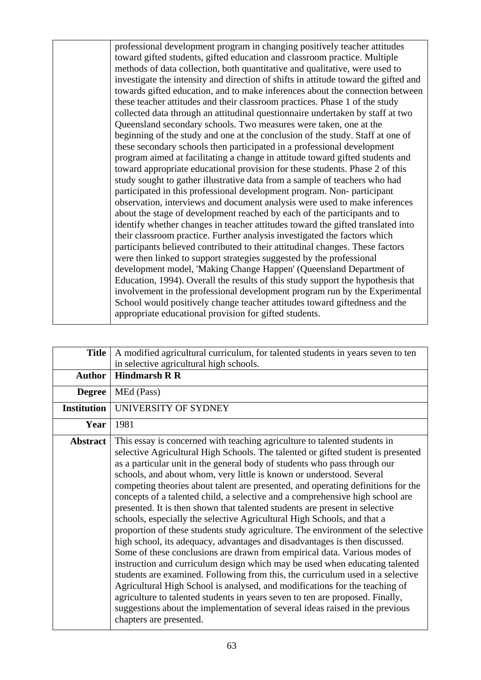professional development program in changing positively teacher attitudes toward gifted students, gifted education and classroom practice. Multiple methods of data collection, both quantitative and qualitative, were used to investigate the intensity and direction of shifts in attitude toward the gifted and towards gifted education, and to make inferences about the connection between these teacher attitudes and their classroom practices. Phase 1 of the study collected data through an attitudinal questionnaire undertaken by staff at two Queensland secondary schools. Two measures were taken, one at the beginning of the study and one at the conclusion of the study. Staff at one of these secondary schools then participated in a professional development program aimed at facilitating a change in attitude toward gifted students and toward appropriate educational provision for these students. Phase 2 of this study sought to gather illustrative data from a sample of teachers who had participated in this professional development program. Non- participant observation, interviews and document analysis were used to make inferences about the stage of development reached by each of the participants and to identify whether changes in teacher attitudes toward the gifted translated into their classroom practice. Further analysis investigated the factors which participants believed contributed to their attitudinal changes. These factors were then linked to support strategies suggested by the professional development model, 'Making Change Happen' (Queensland Department of Education, 1994). Overall the results of this study support the hypothesis that involvement in the professional development program run by the Experimental School would positively change teacher attitudes toward giftedness and the appropriate educational provision for gifted students.

| <b>Title</b>       | A modified agricultural curriculum, for talented students in years seven to ten                                                                                                                                                                                                                                                                                                                                                                                                                                                                                                                                                                                                                                                                                                                                                                                                                                                                                                                                                                                                                                                                                                                                                                                                                                                              |
|--------------------|----------------------------------------------------------------------------------------------------------------------------------------------------------------------------------------------------------------------------------------------------------------------------------------------------------------------------------------------------------------------------------------------------------------------------------------------------------------------------------------------------------------------------------------------------------------------------------------------------------------------------------------------------------------------------------------------------------------------------------------------------------------------------------------------------------------------------------------------------------------------------------------------------------------------------------------------------------------------------------------------------------------------------------------------------------------------------------------------------------------------------------------------------------------------------------------------------------------------------------------------------------------------------------------------------------------------------------------------|
|                    | in selective agricultural high schools.                                                                                                                                                                                                                                                                                                                                                                                                                                                                                                                                                                                                                                                                                                                                                                                                                                                                                                                                                                                                                                                                                                                                                                                                                                                                                                      |
| <b>Author</b>      | <b>Hindmarsh R R</b>                                                                                                                                                                                                                                                                                                                                                                                                                                                                                                                                                                                                                                                                                                                                                                                                                                                                                                                                                                                                                                                                                                                                                                                                                                                                                                                         |
| <b>Degree</b>      | MEd (Pass)                                                                                                                                                                                                                                                                                                                                                                                                                                                                                                                                                                                                                                                                                                                                                                                                                                                                                                                                                                                                                                                                                                                                                                                                                                                                                                                                   |
| <b>Institution</b> | UNIVERSITY OF SYDNEY                                                                                                                                                                                                                                                                                                                                                                                                                                                                                                                                                                                                                                                                                                                                                                                                                                                                                                                                                                                                                                                                                                                                                                                                                                                                                                                         |
| Year               | 1981                                                                                                                                                                                                                                                                                                                                                                                                                                                                                                                                                                                                                                                                                                                                                                                                                                                                                                                                                                                                                                                                                                                                                                                                                                                                                                                                         |
| <b>Abstract</b>    | This essay is concerned with teaching agriculture to talented students in<br>selective Agricultural High Schools. The talented or gifted student is presented<br>as a particular unit in the general body of students who pass through our<br>schools, and about whom, very little is known or understood. Several<br>competing theories about talent are presented, and operating definitions for the<br>concepts of a talented child, a selective and a comprehensive high school are<br>presented. It is then shown that talented students are present in selective<br>schools, especially the selective Agricultural High Schools, and that a<br>proportion of these students study agriculture. The environment of the selective<br>high school, its adequacy, advantages and disadvantages is then discussed.<br>Some of these conclusions are drawn from empirical data. Various modes of<br>instruction and curriculum design which may be used when educating talented<br>students are examined. Following from this, the curriculum used in a selective<br>Agricultural High School is analysed, and modifications for the teaching of<br>agriculture to talented students in years seven to ten are proposed. Finally,<br>suggestions about the implementation of several ideas raised in the previous<br>chapters are presented. |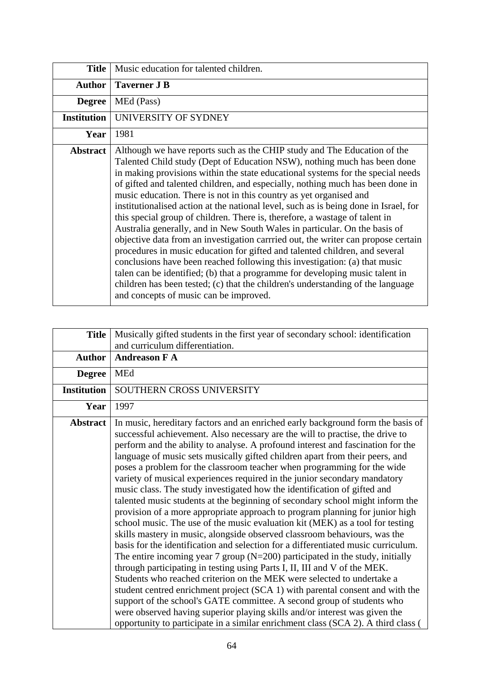| <b>Title</b>       | Music education for talented children.                                                                                                                                                                                                                                                                                                                                                                                                                                                                                                                                                                                                                                                                                                                                                                                                                                                                                                                                                                                                                                                                              |
|--------------------|---------------------------------------------------------------------------------------------------------------------------------------------------------------------------------------------------------------------------------------------------------------------------------------------------------------------------------------------------------------------------------------------------------------------------------------------------------------------------------------------------------------------------------------------------------------------------------------------------------------------------------------------------------------------------------------------------------------------------------------------------------------------------------------------------------------------------------------------------------------------------------------------------------------------------------------------------------------------------------------------------------------------------------------------------------------------------------------------------------------------|
| <b>Author</b>      | <b>Taverner J B</b>                                                                                                                                                                                                                                                                                                                                                                                                                                                                                                                                                                                                                                                                                                                                                                                                                                                                                                                                                                                                                                                                                                 |
| <b>Degree</b>      | MEd (Pass)                                                                                                                                                                                                                                                                                                                                                                                                                                                                                                                                                                                                                                                                                                                                                                                                                                                                                                                                                                                                                                                                                                          |
| <b>Institution</b> | UNIVERSITY OF SYDNEY                                                                                                                                                                                                                                                                                                                                                                                                                                                                                                                                                                                                                                                                                                                                                                                                                                                                                                                                                                                                                                                                                                |
| Year               | 1981                                                                                                                                                                                                                                                                                                                                                                                                                                                                                                                                                                                                                                                                                                                                                                                                                                                                                                                                                                                                                                                                                                                |
| <b>Abstract</b>    | Although we have reports such as the CHIP study and The Education of the<br>Talented Child study (Dept of Education NSW), nothing much has been done<br>in making provisions within the state educational systems for the special needs<br>of gifted and talented children, and especially, nothing much has been done in<br>music education. There is not in this country as yet organised and<br>institutionalised action at the national level, such as is being done in Israel, for<br>this special group of children. There is, therefore, a wastage of talent in<br>Australia generally, and in New South Wales in particular. On the basis of<br>objective data from an investigation carrried out, the writer can propose certain<br>procedures in music education for gifted and talented children, and several<br>conclusions have been reached following this investigation: (a) that music<br>talen can be identified; (b) that a programme for developing music talent in<br>children has been tested; (c) that the children's understanding of the language<br>and concepts of music can be improved. |

| <b>Title</b>       | Musically gifted students in the first year of secondary school: identification<br>and curriculum differentiation.                                                                                                                                                                                                                                                                                                                                                                                                                                                                                                                                                                                                                                                                                                                                                                                                                                                                                                                                                                                                                                                                                                                                                                                                                                                                                                                                                                                                                                                    |
|--------------------|-----------------------------------------------------------------------------------------------------------------------------------------------------------------------------------------------------------------------------------------------------------------------------------------------------------------------------------------------------------------------------------------------------------------------------------------------------------------------------------------------------------------------------------------------------------------------------------------------------------------------------------------------------------------------------------------------------------------------------------------------------------------------------------------------------------------------------------------------------------------------------------------------------------------------------------------------------------------------------------------------------------------------------------------------------------------------------------------------------------------------------------------------------------------------------------------------------------------------------------------------------------------------------------------------------------------------------------------------------------------------------------------------------------------------------------------------------------------------------------------------------------------------------------------------------------------------|
| <b>Author</b>      | <b>Andreason F A</b>                                                                                                                                                                                                                                                                                                                                                                                                                                                                                                                                                                                                                                                                                                                                                                                                                                                                                                                                                                                                                                                                                                                                                                                                                                                                                                                                                                                                                                                                                                                                                  |
| <b>Degree</b>      | MEd                                                                                                                                                                                                                                                                                                                                                                                                                                                                                                                                                                                                                                                                                                                                                                                                                                                                                                                                                                                                                                                                                                                                                                                                                                                                                                                                                                                                                                                                                                                                                                   |
| <b>Institution</b> | SOUTHERN CROSS UNIVERSITY                                                                                                                                                                                                                                                                                                                                                                                                                                                                                                                                                                                                                                                                                                                                                                                                                                                                                                                                                                                                                                                                                                                                                                                                                                                                                                                                                                                                                                                                                                                                             |
| Year               | 1997                                                                                                                                                                                                                                                                                                                                                                                                                                                                                                                                                                                                                                                                                                                                                                                                                                                                                                                                                                                                                                                                                                                                                                                                                                                                                                                                                                                                                                                                                                                                                                  |
| <b>Abstract</b>    | In music, hereditary factors and an enriched early background form the basis of<br>successful achievement. Also necessary are the will to practise, the drive to<br>perform and the ability to analyse. A profound interest and fascination for the<br>language of music sets musically gifted children apart from their peers, and<br>poses a problem for the classroom teacher when programming for the wide<br>variety of musical experiences required in the junior secondary mandatory<br>music class. The study investigated how the identification of gifted and<br>talented music students at the beginning of secondary school might inform the<br>provision of a more appropriate approach to program planning for junior high<br>school music. The use of the music evaluation kit (MEK) as a tool for testing<br>skills mastery in music, alongside observed classroom behaviours, was the<br>basis for the identification and selection for a differentiated music curriculum.<br>The entire incoming year 7 group ( $N=200$ ) participated in the study, initially<br>through participating in testing using Parts I, II, III and V of the MEK.<br>Students who reached criterion on the MEK were selected to undertake a<br>student centred enrichment project (SCA 1) with parental consent and with the<br>support of the school's GATE committee. A second group of students who<br>were observed having superior playing skills and/or interest was given the<br>opportunity to participate in a similar enrichment class (SCA 2). A third class ( |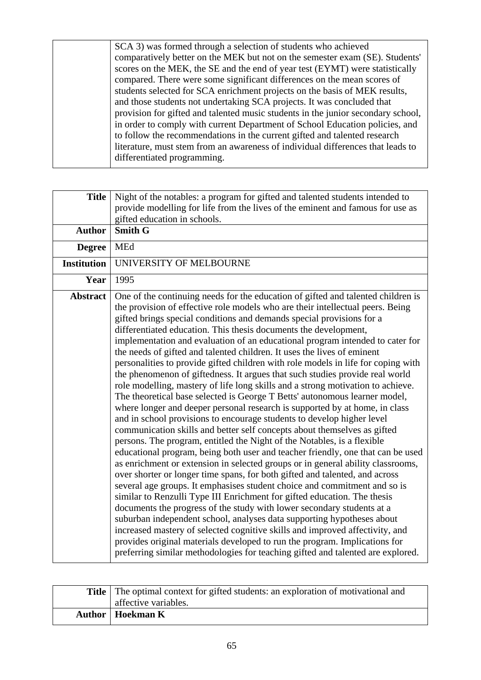SCA 3) was formed through a selection of students who achieved comparatively better on the MEK but not on the semester exam (SE). Students' scores on the MEK, the SE and the end of year test (EYMT) were statistically compared. There were some significant differences on the mean scores of students selected for SCA enrichment projects on the basis of MEK results, and those students not undertaking SCA projects. It was concluded that provision for gifted and talented music students in the junior secondary school, in order to comply with current Department of School Education policies, and to follow the recommendations in the current gifted and talented research literature, must stem from an awareness of individual differences that leads to differentiated programming.

| <b>Title</b>       | Night of the notables: a program for gifted and talented students intended to<br>provide modelling for life from the lives of the eminent and famous for use as<br>gifted education in schools.                                                                                                                                                                                                                                                                                                                                                                                                                                                                                                                                                                                                                                                                                                                                                                                                                                                                                                                                                                                                                                                                                                                                                                                                                                                                                                                                                                                                                                                                                                                                                                                                                                                                                                                                                      |
|--------------------|------------------------------------------------------------------------------------------------------------------------------------------------------------------------------------------------------------------------------------------------------------------------------------------------------------------------------------------------------------------------------------------------------------------------------------------------------------------------------------------------------------------------------------------------------------------------------------------------------------------------------------------------------------------------------------------------------------------------------------------------------------------------------------------------------------------------------------------------------------------------------------------------------------------------------------------------------------------------------------------------------------------------------------------------------------------------------------------------------------------------------------------------------------------------------------------------------------------------------------------------------------------------------------------------------------------------------------------------------------------------------------------------------------------------------------------------------------------------------------------------------------------------------------------------------------------------------------------------------------------------------------------------------------------------------------------------------------------------------------------------------------------------------------------------------------------------------------------------------------------------------------------------------------------------------------------------------|
| <b>Author</b>      | <b>Smith G</b>                                                                                                                                                                                                                                                                                                                                                                                                                                                                                                                                                                                                                                                                                                                                                                                                                                                                                                                                                                                                                                                                                                                                                                                                                                                                                                                                                                                                                                                                                                                                                                                                                                                                                                                                                                                                                                                                                                                                       |
| <b>Degree</b>      | <b>MEd</b>                                                                                                                                                                                                                                                                                                                                                                                                                                                                                                                                                                                                                                                                                                                                                                                                                                                                                                                                                                                                                                                                                                                                                                                                                                                                                                                                                                                                                                                                                                                                                                                                                                                                                                                                                                                                                                                                                                                                           |
| <b>Institution</b> | UNIVERSITY OF MELBOURNE                                                                                                                                                                                                                                                                                                                                                                                                                                                                                                                                                                                                                                                                                                                                                                                                                                                                                                                                                                                                                                                                                                                                                                                                                                                                                                                                                                                                                                                                                                                                                                                                                                                                                                                                                                                                                                                                                                                              |
| Year               | 1995                                                                                                                                                                                                                                                                                                                                                                                                                                                                                                                                                                                                                                                                                                                                                                                                                                                                                                                                                                                                                                                                                                                                                                                                                                                                                                                                                                                                                                                                                                                                                                                                                                                                                                                                                                                                                                                                                                                                                 |
| <b>Abstract</b>    | One of the continuing needs for the education of gifted and talented children is<br>the provision of effective role models who are their intellectual peers. Being<br>gifted brings special conditions and demands special provisions for a<br>differentiated education. This thesis documents the development,<br>implementation and evaluation of an educational program intended to cater for<br>the needs of gifted and talented children. It uses the lives of eminent<br>personalities to provide gifted children with role models in life for coping with<br>the phenomenon of giftedness. It argues that such studies provide real world<br>role modelling, mastery of life long skills and a strong motivation to achieve.<br>The theoretical base selected is George T Betts' autonomous learner model,<br>where longer and deeper personal research is supported by at home, in class<br>and in school provisions to encourage students to develop higher level<br>communication skills and better self concepts about themselves as gifted<br>persons. The program, entitled the Night of the Notables, is a flexible<br>educational program, being both user and teacher friendly, one that can be used<br>as enrichment or extension in selected groups or in general ability classrooms,<br>over shorter or longer time spans, for both gifted and talented, and across<br>several age groups. It emphasises student choice and commitment and so is<br>similar to Renzulli Type III Enrichment for gifted education. The thesis<br>documents the progress of the study with lower secondary students at a<br>suburban independent school, analyses data supporting hypotheses about<br>increased mastery of selected cognitive skills and improved affectivity, and<br>provides original materials developed to run the program. Implications for<br>preferring similar methodologies for teaching gifted and talented are explored. |

| Title   The optimal context for gifted students: an exploration of motivational and |
|-------------------------------------------------------------------------------------|
| affective variables.                                                                |
| <b>Author</b>   Hoekman K                                                           |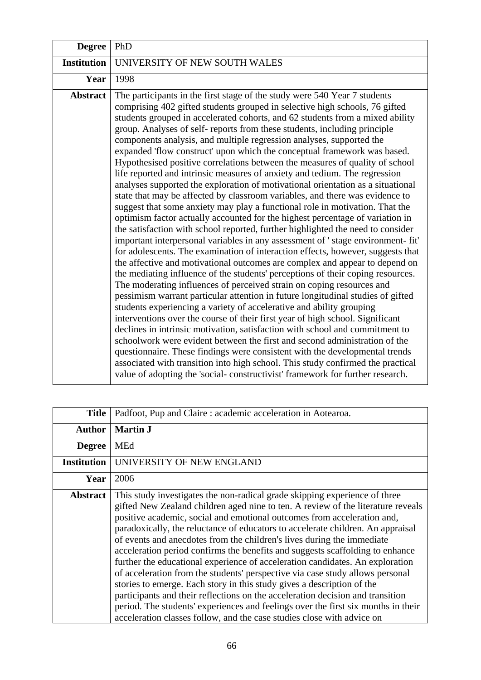| <b>Degree</b>      | PhD                                                                                                                                                                                                                                                                                                                                                                                                                                                                                                                                                                                                                                                                                                                                                                                                                                                                                                                                                                                                                                                                                                                                                                                                                                                                                                                                                                                                                                                                                                                                                                                                                                                                                                                                                                                                                                                                                                                                                                                                                                                                                                                                         |
|--------------------|---------------------------------------------------------------------------------------------------------------------------------------------------------------------------------------------------------------------------------------------------------------------------------------------------------------------------------------------------------------------------------------------------------------------------------------------------------------------------------------------------------------------------------------------------------------------------------------------------------------------------------------------------------------------------------------------------------------------------------------------------------------------------------------------------------------------------------------------------------------------------------------------------------------------------------------------------------------------------------------------------------------------------------------------------------------------------------------------------------------------------------------------------------------------------------------------------------------------------------------------------------------------------------------------------------------------------------------------------------------------------------------------------------------------------------------------------------------------------------------------------------------------------------------------------------------------------------------------------------------------------------------------------------------------------------------------------------------------------------------------------------------------------------------------------------------------------------------------------------------------------------------------------------------------------------------------------------------------------------------------------------------------------------------------------------------------------------------------------------------------------------------------|
| <b>Institution</b> | UNIVERSITY OF NEW SOUTH WALES                                                                                                                                                                                                                                                                                                                                                                                                                                                                                                                                                                                                                                                                                                                                                                                                                                                                                                                                                                                                                                                                                                                                                                                                                                                                                                                                                                                                                                                                                                                                                                                                                                                                                                                                                                                                                                                                                                                                                                                                                                                                                                               |
| Year               | 1998                                                                                                                                                                                                                                                                                                                                                                                                                                                                                                                                                                                                                                                                                                                                                                                                                                                                                                                                                                                                                                                                                                                                                                                                                                                                                                                                                                                                                                                                                                                                                                                                                                                                                                                                                                                                                                                                                                                                                                                                                                                                                                                                        |
| <b>Abstract</b>    | The participants in the first stage of the study were 540 Year 7 students<br>comprising 402 gifted students grouped in selective high schools, 76 gifted<br>students grouped in accelerated cohorts, and 62 students from a mixed ability<br>group. Analyses of self-reports from these students, including principle<br>components analysis, and multiple regression analyses, supported the<br>expanded 'flow construct' upon which the conceptual framework was based.<br>Hypothesised positive correlations between the measures of quality of school<br>life reported and intrinsic measures of anxiety and tedium. The regression<br>analyses supported the exploration of motivational orientation as a situational<br>state that may be affected by classroom variables, and there was evidence to<br>suggest that some anxiety may play a functional role in motivation. That the<br>optimism factor actually accounted for the highest percentage of variation in<br>the satisfaction with school reported, further highlighted the need to consider<br>important interpersonal variables in any assessment of 'stage environment-fit'<br>for adolescents. The examination of interaction effects, however, suggests that<br>the affective and motivational outcomes are complex and appear to depend on<br>the mediating influence of the students' perceptions of their coping resources.<br>The moderating influences of perceived strain on coping resources and<br>pessimism warrant particular attention in future longitudinal studies of gifted<br>students experiencing a variety of accelerative and ability grouping<br>interventions over the course of their first year of high school. Significant<br>declines in intrinsic motivation, satisfaction with school and commitment to<br>schoolwork were evident between the first and second administration of the<br>questionnaire. These findings were consistent with the developmental trends<br>associated with transition into high school. This study confirmed the practical<br>value of adopting the 'social-constructivist' framework for further research. |

| <b>Title</b>       | Padfoot, Pup and Claire: academic acceleration in Aotearoa.                                                                                                                                                                                                                                                                                                                                                                                                                                                                                                                                                                                                                                                                                                                                                                                                                                                                                                                          |
|--------------------|--------------------------------------------------------------------------------------------------------------------------------------------------------------------------------------------------------------------------------------------------------------------------------------------------------------------------------------------------------------------------------------------------------------------------------------------------------------------------------------------------------------------------------------------------------------------------------------------------------------------------------------------------------------------------------------------------------------------------------------------------------------------------------------------------------------------------------------------------------------------------------------------------------------------------------------------------------------------------------------|
| <b>Author</b>      | <b>Martin J</b>                                                                                                                                                                                                                                                                                                                                                                                                                                                                                                                                                                                                                                                                                                                                                                                                                                                                                                                                                                      |
| <b>Degree</b>      | <b>MEd</b>                                                                                                                                                                                                                                                                                                                                                                                                                                                                                                                                                                                                                                                                                                                                                                                                                                                                                                                                                                           |
| <b>Institution</b> | UNIVERSITY OF NEW ENGLAND                                                                                                                                                                                                                                                                                                                                                                                                                                                                                                                                                                                                                                                                                                                                                                                                                                                                                                                                                            |
| Year               | 2006                                                                                                                                                                                                                                                                                                                                                                                                                                                                                                                                                                                                                                                                                                                                                                                                                                                                                                                                                                                 |
| <b>Abstract</b>    | This study investigates the non-radical grade skipping experience of three<br>gifted New Zealand children aged nine to ten. A review of the literature reveals<br>positive academic, social and emotional outcomes from acceleration and,<br>paradoxically, the reluctance of educators to accelerate children. An appraisal<br>of events and anecdotes from the children's lives during the immediate<br>acceleration period confirms the benefits and suggests scaffolding to enhance<br>further the educational experience of acceleration candidates. An exploration<br>of acceleration from the students' perspective via case study allows personal<br>stories to emerge. Each story in this study gives a description of the<br>participants and their reflections on the acceleration decision and transition<br>period. The students' experiences and feelings over the first six months in their<br>acceleration classes follow, and the case studies close with advice on |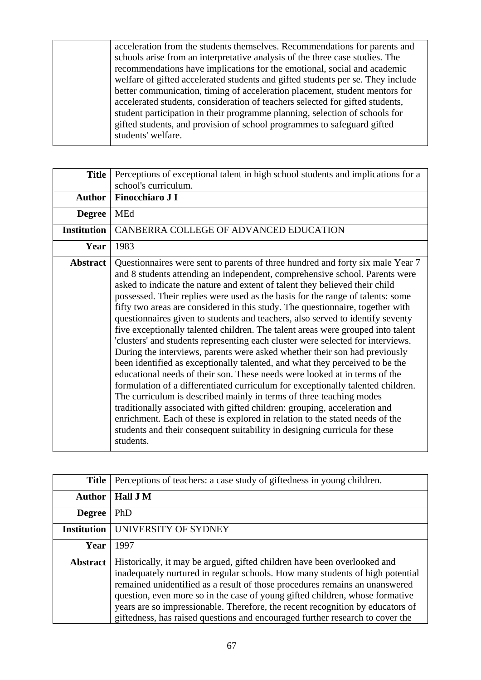acceleration from the students themselves. Recommendations for parents and schools arise from an interpretative analysis of the three case studies. The recommendations have implications for the emotional, social and academic welfare of gifted accelerated students and gifted students per se. They include better communication, timing of acceleration placement, student mentors for accelerated students, consideration of teachers selected for gifted students, student participation in their programme planning, selection of schools for gifted students, and provision of school programmes to safeguard gifted students' welfare.

| <b>Title</b>       | Perceptions of exceptional talent in high school students and implications for a                                                                                                                                                                                                                                                                                                                                                                                                                                                                                                                                                                                                                                                                                                                                                                                                                                                                                                                                                                                                                                                                                                                                                                                                                                                       |
|--------------------|----------------------------------------------------------------------------------------------------------------------------------------------------------------------------------------------------------------------------------------------------------------------------------------------------------------------------------------------------------------------------------------------------------------------------------------------------------------------------------------------------------------------------------------------------------------------------------------------------------------------------------------------------------------------------------------------------------------------------------------------------------------------------------------------------------------------------------------------------------------------------------------------------------------------------------------------------------------------------------------------------------------------------------------------------------------------------------------------------------------------------------------------------------------------------------------------------------------------------------------------------------------------------------------------------------------------------------------|
|                    | school's curriculum.                                                                                                                                                                                                                                                                                                                                                                                                                                                                                                                                                                                                                                                                                                                                                                                                                                                                                                                                                                                                                                                                                                                                                                                                                                                                                                                   |
| <b>Author</b>      | <b>Finocchiaro J I</b>                                                                                                                                                                                                                                                                                                                                                                                                                                                                                                                                                                                                                                                                                                                                                                                                                                                                                                                                                                                                                                                                                                                                                                                                                                                                                                                 |
| <b>Degree</b>      | MEd                                                                                                                                                                                                                                                                                                                                                                                                                                                                                                                                                                                                                                                                                                                                                                                                                                                                                                                                                                                                                                                                                                                                                                                                                                                                                                                                    |
| <b>Institution</b> | CANBERRA COLLEGE OF ADVANCED EDUCATION                                                                                                                                                                                                                                                                                                                                                                                                                                                                                                                                                                                                                                                                                                                                                                                                                                                                                                                                                                                                                                                                                                                                                                                                                                                                                                 |
| Year               | 1983                                                                                                                                                                                                                                                                                                                                                                                                                                                                                                                                                                                                                                                                                                                                                                                                                                                                                                                                                                                                                                                                                                                                                                                                                                                                                                                                   |
| <b>Abstract</b>    | Questionnaires were sent to parents of three hundred and forty six male Year 7<br>and 8 students attending an independent, comprehensive school. Parents were<br>asked to indicate the nature and extent of talent they believed their child<br>possessed. Their replies were used as the basis for the range of talents: some<br>fifty two areas are considered in this study. The questionnaire, together with<br>questionnaires given to students and teachers, also served to identify seventy<br>five exceptionally talented children. The talent areas were grouped into talent<br>'clusters' and students representing each cluster were selected for interviews.<br>During the interviews, parents were asked whether their son had previously<br>been identified as exceptionally talented, and what they perceived to be the<br>educational needs of their son. These needs were looked at in terms of the<br>formulation of a differentiated curriculum for exceptionally talented children.<br>The curriculum is described mainly in terms of three teaching modes<br>traditionally associated with gifted children: grouping, acceleration and<br>enrichment. Each of these is explored in relation to the stated needs of the<br>students and their consequent suitability in designing curricula for these<br>students. |

| <b>Title</b>       | Perceptions of teachers: a case study of giftedness in young children.                                                                                                                                                                                                                                                                                                                                                                                                                      |
|--------------------|---------------------------------------------------------------------------------------------------------------------------------------------------------------------------------------------------------------------------------------------------------------------------------------------------------------------------------------------------------------------------------------------------------------------------------------------------------------------------------------------|
| <b>Author</b>      | Hall J M                                                                                                                                                                                                                                                                                                                                                                                                                                                                                    |
| <b>Degree</b>      | PhD                                                                                                                                                                                                                                                                                                                                                                                                                                                                                         |
| <b>Institution</b> | UNIVERSITY OF SYDNEY                                                                                                                                                                                                                                                                                                                                                                                                                                                                        |
| Year               | 1997                                                                                                                                                                                                                                                                                                                                                                                                                                                                                        |
| <b>Abstract</b>    | Historically, it may be argued, gifted children have been overlooked and<br>inadequately nurtured in regular schools. How many students of high potential<br>remained unidentified as a result of those procedures remains an unanswered<br>question, even more so in the case of young gifted children, whose formative<br>years are so impressionable. Therefore, the recent recognition by educators of<br>giftedness, has raised questions and encouraged further research to cover the |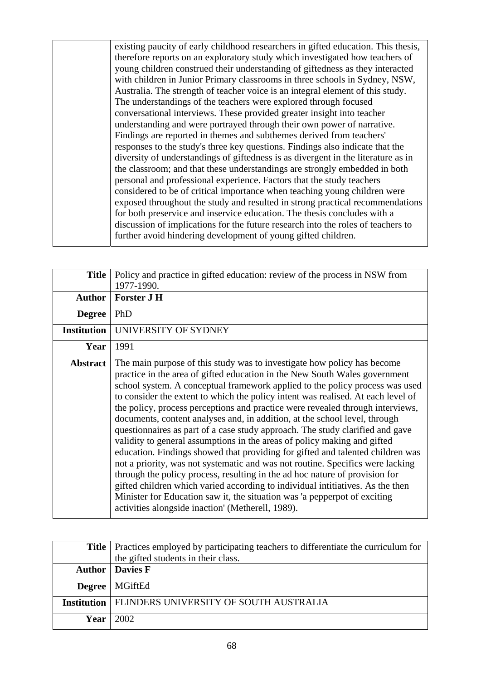existing paucity of early childhood researchers in gifted education. This thesis, therefore reports on an exploratory study which investigated how teachers of young children construed their understanding of giftedness as they interacted with children in Junior Primary classrooms in three schools in Sydney, NSW, Australia. The strength of teacher voice is an integral element of this study. The understandings of the teachers were explored through focused conversational interviews. These provided greater insight into teacher understanding and were portrayed through their own power of narrative. Findings are reported in themes and subthemes derived from teachers' responses to the study's three key questions. Findings also indicate that the diversity of understandings of giftedness is as divergent in the literature as in the classroom; and that these understandings are strongly embedded in both personal and professional experience. Factors that the study teachers considered to be of critical importance when teaching young children were exposed throughout the study and resulted in strong practical recommendations for both preservice and inservice education. The thesis concludes with a discussion of implications for the future research into the roles of teachers to further avoid hindering development of young gifted children.

| <b>Title</b>       | Policy and practice in gifted education: review of the process in NSW from<br>1977-1990.                                                                                                                                                                                                                                                                                                                                                                                                                                                                                                                                                                                                                                                                                                                                                                                                                                                                                                                                                                                                                                      |
|--------------------|-------------------------------------------------------------------------------------------------------------------------------------------------------------------------------------------------------------------------------------------------------------------------------------------------------------------------------------------------------------------------------------------------------------------------------------------------------------------------------------------------------------------------------------------------------------------------------------------------------------------------------------------------------------------------------------------------------------------------------------------------------------------------------------------------------------------------------------------------------------------------------------------------------------------------------------------------------------------------------------------------------------------------------------------------------------------------------------------------------------------------------|
| <b>Author</b>      | Forster J H                                                                                                                                                                                                                                                                                                                                                                                                                                                                                                                                                                                                                                                                                                                                                                                                                                                                                                                                                                                                                                                                                                                   |
| <b>Degree</b>      | PhD                                                                                                                                                                                                                                                                                                                                                                                                                                                                                                                                                                                                                                                                                                                                                                                                                                                                                                                                                                                                                                                                                                                           |
| <b>Institution</b> | UNIVERSITY OF SYDNEY                                                                                                                                                                                                                                                                                                                                                                                                                                                                                                                                                                                                                                                                                                                                                                                                                                                                                                                                                                                                                                                                                                          |
| Year               | 1991                                                                                                                                                                                                                                                                                                                                                                                                                                                                                                                                                                                                                                                                                                                                                                                                                                                                                                                                                                                                                                                                                                                          |
| <b>Abstract</b>    | The main purpose of this study was to investigate how policy has become<br>practice in the area of gifted education in the New South Wales government<br>school system. A conceptual framework applied to the policy process was used<br>to consider the extent to which the policy intent was realised. At each level of<br>the policy, process perceptions and practice were revealed through interviews,<br>documents, content analyses and, in addition, at the school level, through<br>questionnaires as part of a case study approach. The study clarified and gave<br>validity to general assumptions in the areas of policy making and gifted<br>education. Findings showed that providing for gifted and talented children was<br>not a priority, was not systematic and was not routine. Specifics were lacking<br>through the policy process, resulting in the ad hoc nature of provision for<br>gifted children which varied according to individual intitiatives. As the then<br>Minister for Education saw it, the situation was 'a pepperpot of exciting<br>activities alongside inaction' (Metherell, 1989). |

| <b>Title</b> Practices employed by participating teachers to differentiate the curriculum for |
|-----------------------------------------------------------------------------------------------|
| the gifted students in their class.                                                           |
| <b>Author</b>   Davies F                                                                      |
| Degree   MGiftEd                                                                              |
| Institution   FLINDERS UNIVERSITY OF SOUTH AUSTRALIA                                          |
| Year $\vert$ 2002                                                                             |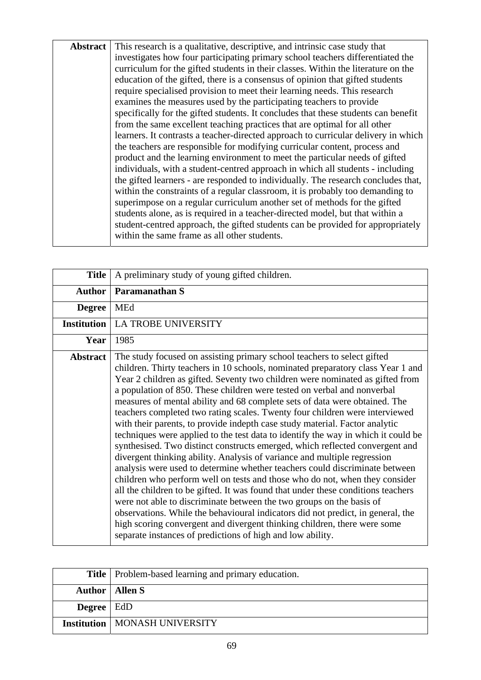Abstract This research is a qualitative, descriptive, and intrinsic case study that investigates how four participating primary school teachers differentiated the curriculum for the gifted students in their classes. Within the literature on the education of the gifted, there is a consensus of opinion that gifted students require specialised provision to meet their learning needs. This research examines the measures used by the participating teachers to provide specifically for the gifted students. It concludes that these students can benefit from the same excellent teaching practices that are optimal for all other learners. It contrasts a teacher-directed approach to curricular delivery in which the teachers are responsible for modifying curricular content, process and product and the learning environment to meet the particular needs of gifted individuals, with a student-centred approach in which all students - including the gifted learners - are responded to individually. The research concludes that, within the constraints of a regular classroom, it is probably too demanding to superimpose on a regular curriculum another set of methods for the gifted students alone, as is required in a teacher-directed model, but that within a student-centred approach, the gifted students can be provided for appropriately within the same frame as all other students.

| <b>Title</b>       | A preliminary study of young gifted children.                                                                                                                                                                                                                                                                                                                                                                                                                                                                                                                                                                                                                                                                                                                                                                                                                                                                                                                                                                                                                                                                                                                                                                                                                                                                                                                              |
|--------------------|----------------------------------------------------------------------------------------------------------------------------------------------------------------------------------------------------------------------------------------------------------------------------------------------------------------------------------------------------------------------------------------------------------------------------------------------------------------------------------------------------------------------------------------------------------------------------------------------------------------------------------------------------------------------------------------------------------------------------------------------------------------------------------------------------------------------------------------------------------------------------------------------------------------------------------------------------------------------------------------------------------------------------------------------------------------------------------------------------------------------------------------------------------------------------------------------------------------------------------------------------------------------------------------------------------------------------------------------------------------------------|
| <b>Author</b>      | Paramanathan S                                                                                                                                                                                                                                                                                                                                                                                                                                                                                                                                                                                                                                                                                                                                                                                                                                                                                                                                                                                                                                                                                                                                                                                                                                                                                                                                                             |
| <b>Degree</b>      | MEd                                                                                                                                                                                                                                                                                                                                                                                                                                                                                                                                                                                                                                                                                                                                                                                                                                                                                                                                                                                                                                                                                                                                                                                                                                                                                                                                                                        |
| <b>Institution</b> | LA TROBE UNIVERSITY                                                                                                                                                                                                                                                                                                                                                                                                                                                                                                                                                                                                                                                                                                                                                                                                                                                                                                                                                                                                                                                                                                                                                                                                                                                                                                                                                        |
| Year               | 1985                                                                                                                                                                                                                                                                                                                                                                                                                                                                                                                                                                                                                                                                                                                                                                                                                                                                                                                                                                                                                                                                                                                                                                                                                                                                                                                                                                       |
| <b>Abstract</b>    | The study focused on assisting primary school teachers to select gifted<br>children. Thirty teachers in 10 schools, nominated preparatory class Year 1 and<br>Year 2 children as gifted. Seventy two children were nominated as gifted from<br>a population of 850. These children were tested on verbal and nonverbal<br>measures of mental ability and 68 complete sets of data were obtained. The<br>teachers completed two rating scales. Twenty four children were interviewed<br>with their parents, to provide indepth case study material. Factor analytic<br>techniques were applied to the test data to identify the way in which it could be<br>synthesised. Two distinct constructs emerged, which reflected convergent and<br>divergent thinking ability. Analysis of variance and multiple regression<br>analysis were used to determine whether teachers could discriminate between<br>children who perform well on tests and those who do not, when they consider<br>all the children to be gifted. It was found that under these conditions teachers<br>were not able to discriminate between the two groups on the basis of<br>observations. While the behavioural indicators did not predict, in general, the<br>high scoring convergent and divergent thinking children, there were some<br>separate instances of predictions of high and low ability. |

|                       | <b>Title</b>   Problem-based learning and primary education. |
|-----------------------|--------------------------------------------------------------|
|                       | <b>Author</b>   Allen S                                      |
| <b>Degree</b>   $EdD$ |                                                              |
|                       | <b>Institution   MONASH UNIVERSITY</b>                       |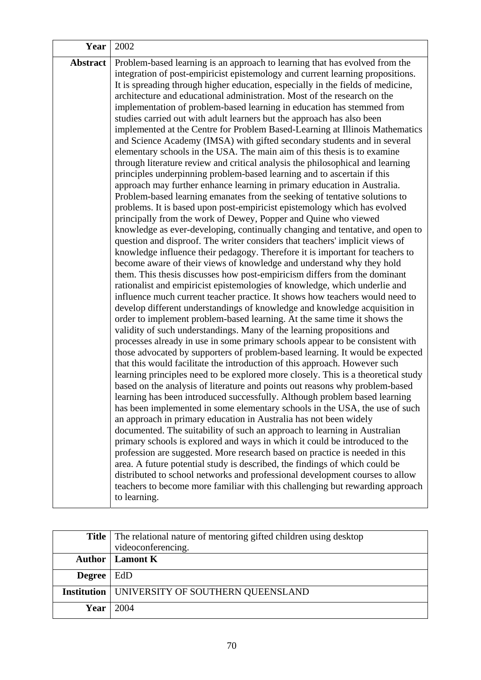| Year     | 2002                                                                                                                                                                                                                                                                                                                                                                                                                                                                                                                                                                                                                                                                                                                                                                                                                                                                                                                                                                                                                                                                                                                                                                                                                                                                                                                                                                                                                                                                                                                                                                                                                                                                                                                                                                                                                                                                                                                                                                                                                                                                                                                                                                                                                                                                                                                                                                                                                                                                                                                                                                                                                                                                                                                                                                                                                                                                                                                                                                                                                                                                                                                                                                        |
|----------|-----------------------------------------------------------------------------------------------------------------------------------------------------------------------------------------------------------------------------------------------------------------------------------------------------------------------------------------------------------------------------------------------------------------------------------------------------------------------------------------------------------------------------------------------------------------------------------------------------------------------------------------------------------------------------------------------------------------------------------------------------------------------------------------------------------------------------------------------------------------------------------------------------------------------------------------------------------------------------------------------------------------------------------------------------------------------------------------------------------------------------------------------------------------------------------------------------------------------------------------------------------------------------------------------------------------------------------------------------------------------------------------------------------------------------------------------------------------------------------------------------------------------------------------------------------------------------------------------------------------------------------------------------------------------------------------------------------------------------------------------------------------------------------------------------------------------------------------------------------------------------------------------------------------------------------------------------------------------------------------------------------------------------------------------------------------------------------------------------------------------------------------------------------------------------------------------------------------------------------------------------------------------------------------------------------------------------------------------------------------------------------------------------------------------------------------------------------------------------------------------------------------------------------------------------------------------------------------------------------------------------------------------------------------------------------------------------------------------------------------------------------------------------------------------------------------------------------------------------------------------------------------------------------------------------------------------------------------------------------------------------------------------------------------------------------------------------------------------------------------------------------------------------------------------------|
| Abstract | Problem-based learning is an approach to learning that has evolved from the<br>integration of post-empiricist epistemology and current learning propositions.<br>It is spreading through higher education, especially in the fields of medicine,<br>architecture and educational administration. Most of the research on the<br>implementation of problem-based learning in education has stemmed from<br>studies carried out with adult learners but the approach has also been<br>implemented at the Centre for Problem Based-Learning at Illinois Mathematics<br>and Science Academy (IMSA) with gifted secondary students and in several<br>elementary schools in the USA. The main aim of this thesis is to examine<br>through literature review and critical analysis the philosophical and learning<br>principles underpinning problem-based learning and to ascertain if this<br>approach may further enhance learning in primary education in Australia.<br>Problem-based learning emanates from the seeking of tentative solutions to<br>problems. It is based upon post-empiricist epistemology which has evolved<br>principally from the work of Dewey, Popper and Quine who viewed<br>knowledge as ever-developing, continually changing and tentative, and open to<br>question and disproof. The writer considers that teachers' implicit views of<br>knowledge influence their pedagogy. Therefore it is important for teachers to<br>become aware of their views of knowledge and understand why they hold<br>them. This thesis discusses how post-empiricism differs from the dominant<br>rationalist and empiricist epistemologies of knowledge, which underlie and<br>influence much current teacher practice. It shows how teachers would need to<br>develop different understandings of knowledge and knowledge acquisition in<br>order to implement problem-based learning. At the same time it shows the<br>validity of such understandings. Many of the learning propositions and<br>processes already in use in some primary schools appear to be consistent with<br>those advocated by supporters of problem-based learning. It would be expected<br>that this would facilitate the introduction of this approach. However such<br>learning principles need to be explored more closely. This is a theoretical study<br>based on the analysis of literature and points out reasons why problem-based<br>learning has been introduced successfully. Although problem based learning<br>has been implemented in some elementary schools in the USA, the use of such<br>an approach in primary education in Australia has not been widely<br>documented. The suitability of such an approach to learning in Australian<br>primary schools is explored and ways in which it could be introduced to the<br>profession are suggested. More research based on practice is needed in this<br>area. A future potential study is described, the findings of which could be<br>distributed to school networks and professional development courses to allow<br>teachers to become more familiar with this challenging but rewarding approach<br>to learning. |

|        | <b>Title</b> The relational nature of mentoring gifted children using desktop |
|--------|-------------------------------------------------------------------------------|
|        | videoconferencing.                                                            |
|        | <b>Author</b>   <b>Lamont K</b>                                               |
| Degree | EdD                                                                           |
|        | <b>Institution   UNIVERSITY OF SOUTHERN QUEENSLAND</b>                        |
| Year   | 2004                                                                          |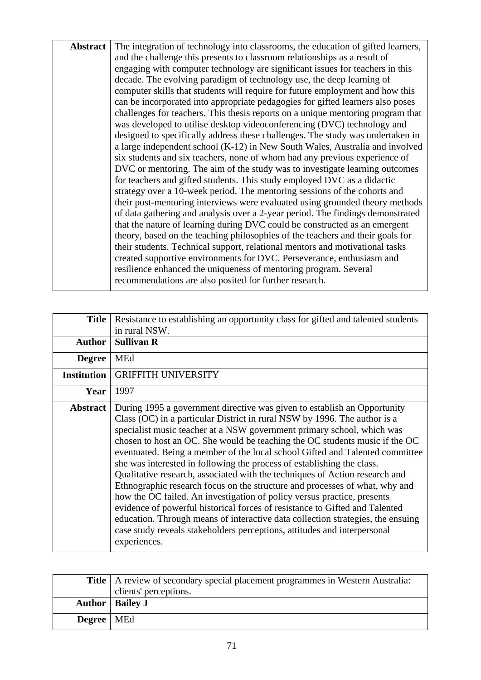| <b>Abstract</b> | The integration of technology into classrooms, the education of gifted learners, |
|-----------------|----------------------------------------------------------------------------------|
|                 | and the challenge this presents to classroom relationships as a result of        |
|                 | engaging with computer technology are significant issues for teachers in this    |
|                 | decade. The evolving paradigm of technology use, the deep learning of            |
|                 | computer skills that students will require for future employment and how this    |
|                 | can be incorporated into appropriate pedagogies for gifted learners also poses   |
|                 | challenges for teachers. This thesis reports on a unique mentoring program that  |
|                 | was developed to utilise desktop videoconferencing (DVC) technology and          |
|                 | designed to specifically address these challenges. The study was undertaken in   |
|                 | a large independent school (K-12) in New South Wales, Australia and involved     |
|                 | six students and six teachers, none of whom had any previous experience of       |
|                 | DVC or mentoring. The aim of the study was to investigate learning outcomes      |
|                 | for teachers and gifted students. This study employed DVC as a didactic          |
|                 | strategy over a 10-week period. The mentoring sessions of the cohorts and        |
|                 | their post-mentoring interviews were evaluated using grounded theory methods     |
|                 | of data gathering and analysis over a 2-year period. The findings demonstrated   |
|                 | that the nature of learning during DVC could be constructed as an emergent       |
|                 | theory, based on the teaching philosophies of the teachers and their goals for   |
|                 | their students. Technical support, relational mentors and motivational tasks     |
|                 | created supportive environments for DVC. Perseverance, enthusiasm and            |
|                 | resilience enhanced the uniqueness of mentoring program. Several                 |
|                 | recommendations are also posited for further research.                           |
|                 |                                                                                  |

| <b>Title</b>       | Resistance to establishing an opportunity class for gifted and talented students<br>in rural NSW.                                                                                                                                                                                                                                                                                                                                                                                                                                                                                                                                                                                                                                                                                                                                                                                                                                                                               |
|--------------------|---------------------------------------------------------------------------------------------------------------------------------------------------------------------------------------------------------------------------------------------------------------------------------------------------------------------------------------------------------------------------------------------------------------------------------------------------------------------------------------------------------------------------------------------------------------------------------------------------------------------------------------------------------------------------------------------------------------------------------------------------------------------------------------------------------------------------------------------------------------------------------------------------------------------------------------------------------------------------------|
| <b>Author</b>      | <b>Sullivan R</b>                                                                                                                                                                                                                                                                                                                                                                                                                                                                                                                                                                                                                                                                                                                                                                                                                                                                                                                                                               |
| <b>Degree</b>      | <b>MEd</b>                                                                                                                                                                                                                                                                                                                                                                                                                                                                                                                                                                                                                                                                                                                                                                                                                                                                                                                                                                      |
| <b>Institution</b> | <b>GRIFFITH UNIVERSITY</b>                                                                                                                                                                                                                                                                                                                                                                                                                                                                                                                                                                                                                                                                                                                                                                                                                                                                                                                                                      |
| Year               | 1997                                                                                                                                                                                                                                                                                                                                                                                                                                                                                                                                                                                                                                                                                                                                                                                                                                                                                                                                                                            |
| <b>Abstract</b>    | During 1995 a government directive was given to establish an Opportunity<br>Class (OC) in a particular District in rural NSW by 1996. The author is a<br>specialist music teacher at a NSW government primary school, which was<br>chosen to host an OC. She would be teaching the OC students music if the OC<br>eventuated. Being a member of the local school Gifted and Talented committee<br>she was interested in following the process of establishing the class.<br>Qualitative research, associated with the techniques of Action research and<br>Ethnographic research focus on the structure and processes of what, why and<br>how the OC failed. An investigation of policy versus practice, presents<br>evidence of powerful historical forces of resistance to Gifted and Talented<br>education. Through means of interactive data collection strategies, the ensuing<br>case study reveals stakeholders perceptions, attitudes and interpersonal<br>experiences. |

|                     | <b>Title</b>   A review of secondary special placement programmes in Western Australia: |
|---------------------|-----------------------------------------------------------------------------------------|
|                     | clients' perceptions.                                                                   |
|                     | <b>Author</b>   Bailey J                                                                |
| <b>Degree</b>   MEd |                                                                                         |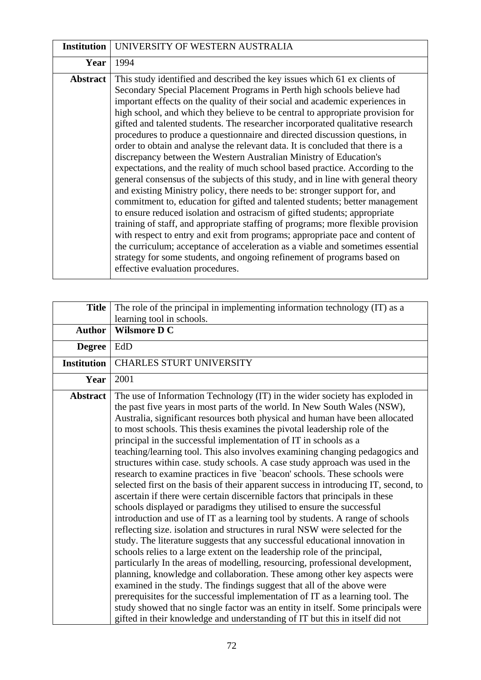| <b>Institution</b> | UNIVERSITY OF WESTERN AUSTRALIA                                                                                                                                                                                                                                                                                                                                                                                                                                                                                                                                                                                                                                                                                                                                                                                                                                                                                                                                                                                                                                                                                                                                                                                                                                                                                                                                                                                                      |
|--------------------|--------------------------------------------------------------------------------------------------------------------------------------------------------------------------------------------------------------------------------------------------------------------------------------------------------------------------------------------------------------------------------------------------------------------------------------------------------------------------------------------------------------------------------------------------------------------------------------------------------------------------------------------------------------------------------------------------------------------------------------------------------------------------------------------------------------------------------------------------------------------------------------------------------------------------------------------------------------------------------------------------------------------------------------------------------------------------------------------------------------------------------------------------------------------------------------------------------------------------------------------------------------------------------------------------------------------------------------------------------------------------------------------------------------------------------------|
| Year               | 1994                                                                                                                                                                                                                                                                                                                                                                                                                                                                                                                                                                                                                                                                                                                                                                                                                                                                                                                                                                                                                                                                                                                                                                                                                                                                                                                                                                                                                                 |
| <b>Abstract</b>    | This study identified and described the key issues which 61 ex clients of<br>Secondary Special Placement Programs in Perth high schools believe had<br>important effects on the quality of their social and academic experiences in<br>high school, and which they believe to be central to appropriate provision for<br>gifted and talented students. The researcher incorporated qualitative research<br>procedures to produce a questionnaire and directed discussion questions, in<br>order to obtain and analyse the relevant data. It is concluded that there is a<br>discrepancy between the Western Australian Ministry of Education's<br>expectations, and the reality of much school based practice. According to the<br>general consensus of the subjects of this study, and in line with general theory<br>and existing Ministry policy, there needs to be: stronger support for, and<br>commitment to, education for gifted and talented students; better management<br>to ensure reduced isolation and ostracism of gifted students; appropriate<br>training of staff, and appropriate staffing of programs; more flexible provision<br>with respect to entry and exit from programs; appropriate pace and content of<br>the curriculum; acceptance of acceleration as a viable and sometimes essential<br>strategy for some students, and ongoing refinement of programs based on<br>effective evaluation procedures. |

| <b>Title</b>       | The role of the principal in implementing information technology (IT) as a                                                                                                                                                                                                                                                                                                                                                                                                                                                                                                                                                                                                                                                                                                                                                                                                                                                                                                                                                                                                                                                                                                                                                                                                                                                                                                                                                                                                                                                                                                                                                                                                                                        |
|--------------------|-------------------------------------------------------------------------------------------------------------------------------------------------------------------------------------------------------------------------------------------------------------------------------------------------------------------------------------------------------------------------------------------------------------------------------------------------------------------------------------------------------------------------------------------------------------------------------------------------------------------------------------------------------------------------------------------------------------------------------------------------------------------------------------------------------------------------------------------------------------------------------------------------------------------------------------------------------------------------------------------------------------------------------------------------------------------------------------------------------------------------------------------------------------------------------------------------------------------------------------------------------------------------------------------------------------------------------------------------------------------------------------------------------------------------------------------------------------------------------------------------------------------------------------------------------------------------------------------------------------------------------------------------------------------------------------------------------------------|
|                    |                                                                                                                                                                                                                                                                                                                                                                                                                                                                                                                                                                                                                                                                                                                                                                                                                                                                                                                                                                                                                                                                                                                                                                                                                                                                                                                                                                                                                                                                                                                                                                                                                                                                                                                   |
|                    | learning tool in schools.                                                                                                                                                                                                                                                                                                                                                                                                                                                                                                                                                                                                                                                                                                                                                                                                                                                                                                                                                                                                                                                                                                                                                                                                                                                                                                                                                                                                                                                                                                                                                                                                                                                                                         |
| <b>Author</b>      | <b>Wilsmore D C</b>                                                                                                                                                                                                                                                                                                                                                                                                                                                                                                                                                                                                                                                                                                                                                                                                                                                                                                                                                                                                                                                                                                                                                                                                                                                                                                                                                                                                                                                                                                                                                                                                                                                                                               |
| <b>Degree</b>      | EdD                                                                                                                                                                                                                                                                                                                                                                                                                                                                                                                                                                                                                                                                                                                                                                                                                                                                                                                                                                                                                                                                                                                                                                                                                                                                                                                                                                                                                                                                                                                                                                                                                                                                                                               |
| <b>Institution</b> | <b>CHARLES STURT UNIVERSITY</b>                                                                                                                                                                                                                                                                                                                                                                                                                                                                                                                                                                                                                                                                                                                                                                                                                                                                                                                                                                                                                                                                                                                                                                                                                                                                                                                                                                                                                                                                                                                                                                                                                                                                                   |
| Year               | 2001                                                                                                                                                                                                                                                                                                                                                                                                                                                                                                                                                                                                                                                                                                                                                                                                                                                                                                                                                                                                                                                                                                                                                                                                                                                                                                                                                                                                                                                                                                                                                                                                                                                                                                              |
| <b>Abstract</b>    | The use of Information Technology (IT) in the wider society has exploded in<br>the past five years in most parts of the world. In New South Wales (NSW),<br>Australia, significant resources both physical and human have been allocated<br>to most schools. This thesis examines the pivotal leadership role of the<br>principal in the successful implementation of IT in schools as a<br>teaching/learning tool. This also involves examining changing pedagogics and<br>structures within case. study schools. A case study approach was used in the<br>research to examine practices in five 'beacon' schools. These schools were<br>selected first on the basis of their apparent success in introducing IT, second, to<br>ascertain if there were certain discernible factors that principals in these<br>schools displayed or paradigms they utilised to ensure the successful<br>introduction and use of IT as a learning tool by students. A range of schools<br>reflecting size. isolation and structures in rural NSW were selected for the<br>study. The literature suggests that any successful educational innovation in<br>schools relies to a large extent on the leadership role of the principal,<br>particularly In the areas of modelling, resourcing, professional development,<br>planning, knowledge and collaboration. These among other key aspects were<br>examined in the study. The findings suggest that all of the above were<br>prerequisites for the successful implementation of IT as a learning tool. The<br>study showed that no single factor was an entity in itself. Some principals were<br>gifted in their knowledge and understanding of IT but this in itself did not |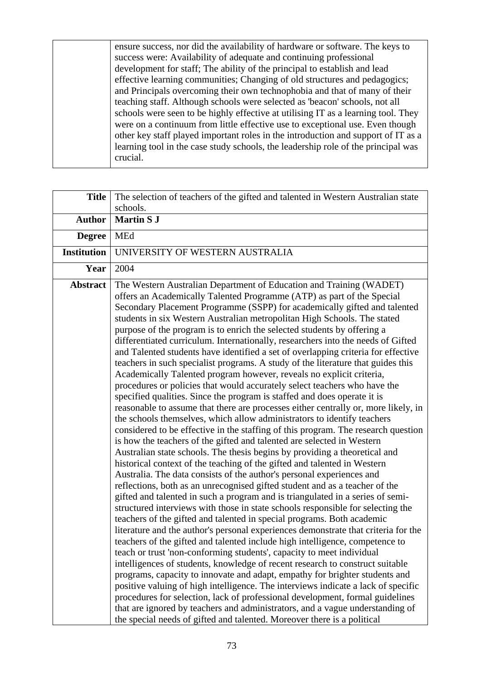ensure success, nor did the availability of hardware or software. The keys to success were: Availability of adequate and continuing professional development for staff; The ability of the principal to establish and lead effective learning communities; Changing of old structures and pedagogics; and Principals overcoming their own technophobia and that of many of their teaching staff. Although schools were selected as 'beacon' schools, not all schools were seen to be highly effective at utilising IT as a learning tool. They were on a continuum from little effective use to exceptional use. Even though other key staff played important roles in the introduction and support of IT as a learning tool in the case study schools, the leadership role of the principal was crucial.

| <b>Title</b>       | The selection of teachers of the gifted and talented in Western Australian state                                                                                                                                                                                                                                                                                                                                                                                                                                                                                                                                                                                                                                                                                                                                                                                                                                                                                                                                                                                                                                                                                                                                                                                                                                                                                                                                                                                                                                                                                                                                                                                                                                                                                                                                                                                                                                                                                                                                                                                                                                                                                                                                                                                                                                                                                                                                                                                                                                                  |
|--------------------|-----------------------------------------------------------------------------------------------------------------------------------------------------------------------------------------------------------------------------------------------------------------------------------------------------------------------------------------------------------------------------------------------------------------------------------------------------------------------------------------------------------------------------------------------------------------------------------------------------------------------------------------------------------------------------------------------------------------------------------------------------------------------------------------------------------------------------------------------------------------------------------------------------------------------------------------------------------------------------------------------------------------------------------------------------------------------------------------------------------------------------------------------------------------------------------------------------------------------------------------------------------------------------------------------------------------------------------------------------------------------------------------------------------------------------------------------------------------------------------------------------------------------------------------------------------------------------------------------------------------------------------------------------------------------------------------------------------------------------------------------------------------------------------------------------------------------------------------------------------------------------------------------------------------------------------------------------------------------------------------------------------------------------------------------------------------------------------------------------------------------------------------------------------------------------------------------------------------------------------------------------------------------------------------------------------------------------------------------------------------------------------------------------------------------------------------------------------------------------------------------------------------------------------|
|                    | schools.                                                                                                                                                                                                                                                                                                                                                                                                                                                                                                                                                                                                                                                                                                                                                                                                                                                                                                                                                                                                                                                                                                                                                                                                                                                                                                                                                                                                                                                                                                                                                                                                                                                                                                                                                                                                                                                                                                                                                                                                                                                                                                                                                                                                                                                                                                                                                                                                                                                                                                                          |
| <b>Author</b>      | <b>Martin S J</b>                                                                                                                                                                                                                                                                                                                                                                                                                                                                                                                                                                                                                                                                                                                                                                                                                                                                                                                                                                                                                                                                                                                                                                                                                                                                                                                                                                                                                                                                                                                                                                                                                                                                                                                                                                                                                                                                                                                                                                                                                                                                                                                                                                                                                                                                                                                                                                                                                                                                                                                 |
| <b>Degree</b>      | MEd                                                                                                                                                                                                                                                                                                                                                                                                                                                                                                                                                                                                                                                                                                                                                                                                                                                                                                                                                                                                                                                                                                                                                                                                                                                                                                                                                                                                                                                                                                                                                                                                                                                                                                                                                                                                                                                                                                                                                                                                                                                                                                                                                                                                                                                                                                                                                                                                                                                                                                                               |
| <b>Institution</b> | UNIVERSITY OF WESTERN AUSTRALIA                                                                                                                                                                                                                                                                                                                                                                                                                                                                                                                                                                                                                                                                                                                                                                                                                                                                                                                                                                                                                                                                                                                                                                                                                                                                                                                                                                                                                                                                                                                                                                                                                                                                                                                                                                                                                                                                                                                                                                                                                                                                                                                                                                                                                                                                                                                                                                                                                                                                                                   |
| Year               | 2004                                                                                                                                                                                                                                                                                                                                                                                                                                                                                                                                                                                                                                                                                                                                                                                                                                                                                                                                                                                                                                                                                                                                                                                                                                                                                                                                                                                                                                                                                                                                                                                                                                                                                                                                                                                                                                                                                                                                                                                                                                                                                                                                                                                                                                                                                                                                                                                                                                                                                                                              |
| <b>Abstract</b>    | The Western Australian Department of Education and Training (WADET)<br>offers an Academically Talented Programme (ATP) as part of the Special<br>Secondary Placement Programme (SSPP) for academically gifted and talented<br>students in six Western Australian metropolitan High Schools. The stated<br>purpose of the program is to enrich the selected students by offering a<br>differentiated curriculum. Internationally, researchers into the needs of Gifted<br>and Talented students have identified a set of overlapping criteria for effective<br>teachers in such specialist programs. A study of the literature that guides this<br>Academically Talented program however, reveals no explicit criteria,<br>procedures or policies that would accurately select teachers who have the<br>specified qualities. Since the program is staffed and does operate it is<br>reasonable to assume that there are processes either centrally or, more likely, in<br>the schools themselves, which allow administrators to identify teachers<br>considered to be effective in the staffing of this program. The research question<br>is how the teachers of the gifted and talented are selected in Western<br>Australian state schools. The thesis begins by providing a theoretical and<br>historical context of the teaching of the gifted and talented in Western<br>Australia. The data consists of the author's personal experiences and<br>reflections, both as an unrecognised gifted student and as a teacher of the<br>gifted and talented in such a program and is triangulated in a series of semi-<br>structured interviews with those in state schools responsible for selecting the<br>teachers of the gifted and talented in special programs. Both academic<br>literature and the author's personal experiences demonstrate that criteria for the<br>teachers of the gifted and talented include high intelligence, competence to<br>teach or trust 'non-conforming students', capacity to meet individual<br>intelligences of students, knowledge of recent research to construct suitable<br>programs, capacity to innovate and adapt, empathy for brighter students and<br>positive valuing of high intelligence. The interviews indicate a lack of specific<br>procedures for selection, lack of professional development, formal guidelines<br>that are ignored by teachers and administrators, and a vague understanding of<br>the special needs of gifted and talented. Moreover there is a political |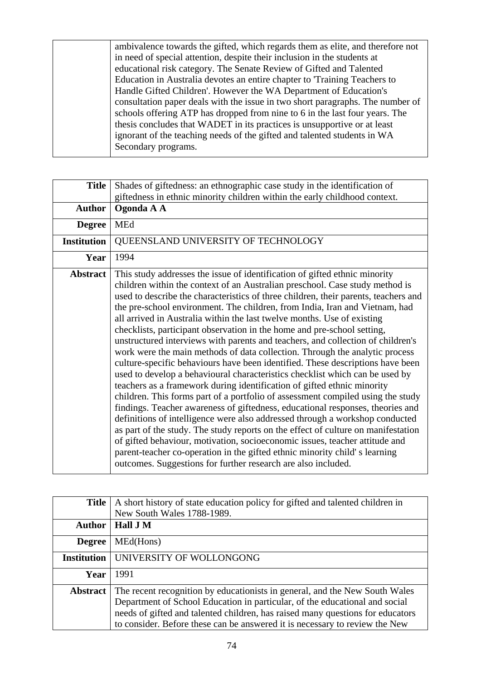ambivalence towards the gifted, which regards them as elite, and therefore not in need of special attention, despite their inclusion in the students at educational risk category. The Senate Review of Gifted and Talented Education in Australia devotes an entire chapter to 'Training Teachers to Handle Gifted Children'. However the WA Department of Education's consultation paper deals with the issue in two short paragraphs. The number of schools offering ATP has dropped from nine to 6 in the last four years. The thesis concludes that WADET in its practices is unsupportive or at least ignorant of the teaching needs of the gifted and talented students in WA Secondary programs.

| <b>Title</b>       | Shades of giftedness: an ethnographic case study in the identification of<br>giftedness in ethnic minority children within the early childhood context.                                                                                                                                                                                                                                                                                                                                                                                                                                                                                                                                                                                                                                                                                                                                                                                                                                                                                                                                                                                                                                                                                                                                                                                                                                                                                                                       |
|--------------------|-------------------------------------------------------------------------------------------------------------------------------------------------------------------------------------------------------------------------------------------------------------------------------------------------------------------------------------------------------------------------------------------------------------------------------------------------------------------------------------------------------------------------------------------------------------------------------------------------------------------------------------------------------------------------------------------------------------------------------------------------------------------------------------------------------------------------------------------------------------------------------------------------------------------------------------------------------------------------------------------------------------------------------------------------------------------------------------------------------------------------------------------------------------------------------------------------------------------------------------------------------------------------------------------------------------------------------------------------------------------------------------------------------------------------------------------------------------------------------|
| <b>Author</b>      | Ogonda A A                                                                                                                                                                                                                                                                                                                                                                                                                                                                                                                                                                                                                                                                                                                                                                                                                                                                                                                                                                                                                                                                                                                                                                                                                                                                                                                                                                                                                                                                    |
| <b>Degree</b>      | MEd                                                                                                                                                                                                                                                                                                                                                                                                                                                                                                                                                                                                                                                                                                                                                                                                                                                                                                                                                                                                                                                                                                                                                                                                                                                                                                                                                                                                                                                                           |
| <b>Institution</b> | QUEENSLAND UNIVERSITY OF TECHNOLOGY                                                                                                                                                                                                                                                                                                                                                                                                                                                                                                                                                                                                                                                                                                                                                                                                                                                                                                                                                                                                                                                                                                                                                                                                                                                                                                                                                                                                                                           |
| Year               | 1994                                                                                                                                                                                                                                                                                                                                                                                                                                                                                                                                                                                                                                                                                                                                                                                                                                                                                                                                                                                                                                                                                                                                                                                                                                                                                                                                                                                                                                                                          |
| <b>Abstract</b>    | This study addresses the issue of identification of gifted ethnic minority<br>children within the context of an Australian preschool. Case study method is<br>used to describe the characteristics of three children, their parents, teachers and<br>the pre-school environment. The children, from India, Iran and Vietnam, had<br>all arrived in Australia within the last twelve months. Use of existing<br>checklists, participant observation in the home and pre-school setting,<br>unstructured interviews with parents and teachers, and collection of children's<br>work were the main methods of data collection. Through the analytic process<br>culture-specific behaviours have been identified. These descriptions have been<br>used to develop a behavioural characteristics checklist which can be used by<br>teachers as a framework during identification of gifted ethnic minority<br>children. This forms part of a portfolio of assessment compiled using the study<br>findings. Teacher awareness of giftedness, educational responses, theories and<br>definitions of intelligence were also addressed through a workshop conducted<br>as part of the study. The study reports on the effect of culture on manifestation<br>of gifted behaviour, motivation, socioeconomic issues, teacher attitude and<br>parent-teacher co-operation in the gifted ethnic minority child's learning<br>outcomes. Suggestions for further research are also included. |

| <b>Title</b>       | A short history of state education policy for gifted and talented children in                                                                                                                                                                                                                                               |
|--------------------|-----------------------------------------------------------------------------------------------------------------------------------------------------------------------------------------------------------------------------------------------------------------------------------------------------------------------------|
|                    | New South Wales 1788-1989.                                                                                                                                                                                                                                                                                                  |
| <b>Author</b>      | Hall J M                                                                                                                                                                                                                                                                                                                    |
| <b>Degree</b>      | MEd(Hons)                                                                                                                                                                                                                                                                                                                   |
| <b>Institution</b> | UNIVERSITY OF WOLLONGONG                                                                                                                                                                                                                                                                                                    |
| Year               | 1991                                                                                                                                                                                                                                                                                                                        |
| <b>Abstract</b>    | The recent recognition by educationists in general, and the New South Wales<br>Department of School Education in particular, of the educational and social<br>needs of gifted and talented children, has raised many questions for educators<br>to consider. Before these can be answered it is necessary to review the New |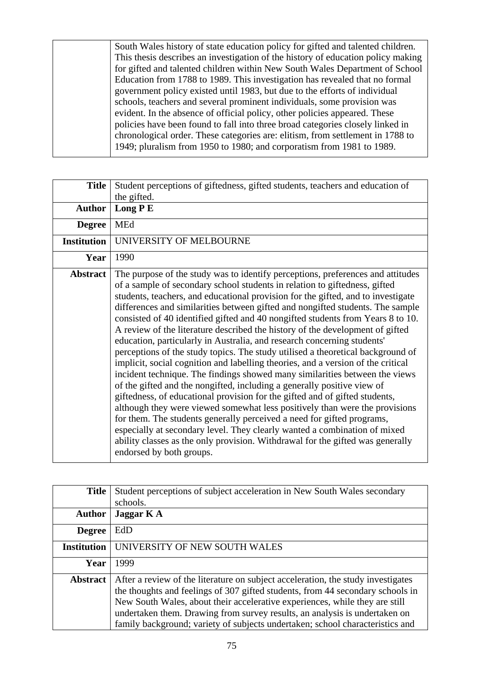South Wales history of state education policy for gifted and talented children. This thesis describes an investigation of the history of education policy making for gifted and talented children within New South Wales Department of School Education from 1788 to 1989. This investigation has revealed that no formal government policy existed until 1983, but due to the efforts of individual schools, teachers and several prominent individuals, some provision was evident. In the absence of official policy, other policies appeared. These policies have been found to fall into three broad categories closely linked in chronological order. These categories are: elitism, from settlement in 1788 to 1949; pluralism from 1950 to 1980; and corporatism from 1981 to 1989.

| <b>Title</b>       | Student perceptions of giftedness, gifted students, teachers and education of<br>the gifted.                                                                                                                                                                                                                                                                                                                                                                                                                                                                                                                                                                                                                                                                                                                                                                                                                                                                                                                                                                                                                                                                                                                                                                                                                                                           |
|--------------------|--------------------------------------------------------------------------------------------------------------------------------------------------------------------------------------------------------------------------------------------------------------------------------------------------------------------------------------------------------------------------------------------------------------------------------------------------------------------------------------------------------------------------------------------------------------------------------------------------------------------------------------------------------------------------------------------------------------------------------------------------------------------------------------------------------------------------------------------------------------------------------------------------------------------------------------------------------------------------------------------------------------------------------------------------------------------------------------------------------------------------------------------------------------------------------------------------------------------------------------------------------------------------------------------------------------------------------------------------------|
| <b>Author</b>      | Long $P E$                                                                                                                                                                                                                                                                                                                                                                                                                                                                                                                                                                                                                                                                                                                                                                                                                                                                                                                                                                                                                                                                                                                                                                                                                                                                                                                                             |
| <b>Degree</b>      | MEd                                                                                                                                                                                                                                                                                                                                                                                                                                                                                                                                                                                                                                                                                                                                                                                                                                                                                                                                                                                                                                                                                                                                                                                                                                                                                                                                                    |
| <b>Institution</b> | UNIVERSITY OF MELBOURNE                                                                                                                                                                                                                                                                                                                                                                                                                                                                                                                                                                                                                                                                                                                                                                                                                                                                                                                                                                                                                                                                                                                                                                                                                                                                                                                                |
| Year               | 1990                                                                                                                                                                                                                                                                                                                                                                                                                                                                                                                                                                                                                                                                                                                                                                                                                                                                                                                                                                                                                                                                                                                                                                                                                                                                                                                                                   |
| <b>Abstract</b>    | The purpose of the study was to identify perceptions, preferences and attitudes<br>of a sample of secondary school students in relation to giftedness, gifted<br>students, teachers, and educational provision for the gifted, and to investigate<br>differences and similarities between gifted and nongifted students. The sample<br>consisted of 40 identified gifted and 40 nongifted students from Years 8 to 10.<br>A review of the literature described the history of the development of gifted<br>education, particularly in Australia, and research concerning students'<br>perceptions of the study topics. The study utilised a theoretical background of<br>implicit, social cognition and labelling theories, and a version of the critical<br>incident technique. The findings showed many similarities between the views<br>of the gifted and the nongifted, including a generally positive view of<br>giftedness, of educational provision for the gifted and of gifted students,<br>although they were viewed somewhat less positively than were the provisions<br>for them. The students generally perceived a need for gifted programs,<br>especially at secondary level. They clearly wanted a combination of mixed<br>ability classes as the only provision. Withdrawal for the gifted was generally<br>endorsed by both groups. |

| <b>Title</b>       | Student perceptions of subject acceleration in New South Wales secondary<br>schools.                                                                                                                                                                                                                                                                                                                             |
|--------------------|------------------------------------------------------------------------------------------------------------------------------------------------------------------------------------------------------------------------------------------------------------------------------------------------------------------------------------------------------------------------------------------------------------------|
| <b>Author</b>      | Jaggar K A                                                                                                                                                                                                                                                                                                                                                                                                       |
| <b>Degree</b>      | EdD                                                                                                                                                                                                                                                                                                                                                                                                              |
| <b>Institution</b> | UNIVERSITY OF NEW SOUTH WALES                                                                                                                                                                                                                                                                                                                                                                                    |
| Year               | 1999                                                                                                                                                                                                                                                                                                                                                                                                             |
| <b>Abstract</b>    | After a review of the literature on subject acceleration, the study investigates<br>the thoughts and feelings of 307 gifted students, from 44 secondary schools in<br>New South Wales, about their accelerative experiences, while they are still<br>undertaken them. Drawing from survey results, an analysis is undertaken on<br>family background; variety of subjects undertaken; school characteristics and |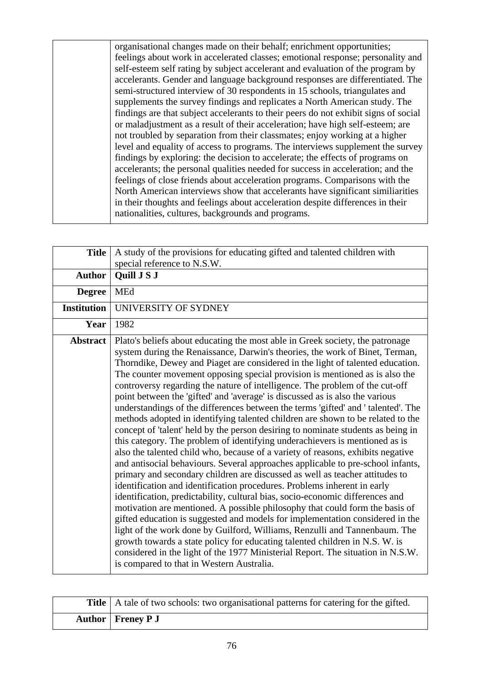organisational changes made on their behalf; enrichment opportunities; feelings about work in accelerated classes; emotional response; personality and self-esteem self rating by subject accelerant and evaluation of the program by accelerants. Gender and language background responses are differentiated. The semi-structured interview of 30 respondents in 15 schools, triangulates and supplements the survey findings and replicates a North American study. The findings are that subject accelerants to their peers do not exhibit signs of social or maladjustment as a result of their acceleration; have high self-esteem; are not troubled by separation from their classmates; enjoy working at a higher level and equality of access to programs. The interviews supplement the survey findings by exploring: the decision to accelerate; the effects of programs on accelerants; the personal qualities needed for success in acceleration; and the feelings of close friends about acceleration programs. Comparisons with the North American interviews show that accelerants have significant similiarities in their thoughts and feelings about acceleration despite differences in their nationalities, cultures, backgrounds and programs.

| <b>Title</b>       | A study of the provisions for educating gifted and talented children with<br>special reference to N.S.W.                                                                                                                                                                                                                                                                                                                                                                                                                                                                                                                                                                                                                                                                                                                                                                                                                                                                                                                                                                                                                                                                                                                                                                                                                                                                                                                                                                                                                                                                                                                                                                                                                   |
|--------------------|----------------------------------------------------------------------------------------------------------------------------------------------------------------------------------------------------------------------------------------------------------------------------------------------------------------------------------------------------------------------------------------------------------------------------------------------------------------------------------------------------------------------------------------------------------------------------------------------------------------------------------------------------------------------------------------------------------------------------------------------------------------------------------------------------------------------------------------------------------------------------------------------------------------------------------------------------------------------------------------------------------------------------------------------------------------------------------------------------------------------------------------------------------------------------------------------------------------------------------------------------------------------------------------------------------------------------------------------------------------------------------------------------------------------------------------------------------------------------------------------------------------------------------------------------------------------------------------------------------------------------------------------------------------------------------------------------------------------------|
| <b>Author</b>      | Quill J S J                                                                                                                                                                                                                                                                                                                                                                                                                                                                                                                                                                                                                                                                                                                                                                                                                                                                                                                                                                                                                                                                                                                                                                                                                                                                                                                                                                                                                                                                                                                                                                                                                                                                                                                |
| <b>Degree</b>      | <b>MEd</b>                                                                                                                                                                                                                                                                                                                                                                                                                                                                                                                                                                                                                                                                                                                                                                                                                                                                                                                                                                                                                                                                                                                                                                                                                                                                                                                                                                                                                                                                                                                                                                                                                                                                                                                 |
| <b>Institution</b> | UNIVERSITY OF SYDNEY                                                                                                                                                                                                                                                                                                                                                                                                                                                                                                                                                                                                                                                                                                                                                                                                                                                                                                                                                                                                                                                                                                                                                                                                                                                                                                                                                                                                                                                                                                                                                                                                                                                                                                       |
| Year               | 1982                                                                                                                                                                                                                                                                                                                                                                                                                                                                                                                                                                                                                                                                                                                                                                                                                                                                                                                                                                                                                                                                                                                                                                                                                                                                                                                                                                                                                                                                                                                                                                                                                                                                                                                       |
| <b>Abstract</b>    | Plato's beliefs about educating the most able in Greek society, the patronage<br>system during the Renaissance, Darwin's theories, the work of Binet, Terman,<br>Thorndike, Dewey and Piaget are considered in the light of talented education.<br>The counter movement opposing special provision is mentioned as is also the<br>controversy regarding the nature of intelligence. The problem of the cut-off<br>point between the 'gifted' and 'average' is discussed as is also the various<br>understandings of the differences between the terms 'gifted' and ' talented'. The<br>methods adopted in identifying talented children are shown to be related to the<br>concept of 'talent' held by the person desiring to nominate students as being in<br>this category. The problem of identifying underachievers is mentioned as is<br>also the talented child who, because of a variety of reasons, exhibits negative<br>and antisocial behaviours. Several approaches applicable to pre-school infants,<br>primary and secondary children are discussed as well as teacher attitudes to<br>identification and identification procedures. Problems inherent in early<br>identification, predictability, cultural bias, socio-economic differences and<br>motivation are mentioned. A possible philosophy that could form the basis of<br>gifted education is suggested and models for implementation considered in the<br>light of the work done by Guilford, Williams, Renzulli and Tannenbaum. The<br>growth towards a state policy for educating talented children in N.S. W. is<br>considered in the light of the 1977 Ministerial Report. The situation in N.S.W.<br>is compared to that in Western Australia. |

| <b>Title</b>   A tale of two schools: two organisational patterns for catering for the gifted. |
|------------------------------------------------------------------------------------------------|
| Author   Freney P J                                                                            |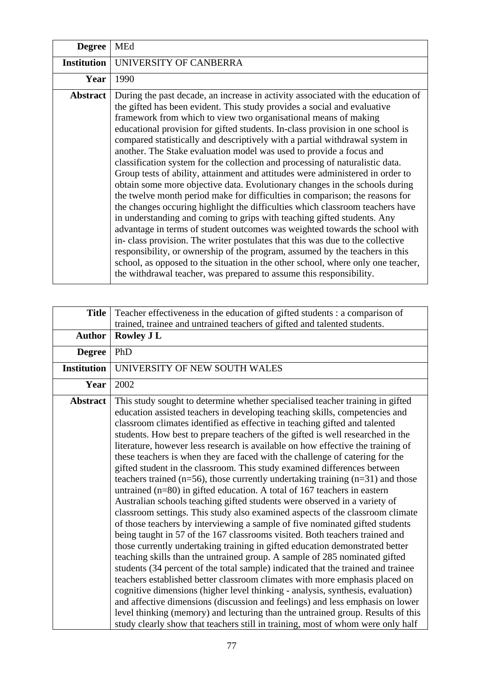| <b>Degree</b>      | <b>MEd</b>                                                                                                                                                                                                                                                                                                                                                                                                                                                                                                                                                                                                                                                                                                                                                                                                                                                                                                                                                                                                                                                                                                                                                                                                                                                                                                                                                                        |
|--------------------|-----------------------------------------------------------------------------------------------------------------------------------------------------------------------------------------------------------------------------------------------------------------------------------------------------------------------------------------------------------------------------------------------------------------------------------------------------------------------------------------------------------------------------------------------------------------------------------------------------------------------------------------------------------------------------------------------------------------------------------------------------------------------------------------------------------------------------------------------------------------------------------------------------------------------------------------------------------------------------------------------------------------------------------------------------------------------------------------------------------------------------------------------------------------------------------------------------------------------------------------------------------------------------------------------------------------------------------------------------------------------------------|
| <b>Institution</b> | UNIVERSITY OF CANBERRA                                                                                                                                                                                                                                                                                                                                                                                                                                                                                                                                                                                                                                                                                                                                                                                                                                                                                                                                                                                                                                                                                                                                                                                                                                                                                                                                                            |
| Year               | 1990                                                                                                                                                                                                                                                                                                                                                                                                                                                                                                                                                                                                                                                                                                                                                                                                                                                                                                                                                                                                                                                                                                                                                                                                                                                                                                                                                                              |
| <b>Abstract</b>    | During the past decade, an increase in activity associated with the education of<br>the gifted has been evident. This study provides a social and evaluative<br>framework from which to view two organisational means of making<br>educational provision for gifted students. In-class provision in one school is<br>compared statistically and descriptively with a partial withdrawal system in<br>another. The Stake evaluation model was used to provide a focus and<br>classification system for the collection and processing of naturalistic data.<br>Group tests of ability, attainment and attitudes were administered in order to<br>obtain some more objective data. Evolutionary changes in the schools during<br>the twelve month period make for difficulties in comparison; the reasons for<br>the changes occuring highlight the difficulties which classroom teachers have<br>in understanding and coming to grips with teaching gifted students. Any<br>advantage in terms of student outcomes was weighted towards the school with<br>in-class provision. The writer postulates that this was due to the collective<br>responsibility, or ownership of the program, assumed by the teachers in this<br>school, as opposed to the situation in the other school, where only one teacher,<br>the withdrawal teacher, was prepared to assume this responsibility. |

| <b>Title</b>       | Teacher effectiveness in the education of gifted students : a comparison of<br>trained, trainee and untrained teachers of gifted and talented students.                                                                                                                                                                                                                                                                                                                                                                                                                                                                                                                                                                                                                                                                                                                                                                                                                                                                                                                                                                                                                                                                                                                                                                                                                                                                                                                                                                                                                                                                                                                                                                                                    |
|--------------------|------------------------------------------------------------------------------------------------------------------------------------------------------------------------------------------------------------------------------------------------------------------------------------------------------------------------------------------------------------------------------------------------------------------------------------------------------------------------------------------------------------------------------------------------------------------------------------------------------------------------------------------------------------------------------------------------------------------------------------------------------------------------------------------------------------------------------------------------------------------------------------------------------------------------------------------------------------------------------------------------------------------------------------------------------------------------------------------------------------------------------------------------------------------------------------------------------------------------------------------------------------------------------------------------------------------------------------------------------------------------------------------------------------------------------------------------------------------------------------------------------------------------------------------------------------------------------------------------------------------------------------------------------------------------------------------------------------------------------------------------------------|
| <b>Author</b>      | <b>Rowley J L</b>                                                                                                                                                                                                                                                                                                                                                                                                                                                                                                                                                                                                                                                                                                                                                                                                                                                                                                                                                                                                                                                                                                                                                                                                                                                                                                                                                                                                                                                                                                                                                                                                                                                                                                                                          |
| <b>Degree</b>      | PhD                                                                                                                                                                                                                                                                                                                                                                                                                                                                                                                                                                                                                                                                                                                                                                                                                                                                                                                                                                                                                                                                                                                                                                                                                                                                                                                                                                                                                                                                                                                                                                                                                                                                                                                                                        |
| <b>Institution</b> | UNIVERSITY OF NEW SOUTH WALES                                                                                                                                                                                                                                                                                                                                                                                                                                                                                                                                                                                                                                                                                                                                                                                                                                                                                                                                                                                                                                                                                                                                                                                                                                                                                                                                                                                                                                                                                                                                                                                                                                                                                                                              |
| Year               | 2002                                                                                                                                                                                                                                                                                                                                                                                                                                                                                                                                                                                                                                                                                                                                                                                                                                                                                                                                                                                                                                                                                                                                                                                                                                                                                                                                                                                                                                                                                                                                                                                                                                                                                                                                                       |
| <b>Abstract</b>    | This study sought to determine whether specialised teacher training in gifted<br>education assisted teachers in developing teaching skills, competencies and<br>classroom climates identified as effective in teaching gifted and talented<br>students. How best to prepare teachers of the gifted is well researched in the<br>literature, however less research is available on how effective the training of<br>these teachers is when they are faced with the challenge of catering for the<br>gifted student in the classroom. This study examined differences between<br>teachers trained ( $n=56$ ), those currently undertaking training ( $n=31$ ) and those<br>untrained $(n=80)$ in gifted education. A total of 167 teachers in eastern<br>Australian schools teaching gifted students were observed in a variety of<br>classroom settings. This study also examined aspects of the classroom climate<br>of those teachers by interviewing a sample of five nominated gifted students<br>being taught in 57 of the 167 classrooms visited. Both teachers trained and<br>those currently undertaking training in gifted education demonstrated better<br>teaching skills than the untrained group. A sample of 285 nominated gifted<br>students (34 percent of the total sample) indicated that the trained and trainee<br>teachers established better classroom climates with more emphasis placed on<br>cognitive dimensions (higher level thinking - analysis, synthesis, evaluation)<br>and affective dimensions (discussion and feelings) and less emphasis on lower<br>level thinking (memory) and lecturing than the untrained group. Results of this<br>study clearly show that teachers still in training, most of whom were only half |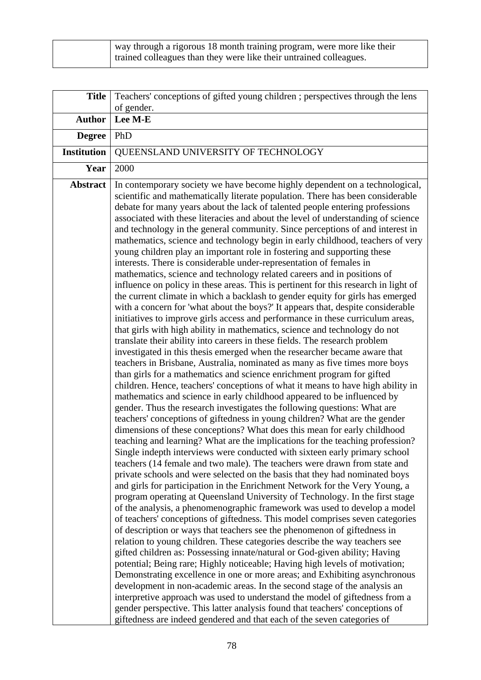| way through a rigorous 18 month training program, were more like their<br>trained colleagues than they were like their untrained colleagues. |
|----------------------------------------------------------------------------------------------------------------------------------------------|
|                                                                                                                                              |

| <b>Title</b>       | Teachers' conceptions of gifted young children ; perspectives through the lens<br>of gender.                                                                                                                                                                                                                                                                                                                                                                                                                                                                                                                                                                                                                                                                                                                                                                                                                                                                                                                                                                                                                                                                                                                                                                                                                                                                                                                                                                                                                                                                                                                                                                                                                                                                                                                                                                                                                                                                                                                                                                                                                                                                                                                                                                                                                                                                                                                                                                                                                                                                                                                                                                                                                                                                                                                                                                                                                                                                                                                                                                                                                                                                                                                                                                             |
|--------------------|--------------------------------------------------------------------------------------------------------------------------------------------------------------------------------------------------------------------------------------------------------------------------------------------------------------------------------------------------------------------------------------------------------------------------------------------------------------------------------------------------------------------------------------------------------------------------------------------------------------------------------------------------------------------------------------------------------------------------------------------------------------------------------------------------------------------------------------------------------------------------------------------------------------------------------------------------------------------------------------------------------------------------------------------------------------------------------------------------------------------------------------------------------------------------------------------------------------------------------------------------------------------------------------------------------------------------------------------------------------------------------------------------------------------------------------------------------------------------------------------------------------------------------------------------------------------------------------------------------------------------------------------------------------------------------------------------------------------------------------------------------------------------------------------------------------------------------------------------------------------------------------------------------------------------------------------------------------------------------------------------------------------------------------------------------------------------------------------------------------------------------------------------------------------------------------------------------------------------------------------------------------------------------------------------------------------------------------------------------------------------------------------------------------------------------------------------------------------------------------------------------------------------------------------------------------------------------------------------------------------------------------------------------------------------------------------------------------------------------------------------------------------------------------------------------------------------------------------------------------------------------------------------------------------------------------------------------------------------------------------------------------------------------------------------------------------------------------------------------------------------------------------------------------------------------------------------------------------------------------------------------------------------|
| <b>Author</b>      | Lee M-E                                                                                                                                                                                                                                                                                                                                                                                                                                                                                                                                                                                                                                                                                                                                                                                                                                                                                                                                                                                                                                                                                                                                                                                                                                                                                                                                                                                                                                                                                                                                                                                                                                                                                                                                                                                                                                                                                                                                                                                                                                                                                                                                                                                                                                                                                                                                                                                                                                                                                                                                                                                                                                                                                                                                                                                                                                                                                                                                                                                                                                                                                                                                                                                                                                                                  |
| <b>Degree</b>      | PhD                                                                                                                                                                                                                                                                                                                                                                                                                                                                                                                                                                                                                                                                                                                                                                                                                                                                                                                                                                                                                                                                                                                                                                                                                                                                                                                                                                                                                                                                                                                                                                                                                                                                                                                                                                                                                                                                                                                                                                                                                                                                                                                                                                                                                                                                                                                                                                                                                                                                                                                                                                                                                                                                                                                                                                                                                                                                                                                                                                                                                                                                                                                                                                                                                                                                      |
| <b>Institution</b> | QUEENSLAND UNIVERSITY OF TECHNOLOGY                                                                                                                                                                                                                                                                                                                                                                                                                                                                                                                                                                                                                                                                                                                                                                                                                                                                                                                                                                                                                                                                                                                                                                                                                                                                                                                                                                                                                                                                                                                                                                                                                                                                                                                                                                                                                                                                                                                                                                                                                                                                                                                                                                                                                                                                                                                                                                                                                                                                                                                                                                                                                                                                                                                                                                                                                                                                                                                                                                                                                                                                                                                                                                                                                                      |
| Year               | 2000                                                                                                                                                                                                                                                                                                                                                                                                                                                                                                                                                                                                                                                                                                                                                                                                                                                                                                                                                                                                                                                                                                                                                                                                                                                                                                                                                                                                                                                                                                                                                                                                                                                                                                                                                                                                                                                                                                                                                                                                                                                                                                                                                                                                                                                                                                                                                                                                                                                                                                                                                                                                                                                                                                                                                                                                                                                                                                                                                                                                                                                                                                                                                                                                                                                                     |
| <b>Abstract</b>    | In contemporary society we have become highly dependent on a technological,<br>scientific and mathematically literate population. There has been considerable<br>debate for many years about the lack of talented people entering professions<br>associated with these literacies and about the level of understanding of science<br>and technology in the general community. Since perceptions of and interest in<br>mathematics, science and technology begin in early childhood, teachers of very<br>young children play an important role in fostering and supporting these<br>interests. There is considerable under-representation of females in<br>mathematics, science and technology related careers and in positions of<br>influence on policy in these areas. This is pertinent for this research in light of<br>the current climate in which a backlash to gender equity for girls has emerged<br>with a concern for 'what about the boys?' It appears that, despite considerable<br>initiatives to improve girls access and performance in these curriculum areas,<br>that girls with high ability in mathematics, science and technology do not<br>translate their ability into careers in these fields. The research problem<br>investigated in this thesis emerged when the researcher became aware that<br>teachers in Brisbane, Australia, nominated as many as five times more boys<br>than girls for a mathematics and science enrichment program for gifted<br>children. Hence, teachers' conceptions of what it means to have high ability in<br>mathematics and science in early childhood appeared to be influenced by<br>gender. Thus the research investigates the following questions: What are<br>teachers' conceptions of giftedness in young children? What are the gender<br>dimensions of these conceptions? What does this mean for early childhood<br>teaching and learning? What are the implications for the teaching profession?<br>Single indepth interviews were conducted with sixteen early primary school<br>teachers (14 female and two male). The teachers were drawn from state and<br>private schools and were selected on the basis that they had nominated boys<br>and girls for participation in the Enrichment Network for the Very Young, a<br>program operating at Queensland University of Technology. In the first stage<br>of the analysis, a phenomenographic framework was used to develop a model<br>of teachers' conceptions of giftedness. This model comprises seven categories<br>of description or ways that teachers see the phenomenon of giftedness in<br>relation to young children. These categories describe the way teachers see<br>gifted children as: Possessing innate/natural or God-given ability; Having<br>potential; Being rare; Highly noticeable; Having high levels of motivation;<br>Demonstrating excellence in one or more areas; and Exhibiting asynchronous<br>development in non-academic areas. In the second stage of the analysis an<br>interpretive approach was used to understand the model of giftedness from a<br>gender perspective. This latter analysis found that teachers' conceptions of<br>giftedness are indeed gendered and that each of the seven categories of |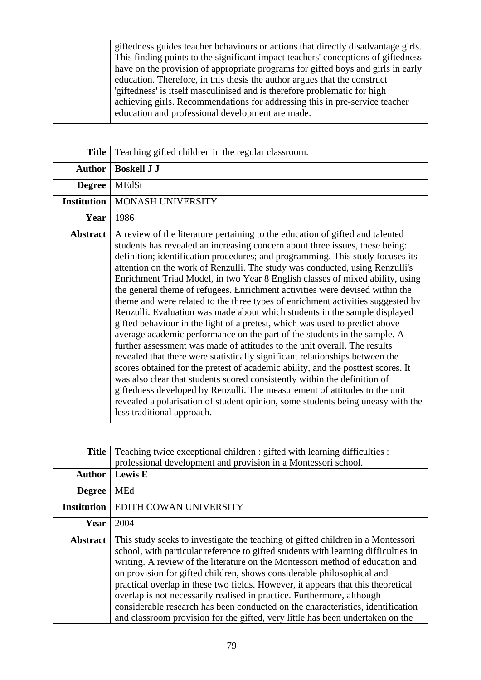giftedness guides teacher behaviours or actions that directly disadvantage girls. This finding points to the significant impact teachers' conceptions of giftedness have on the provision of appropriate programs for gifted boys and girls in early education. Therefore, in this thesis the author argues that the construct 'giftedness' is itself masculinised and is therefore problematic for high achieving girls. Recommendations for addressing this in pre-service teacher education and professional development are made.

| <b>Title</b>       | Teaching gifted children in the regular classroom.                                                                                                                                                                                                                                                                                                                                                                                                                                                                                                                                                                                                                                                                                                                                                                                                                                                                                                                                                                                                                                                                                                                                                                                                                                                                                                         |
|--------------------|------------------------------------------------------------------------------------------------------------------------------------------------------------------------------------------------------------------------------------------------------------------------------------------------------------------------------------------------------------------------------------------------------------------------------------------------------------------------------------------------------------------------------------------------------------------------------------------------------------------------------------------------------------------------------------------------------------------------------------------------------------------------------------------------------------------------------------------------------------------------------------------------------------------------------------------------------------------------------------------------------------------------------------------------------------------------------------------------------------------------------------------------------------------------------------------------------------------------------------------------------------------------------------------------------------------------------------------------------------|
| <b>Author</b>      | <b>Boskell J J</b>                                                                                                                                                                                                                                                                                                                                                                                                                                                                                                                                                                                                                                                                                                                                                                                                                                                                                                                                                                                                                                                                                                                                                                                                                                                                                                                                         |
| <b>Degree</b>      | <b>MEdSt</b>                                                                                                                                                                                                                                                                                                                                                                                                                                                                                                                                                                                                                                                                                                                                                                                                                                                                                                                                                                                                                                                                                                                                                                                                                                                                                                                                               |
| <b>Institution</b> | MONASH UNIVERSITY                                                                                                                                                                                                                                                                                                                                                                                                                                                                                                                                                                                                                                                                                                                                                                                                                                                                                                                                                                                                                                                                                                                                                                                                                                                                                                                                          |
| Year               | 1986                                                                                                                                                                                                                                                                                                                                                                                                                                                                                                                                                                                                                                                                                                                                                                                                                                                                                                                                                                                                                                                                                                                                                                                                                                                                                                                                                       |
| <b>Abstract</b>    | A review of the literature pertaining to the education of gifted and talented<br>students has revealed an increasing concern about three issues, these being:<br>definition; identification procedures; and programming. This study focuses its<br>attention on the work of Renzulli. The study was conducted, using Renzulli's<br>Enrichment Triad Model, in two Year 8 English classes of mixed ability, using<br>the general theme of refugees. Enrichment activities were devised within the<br>theme and were related to the three types of enrichment activities suggested by<br>Renzulli. Evaluation was made about which students in the sample displayed<br>gifted behaviour in the light of a pretest, which was used to predict above<br>average academic performance on the part of the students in the sample. A<br>further assessment was made of attitudes to the unit overall. The results<br>revealed that there were statistically significant relationships between the<br>scores obtained for the pretest of academic ability, and the posttest scores. It<br>was also clear that students scored consistently within the definition of<br>giftedness developed by Renzulli. The measurement of attitudes to the unit<br>revealed a polarisation of student opinion, some students being uneasy with the<br>less traditional approach. |

| <b>Title</b>       | Teaching twice exceptional children : gifted with learning difficulties :<br>professional development and provision in a Montessori school.                                                                                                                                                                                                                                                                                                                                                                                                                                                                                                                         |
|--------------------|---------------------------------------------------------------------------------------------------------------------------------------------------------------------------------------------------------------------------------------------------------------------------------------------------------------------------------------------------------------------------------------------------------------------------------------------------------------------------------------------------------------------------------------------------------------------------------------------------------------------------------------------------------------------|
| <b>Author</b>      | <b>Lewis E</b>                                                                                                                                                                                                                                                                                                                                                                                                                                                                                                                                                                                                                                                      |
| <b>Degree</b>      | <b>MEd</b>                                                                                                                                                                                                                                                                                                                                                                                                                                                                                                                                                                                                                                                          |
| <b>Institution</b> | EDITH COWAN UNIVERSITY                                                                                                                                                                                                                                                                                                                                                                                                                                                                                                                                                                                                                                              |
| Year               | 2004                                                                                                                                                                                                                                                                                                                                                                                                                                                                                                                                                                                                                                                                |
| <b>Abstract</b>    | This study seeks to investigate the teaching of gifted children in a Montessori<br>school, with particular reference to gifted students with learning difficulties in<br>writing. A review of the literature on the Montessori method of education and<br>on provision for gifted children, shows considerable philosophical and<br>practical overlap in these two fields. However, it appears that this theoretical<br>overlap is not necessarily realised in practice. Furthermore, although<br>considerable research has been conducted on the characteristics, identification<br>and classroom provision for the gifted, very little has been undertaken on the |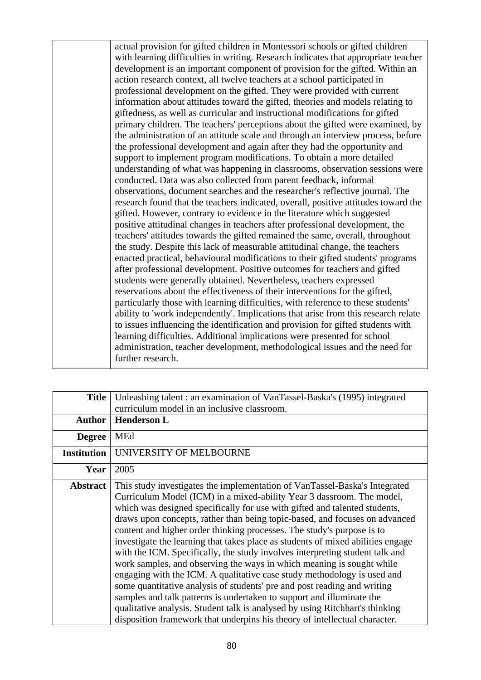actual provision for gifted children in Montessori schools or gifted children with learning difficulties in writing. Research indicates that appropriate teacher development is an important component of provision for the gifted. Within an action research context, all twelve teachers at a school participated in professional development on the gifted. They were provided with current information about attitudes toward the gifted, theories and models relating to giftedness, as well as curricular and instructional modifications for gifted primary children. The teachers' perceptions about the gifted were examined, by the administration of an attitude scale and through an interview process, before the professional development and again after they had the opportunity and support to implement program modifications. To obtain a more detailed understanding of what was happening in classrooms, observation sessions were conducted. Data was also collected from parent feedback, informal observations, document searches and the researcher's reflective journal. The research found that the teachers indicated, overall, positive attitudes toward the gifted. However, contrary to evidence in the literature which suggested positive attitudinal changes in teachers after professional development, the teachers' attitudes towards the gifted remained the same, overall, throughout the study. Despite this lack of measurable attitudinal change, the teachers enacted practical, behavioural modifications to their gifted students' programs after professional development. Positive outcomes for teachers and gifted students were generally obtained. Nevertheless, teachers expressed reservations about the effectiveness of their interventions for the gifted, particularly those with learning difficulties, with reference to these students' ability to 'work independently'. Implications that arise from this research relate to issues influencing the identification and provision for gifted students with learning difficulties. Additional implications were presented for school administration, teacher development, methodological issues and the need for further research.

| <b>Title</b>       | Unleashing talent: an examination of VanTassel-Baska's (1995) integrated                                                                                                                                                                                                                                                                                                                                                                                                                                                                                                                                                                                                                                                                                                                                                                                                                                                                                                                                                             |
|--------------------|--------------------------------------------------------------------------------------------------------------------------------------------------------------------------------------------------------------------------------------------------------------------------------------------------------------------------------------------------------------------------------------------------------------------------------------------------------------------------------------------------------------------------------------------------------------------------------------------------------------------------------------------------------------------------------------------------------------------------------------------------------------------------------------------------------------------------------------------------------------------------------------------------------------------------------------------------------------------------------------------------------------------------------------|
|                    | curriculum model in an inclusive classroom.                                                                                                                                                                                                                                                                                                                                                                                                                                                                                                                                                                                                                                                                                                                                                                                                                                                                                                                                                                                          |
| <b>Author</b>      | <b>Henderson L</b>                                                                                                                                                                                                                                                                                                                                                                                                                                                                                                                                                                                                                                                                                                                                                                                                                                                                                                                                                                                                                   |
| <b>Degree</b>      | MEd                                                                                                                                                                                                                                                                                                                                                                                                                                                                                                                                                                                                                                                                                                                                                                                                                                                                                                                                                                                                                                  |
| <b>Institution</b> | UNIVERSITY OF MELBOURNE                                                                                                                                                                                                                                                                                                                                                                                                                                                                                                                                                                                                                                                                                                                                                                                                                                                                                                                                                                                                              |
| Year               | 2005                                                                                                                                                                                                                                                                                                                                                                                                                                                                                                                                                                                                                                                                                                                                                                                                                                                                                                                                                                                                                                 |
| <b>Abstract</b>    | This study investigates the implementation of VanTassel-Baska's Integrated<br>Curriculum Model (ICM) in a mixed-ability Year 3 dassroom. The model,<br>which was designed specifically for use with gifted and talented students,<br>draws upon concepts, rather than being topic-based, and focuses on advanced<br>content and higher order thinking processes. The study's purpose is to<br>investigate the learning that takes place as students of mixed abilities engage<br>with the ICM. Specifically, the study involves interpreting student talk and<br>work samples, and observing the ways in which meaning is sought while<br>engaging with the ICM. A qualitative case study methodology is used and<br>some quantitative analysis of students' pre and post reading and writing<br>samples and talk patterns is undertaken to support and illuminate the<br>qualitative analysis. Student talk is analysed by using Ritchhart's thinking<br>disposition framework that underpins his theory of intellectual character. |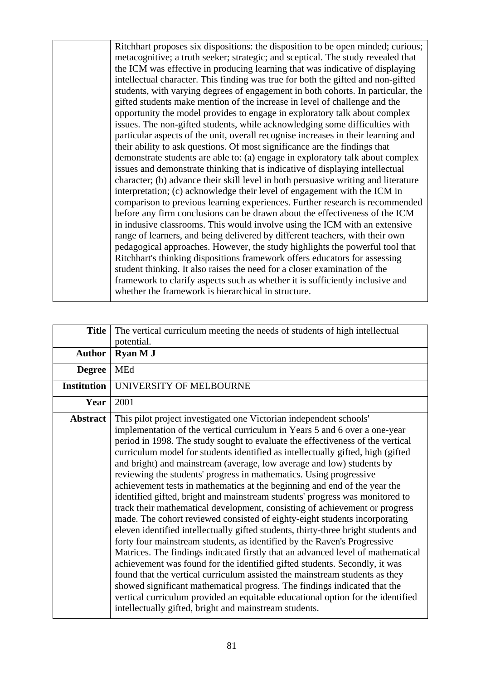Ritchhart proposes six dispositions: the disposition to be open minded; curious; metacognitive; a truth seeker; strategic; and sceptical. The study revealed that the ICM was effective in producing learning that was indicative of displaying intellectual character. This finding was true for both the gifted and non-gifted students, with varying degrees of engagement in both cohorts. In particular, the gifted students make mention of the increase in level of challenge and the opportunity the model provides to engage in exploratory talk about complex issues. The non-gifted students, while acknowledging some difficulties with particular aspects of the unit, overall recognise increases in their learning and their ability to ask questions. Of most significance are the findings that demonstrate students are able to: (a) engage in exploratory talk about complex issues and demonstrate thinking that is indicative of displaying intellectual character; (b) advance their skill level in both persuasive writing and literature interpretation; (c) acknowledge their level of engagement with the ICM in comparison to previous learning experiences. Further research is recommended before any firm conclusions can be drawn about the effectiveness of the ICM in indusive classrooms. This would involve using the ICM with an extensive range of learners, and being delivered by different teachers, with their own pedagogical approaches. However, the study highlights the powerful tool that Ritchhart's thinking dispositions framework offers educators for assessing student thinking. It also raises the need for a closer examination of the framework to clarify aspects such as whether it is sufficiently inclusive and whether the framework is hierarchical in structure.

| <b>Title</b>       | The vertical curriculum meeting the needs of students of high intellectual<br>potential.                                                                                                                                                                                                                                                                                                                                                                                                                                                                                                                                                                                                                                                                                                                                                                                                                                                                                                                                                                                                                                                                                                                                                                                                                                                                                                                                                   |
|--------------------|--------------------------------------------------------------------------------------------------------------------------------------------------------------------------------------------------------------------------------------------------------------------------------------------------------------------------------------------------------------------------------------------------------------------------------------------------------------------------------------------------------------------------------------------------------------------------------------------------------------------------------------------------------------------------------------------------------------------------------------------------------------------------------------------------------------------------------------------------------------------------------------------------------------------------------------------------------------------------------------------------------------------------------------------------------------------------------------------------------------------------------------------------------------------------------------------------------------------------------------------------------------------------------------------------------------------------------------------------------------------------------------------------------------------------------------------|
| <b>Author</b>      | Ryan M J                                                                                                                                                                                                                                                                                                                                                                                                                                                                                                                                                                                                                                                                                                                                                                                                                                                                                                                                                                                                                                                                                                                                                                                                                                                                                                                                                                                                                                   |
| <b>Degree</b>      | MEd                                                                                                                                                                                                                                                                                                                                                                                                                                                                                                                                                                                                                                                                                                                                                                                                                                                                                                                                                                                                                                                                                                                                                                                                                                                                                                                                                                                                                                        |
| <b>Institution</b> | UNIVERSITY OF MELBOURNE                                                                                                                                                                                                                                                                                                                                                                                                                                                                                                                                                                                                                                                                                                                                                                                                                                                                                                                                                                                                                                                                                                                                                                                                                                                                                                                                                                                                                    |
| Year               | 2001                                                                                                                                                                                                                                                                                                                                                                                                                                                                                                                                                                                                                                                                                                                                                                                                                                                                                                                                                                                                                                                                                                                                                                                                                                                                                                                                                                                                                                       |
| <b>Abstract</b>    | This pilot project investigated one Victorian independent schools'<br>implementation of the vertical curriculum in Years 5 and 6 over a one-year<br>period in 1998. The study sought to evaluate the effectiveness of the vertical<br>curriculum model for students identified as intellectually gifted, high (gifted<br>and bright) and mainstream (average, low average and low) students by<br>reviewing the students' progress in mathematics. Using progressive<br>achievement tests in mathematics at the beginning and end of the year the<br>identified gifted, bright and mainstream students' progress was monitored to<br>track their mathematical development, consisting of achievement or progress<br>made. The cohort reviewed consisted of eighty-eight students incorporating<br>eleven identified intellectually gifted students, thirty-three bright students and<br>forty four mainstream students, as identified by the Raven's Progressive<br>Matrices. The findings indicated firstly that an advanced level of mathematical<br>achievement was found for the identified gifted students. Secondly, it was<br>found that the vertical curriculum assisted the mainstream students as they<br>showed significant mathematical progress. The findings indicated that the<br>vertical curriculum provided an equitable educational option for the identified<br>intellectually gifted, bright and mainstream students. |